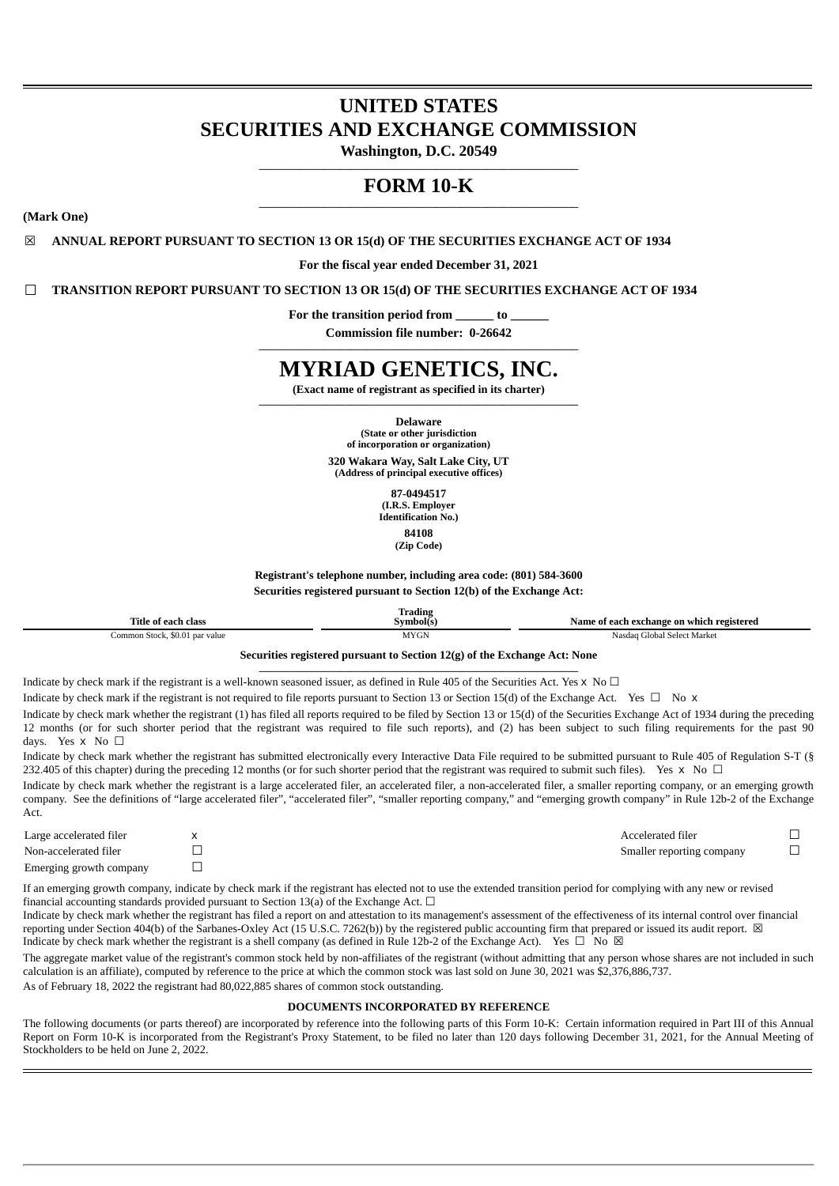# **UNITED STATES SECURITIES AND EXCHANGE COMMISSION**

**Washington, D.C. 20549 \_\_\_\_\_\_\_\_\_\_\_\_\_\_\_\_\_\_\_\_\_\_\_\_\_\_\_\_\_\_\_\_\_\_\_\_\_\_\_\_\_\_\_\_\_\_\_\_\_\_\_\_\_\_\_\_\_\_\_\_\_\_\_**

# **FORM 10-K \_\_\_\_\_\_\_\_\_\_\_\_\_\_\_\_\_\_\_\_\_\_\_\_\_\_\_\_\_\_\_\_\_\_\_\_\_\_\_\_\_\_\_\_\_\_\_\_\_\_\_\_\_\_\_\_\_\_\_\_\_\_\_**

**(Mark One)**

☒ **ANNUAL REPORT PURSUANT TO SECTION 13 OR 15(d) OF THE SECURITIES EXCHANGE ACT OF 1934**

**For the fiscal year ended December 31, 2021**

☐ **TRANSITION REPORT PURSUANT TO SECTION 13 OR 15(d) OF THE SECURITIES EXCHANGE ACT OF 1934**

**For the transition period from \_\_\_\_\_\_ to \_\_\_\_\_\_**

**Commission file number: 0-26642 \_\_\_\_\_\_\_\_\_\_\_\_\_\_\_\_\_\_\_\_\_\_\_\_\_\_\_\_\_\_\_\_\_\_\_\_\_\_\_\_\_\_\_\_\_\_\_\_\_\_\_\_\_\_\_\_\_\_\_\_\_\_\_**

# **MYRIAD GENETICS, INC.**

**(Exact name of registrant as specified in its charter) \_\_\_\_\_\_\_\_\_\_\_\_\_\_\_\_\_\_\_\_\_\_\_\_\_\_\_\_\_\_\_\_\_\_\_\_\_\_\_\_\_\_\_\_\_\_\_\_\_\_\_\_\_\_\_\_\_\_\_\_\_\_\_**

> **Delaware (State or other jurisdiction**

**of incorporation or organization)**

**320 Wakara Way, Salt Lake City, UT (Address of principal executive offices)**

> **87-0494517 (I.R.S. Employer**

**Identification No.) 84108**

**(Zip Code)**

**Registrant's telephone number, including area code: (801) 584-3600 Securities registered pursuant to Section 12(b) of the Exchange Act:**

| Title of each class            | m.<br>Trading<br>svmbol(s | Name of each exchange on which registered |
|--------------------------------|---------------------------|-------------------------------------------|
| Common Stock, \$0.01 par value | AVCN<br><b>MY</b> GIV     | Nasdag (<br>. Global Select<br>: Market   |

#### **Securities registered pursuant to Section 12(g) of the Exchange Act: None \_\_\_\_\_\_\_\_\_\_\_\_\_\_\_\_\_\_\_\_\_\_\_\_\_\_\_\_\_\_\_\_\_\_\_\_\_\_\_\_\_\_\_\_\_\_\_\_\_\_\_\_\_\_\_\_\_\_\_\_\_\_\_**

Indicate by check mark if the registrant is a well-known seasoned issuer, as defined in Rule 405 of the Securities Act. Yes  $\times$  No  $\Box$ 

Indicate by check mark if the registrant is not required to file reports pursuant to Section 13 or Section 15(d) of the Exchange Act. Yes  $\Box$  No x

Indicate by check mark whether the registrant (1) has filed all reports required to be filed by Section 13 or 15(d) of the Securities Exchange Act of 1934 during the preceding 12 months (or for such shorter period that the registrant was required to file such reports), and (2) has been subject to such filing requirements for the past 90 days. Yes x No □

Indicate by check mark whether the registrant has submitted electronically every Interactive Data File required to be submitted pursuant to Rule 405 of Regulation S-T (§ 232.405 of this chapter) during the preceding 12 months (or for such shorter period that the registrant was required to submit such files). Yes x No  $\Box$ 

Indicate by check mark whether the registrant is a large accelerated filer, an accelerated filer, a non-accelerated filer, a smaller reporting company, or an emerging growth company. See the definitions of "large accelerated filer", "accelerated filer", "smaller reporting company," and "emerging growth company" in Rule 12b-2 of the Exchange Act.

| Large accelerated filer | Accelerated filer         |  |
|-------------------------|---------------------------|--|
| Non-accelerated filer   | Smaller reporting company |  |
| Emerging growth company |                           |  |

If an emerging growth company, indicate by check mark if the registrant has elected not to use the extended transition period for complying with any new or revised financial accounting standards provided pursuant to Section 13(a) of the Exchange Act.  $\Box$ 

Indicate by check mark whether the registrant has filed a report on and attestation to its management's assessment of the effectiveness of its internal control over financial reporting under Section 404(b) of the Sarbanes-Oxley Act (15 U.S.C. 7262(b)) by the registered public accounting firm that prepared or issued its audit report. ⊠ Indicate by check mark whether the registrant is a shell company (as defined in Rule 12b-2 of the Exchange Act). Yes  $\Box$  No  $\boxtimes$ 

The aggregate market value of the registrant's common stock held by non-affiliates of the registrant (without admitting that any person whose shares are not included in such calculation is an affiliate), computed by reference to the price at which the common stock was last sold on June 30, 2021 was \$2,376,886,737.

As of February 18, 2022 the registrant had 80,022,885 shares of common stock outstanding.

# **DOCUMENTS INCORPORATED BY REFERENCE**

<span id="page-0-0"></span>The following documents (or parts thereof) are incorporated by reference into the following parts of this Form 10-K: Certain information required in Part III of this Annual Report on Form 10-K is incorporated from the Registrant's Proxy Statement, to be filed no later than 120 days following December 31, 2021, for the Annual Meeting of Stockholders to be held on June 2, 2022.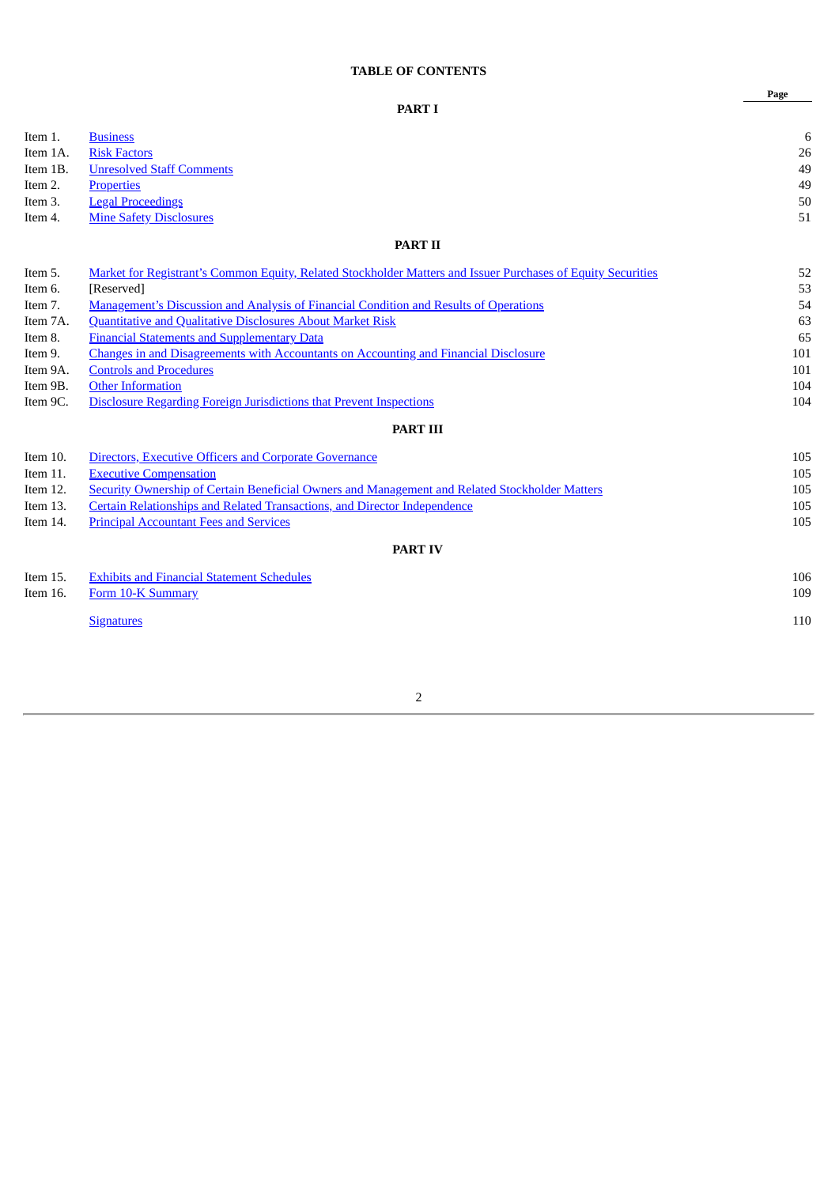# **TABLE OF CONTENTS**

|          |                                                                                                              | Page |
|----------|--------------------------------------------------------------------------------------------------------------|------|
|          | <b>PART I</b>                                                                                                |      |
| Item 1.  | <b>Business</b>                                                                                              | 6    |
| Item 1A. | <b>Risk Factors</b>                                                                                          | 26   |
| Item 1B. | <b>Unresolved Staff Comments</b>                                                                             | 49   |
| Item 2.  | <b>Properties</b>                                                                                            | 49   |
| Item 3.  | <b>Legal Proceedings</b>                                                                                     | 50   |
| Item 4.  | <b>Mine Safety Disclosures</b>                                                                               | 51   |
|          | <b>PART II</b>                                                                                               |      |
| Item 5.  | Market for Registrant's Common Equity, Related Stockholder Matters and Issuer Purchases of Equity Securities | 52   |
| Item 6.  | [Reserved]                                                                                                   | 53   |
| Item 7.  | Management's Discussion and Analysis of Financial Condition and Results of Operations                        | 54   |
| Item 7A. | Quantitative and Qualitative Disclosures About Market Risk                                                   | 63   |
| Item 8.  | <b>Financial Statements and Supplementary Data</b>                                                           | 65   |
| Item 9.  | <b>Changes in and Disagreements with Accountants on Accounting and Financial Disclosure</b>                  | 101  |
| Item 9A. | <b>Controls and Procedures</b>                                                                               | 101  |
| Item 9B. | <b>Other Information</b>                                                                                     | 104  |
| Item 9C. | <b>Disclosure Regarding Foreign Jurisdictions that Prevent Inspections</b>                                   | 104  |
|          | <b>PART III</b>                                                                                              |      |
| Item 10. | <b>Directors, Executive Officers and Corporate Governance</b>                                                | 105  |
| Item 11. | <b>Executive Compensation</b>                                                                                | 105  |
| Item 12. | <b>Security Ownership of Certain Beneficial Owners and Management and Related Stockholder Matters</b>        | 105  |
| Item 13. | Certain Relationships and Related Transactions, and Director Independence                                    | 105  |
| Item 14. | <b>Principal Accountant Fees and Services</b>                                                                | 105  |
|          | <b>PART IV</b>                                                                                               |      |
| Item 15. | <b>Exhibits and Financial Statement Schedules</b>                                                            | 106  |
| Item 16. | Form 10-K Summary                                                                                            | 109  |
|          | <b>Signatures</b>                                                                                            | 110  |
|          |                                                                                                              |      |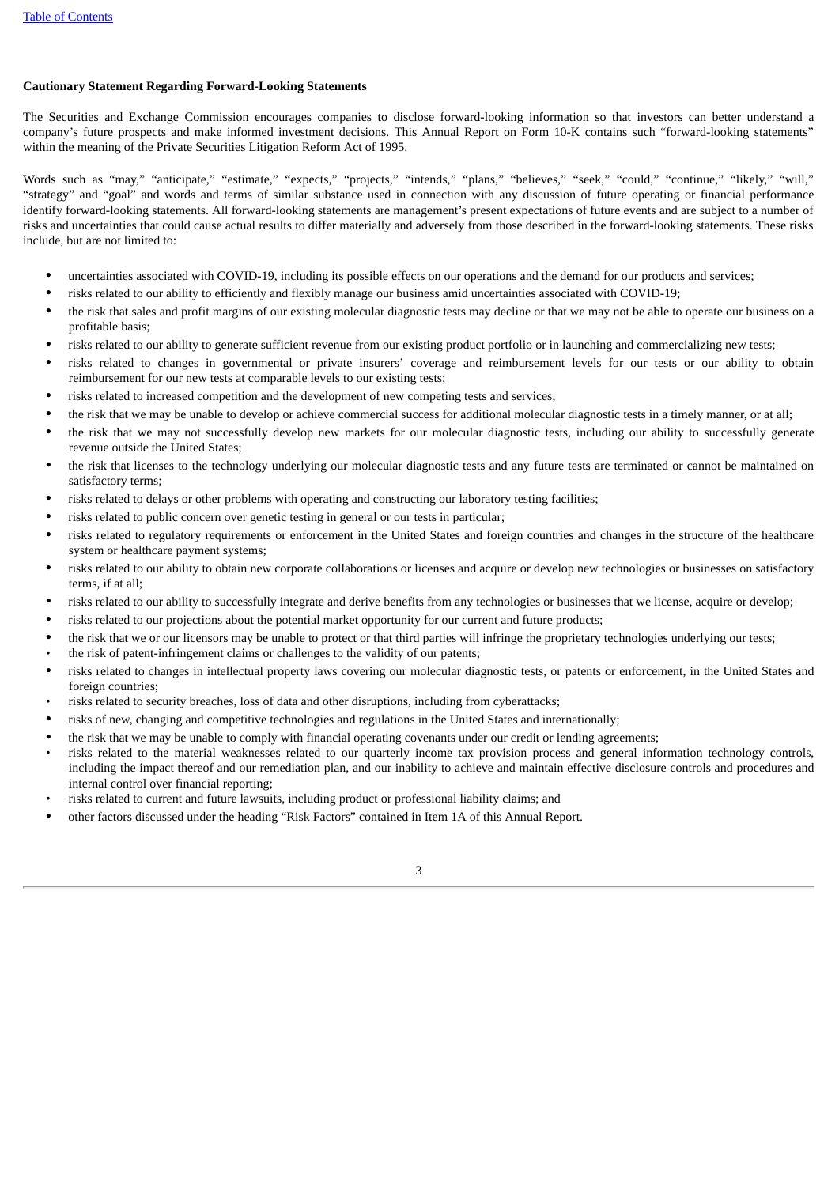# **Cautionary Statement Regarding Forward-Looking Statements**

The Securities and Exchange Commission encourages companies to disclose forward-looking information so that investors can better understand a company's future prospects and make informed investment decisions. This Annual Report on Form 10-K contains such "forward-looking statements" within the meaning of the Private Securities Litigation Reform Act of 1995.

Words such as "may," "anticipate," "estimate," "expects," "projects," "intends," "plans," "believes," "seek," "could," "continue," "likely," "will," "strategy" and "goal" and words and terms of similar substance used in connection with any discussion of future operating or financial performance identify forward-looking statements. All forward-looking statements are management's present expectations of future events and are subject to a number of risks and uncertainties that could cause actual results to differ materially and adversely from those described in the forward-looking statements. These risks include, but are not limited to:

- uncertainties associated with COVID-19, including its possible effects on our operations and the demand for our products and services;
- risks related to our ability to efficiently and flexibly manage our business amid uncertainties associated with COVID-19;
- the risk that sales and profit margins of our existing molecular diagnostic tests may decline or that we may not be able to operate our business on a profitable basis;
- risks related to our ability to generate sufficient revenue from our existing product portfolio or in launching and commercializing new tests;
- risks related to changes in governmental or private insurers' coverage and reimbursement levels for our tests or our ability to obtain reimbursement for our new tests at comparable levels to our existing tests;
- risks related to increased competition and the development of new competing tests and services;
- the risk that we may be unable to develop or achieve commercial success for additional molecular diagnostic tests in a timely manner, or at all;
- the risk that we may not successfully develop new markets for our molecular diagnostic tests, including our ability to successfully generate revenue outside the United States;
- the risk that licenses to the technology underlying our molecular diagnostic tests and any future tests are terminated or cannot be maintained on satisfactory terms;
- risks related to delays or other problems with operating and constructing our laboratory testing facilities;
- risks related to public concern over genetic testing in general or our tests in particular;
- risks related to regulatory requirements or enforcement in the United States and foreign countries and changes in the structure of the healthcare system or healthcare payment systems;
- risks related to our ability to obtain new corporate collaborations or licenses and acquire or develop new technologies or businesses on satisfactory terms, if at all;
- risks related to our ability to successfully integrate and derive benefits from any technologies or businesses that we license, acquire or develop;
- risks related to our projections about the potential market opportunity for our current and future products;
- the risk that we or our licensors may be unable to protect or that third parties will infringe the proprietary technologies underlying our tests;
- the risk of patent-infringement claims or challenges to the validity of our patents;
- risks related to changes in intellectual property laws covering our molecular diagnostic tests, or patents or enforcement, in the United States and foreign countries;
- risks related to security breaches, loss of data and other disruptions, including from cyberattacks;
- risks of new, changing and competitive technologies and regulations in the United States and internationally;
- the risk that we may be unable to comply with financial operating covenants under our credit or lending agreements;
- risks related to the material weaknesses related to our quarterly income tax provision process and general information technology controls, including the impact thereof and our remediation plan, and our inability to achieve and maintain effective disclosure controls and procedures and internal control over financial reporting;
- risks related to current and future lawsuits, including product or professional liability claims; and
- other factors discussed under the heading "Risk Factors" contained in Item 1A of this Annual Report.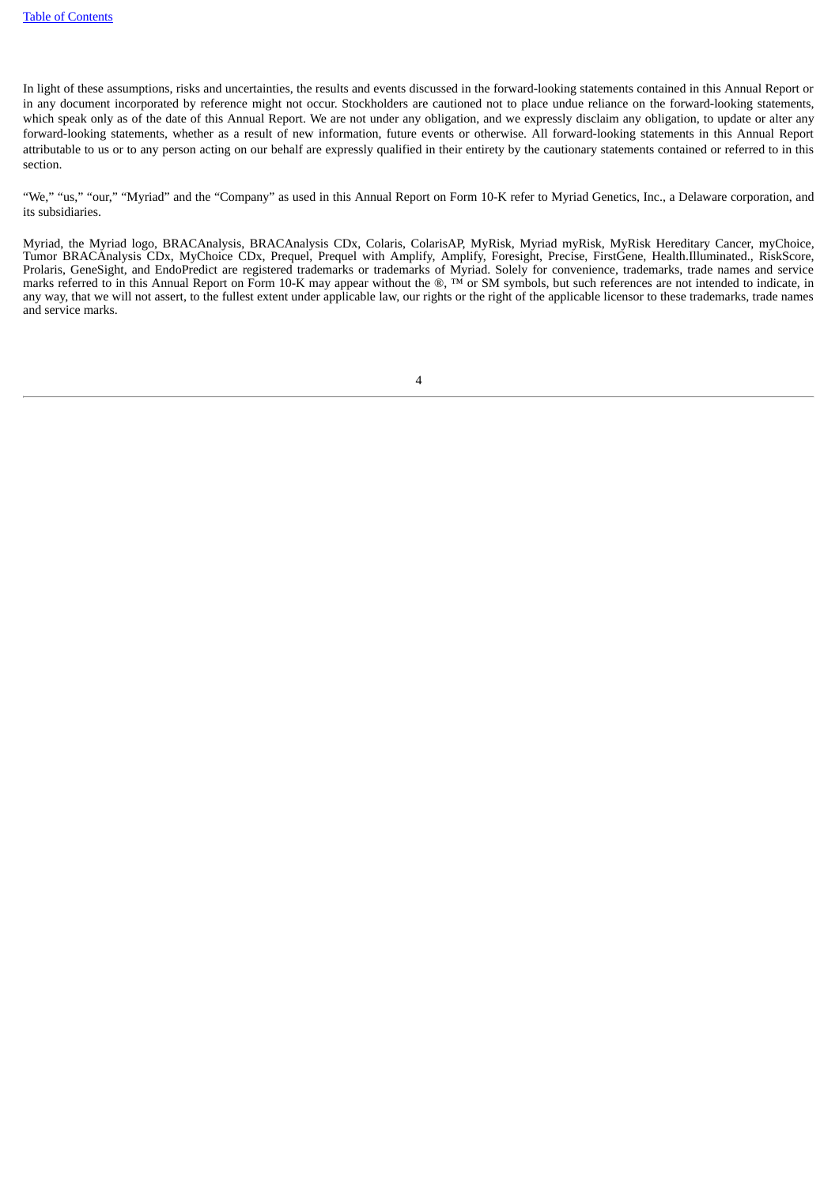In light of these assumptions, risks and uncertainties, the results and events discussed in the forward-looking statements contained in this Annual Report or in any document incorporated by reference might not occur. Stockholders are cautioned not to place undue reliance on the forward-looking statements, which speak only as of the date of this Annual Report. We are not under any obligation, and we expressly disclaim any obligation, to update or alter any forward-looking statements, whether as a result of new information, future events or otherwise. All forward-looking statements in this Annual Report attributable to us or to any person acting on our behalf are expressly qualified in their entirety by the cautionary statements contained or referred to in this section.

"We," "us," "our," "Myriad" and the "Company" as used in this Annual Report on Form 10‑K refer to Myriad Genetics, Inc., a Delaware corporation, and its subsidiaries.

Myriad, the Myriad logo, BRACAnalysis, BRACAnalysis CDx, Colaris, ColarisAP, MyRisk, Myriad myRisk, MyRisk Hereditary Cancer, myChoice, Tumor BRACAnalysis CDx, MyChoice CDx, Prequel, Prequel with Amplify, Amplify, Foresight, Precise, FirstGene, Health.Illuminated., RiskScore, Prolaris, GeneSight, and EndoPredict are registered trademarks or trademarks of Myriad. Solely for convenience, trademarks, trade names and service marks referred to in this Annual Report on Form 10-K may appear without the ®, ™ or SM symbols, but such references are not intended to indicate, in any way, that we will not assert, to the fullest extent under applicable law, our rights or the right of the applicable licensor to these trademarks, trade names and service marks.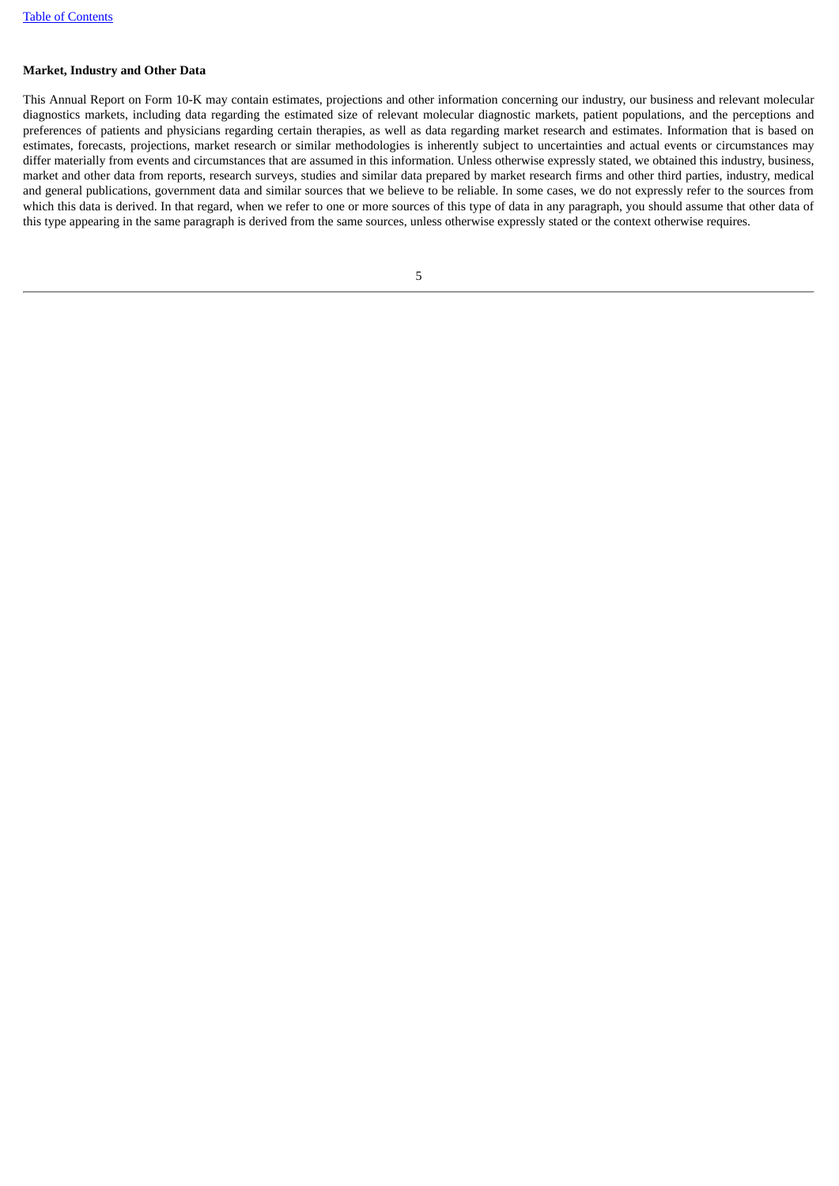# **Market, Industry and Other Data**

<span id="page-4-0"></span>This Annual Report on Form 10-K may contain estimates, projections and other information concerning our industry, our business and relevant molecular diagnostics markets, including data regarding the estimated size of relevant molecular diagnostic markets, patient populations, and the perceptions and preferences of patients and physicians regarding certain therapies, as well as data regarding market research and estimates. Information that is based on estimates, forecasts, projections, market research or similar methodologies is inherently subject to uncertainties and actual events or circumstances may differ materially from events and circumstances that are assumed in this information. Unless otherwise expressly stated, we obtained this industry, business, market and other data from reports, research surveys, studies and similar data prepared by market research firms and other third parties, industry, medical and general publications, government data and similar sources that we believe to be reliable. In some cases, we do not expressly refer to the sources from which this data is derived. In that regard, when we refer to one or more sources of this type of data in any paragraph, you should assume that other data of this type appearing in the same paragraph is derived from the same sources, unless otherwise expressly stated or the context otherwise requires.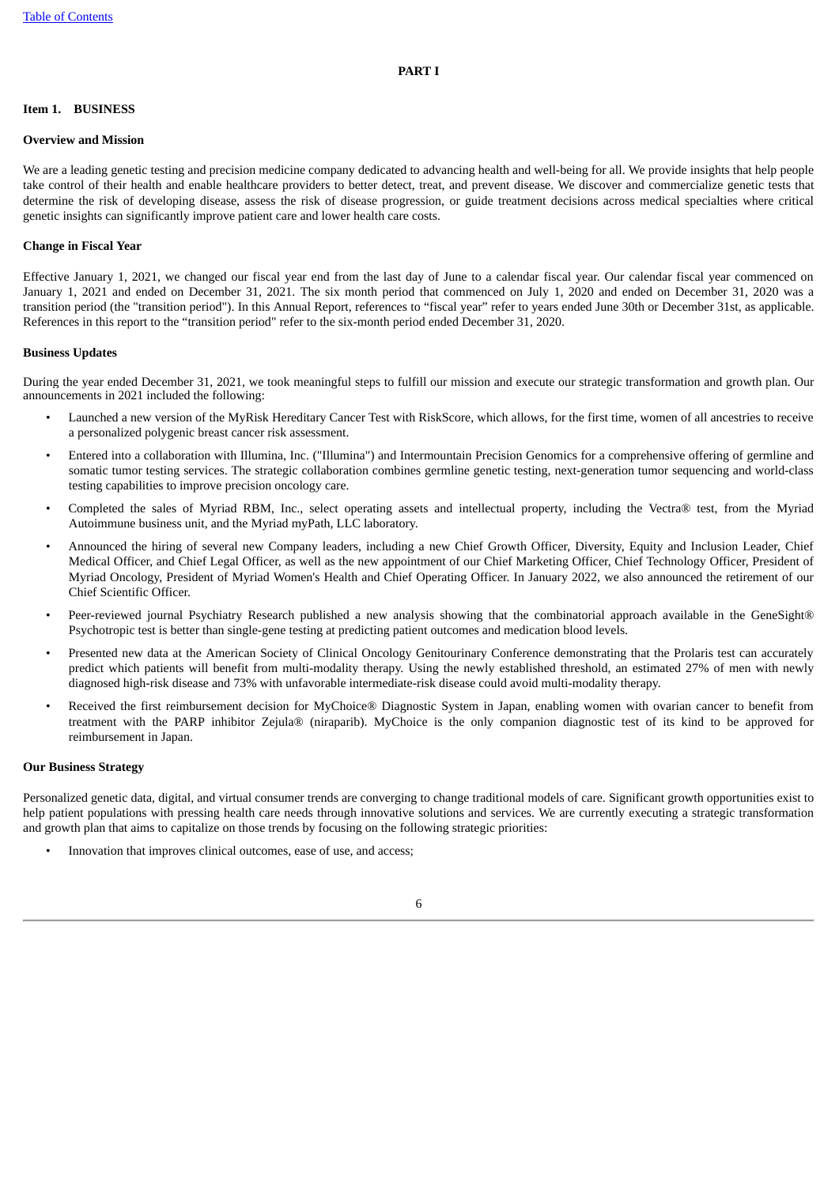# <span id="page-5-0"></span>**Item 1. BUSINESS**

# **Overview and Mission**

We are a leading genetic testing and precision medicine company dedicated to advancing health and well-being for all. We provide insights that help people take control of their health and enable healthcare providers to better detect, treat, and prevent disease. We discover and commercialize genetic tests that determine the risk of developing disease, assess the risk of disease progression, or guide treatment decisions across medical specialties where critical genetic insights can significantly improve patient care and lower health care costs.

#### **Change in Fiscal Year**

Effective January 1, 2021, we changed our fiscal year end from the last day of June to a calendar fiscal year. Our calendar fiscal year commenced on January 1, 2021 and ended on December 31, 2021. The six month period that commenced on July 1, 2020 and ended on December 31, 2020 was a transition period (the "transition period"). In this Annual Report, references to "fiscal year" refer to years ended June 30th or December 31st, as applicable. References in this report to the "transition period" refer to the six-month period ended December 31, 2020.

# **Business Updates**

During the year ended December 31, 2021, we took meaningful steps to fulfill our mission and execute our strategic transformation and growth plan. Our announcements in 2021 included the following:

- Launched a new version of the MyRisk Hereditary Cancer Test with RiskScore, which allows, for the first time, women of all ancestries to receive a personalized polygenic breast cancer risk assessment.
- Entered into a collaboration with Illumina, Inc. ("Illumina") and Intermountain Precision Genomics for a comprehensive offering of germline and somatic tumor testing services. The strategic collaboration combines germline genetic testing, next-generation tumor sequencing and world-class testing capabilities to improve precision oncology care.
- Completed the sales of Myriad RBM, Inc., select operating assets and intellectual property, including the Vectra® test, from the Myriad Autoimmune business unit, and the Myriad myPath, LLC laboratory.
- Announced the hiring of several new Company leaders, including a new Chief Growth Officer, Diversity, Equity and Inclusion Leader, Chief Medical Officer, and Chief Legal Officer, as well as the new appointment of our Chief Marketing Officer, Chief Technology Officer, President of Myriad Oncology, President of Myriad Women's Health and Chief Operating Officer. In January 2022, we also announced the retirement of our Chief Scientific Officer.
- Peer-reviewed journal Psychiatry Research published a new analysis showing that the combinatorial approach available in the GeneSight® Psychotropic test is better than single-gene testing at predicting patient outcomes and medication blood levels.
- Presented new data at the American Society of Clinical Oncology Genitourinary Conference demonstrating that the Prolaris test can accurately predict which patients will benefit from multi-modality therapy. Using the newly established threshold, an estimated 27% of men with newly diagnosed high-risk disease and 73% with unfavorable intermediate-risk disease could avoid multi-modality therapy.
- Received the first reimbursement decision for MyChoice® Diagnostic System in Japan, enabling women with ovarian cancer to benefit from treatment with the PARP inhibitor Zejula® (niraparib). MyChoice is the only companion diagnostic test of its kind to be approved for reimbursement in Japan.

# **Our Business Strategy**

Personalized genetic data, digital, and virtual consumer trends are converging to change traditional models of care. Significant growth opportunities exist to help patient populations with pressing health care needs through innovative solutions and services. We are currently executing a strategic transformation and growth plan that aims to capitalize on those trends by focusing on the following strategic priorities:

Innovation that improves clinical outcomes, ease of use, and access;

<sup>6</sup>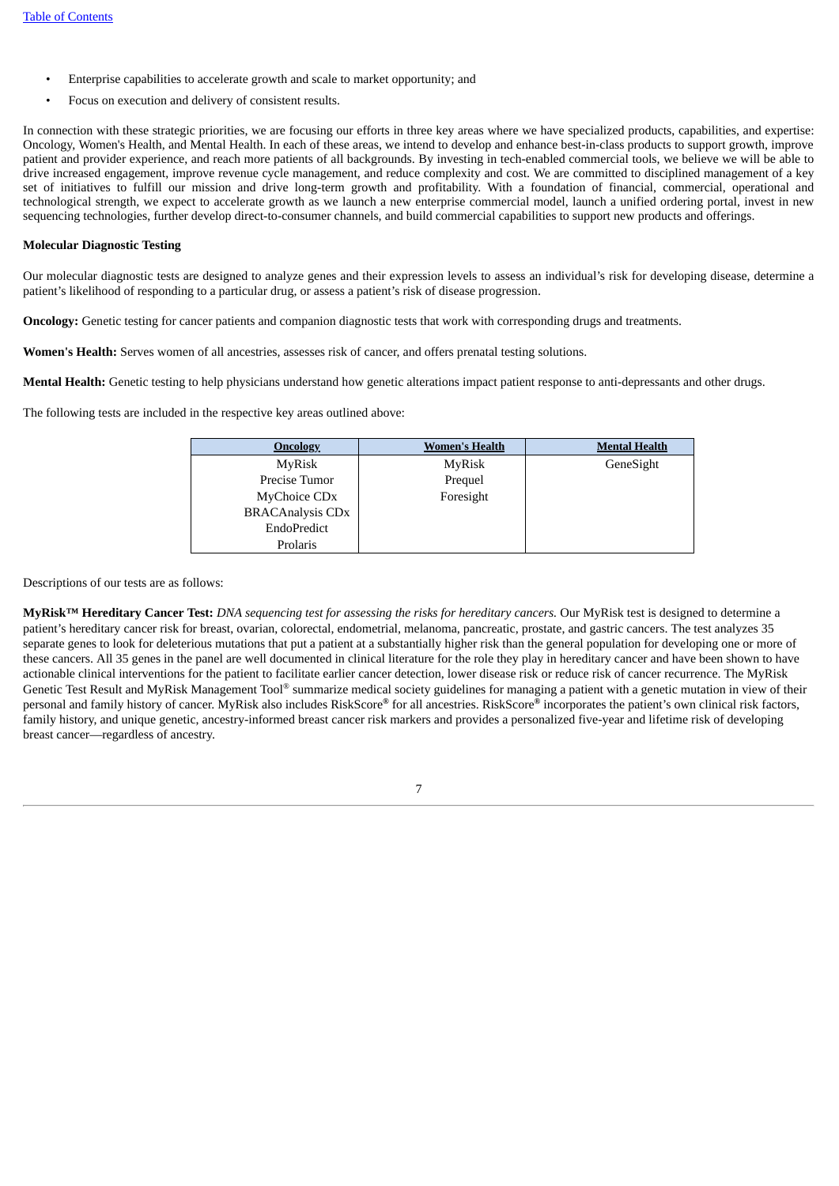- Enterprise capabilities to accelerate growth and scale to market opportunity; and
- Focus on execution and delivery of consistent results.

In connection with these strategic priorities, we are focusing our efforts in three key areas where we have specialized products, capabilities, and expertise: Oncology, Women's Health, and Mental Health. In each of these areas, we intend to develop and enhance best-in-class products to support growth, improve patient and provider experience, and reach more patients of all backgrounds. By investing in tech-enabled commercial tools, we believe we will be able to drive increased engagement, improve revenue cycle management, and reduce complexity and cost. We are committed to disciplined management of a key set of initiatives to fulfill our mission and drive long-term growth and profitability. With a foundation of financial, commercial, operational and technological strength, we expect to accelerate growth as we launch a new enterprise commercial model, launch a unified ordering portal, invest in new sequencing technologies, further develop direct-to-consumer channels, and build commercial capabilities to support new products and offerings.

# **Molecular Diagnostic Testing**

Our molecular diagnostic tests are designed to analyze genes and their expression levels to assess an individual's risk for developing disease, determine a patient's likelihood of responding to a particular drug, or assess a patient's risk of disease progression.

**Oncology:** Genetic testing for cancer patients and companion diagnostic tests that work with corresponding drugs and treatments.

**Women's Health:** Serves women of all ancestries, assesses risk of cancer, and offers prenatal testing solutions.

**Mental Health:** Genetic testing to help physicians understand how genetic alterations impact patient response to anti-depressants and other drugs.

The following tests are included in the respective key areas outlined above:

| <b>Oncology</b>          | <b>Women's Health</b> | <b>Mental Health</b> |
|--------------------------|-----------------------|----------------------|
| MyRisk                   | MyRisk                | GeneSight            |
| Precise Tumor            | Prequel               |                      |
| MyChoice CD <sub>x</sub> | Foresight             |                      |
| <b>BRACAnalysis CDx</b>  |                       |                      |
| EndoPredict              |                       |                      |
| Prolaris                 |                       |                      |

Descriptions of our tests are as follows:

MyRisk™ Hereditary Cancer Test: DNA sequencing test for assessing the risks for hereditary cancers. Our MyRisk test is designed to determine a patient's hereditary cancer risk for breast, ovarian, colorectal, endometrial, melanoma, pancreatic, prostate, and gastric cancers. The test analyzes 35 separate genes to look for deleterious mutations that put a patient at a substantially higher risk than the general population for developing one or more of these cancers. All 35 genes in the panel are well documented in clinical literature for the role they play in hereditary cancer and have been shown to have actionable clinical interventions for the patient to facilitate earlier cancer detection, lower disease risk or reduce risk of cancer recurrence. The MyRisk Genetic Test Result and MyRisk Management Tool® summarize medical society guidelines for managing a patient with a genetic mutation in view of their personal and family history of cancer. MyRisk also includes RiskScore® for all ancestries. RiskScore® incorporates the patient's own clinical risk factors, family history, and unique genetic, ancestry-informed breast cancer risk markers and provides a personalized five-year and lifetime risk of developing breast cancer—regardless of ancestry.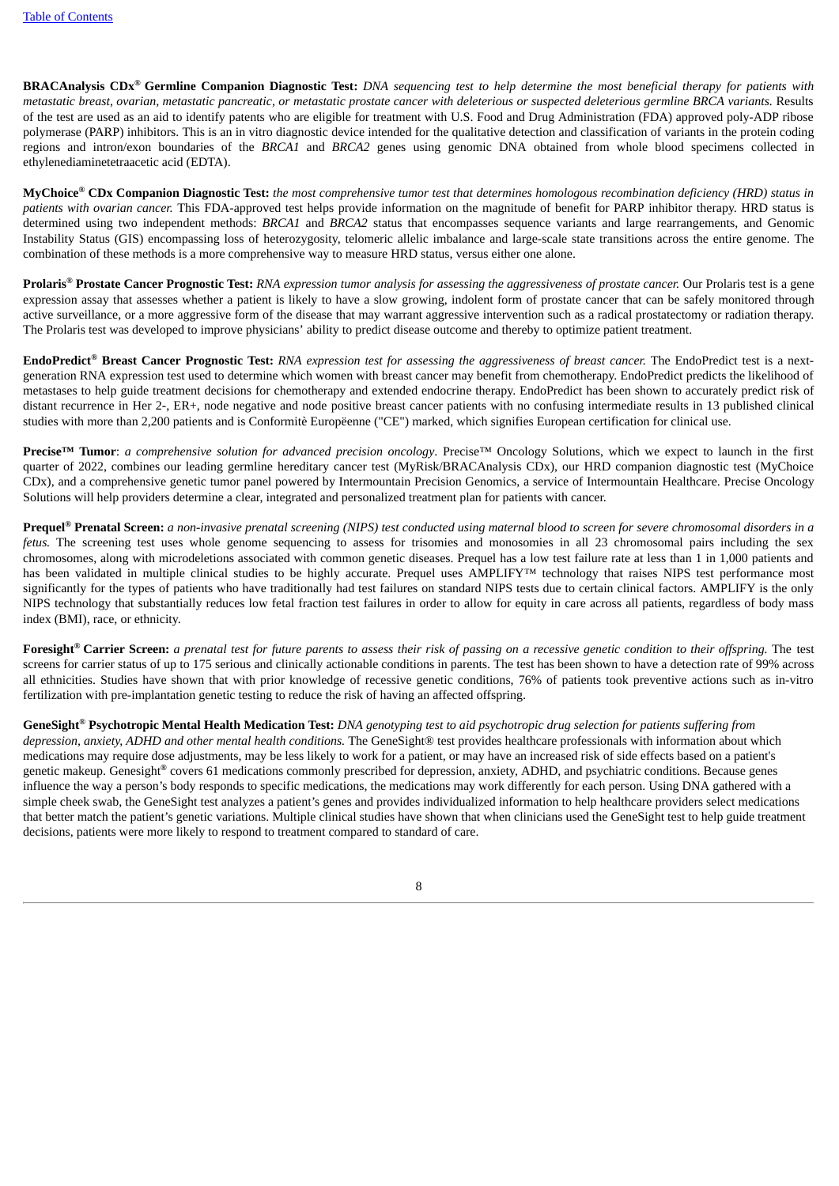BRACAnalysis CDx® Germline Companion Diagnostic Test: DNA sequencing test to help determine the most beneficial therapy for patients with metastatic breast, ovarian, metastatic pancreatic, or metastatic prostate cancer with deleterious or suspected deleterious germline BRCA variants. Results of the test are used as an aid to identify patents who are eligible for treatment with U.S. Food and Drug Administration (FDA) approved poly-ADP ribose polymerase (PARP) inhibitors. This is an in vitro diagnostic device intended for the qualitative detection and classification of variants in the protein coding regions and intron/exon boundaries of the *BRCA1* and *BRCA2* genes using genomic DNA obtained from whole blood specimens collected in ethylenediaminetetraacetic acid (EDTA).

MyChoice® CDx Companion Diagnostic Test: the most comprehensive tumor test that determines homologous recombination deficiency (HRD) status in *patients with ovarian cancer.* This FDA-approved test helps provide information on the magnitude of benefit for PARP inhibitor therapy. HRD status is determined using two independent methods: *BRCA1* and *BRCA2* status that encompasses sequence variants and large rearrangements, and Genomic Instability Status (GIS) encompassing loss of heterozygosity, telomeric allelic imbalance and large-scale state transitions across the entire genome. The combination of these methods is a more comprehensive way to measure HRD status, versus either one alone.

Prolaris® Prostate Cancer Prognostic Test: RNA expression tumor analysis for assessing the aggressiveness of prostate cancer. Our Prolaris test is a gene expression assay that assesses whether a patient is likely to have a slow growing, indolent form of prostate cancer that can be safely monitored through active surveillance, or a more aggressive form of the disease that may warrant aggressive intervention such as a radical prostatectomy or radiation therapy. The Prolaris test was developed to improve physicians' ability to predict disease outcome and thereby to optimize patient treatment.

EndoPredict® Breast Cancer Prognostic Test: RNA expression test for assessing the aggressiveness of breast cancer. The EndoPredict test is a nextgeneration RNA expression test used to determine which women with breast cancer may benefit from chemotherapy. EndoPredict predicts the likelihood of metastases to help guide treatment decisions for chemotherapy and extended endocrine therapy. EndoPredict has been shown to accurately predict risk of distant recurrence in Her 2-, ER+, node negative and node positive breast cancer patients with no confusing intermediate results in 13 published clinical studies with more than 2,200 patients and is Conformitè Europëenne ("CE") marked, which signifies European certification for clinical use.

**Precise™ Tumor**: *a comprehensive solution for advanced precision oncology*. Precise™ Oncology Solutions, which we expect to launch in the first quarter of 2022, combines our leading germline hereditary cancer test (MyRisk/BRACAnalysis CDx), our HRD companion diagnostic test (MyChoice CDx), and a comprehensive genetic tumor panel powered by Intermountain Precision Genomics, a service of Intermountain Healthcare. Precise Oncology Solutions will help providers determine a clear, integrated and personalized treatment plan for patients with cancer.

Prequel® Prenatal Screen: a non-invasive prenatal screening (NIPS) test conducted using maternal blood to screen for severe chromosomal disorders in a *fetus.* The screening test uses whole genome sequencing to assess for trisomies and monosomies in all 23 chromosomal pairs including the sex chromosomes, along with microdeletions associated with common genetic diseases. Prequel has a low test failure rate at less than 1 in 1,000 patients and has been validated in multiple clinical studies to be highly accurate. Prequel uses AMPLIFY™ technology that raises NIPS test performance most significantly for the types of patients who have traditionally had test failures on standard NIPS tests due to certain clinical factors. AMPLIFY is the only NIPS technology that substantially reduces low fetal fraction test failures in order to allow for equity in care across all patients, regardless of body mass index (BMI), race, or ethnicity.

Foresight® Carrier Screen: a prenatal test for future parents to assess their risk of passing on a recessive genetic condition to their offspring. The test screens for carrier status of up to 175 serious and clinically actionable conditions in parents. The test has been shown to have a detection rate of 99% across all ethnicities. Studies have shown that with prior knowledge of recessive genetic conditions, 76% of patients took preventive actions such as in-vitro fertilization with pre-implantation genetic testing to reduce the risk of having an affected offspring.

GeneSight® Psychotropic Mental Health Medication Test: DNA genotyping test to aid psychotropic drug selection for patients suffering from *depression, anxiety, ADHD and other mental health conditions.* The GeneSight® test provides healthcare professionals with information about which medications may require dose adjustments, may be less likely to work for a patient, or may have an increased risk of side effects based on a patient's genetic makeup. Genesight® covers 61 medications commonly prescribed for depression, anxiety, ADHD, and psychiatric conditions. Because genes influence the way a person's body responds to specific medications, the medications may work differently for each person. Using DNA gathered with a simple cheek swab, the GeneSight test analyzes a patient's genes and provides individualized information to help healthcare providers select medications that better match the patient's genetic variations. Multiple clinical studies have shown that when clinicians used the GeneSight test to help guide treatment decisions, patients were more likely to respond to treatment compared to standard of care.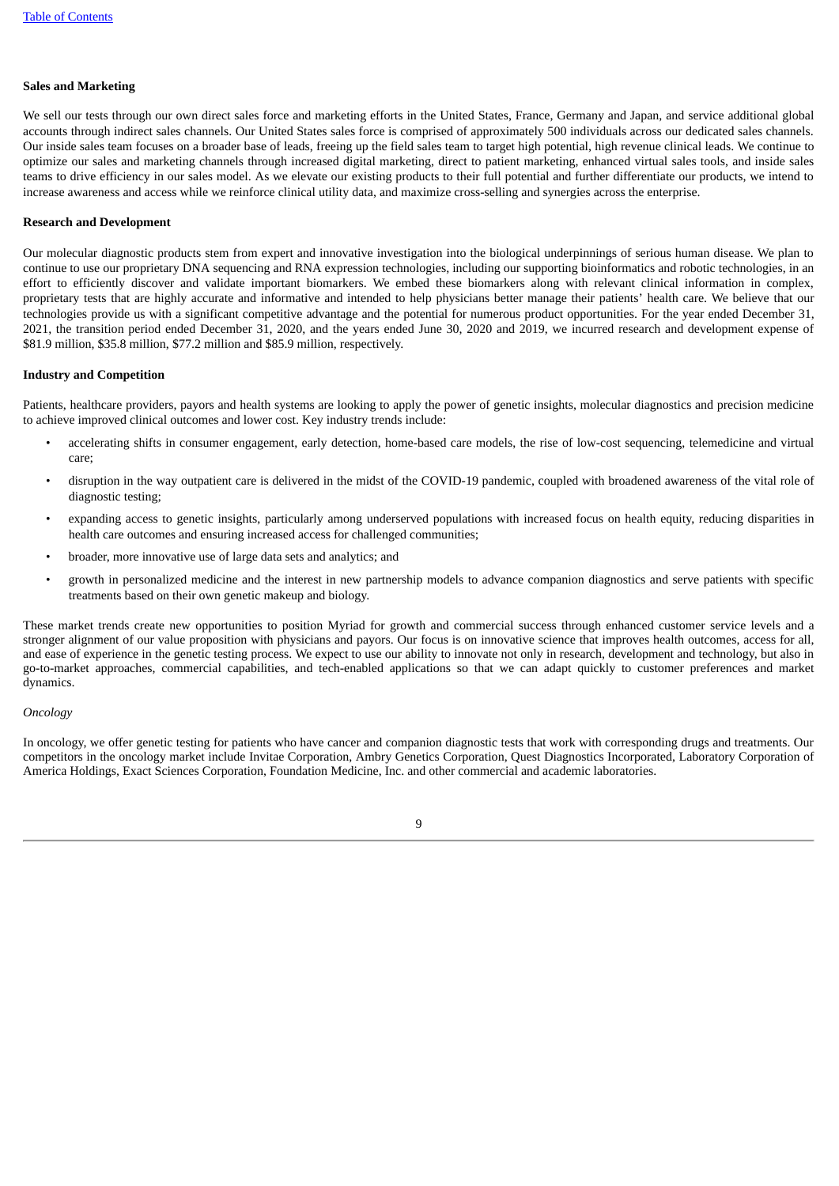# **Sales and Marketing**

We sell our tests through our own direct sales force and marketing efforts in the United States, France, Germany and Japan, and service additional global accounts through indirect sales channels. Our United States sales force is comprised of approximately 500 individuals across our dedicated sales channels. Our inside sales team focuses on a broader base of leads, freeing up the field sales team to target high potential, high revenue clinical leads. We continue to optimize our sales and marketing channels through increased digital marketing, direct to patient marketing, enhanced virtual sales tools, and inside sales teams to drive efficiency in our sales model. As we elevate our existing products to their full potential and further differentiate our products, we intend to increase awareness and access while we reinforce clinical utility data, and maximize cross-selling and synergies across the enterprise.

#### **Research and Development**

Our molecular diagnostic products stem from expert and innovative investigation into the biological underpinnings of serious human disease. We plan to continue to use our proprietary DNA sequencing and RNA expression technologies, including our supporting bioinformatics and robotic technologies, in an effort to efficiently discover and validate important biomarkers. We embed these biomarkers along with relevant clinical information in complex, proprietary tests that are highly accurate and informative and intended to help physicians better manage their patients' health care. We believe that our technologies provide us with a significant competitive advantage and the potential for numerous product opportunities. For the year ended December 31, 2021, the transition period ended December 31, 2020, and the years ended June 30, 2020 and 2019, we incurred research and development expense of \$81.9 million, \$35.8 million, \$77.2 million and \$85.9 million, respectively.

#### **Industry and Competition**

Patients, healthcare providers, payors and health systems are looking to apply the power of genetic insights, molecular diagnostics and precision medicine to achieve improved clinical outcomes and lower cost. Key industry trends include:

- accelerating shifts in consumer engagement, early detection, home-based care models, the rise of low-cost sequencing, telemedicine and virtual care;
- disruption in the way outpatient care is delivered in the midst of the COVID-19 pandemic, coupled with broadened awareness of the vital role of diagnostic testing;
- expanding access to genetic insights, particularly among underserved populations with increased focus on health equity, reducing disparities in health care outcomes and ensuring increased access for challenged communities;
- broader, more innovative use of large data sets and analytics; and
- growth in personalized medicine and the interest in new partnership models to advance companion diagnostics and serve patients with specific treatments based on their own genetic makeup and biology.

These market trends create new opportunities to position Myriad for growth and commercial success through enhanced customer service levels and a stronger alignment of our value proposition with physicians and payors. Our focus is on innovative science that improves health outcomes, access for all, and ease of experience in the genetic testing process. We expect to use our ability to innovate not only in research, development and technology, but also in go-to-market approaches, commercial capabilities, and tech-enabled applications so that we can adapt quickly to customer preferences and market dynamics.

#### *Oncology*

In oncology, we offer genetic testing for patients who have cancer and companion diagnostic tests that work with corresponding drugs and treatments. Our competitors in the oncology market include Invitae Corporation, Ambry Genetics Corporation, Quest Diagnostics Incorporated, Laboratory Corporation of America Holdings, Exact Sciences Corporation, Foundation Medicine, Inc. and other commercial and academic laboratories.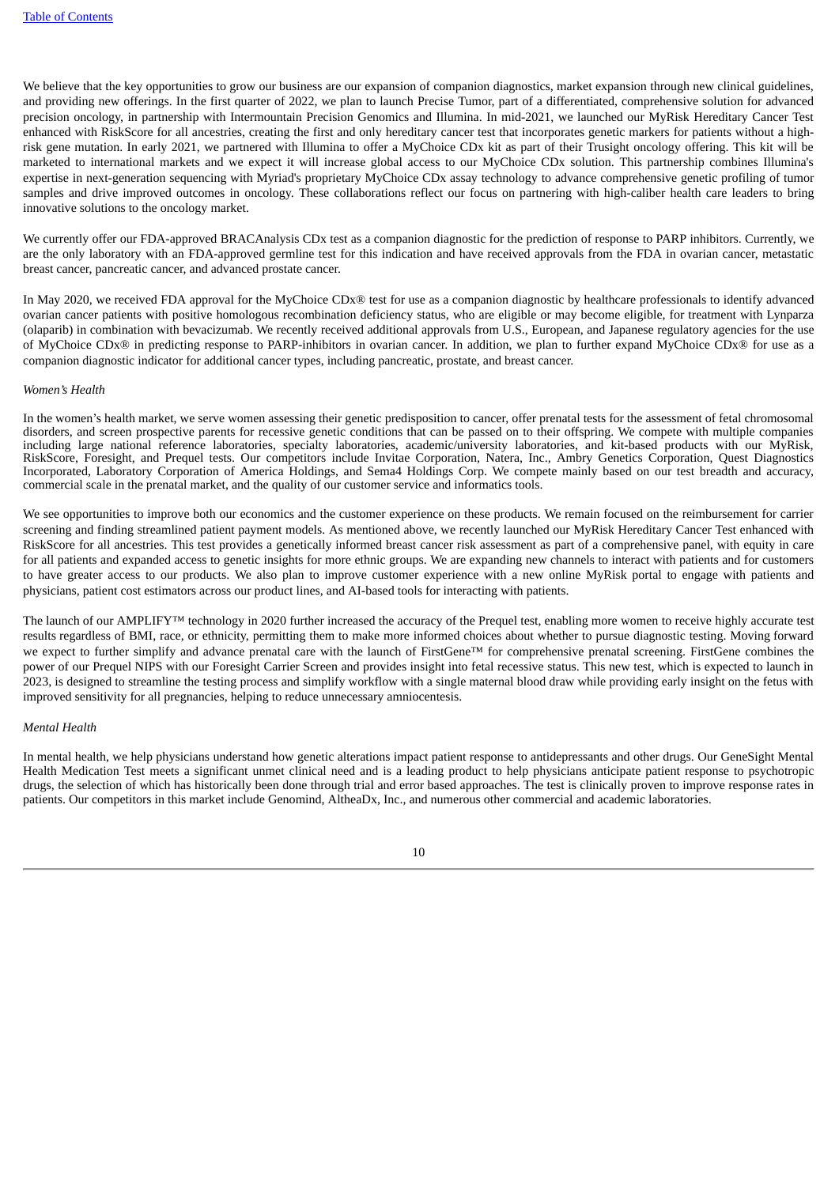We believe that the key opportunities to grow our business are our expansion of companion diagnostics, market expansion through new clinical guidelines, and providing new offerings. In the first quarter of 2022, we plan to launch Precise Tumor, part of a differentiated, comprehensive solution for advanced precision oncology, in partnership with Intermountain Precision Genomics and Illumina. In mid-2021, we launched our MyRisk Hereditary Cancer Test enhanced with RiskScore for all ancestries, creating the first and only hereditary cancer test that incorporates genetic markers for patients without a highrisk gene mutation. In early 2021, we partnered with Illumina to offer a MyChoice CDx kit as part of their Trusight oncology offering. This kit will be marketed to international markets and we expect it will increase global access to our MyChoice CDx solution. This partnership combines Illumina's expertise in next-generation sequencing with Myriad's proprietary MyChoice CDx assay technology to advance comprehensive genetic profiling of tumor samples and drive improved outcomes in oncology. These collaborations reflect our focus on partnering with high-caliber health care leaders to bring innovative solutions to the oncology market.

We currently offer our FDA-approved BRACAnalysis CDx test as a companion diagnostic for the prediction of response to PARP inhibitors. Currently, we are the only laboratory with an FDA-approved germline test for this indication and have received approvals from the FDA in ovarian cancer, metastatic breast cancer, pancreatic cancer, and advanced prostate cancer.

In May 2020, we received FDA approval for the MyChoice CDx® test for use as a companion diagnostic by healthcare professionals to identify advanced ovarian cancer patients with positive homologous recombination deficiency status, who are eligible or may become eligible, for treatment with Lynparza (olaparib) in combination with bevacizumab. We recently received additional approvals from U.S., European, and Japanese regulatory agencies for the use of MyChoice CDx® in predicting response to PARP-inhibitors in ovarian cancer. In addition, we plan to further expand MyChoice CDx® for use as a companion diagnostic indicator for additional cancer types, including pancreatic, prostate, and breast cancer.

#### *Women's Health*

In the women's health market, we serve women assessing their genetic predisposition to cancer, offer prenatal tests for the assessment of fetal chromosomal disorders, and screen prospective parents for recessive genetic conditions that can be passed on to their offspring. We compete with multiple companies including large national reference laboratories, specialty laboratories, academic/university laboratories, and kit-based products with our MyRisk, RiskScore, Foresight, and Prequel tests. Our competitors include Invitae Corporation, Natera, Inc., Ambry Genetics Corporation, Quest Diagnostics Incorporated, Laboratory Corporation of America Holdings, and Sema4 Holdings Corp. We compete mainly based on our test breadth and accuracy, commercial scale in the prenatal market, and the quality of our customer service and informatics tools.

We see opportunities to improve both our economics and the customer experience on these products. We remain focused on the reimbursement for carrier screening and finding streamlined patient payment models. As mentioned above, we recently launched our MyRisk Hereditary Cancer Test enhanced with RiskScore for all ancestries. This test provides a genetically informed breast cancer risk assessment as part of a comprehensive panel, with equity in care for all patients and expanded access to genetic insights for more ethnic groups. We are expanding new channels to interact with patients and for customers to have greater access to our products. We also plan to improve customer experience with a new online MyRisk portal to engage with patients and physicians, patient cost estimators across our product lines, and AI-based tools for interacting with patients.

The launch of our AMPLIFY™ technology in 2020 further increased the accuracy of the Prequel test, enabling more women to receive highly accurate test results regardless of BMI, race, or ethnicity, permitting them to make more informed choices about whether to pursue diagnostic testing. Moving forward we expect to further simplify and advance prenatal care with the launch of FirstGene™ for comprehensive prenatal screening. FirstGene combines the power of our Prequel NIPS with our Foresight Carrier Screen and provides insight into fetal recessive status. This new test, which is expected to launch in 2023, is designed to streamline the testing process and simplify workflow with a single maternal blood draw while providing early insight on the fetus with improved sensitivity for all pregnancies, helping to reduce unnecessary amniocentesis.

#### *Mental Health*

In mental health, we help physicians understand how genetic alterations impact patient response to antidepressants and other drugs. Our GeneSight Mental Health Medication Test meets a significant unmet clinical need and is a leading product to help physicians anticipate patient response to psychotropic drugs, the selection of which has historically been done through trial and error based approaches. The test is clinically proven to improve response rates in patients. Our competitors in this market include Genomind, AltheaDx, Inc., and numerous other commercial and academic laboratories.

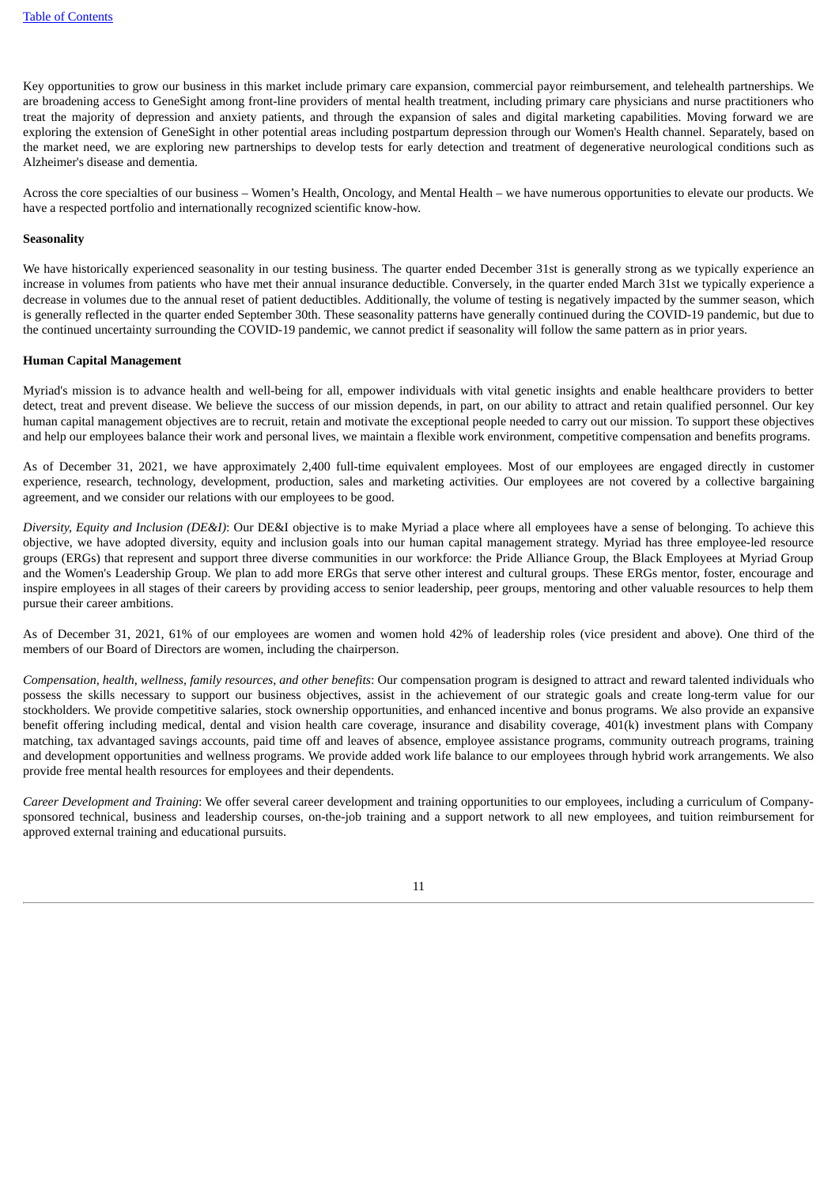Key opportunities to grow our business in this market include primary care expansion, commercial payor reimbursement, and telehealth partnerships. We are broadening access to GeneSight among front-line providers of mental health treatment, including primary care physicians and nurse practitioners who treat the majority of depression and anxiety patients, and through the expansion of sales and digital marketing capabilities. Moving forward we are exploring the extension of GeneSight in other potential areas including postpartum depression through our Women's Health channel. Separately, based on the market need, we are exploring new partnerships to develop tests for early detection and treatment of degenerative neurological conditions such as Alzheimer's disease and dementia.

Across the core specialties of our business – Women's Health, Oncology, and Mental Health – we have numerous opportunities to elevate our products. We have a respected portfolio and internationally recognized scientific know-how.

#### **Seasonality**

We have historically experienced seasonality in our testing business. The quarter ended December 31st is generally strong as we typically experience an increase in volumes from patients who have met their annual insurance deductible. Conversely, in the quarter ended March 31st we typically experience a decrease in volumes due to the annual reset of patient deductibles. Additionally, the volume of testing is negatively impacted by the summer season, which is generally reflected in the quarter ended September 30th. These seasonality patterns have generally continued during the COVID-19 pandemic, but due to the continued uncertainty surrounding the COVID-19 pandemic, we cannot predict if seasonality will follow the same pattern as in prior years.

# **Human Capital Management**

Myriad's mission is to advance health and well-being for all, empower individuals with vital genetic insights and enable healthcare providers to better detect, treat and prevent disease. We believe the success of our mission depends, in part, on our ability to attract and retain qualified personnel. Our key human capital management objectives are to recruit, retain and motivate the exceptional people needed to carry out our mission. To support these objectives and help our employees balance their work and personal lives, we maintain a flexible work environment, competitive compensation and benefits programs.

As of December 31, 2021, we have approximately 2,400 full-time equivalent employees. Most of our employees are engaged directly in customer experience, research, technology, development, production, sales and marketing activities. Our employees are not covered by a collective bargaining agreement, and we consider our relations with our employees to be good.

*Diversity, Equity and Inclusion (DE&I)*: Our DE&I objective is to make Myriad a place where all employees have a sense of belonging. To achieve this objective, we have adopted diversity, equity and inclusion goals into our human capital management strategy. Myriad has three employee-led resource groups (ERGs) that represent and support three diverse communities in our workforce: the Pride Alliance Group, the Black Employees at Myriad Group and the Women's Leadership Group. We plan to add more ERGs that serve other interest and cultural groups. These ERGs mentor, foster, encourage and inspire employees in all stages of their careers by providing access to senior leadership, peer groups, mentoring and other valuable resources to help them pursue their career ambitions.

As of December 31, 2021, 61% of our employees are women and women hold 42% of leadership roles (vice president and above). One third of the members of our Board of Directors are women, including the chairperson.

*Compensation, health, wellness, family resources, and other benefits*: Our compensation program is designed to attract and reward talented individuals who possess the skills necessary to support our business objectives, assist in the achievement of our strategic goals and create long-term value for our stockholders. We provide competitive salaries, stock ownership opportunities, and enhanced incentive and bonus programs. We also provide an expansive benefit offering including medical, dental and vision health care coverage, insurance and disability coverage, 401(k) investment plans with Company matching, tax advantaged savings accounts, paid time off and leaves of absence, employee assistance programs, community outreach programs, training and development opportunities and wellness programs. We provide added work life balance to our employees through hybrid work arrangements. We also provide free mental health resources for employees and their dependents.

*Career Development and Training*: We offer several career development and training opportunities to our employees, including a curriculum of Companysponsored technical, business and leadership courses, on-the-job training and a support network to all new employees, and tuition reimbursement for approved external training and educational pursuits.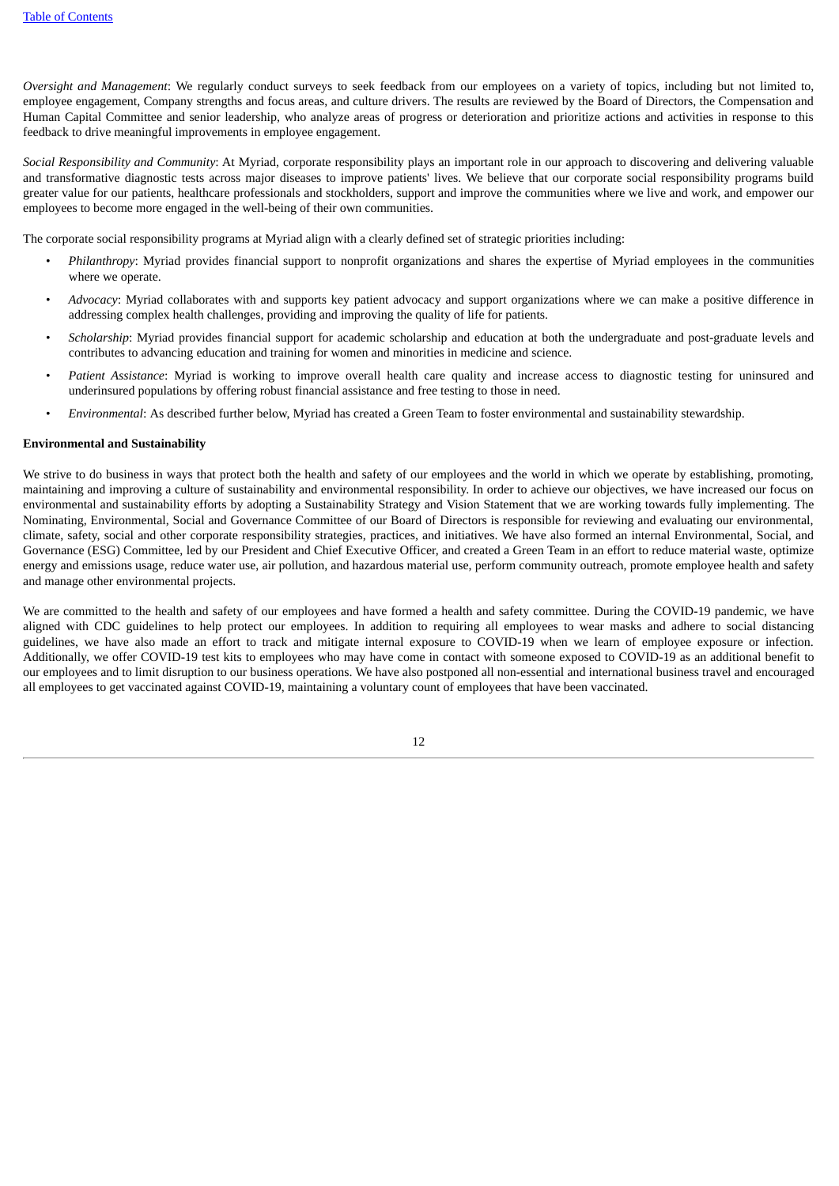*Oversight and Management*: We regularly conduct surveys to seek feedback from our employees on a variety of topics, including but not limited to, employee engagement, Company strengths and focus areas, and culture drivers. The results are reviewed by the Board of Directors, the Compensation and Human Capital Committee and senior leadership, who analyze areas of progress or deterioration and prioritize actions and activities in response to this feedback to drive meaningful improvements in employee engagement.

*Social Responsibility and Community*: At Myriad, corporate responsibility plays an important role in our approach to discovering and delivering valuable and transformative diagnostic tests across major diseases to improve patients' lives. We believe that our corporate social responsibility programs build greater value for our patients, healthcare professionals and stockholders, support and improve the communities where we live and work, and empower our employees to become more engaged in the well-being of their own communities.

The corporate social responsibility programs at Myriad align with a clearly defined set of strategic priorities including:

- *Philanthropy*: Myriad provides financial support to nonprofit organizations and shares the expertise of Myriad employees in the communities where we operate.
- *Advocacy*: Myriad collaborates with and supports key patient advocacy and support organizations where we can make a positive difference in addressing complex health challenges, providing and improving the quality of life for patients.
- *Scholarship*: Myriad provides financial support for academic scholarship and education at both the undergraduate and post-graduate levels and contributes to advancing education and training for women and minorities in medicine and science.
- *Patient Assistance*: Myriad is working to improve overall health care quality and increase access to diagnostic testing for uninsured and underinsured populations by offering robust financial assistance and free testing to those in need.
- *Environmental*: As described further below, Myriad has created a Green Team to foster environmental and sustainability stewardship.

#### **Environmental and Sustainability**

We strive to do business in ways that protect both the health and safety of our employees and the world in which we operate by establishing, promoting, maintaining and improving a culture of sustainability and environmental responsibility. In order to achieve our objectives, we have increased our focus on environmental and sustainability efforts by adopting a Sustainability Strategy and Vision Statement that we are working towards fully implementing. The Nominating, Environmental, Social and Governance Committee of our Board of Directors is responsible for reviewing and evaluating our environmental, climate, safety, social and other corporate responsibility strategies, practices, and initiatives. We have also formed an internal Environmental, Social, and Governance (ESG) Committee, led by our President and Chief Executive Officer, and created a Green Team in an effort to reduce material waste, optimize energy and emissions usage, reduce water use, air pollution, and hazardous material use, perform community outreach, promote employee health and safety and manage other environmental projects.

We are committed to the health and safety of our employees and have formed a health and safety committee. During the COVID-19 pandemic, we have aligned with CDC guidelines to help protect our employees. In addition to requiring all employees to wear masks and adhere to social distancing guidelines, we have also made an effort to track and mitigate internal exposure to COVID-19 when we learn of employee exposure or infection. Additionally, we offer COVID-19 test kits to employees who may have come in contact with someone exposed to COVID-19 as an additional benefit to our employees and to limit disruption to our business operations. We have also postponed all non-essential and international business travel and encouraged all employees to get vaccinated against COVID-19, maintaining a voluntary count of employees that have been vaccinated.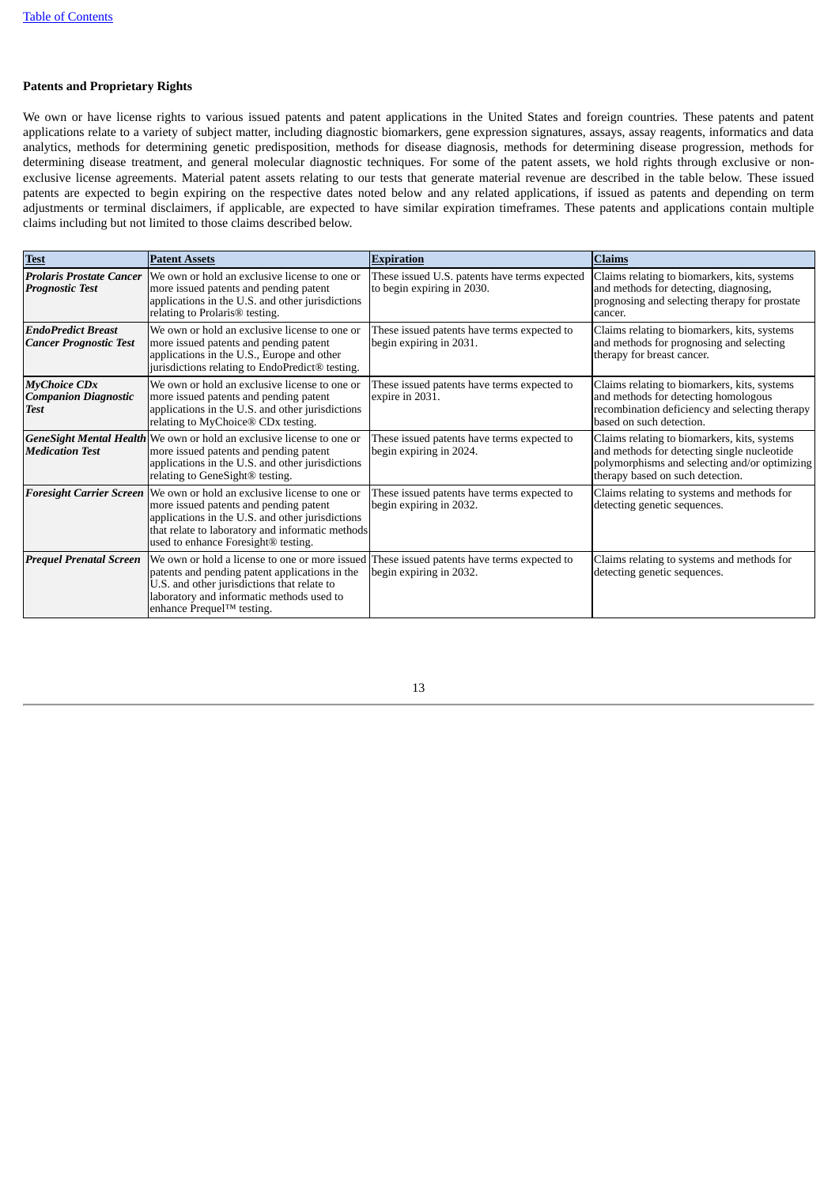# **Patents and Proprietary Rights**

We own or have license rights to various issued patents and patent applications in the United States and foreign countries. These patents and patent applications relate to a variety of subject matter, including diagnostic biomarkers, gene expression signatures, assays, assay reagents, informatics and data analytics, methods for determining genetic predisposition, methods for disease diagnosis, methods for determining disease progression, methods for determining disease treatment, and general molecular diagnostic techniques. For some of the patent assets, we hold rights through exclusive or nonexclusive license agreements. Material patent assets relating to our tests that generate material revenue are described in the table below. These issued patents are expected to begin expiring on the respective dates noted below and any related applications, if issued as patents and depending on term adjustments or terminal disclaimers, if applicable, are expected to have similar expiration timeframes. These patents and applications contain multiple claims including but not limited to those claims described below.

| <b>Test</b>                                                       | <b>Patent Assets</b>                                                                                                                                                                                                                                            | <b>Expiration</b>                                                           | <b>Claims</b>                                                                                                                                                                    |
|-------------------------------------------------------------------|-----------------------------------------------------------------------------------------------------------------------------------------------------------------------------------------------------------------------------------------------------------------|-----------------------------------------------------------------------------|----------------------------------------------------------------------------------------------------------------------------------------------------------------------------------|
| <b>Prolaris Prostate Cancer</b><br><b>Prognostic Test</b>         | We own or hold an exclusive license to one or<br>more issued patents and pending patent<br>applications in the U.S. and other jurisdictions<br>relating to Prolaris <sup>®</sup> testing.                                                                       | These issued U.S. patents have terms expected<br>to begin expiring in 2030. | Claims relating to biomarkers, kits, systems<br>and methods for detecting, diagnosing,<br>prognosing and selecting therapy for prostate<br>cancer.                               |
| <b>EndoPredict Breast</b><br><b>Cancer Prognostic Test</b>        | We own or hold an exclusive license to one or<br>more issued patents and pending patent<br>applications in the U.S., Europe and other<br>jurisdictions relating to EndoPredict® testing.                                                                        | These issued patents have terms expected to<br>begin expiring in 2031.      | Claims relating to biomarkers, kits, systems<br>and methods for prognosing and selecting<br>therapy for breast cancer.                                                           |
| <b>MyChoice CDx</b><br><b>Companion Diagnostic</b><br><b>Test</b> | We own or hold an exclusive license to one or<br>more issued patents and pending patent<br>applications in the U.S. and other jurisdictions<br>relating to MyChoice® CDx testing.                                                                               | These issued patents have terms expected to<br>expire in 2031.              | Claims relating to biomarkers, kits, systems<br>and methods for detecting homologous<br>recombination deficiency and selecting therapy<br>based on such detection.               |
| <b>Medication Test</b>                                            | GeneSight Mental Health We own or hold an exclusive license to one or<br>more issued patents and pending patent<br>applications in the U.S. and other jurisdictions<br>relating to GeneSight® testing.                                                          | These issued patents have terms expected to<br>begin expiring in 2024.      | Claims relating to biomarkers, kits, systems<br>and methods for detecting single nucleotide<br>polymorphisms and selecting and/or optimizing<br>therapy based on such detection. |
|                                                                   | Foresight Carrier Screen We own or hold an exclusive license to one or<br>more issued patents and pending patent<br>applications in the U.S. and other jurisdictions<br>that relate to laboratory and informatic methods<br>used to enhance Foresight® testing. | These issued patents have terms expected to<br>begin expiring in 2032.      | Claims relating to systems and methods for<br>detecting genetic sequences.                                                                                                       |
| <b>Prequel Prenatal Screen</b>                                    | We own or hold a license to one or more issued<br>patents and pending patent applications in the<br>U.S. and other jurisdictions that relate to<br>laboratory and informatic methods used to<br>enhance Prequel™ testing.                                       | These issued patents have terms expected to<br>begin expiring in 2032.      | Claims relating to systems and methods for<br>detecting genetic sequences.                                                                                                       |

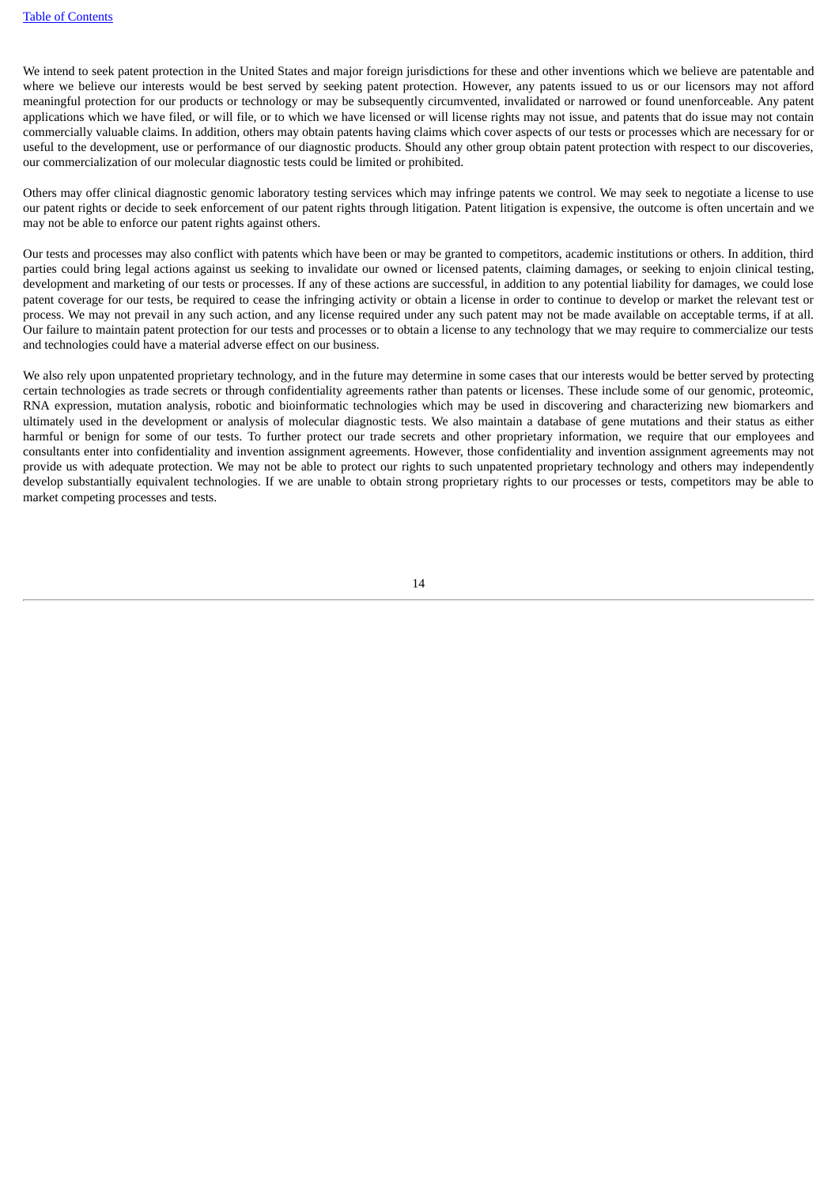We intend to seek patent protection in the United States and major foreign jurisdictions for these and other inventions which we believe are patentable and where we believe our interests would be best served by seeking patent protection. However, any patents issued to us or our licensors may not afford meaningful protection for our products or technology or may be subsequently circumvented, invalidated or narrowed or found unenforceable. Any patent applications which we have filed, or will file, or to which we have licensed or will license rights may not issue, and patents that do issue may not contain commercially valuable claims. In addition, others may obtain patents having claims which cover aspects of our tests or processes which are necessary for or useful to the development, use or performance of our diagnostic products. Should any other group obtain patent protection with respect to our discoveries, our commercialization of our molecular diagnostic tests could be limited or prohibited.

Others may offer clinical diagnostic genomic laboratory testing services which may infringe patents we control. We may seek to negotiate a license to use our patent rights or decide to seek enforcement of our patent rights through litigation. Patent litigation is expensive, the outcome is often uncertain and we may not be able to enforce our patent rights against others.

Our tests and processes may also conflict with patents which have been or may be granted to competitors, academic institutions or others. In addition, third parties could bring legal actions against us seeking to invalidate our owned or licensed patents, claiming damages, or seeking to enjoin clinical testing, development and marketing of our tests or processes. If any of these actions are successful, in addition to any potential liability for damages, we could lose patent coverage for our tests, be required to cease the infringing activity or obtain a license in order to continue to develop or market the relevant test or process. We may not prevail in any such action, and any license required under any such patent may not be made available on acceptable terms, if at all. Our failure to maintain patent protection for our tests and processes or to obtain a license to any technology that we may require to commercialize our tests and technologies could have a material adverse effect on our business.

We also rely upon unpatented proprietary technology, and in the future may determine in some cases that our interests would be better served by protecting certain technologies as trade secrets or through confidentiality agreements rather than patents or licenses. These include some of our genomic, proteomic, RNA expression, mutation analysis, robotic and bioinformatic technologies which may be used in discovering and characterizing new biomarkers and ultimately used in the development or analysis of molecular diagnostic tests. We also maintain a database of gene mutations and their status as either harmful or benign for some of our tests. To further protect our trade secrets and other proprietary information, we require that our employees and consultants enter into confidentiality and invention assignment agreements. However, those confidentiality and invention assignment agreements may not provide us with adequate protection. We may not be able to protect our rights to such unpatented proprietary technology and others may independently develop substantially equivalent technologies. If we are unable to obtain strong proprietary rights to our processes or tests, competitors may be able to market competing processes and tests.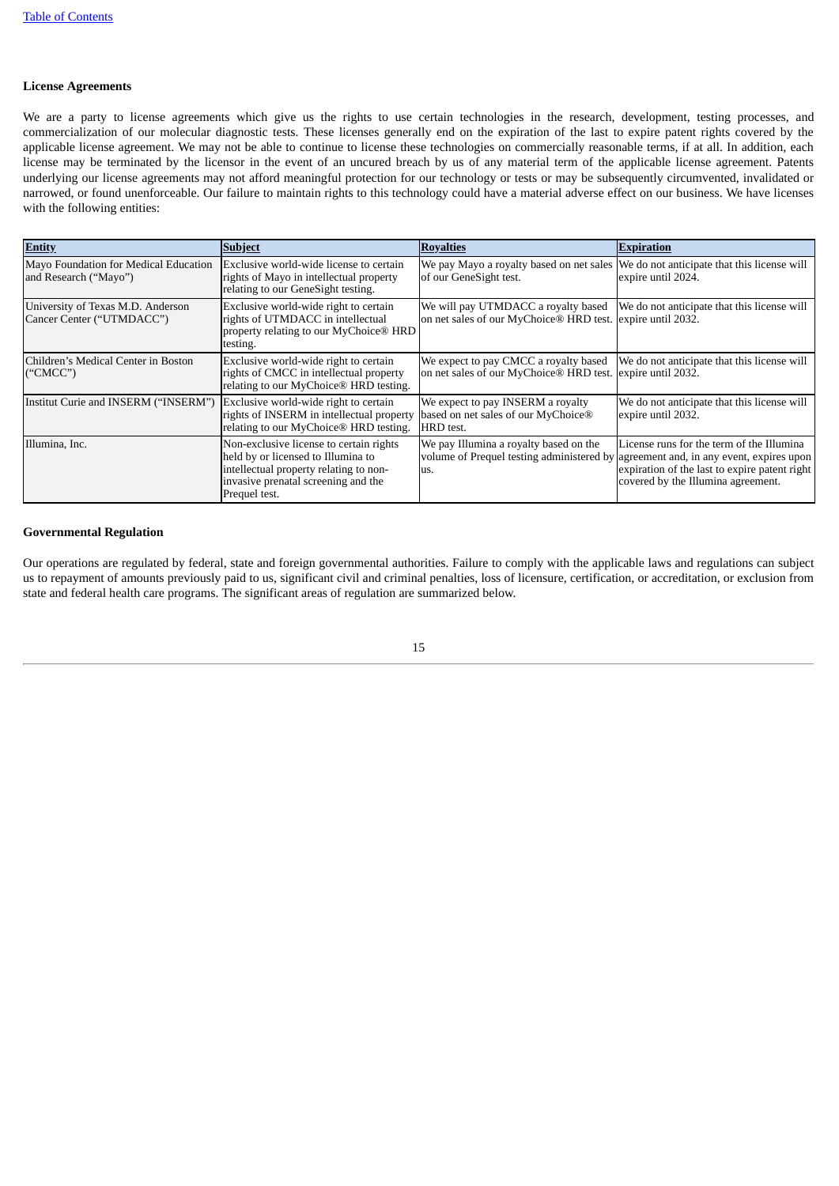# **License Agreements**

We are a party to license agreements which give us the rights to use certain technologies in the research, development, testing processes, and commercialization of our molecular diagnostic tests. These licenses generally end on the expiration of the last to expire patent rights covered by the applicable license agreement. We may not be able to continue to license these technologies on commercially reasonable terms, if at all. In addition, each license may be terminated by the licensor in the event of an uncured breach by us of any material term of the applicable license agreement. Patents underlying our license agreements may not afford meaningful protection for our technology or tests or may be subsequently circumvented, invalidated or narrowed, or found unenforceable. Our failure to maintain rights to this technology could have a material adverse effect on our business. We have licenses with the following entities:

| <b>Entity</b>                                                  | <b>Subject</b>                                                                                                                                                                  | <b>Royalties</b>                                                                                                 | <b>Expiration</b>                                                                                                                                                             |
|----------------------------------------------------------------|---------------------------------------------------------------------------------------------------------------------------------------------------------------------------------|------------------------------------------------------------------------------------------------------------------|-------------------------------------------------------------------------------------------------------------------------------------------------------------------------------|
| Mayo Foundation for Medical Education<br>and Research ("Mayo") | Exclusive world-wide license to certain<br>rights of Mayo in intellectual property<br>relating to our GeneSight testing.                                                        | We pay Mayo a royalty based on net sales   We do not anticipate that this license will<br>of our GeneSight test. | expire until 2024.                                                                                                                                                            |
| University of Texas M.D. Anderson<br>Cancer Center ("UTMDACC") | Exclusive world-wide right to certain<br>rights of UTMDACC in intellectual<br>property relating to our MyChoice® HRD<br>testing.                                                | We will pay UTMDACC a royalty based<br>on net sales of our MyChoice® HRD test.                                   | We do not anticipate that this license will<br>expire until 2032.                                                                                                             |
| Children's Medical Center in Boston<br>("CMCC")                | Exclusive world-wide right to certain<br>rights of CMCC in intellectual property<br>relating to our MyChoice® HRD testing.                                                      | We expect to pay CMCC a royalty based<br>on net sales of our MyChoice® HRD test.                                 | We do not anticipate that this license will<br>expire until 2032.                                                                                                             |
| Institut Curie and INSERM ("INSERM")                           | Exclusive world-wide right to certain<br>rights of INSERM in intellectual property<br>relating to our MyChoice® HRD testing.                                                    | We expect to pay INSERM a royalty<br>based on net sales of our MyChoice®<br>HRD test.                            | We do not anticipate that this license will<br>expire until 2032.                                                                                                             |
| Illumina, Inc.                                                 | Non-exclusive license to certain rights<br>held by or licensed to Illumina to<br>intellectual property relating to non-<br>invasive prenatal screening and the<br>Prequel test. | We pay Illumina a royalty based on the<br>volume of Prequel testing administered by<br>lus.                      | License runs for the term of the Illumina<br>agreement and, in any event, expires upon<br>expiration of the last to expire patent right<br>covered by the Illumina agreement. |

# **Governmental Regulation**

Our operations are regulated by federal, state and foreign governmental authorities. Failure to comply with the applicable laws and regulations can subject us to repayment of amounts previously paid to us, significant civil and criminal penalties, loss of licensure, certification, or accreditation, or exclusion from state and federal health care programs. The significant areas of regulation are summarized below.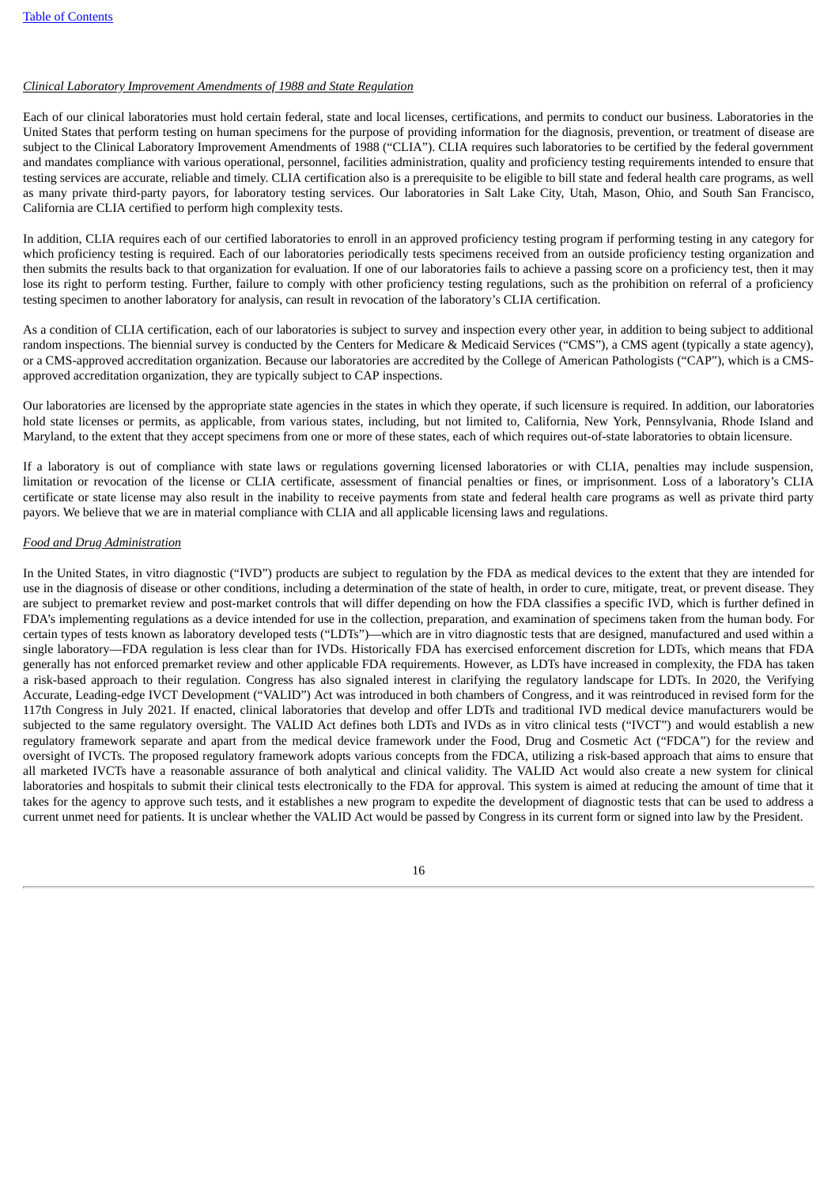# *Clinical Laboratory Improvement Amendments of 1988 and State Regulation*

Each of our clinical laboratories must hold certain federal, state and local licenses, certifications, and permits to conduct our business. Laboratories in the United States that perform testing on human specimens for the purpose of providing information for the diagnosis, prevention, or treatment of disease are subject to the Clinical Laboratory Improvement Amendments of 1988 ("CLIA"). CLIA requires such laboratories to be certified by the federal government and mandates compliance with various operational, personnel, facilities administration, quality and proficiency testing requirements intended to ensure that testing services are accurate, reliable and timely. CLIA certification also is a prerequisite to be eligible to bill state and federal health care programs, as well as many private third-party payors, for laboratory testing services. Our laboratories in Salt Lake City, Utah, Mason, Ohio, and South San Francisco, California are CLIA certified to perform high complexity tests.

In addition, CLIA requires each of our certified laboratories to enroll in an approved proficiency testing program if performing testing in any category for which proficiency testing is required. Each of our laboratories periodically tests specimens received from an outside proficiency testing organization and then submits the results back to that organization for evaluation. If one of our laboratories fails to achieve a passing score on a proficiency test, then it may lose its right to perform testing. Further, failure to comply with other proficiency testing regulations, such as the prohibition on referral of a proficiency testing specimen to another laboratory for analysis, can result in revocation of the laboratory's CLIA certification.

As a condition of CLIA certification, each of our laboratories is subject to survey and inspection every other year, in addition to being subject to additional random inspections. The biennial survey is conducted by the Centers for Medicare & Medicaid Services ("CMS"), a CMS agent (typically a state agency), or a CMS-approved accreditation organization. Because our laboratories are accredited by the College of American Pathologists ("CAP"), which is a CMSapproved accreditation organization, they are typically subject to CAP inspections.

Our laboratories are licensed by the appropriate state agencies in the states in which they operate, if such licensure is required. In addition, our laboratories hold state licenses or permits, as applicable, from various states, including, but not limited to, California, New York, Pennsylvania, Rhode Island and Maryland, to the extent that they accept specimens from one or more of these states, each of which requires out-of-state laboratories to obtain licensure.

If a laboratory is out of compliance with state laws or regulations governing licensed laboratories or with CLIA, penalties may include suspension, limitation or revocation of the license or CLIA certificate, assessment of financial penalties or fines, or imprisonment. Loss of a laboratory's CLIA certificate or state license may also result in the inability to receive payments from state and federal health care programs as well as private third party payors. We believe that we are in material compliance with CLIA and all applicable licensing laws and regulations.

# *Food and Drug Administration*

In the United States, in vitro diagnostic ("IVD") products are subject to regulation by the FDA as medical devices to the extent that they are intended for use in the diagnosis of disease or other conditions, including a determination of the state of health, in order to cure, mitigate, treat, or prevent disease. They are subject to premarket review and post-market controls that will differ depending on how the FDA classifies a specific IVD, which is further defined in FDA's implementing regulations as a device intended for use in the collection, preparation, and examination of specimens taken from the human body. For certain types of tests known as laboratory developed tests ("LDTs")—which are in vitro diagnostic tests that are designed, manufactured and used within a single laboratory—FDA regulation is less clear than for IVDs. Historically FDA has exercised enforcement discretion for LDTs, which means that FDA generally has not enforced premarket review and other applicable FDA requirements. However, as LDTs have increased in complexity, the FDA has taken a risk-based approach to their regulation. Congress has also signaled interest in clarifying the regulatory landscape for LDTs. In 2020, the Verifying Accurate, Leading-edge IVCT Development ("VALID") Act was introduced in both chambers of Congress, and it was reintroduced in revised form for the 117th Congress in July 2021. If enacted, clinical laboratories that develop and offer LDTs and traditional IVD medical device manufacturers would be subjected to the same regulatory oversight. The VALID Act defines both LDTs and IVDs as in vitro clinical tests ("IVCT") and would establish a new regulatory framework separate and apart from the medical device framework under the Food, Drug and Cosmetic Act ("FDCA") for the review and oversight of IVCTs. The proposed regulatory framework adopts various concepts from the FDCA, utilizing a risk-based approach that aims to ensure that all marketed IVCTs have a reasonable assurance of both analytical and clinical validity. The VALID Act would also create a new system for clinical laboratories and hospitals to submit their clinical tests electronically to the FDA for approval. This system is aimed at reducing the amount of time that it takes for the agency to approve such tests, and it establishes a new program to expedite the development of diagnostic tests that can be used to address a current unmet need for patients. It is unclear whether the VALID Act would be passed by Congress in its current form or signed into law by the President.

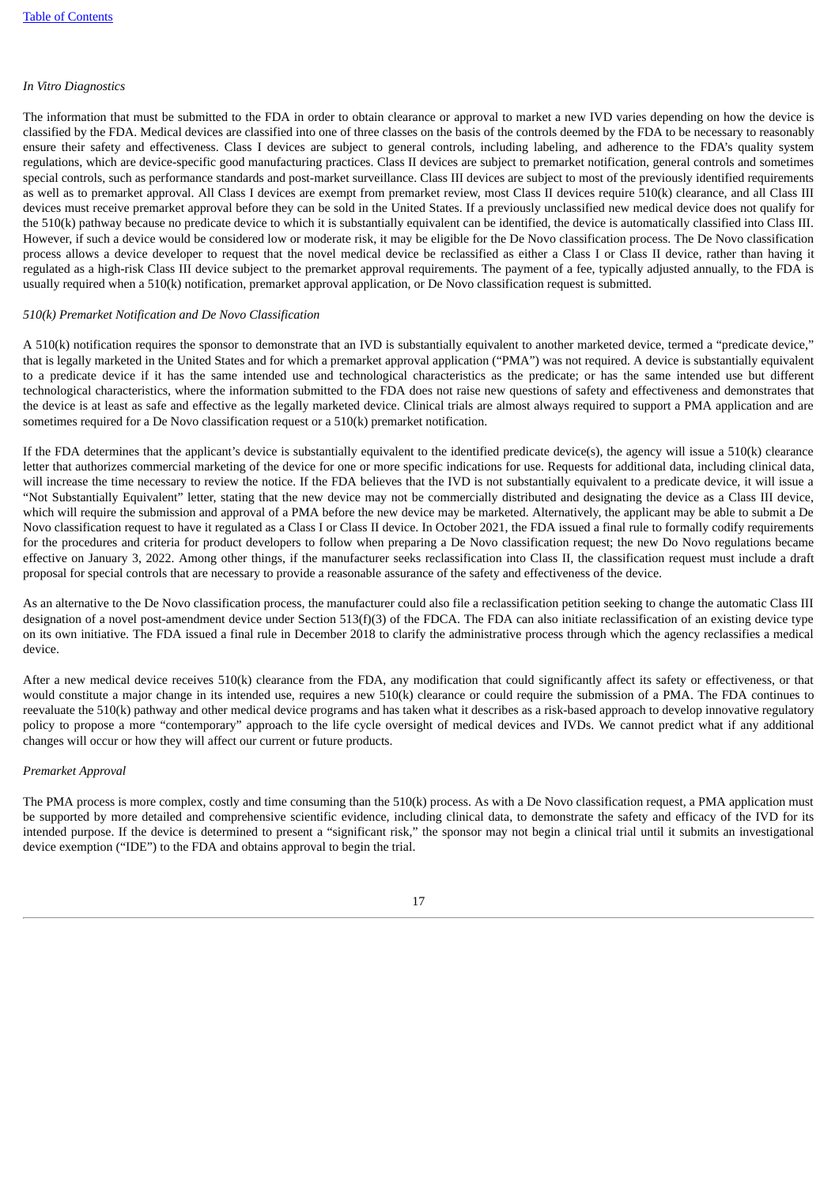# *In Vitro Diagnostics*

The information that must be submitted to the FDA in order to obtain clearance or approval to market a new IVD varies depending on how the device is classified by the FDA. Medical devices are classified into one of three classes on the basis of the controls deemed by the FDA to be necessary to reasonably ensure their safety and effectiveness. Class I devices are subject to general controls, including labeling, and adherence to the FDA's quality system regulations, which are device-specific good manufacturing practices. Class II devices are subject to premarket notification, general controls and sometimes special controls, such as performance standards and post-market surveillance. Class III devices are subject to most of the previously identified requirements as well as to premarket approval. All Class I devices are exempt from premarket review, most Class II devices require 510(k) clearance, and all Class III devices must receive premarket approval before they can be sold in the United States. If a previously unclassified new medical device does not qualify for the 510(k) pathway because no predicate device to which it is substantially equivalent can be identified, the device is automatically classified into Class III. However, if such a device would be considered low or moderate risk, it may be eligible for the De Novo classification process. The De Novo classification process allows a device developer to request that the novel medical device be reclassified as either a Class I or Class II device, rather than having it regulated as a high-risk Class III device subject to the premarket approval requirements. The payment of a fee, typically adjusted annually, to the FDA is usually required when a 510(k) notification, premarket approval application, or De Novo classification request is submitted.

# *510(k) Premarket Notification and De Novo Classification*

A 510(k) notification requires the sponsor to demonstrate that an IVD is substantially equivalent to another marketed device, termed a "predicate device," that is legally marketed in the United States and for which a premarket approval application ("PMA") was not required. A device is substantially equivalent to a predicate device if it has the same intended use and technological characteristics as the predicate; or has the same intended use but different technological characteristics, where the information submitted to the FDA does not raise new questions of safety and effectiveness and demonstrates that the device is at least as safe and effective as the legally marketed device. Clinical trials are almost always required to support a PMA application and are sometimes required for a De Novo classification request or a 510(k) premarket notification.

If the FDA determines that the applicant's device is substantially equivalent to the identified predicate device(s), the agency will issue a 510(k) clearance letter that authorizes commercial marketing of the device for one or more specific indications for use. Requests for additional data, including clinical data, will increase the time necessary to review the notice. If the FDA believes that the IVD is not substantially equivalent to a predicate device, it will issue a "Not Substantially Equivalent" letter, stating that the new device may not be commercially distributed and designating the device as a Class III device, which will require the submission and approval of a PMA before the new device may be marketed. Alternatively, the applicant may be able to submit a De Novo classification request to have it regulated as a Class I or Class II device. In October 2021, the FDA issued a final rule to formally codify requirements for the procedures and criteria for product developers to follow when preparing a De Novo classification request; the new Do Novo regulations became effective on January 3, 2022. Among other things, if the manufacturer seeks reclassification into Class II, the classification request must include a draft proposal for special controls that are necessary to provide a reasonable assurance of the safety and effectiveness of the device.

As an alternative to the De Novo classification process, the manufacturer could also file a reclassification petition seeking to change the automatic Class III designation of a novel post-amendment device under Section 513(f)(3) of the FDCA. The FDA can also initiate reclassification of an existing device type on its own initiative. The FDA issued a final rule in December 2018 to clarify the administrative process through which the agency reclassifies a medical device.

After a new medical device receives 510(k) clearance from the FDA, any modification that could significantly affect its safety or effectiveness, or that would constitute a major change in its intended use, requires a new 510(k) clearance or could require the submission of a PMA. The FDA continues to reevaluate the 510(k) pathway and other medical device programs and has taken what it describes as a risk-based approach to develop innovative regulatory policy to propose a more "contemporary" approach to the life cycle oversight of medical devices and IVDs. We cannot predict what if any additional changes will occur or how they will affect our current or future products.

#### *Premarket Approval*

The PMA process is more complex, costly and time consuming than the 510(k) process. As with a De Novo classification request, a PMA application must be supported by more detailed and comprehensive scientific evidence, including clinical data, to demonstrate the safety and efficacy of the IVD for its intended purpose. If the device is determined to present a "significant risk," the sponsor may not begin a clinical trial until it submits an investigational device exemption ("IDE") to the FDA and obtains approval to begin the trial.

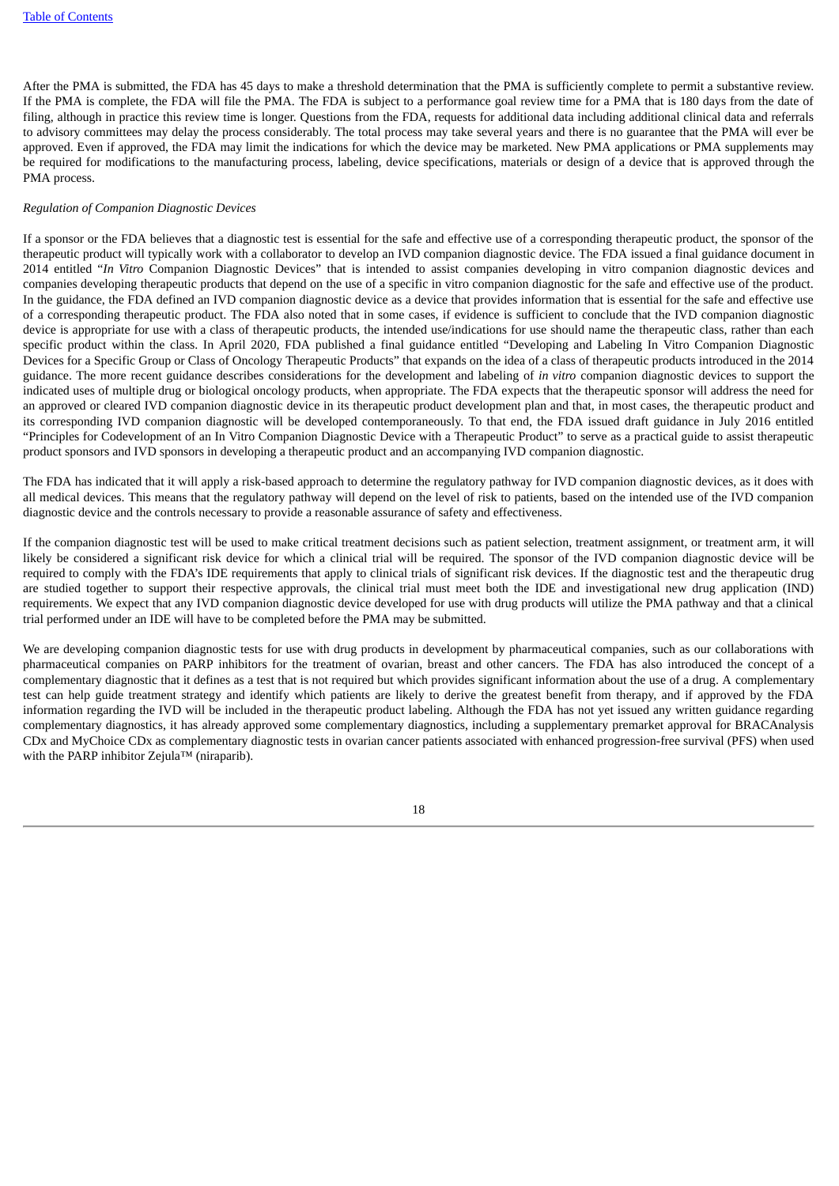After the PMA is submitted, the FDA has 45 days to make a threshold determination that the PMA is sufficiently complete to permit a substantive review. If the PMA is complete, the FDA will file the PMA. The FDA is subject to a performance goal review time for a PMA that is 180 days from the date of filing, although in practice this review time is longer. Questions from the FDA, requests for additional data including additional clinical data and referrals to advisory committees may delay the process considerably. The total process may take several years and there is no guarantee that the PMA will ever be approved. Even if approved, the FDA may limit the indications for which the device may be marketed. New PMA applications or PMA supplements may be required for modifications to the manufacturing process, labeling, device specifications, materials or design of a device that is approved through the PMA process.

#### *Regulation of Companion Diagnostic Devices*

If a sponsor or the FDA believes that a diagnostic test is essential for the safe and effective use of a corresponding therapeutic product, the sponsor of the therapeutic product will typically work with a collaborator to develop an IVD companion diagnostic device. The FDA issued a final guidance document in 2014 entitled "*In Vitro* Companion Diagnostic Devices" that is intended to assist companies developing in vitro companion diagnostic devices and companies developing therapeutic products that depend on the use of a specific in vitro companion diagnostic for the safe and effective use of the product. In the guidance, the FDA defined an IVD companion diagnostic device as a device that provides information that is essential for the safe and effective use of a corresponding therapeutic product. The FDA also noted that in some cases, if evidence is sufficient to conclude that the IVD companion diagnostic device is appropriate for use with a class of therapeutic products, the intended use/indications for use should name the therapeutic class, rather than each specific product within the class. In April 2020, FDA published a final guidance entitled "Developing and Labeling In Vitro Companion Diagnostic Devices for a Specific Group or Class of Oncology Therapeutic Products" that expands on the idea of a class of therapeutic products introduced in the 2014 guidance. The more recent guidance describes considerations for the development and labeling of *in vitro* companion diagnostic devices to support the indicated uses of multiple drug or biological oncology products, when appropriate. The FDA expects that the therapeutic sponsor will address the need for an approved or cleared IVD companion diagnostic device in its therapeutic product development plan and that, in most cases, the therapeutic product and its corresponding IVD companion diagnostic will be developed contemporaneously. To that end, the FDA issued draft guidance in July 2016 entitled "Principles for Codevelopment of an In Vitro Companion Diagnostic Device with a Therapeutic Product" to serve as a practical guide to assist therapeutic product sponsors and IVD sponsors in developing a therapeutic product and an accompanying IVD companion diagnostic.

The FDA has indicated that it will apply a risk-based approach to determine the regulatory pathway for IVD companion diagnostic devices, as it does with all medical devices. This means that the regulatory pathway will depend on the level of risk to patients, based on the intended use of the IVD companion diagnostic device and the controls necessary to provide a reasonable assurance of safety and effectiveness.

If the companion diagnostic test will be used to make critical treatment decisions such as patient selection, treatment assignment, or treatment arm, it will likely be considered a significant risk device for which a clinical trial will be required. The sponsor of the IVD companion diagnostic device will be required to comply with the FDA's IDE requirements that apply to clinical trials of significant risk devices. If the diagnostic test and the therapeutic drug are studied together to support their respective approvals, the clinical trial must meet both the IDE and investigational new drug application (IND) requirements. We expect that any IVD companion diagnostic device developed for use with drug products will utilize the PMA pathway and that a clinical trial performed under an IDE will have to be completed before the PMA may be submitted.

We are developing companion diagnostic tests for use with drug products in development by pharmaceutical companies, such as our collaborations with pharmaceutical companies on PARP inhibitors for the treatment of ovarian, breast and other cancers. The FDA has also introduced the concept of a complementary diagnostic that it defines as a test that is not required but which provides significant information about the use of a drug. A complementary test can help guide treatment strategy and identify which patients are likely to derive the greatest benefit from therapy, and if approved by the FDA information regarding the IVD will be included in the therapeutic product labeling. Although the FDA has not yet issued any written guidance regarding complementary diagnostics, it has already approved some complementary diagnostics, including a supplementary premarket approval for BRACAnalysis CDx and MyChoice CDx as complementary diagnostic tests in ovarian cancer patients associated with enhanced progression-free survival (PFS) when used with the PARP inhibitor Zejula™ (niraparib).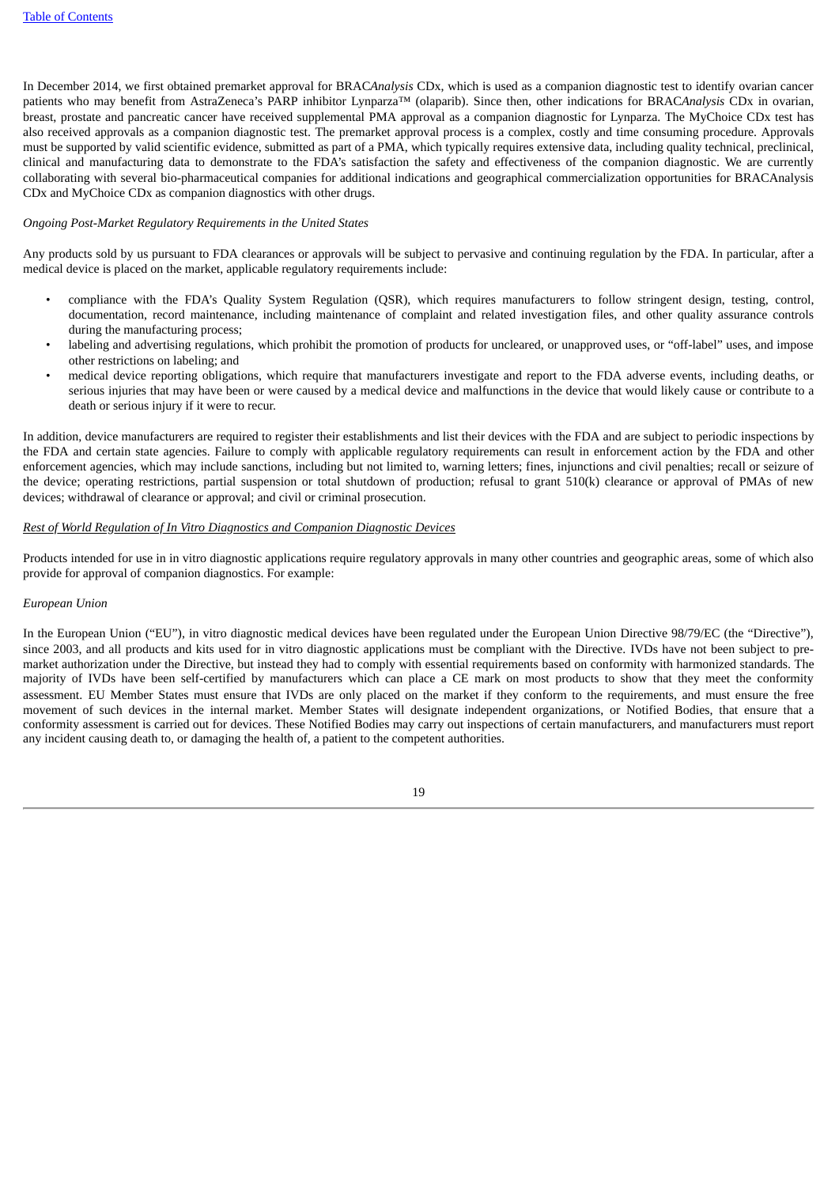In December 2014, we first obtained premarket approval for BRAC*Analysis* CDx, which is used as a companion diagnostic test to identify ovarian cancer patients who may benefit from AstraZeneca's PARP inhibitor Lynparza™ (olaparib). Since then, other indications for BRAC*Analysis* CDx in ovarian, breast, prostate and pancreatic cancer have received supplemental PMA approval as a companion diagnostic for Lynparza. The MyChoice CDx test has also received approvals as a companion diagnostic test. The premarket approval process is a complex, costly and time consuming procedure. Approvals must be supported by valid scientific evidence, submitted as part of a PMA, which typically requires extensive data, including quality technical, preclinical, clinical and manufacturing data to demonstrate to the FDA's satisfaction the safety and effectiveness of the companion diagnostic. We are currently collaborating with several bio-pharmaceutical companies for additional indications and geographical commercialization opportunities for BRACAnalysis CDx and MyChoice CDx as companion diagnostics with other drugs.

#### *Ongoing Post-Market Regulatory Requirements in the United States*

Any products sold by us pursuant to FDA clearances or approvals will be subject to pervasive and continuing regulation by the FDA. In particular, after a medical device is placed on the market, applicable regulatory requirements include:

- compliance with the FDA's Quality System Regulation (QSR), which requires manufacturers to follow stringent design, testing, control, documentation, record maintenance, including maintenance of complaint and related investigation files, and other quality assurance controls during the manufacturing process;
- labeling and advertising regulations, which prohibit the promotion of products for uncleared, or unapproved uses, or "off-label" uses, and impose other restrictions on labeling; and
- medical device reporting obligations, which require that manufacturers investigate and report to the FDA adverse events, including deaths, or serious injuries that may have been or were caused by a medical device and malfunctions in the device that would likely cause or contribute to a death or serious injury if it were to recur.

In addition, device manufacturers are required to register their establishments and list their devices with the FDA and are subject to periodic inspections by the FDA and certain state agencies. Failure to comply with applicable regulatory requirements can result in enforcement action by the FDA and other enforcement agencies, which may include sanctions, including but not limited to, warning letters; fines, injunctions and civil penalties; recall or seizure of the device; operating restrictions, partial suspension or total shutdown of production; refusal to grant 510(k) clearance or approval of PMAs of new devices; withdrawal of clearance or approval; and civil or criminal prosecution.

# *Rest of World Regulation of In Vitro Diagnostics and Companion Diagnostic Devices*

Products intended for use in in vitro diagnostic applications require regulatory approvals in many other countries and geographic areas, some of which also provide for approval of companion diagnostics. For example:

#### *European Union*

In the European Union ("EU"), in vitro diagnostic medical devices have been regulated under the European Union Directive 98/79/EC (the "Directive"), since 2003, and all products and kits used for in vitro diagnostic applications must be compliant with the Directive. IVDs have not been subject to premarket authorization under the Directive, but instead they had to comply with essential requirements based on conformity with harmonized standards. The majority of IVDs have been self-certified by manufacturers which can place a CE mark on most products to show that they meet the conformity assessment. EU Member States must ensure that IVDs are only placed on the market if they conform to the requirements, and must ensure the free movement of such devices in the internal market. Member States will designate independent organizations, or Notified Bodies, that ensure that a conformity assessment is carried out for devices. These Notified Bodies may carry out inspections of certain manufacturers, and manufacturers must report any incident causing death to, or damaging the health of, a patient to the competent authorities.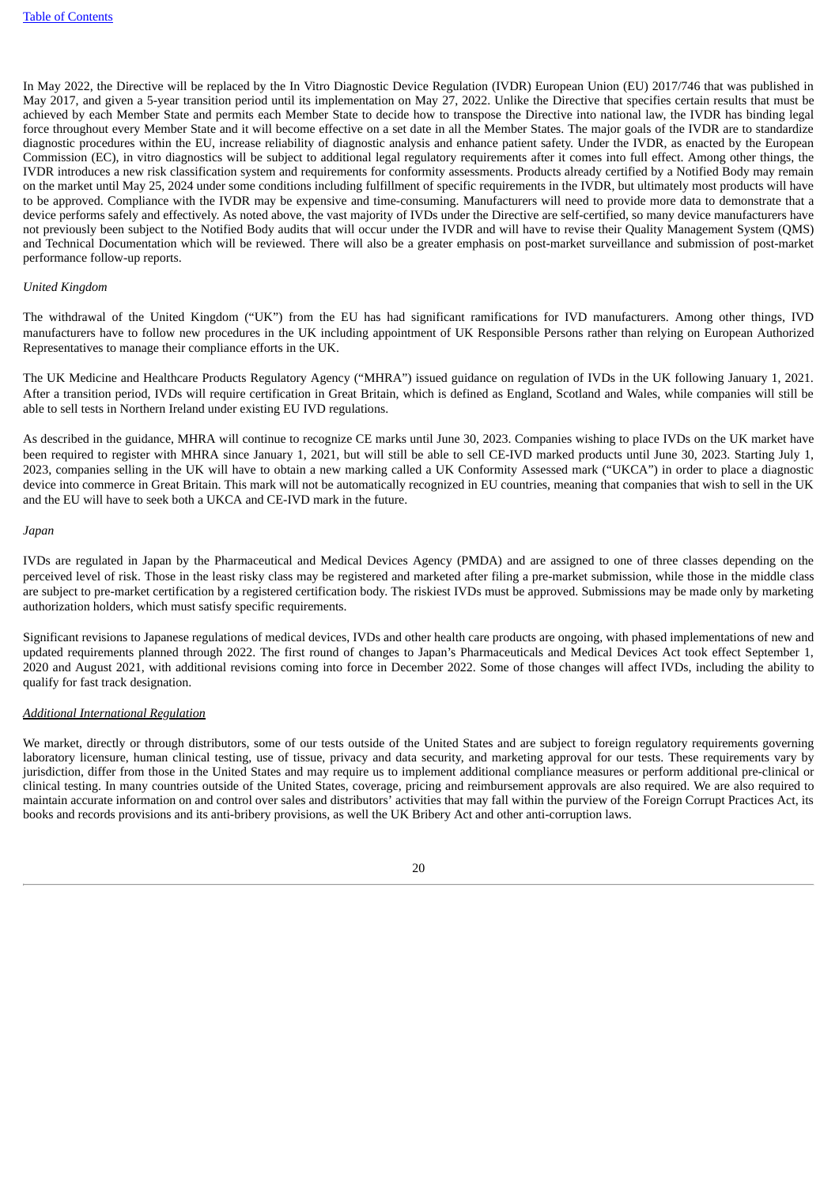In May 2022, the Directive will be replaced by the In Vitro Diagnostic Device Regulation (IVDR) European Union (EU) 2017/746 that was published in May 2017, and given a 5-year transition period until its implementation on May 27, 2022. Unlike the Directive that specifies certain results that must be achieved by each Member State and permits each Member State to decide how to transpose the Directive into national law, the IVDR has binding legal force throughout every Member State and it will become effective on a set date in all the Member States. The major goals of the IVDR are to standardize diagnostic procedures within the EU, increase reliability of diagnostic analysis and enhance patient safety. Under the IVDR, as enacted by the European Commission (EC), in vitro diagnostics will be subject to additional legal regulatory requirements after it comes into full effect. Among other things, the IVDR introduces a new risk classification system and requirements for conformity assessments. Products already certified by a Notified Body may remain on the market until May 25, 2024 under some conditions including fulfillment of specific requirements in the IVDR, but ultimately most products will have to be approved. Compliance with the IVDR may be expensive and time-consuming. Manufacturers will need to provide more data to demonstrate that a device performs safely and effectively. As noted above, the vast majority of IVDs under the Directive are self-certified, so many device manufacturers have not previously been subject to the Notified Body audits that will occur under the IVDR and will have to revise their Quality Management System (QMS) and Technical Documentation which will be reviewed. There will also be a greater emphasis on post-market surveillance and submission of post-market performance follow-up reports.

#### *United Kingdom*

The withdrawal of the United Kingdom ("UK") from the EU has had significant ramifications for IVD manufacturers. Among other things, IVD manufacturers have to follow new procedures in the UK including appointment of UK Responsible Persons rather than relying on European Authorized Representatives to manage their compliance efforts in the UK.

The UK Medicine and Healthcare Products Regulatory Agency ("MHRA") issued guidance on regulation of IVDs in the UK following January 1, 2021. After a transition period, IVDs will require certification in Great Britain, which is defined as England, Scotland and Wales, while companies will still be able to sell tests in Northern Ireland under existing EU IVD regulations.

As described in the guidance, MHRA will continue to recognize CE marks until June 30, 2023. Companies wishing to place IVDs on the UK market have been required to register with MHRA since January 1, 2021, but will still be able to sell CE-IVD marked products until June 30, 2023. Starting July 1, 2023, companies selling in the UK will have to obtain a new marking called a UK Conformity Assessed mark ("UKCA") in order to place a diagnostic device into commerce in Great Britain. This mark will not be automatically recognized in EU countries, meaning that companies that wish to sell in the UK and the EU will have to seek both a UKCA and CE-IVD mark in the future.

#### *Japan*

IVDs are regulated in Japan by the Pharmaceutical and Medical Devices Agency (PMDA) and are assigned to one of three classes depending on the perceived level of risk. Those in the least risky class may be registered and marketed after filing a pre-market submission, while those in the middle class are subject to pre-market certification by a registered certification body. The riskiest IVDs must be approved. Submissions may be made only by marketing authorization holders, which must satisfy specific requirements.

Significant revisions to Japanese regulations of medical devices, IVDs and other health care products are ongoing, with phased implementations of new and updated requirements planned through 2022. The first round of changes to Japan's Pharmaceuticals and Medical Devices Act took effect September 1, 2020 and August 2021, with additional revisions coming into force in December 2022. Some of those changes will affect IVDs, including the ability to qualify for fast track designation.

#### *Additional International Regulation*

We market, directly or through distributors, some of our tests outside of the United States and are subject to foreign regulatory requirements governing laboratory licensure, human clinical testing, use of tissue, privacy and data security, and marketing approval for our tests. These requirements vary by jurisdiction, differ from those in the United States and may require us to implement additional compliance measures or perform additional pre-clinical or clinical testing. In many countries outside of the United States, coverage, pricing and reimbursement approvals are also required. We are also required to maintain accurate information on and control over sales and distributors' activities that may fall within the purview of the Foreign Corrupt Practices Act, its books and records provisions and its anti-bribery provisions, as well the UK Bribery Act and other anti-corruption laws.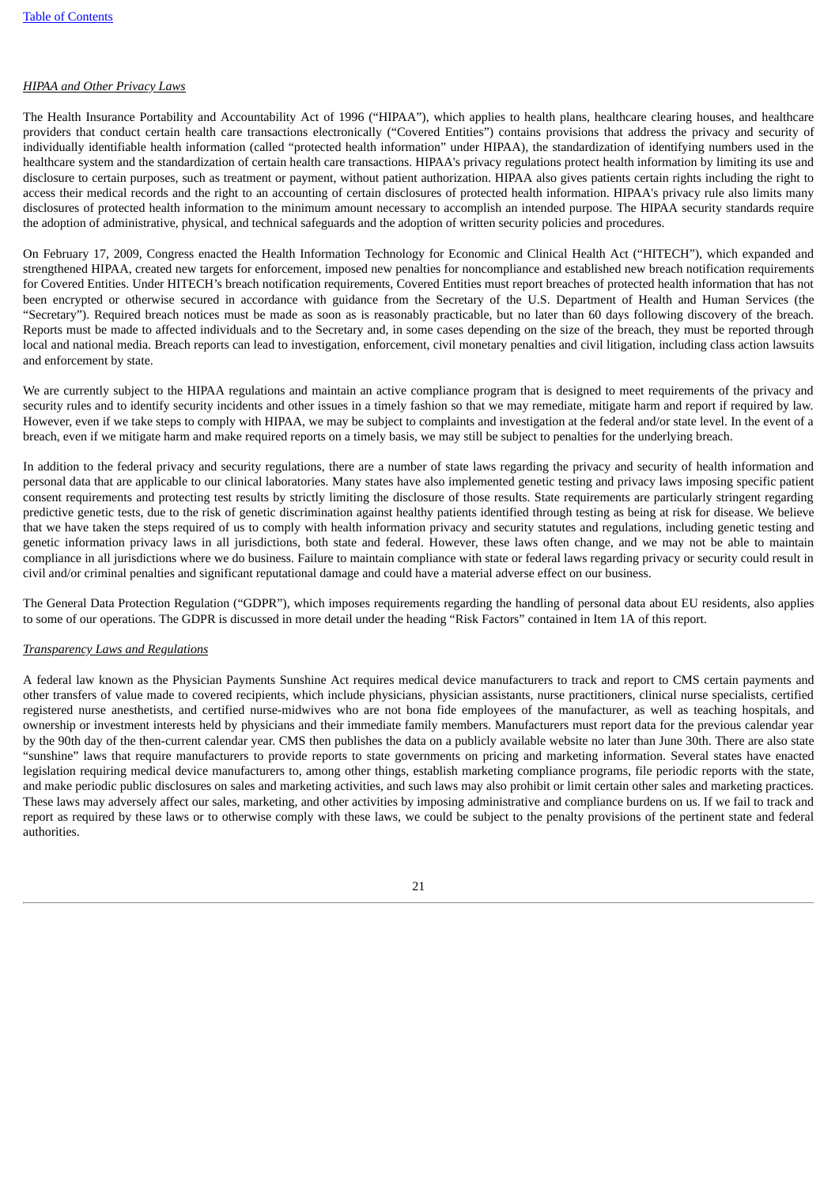# *HIPAA and Other Privacy Laws*

The Health Insurance Portability and Accountability Act of 1996 ("HIPAA"), which applies to health plans, healthcare clearing houses, and healthcare providers that conduct certain health care transactions electronically ("Covered Entities") contains provisions that address the privacy and security of individually identifiable health information (called "protected health information" under HIPAA), the standardization of identifying numbers used in the healthcare system and the standardization of certain health care transactions. HIPAA's privacy regulations protect health information by limiting its use and disclosure to certain purposes, such as treatment or payment, without patient authorization. HIPAA also gives patients certain rights including the right to access their medical records and the right to an accounting of certain disclosures of protected health information. HIPAA's privacy rule also limits many disclosures of protected health information to the minimum amount necessary to accomplish an intended purpose. The HIPAA security standards require the adoption of administrative, physical, and technical safeguards and the adoption of written security policies and procedures.

On February 17, 2009, Congress enacted the Health Information Technology for Economic and Clinical Health Act ("HITECH"), which expanded and strengthened HIPAA, created new targets for enforcement, imposed new penalties for noncompliance and established new breach notification requirements for Covered Entities. Under HITECH's breach notification requirements, Covered Entities must report breaches of protected health information that has not been encrypted or otherwise secured in accordance with guidance from the Secretary of the U.S. Department of Health and Human Services (the "Secretary"). Required breach notices must be made as soon as is reasonably practicable, but no later than 60 days following discovery of the breach. Reports must be made to affected individuals and to the Secretary and, in some cases depending on the size of the breach, they must be reported through local and national media. Breach reports can lead to investigation, enforcement, civil monetary penalties and civil litigation, including class action lawsuits and enforcement by state.

We are currently subject to the HIPAA regulations and maintain an active compliance program that is designed to meet requirements of the privacy and security rules and to identify security incidents and other issues in a timely fashion so that we may remediate, mitigate harm and report if required by law. However, even if we take steps to comply with HIPAA, we may be subject to complaints and investigation at the federal and/or state level. In the event of a breach, even if we mitigate harm and make required reports on a timely basis, we may still be subject to penalties for the underlying breach.

In addition to the federal privacy and security regulations, there are a number of state laws regarding the privacy and security of health information and personal data that are applicable to our clinical laboratories. Many states have also implemented genetic testing and privacy laws imposing specific patient consent requirements and protecting test results by strictly limiting the disclosure of those results. State requirements are particularly stringent regarding predictive genetic tests, due to the risk of genetic discrimination against healthy patients identified through testing as being at risk for disease. We believe that we have taken the steps required of us to comply with health information privacy and security statutes and regulations, including genetic testing and genetic information privacy laws in all jurisdictions, both state and federal. However, these laws often change, and we may not be able to maintain compliance in all jurisdictions where we do business. Failure to maintain compliance with state or federal laws regarding privacy or security could result in civil and/or criminal penalties and significant reputational damage and could have a material adverse effect on our business.

The General Data Protection Regulation ("GDPR"), which imposes requirements regarding the handling of personal data about EU residents, also applies to some of our operations. The GDPR is discussed in more detail under the heading "Risk Factors" contained in Item 1A of this report.

#### *Transparency Laws and Regulations*

A federal law known as the Physician Payments Sunshine Act requires medical device manufacturers to track and report to CMS certain payments and other transfers of value made to covered recipients, which include physicians, physician assistants, nurse practitioners, clinical nurse specialists, certified registered nurse anesthetists, and certified nurse-midwives who are not bona fide employees of the manufacturer, as well as teaching hospitals, and ownership or investment interests held by physicians and their immediate family members. Manufacturers must report data for the previous calendar year by the 90th day of the then-current calendar year. CMS then publishes the data on a publicly available website no later than June 30th. There are also state "sunshine" laws that require manufacturers to provide reports to state governments on pricing and marketing information. Several states have enacted legislation requiring medical device manufacturers to, among other things, establish marketing compliance programs, file periodic reports with the state, and make periodic public disclosures on sales and marketing activities, and such laws may also prohibit or limit certain other sales and marketing practices. These laws may adversely affect our sales, marketing, and other activities by imposing administrative and compliance burdens on us. If we fail to track and report as required by these laws or to otherwise comply with these laws, we could be subject to the penalty provisions of the pertinent state and federal authorities.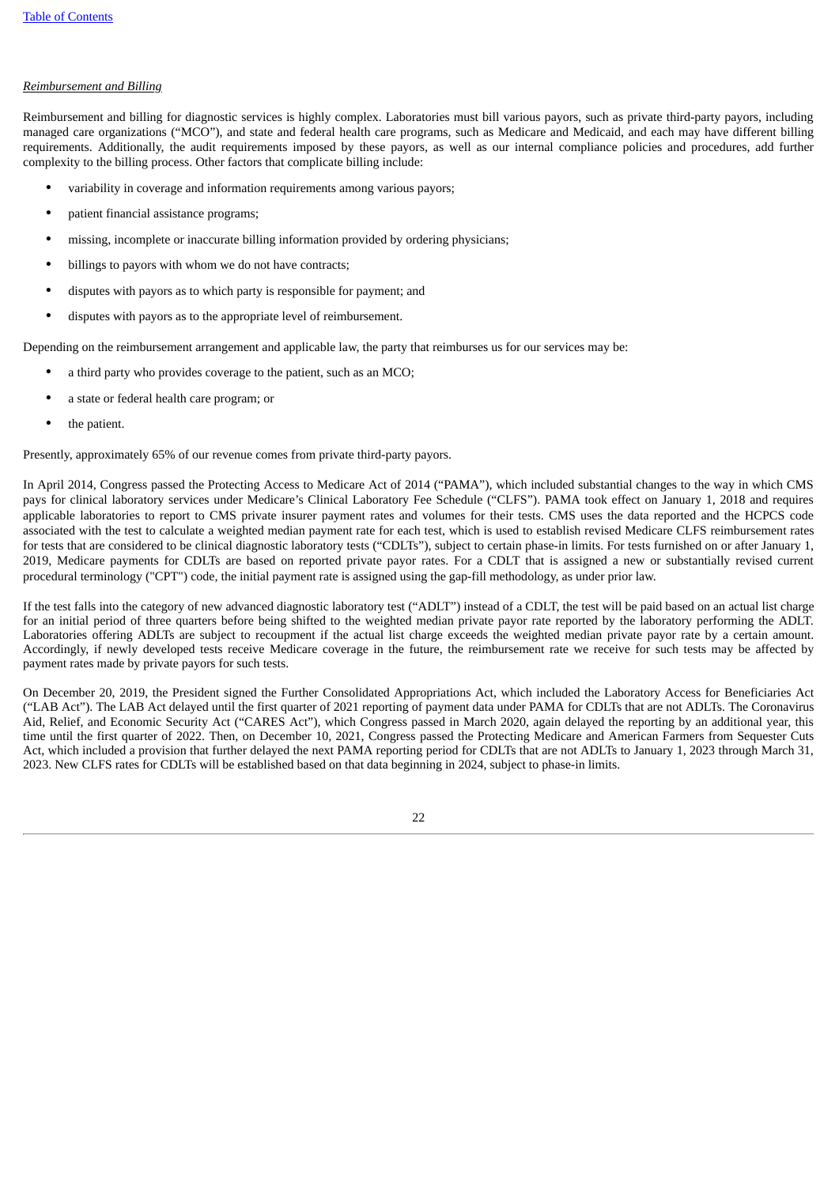# *Reimbursement and Billing*

Reimbursement and billing for diagnostic services is highly complex. Laboratories must bill various payors, such as private third-party payors, including managed care organizations ("MCO"), and state and federal health care programs, such as Medicare and Medicaid, and each may have different billing requirements. Additionally, the audit requirements imposed by these payors, as well as our internal compliance policies and procedures, add further complexity to the billing process. Other factors that complicate billing include:

- variability in coverage and information requirements among various payors;
- patient financial assistance programs;
- missing, incomplete or inaccurate billing information provided by ordering physicians;
- billings to payors with whom we do not have contracts;
- disputes with payors as to which party is responsible for payment; and
- disputes with payors as to the appropriate level of reimbursement.

Depending on the reimbursement arrangement and applicable law, the party that reimburses us for our services may be:

- a third party who provides coverage to the patient, such as an MCO;
- a state or federal health care program; or
- the patient.

Presently, approximately 65% of our revenue comes from private third-party payors.

In April 2014, Congress passed the Protecting Access to Medicare Act of 2014 ("PAMA"), which included substantial changes to the way in which CMS pays for clinical laboratory services under Medicare's Clinical Laboratory Fee Schedule ("CLFS"). PAMA took effect on January 1, 2018 and requires applicable laboratories to report to CMS private insurer payment rates and volumes for their tests. CMS uses the data reported and the HCPCS code associated with the test to calculate a weighted median payment rate for each test, which is used to establish revised Medicare CLFS reimbursement rates for tests that are considered to be clinical diagnostic laboratory tests ("CDLTs"), subject to certain phase-in limits. For tests furnished on or after January 1, 2019, Medicare payments for CDLTs are based on reported private payor rates. For a CDLT that is assigned a new or substantially revised current procedural terminology ("CPT") code, the initial payment rate is assigned using the gap-fill methodology, as under prior law.

If the test falls into the category of new advanced diagnostic laboratory test ("ADLT") instead of a CDLT, the test will be paid based on an actual list charge for an initial period of three quarters before being shifted to the weighted median private payor rate reported by the laboratory performing the ADLT. Laboratories offering ADLTs are subject to recoupment if the actual list charge exceeds the weighted median private payor rate by a certain amount. Accordingly, if newly developed tests receive Medicare coverage in the future, the reimbursement rate we receive for such tests may be affected by payment rates made by private payors for such tests.

On December 20, 2019, the President signed the Further Consolidated Appropriations Act, which included the Laboratory Access for Beneficiaries Act ("LAB Act"). The LAB Act delayed until the first quarter of 2021 reporting of payment data under PAMA for CDLTs that are not ADLTs. The Coronavirus Aid, Relief, and Economic Security Act ("CARES Act"), which Congress passed in March 2020, again delayed the reporting by an additional year, this time until the first quarter of 2022. Then, on December 10, 2021, Congress passed the Protecting Medicare and American Farmers from Sequester Cuts Act, which included a provision that further delayed the next PAMA reporting period for CDLTs that are not ADLTs to January 1, 2023 through March 31, 2023. New CLFS rates for CDLTs will be established based on that data beginning in 2024, subject to phase-in limits.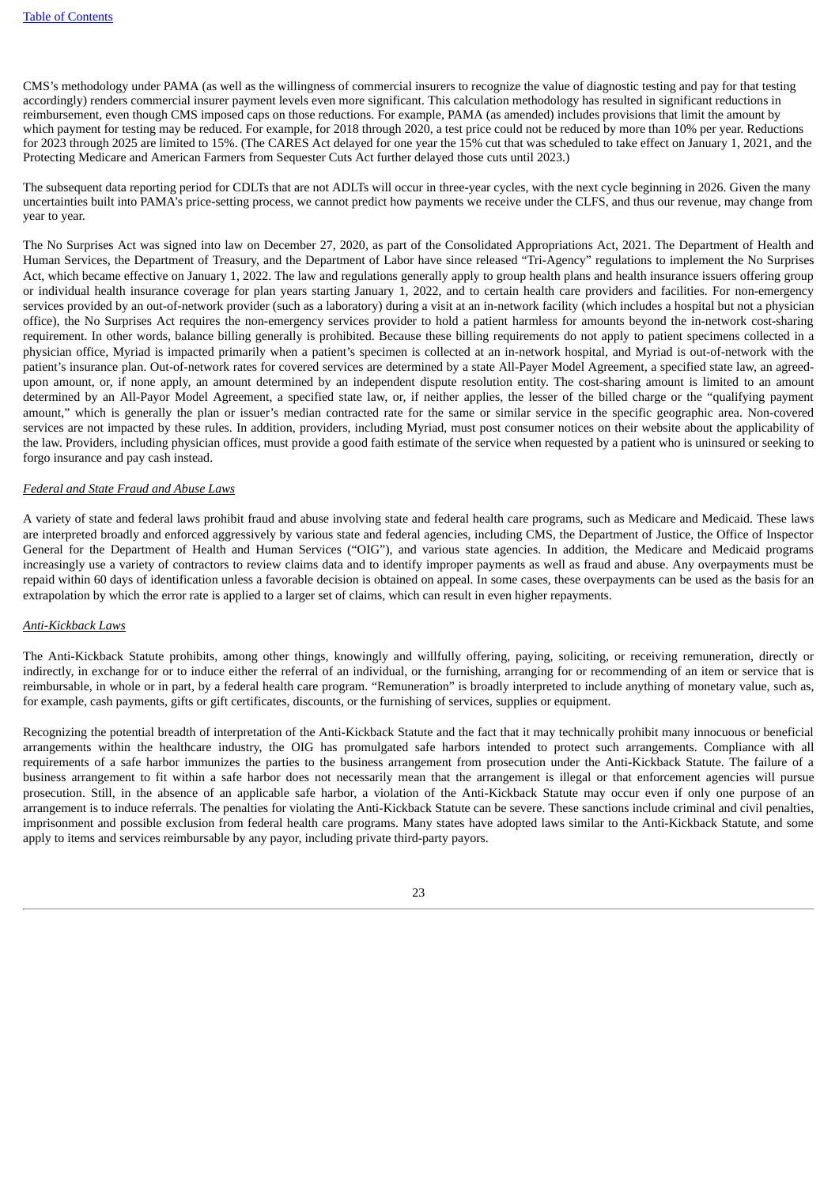CMS's methodology under PAMA (as well as the willingness of commercial insurers to recognize the value of diagnostic testing and pay for that testing accordingly) renders commercial insurer payment levels even more significant. This calculation methodology has resulted in significant reductions in reimbursement, even though CMS imposed caps on those reductions. For example, PAMA (as amended) includes provisions that limit the amount by which payment for testing may be reduced. For example, for 2018 through 2020, a test price could not be reduced by more than 10% per year. Reductions for 2023 through 2025 are limited to 15%. (The CARES Act delayed for one year the 15% cut that was scheduled to take effect on January 1, 2021, and the Protecting Medicare and American Farmers from Sequester Cuts Act further delayed those cuts until 2023.)

The subsequent data reporting period for CDLTs that are not ADLTs will occur in three-year cycles, with the next cycle beginning in 2026. Given the many uncertainties built into PAMA's price-setting process, we cannot predict how payments we receive under the CLFS, and thus our revenue, may change from year to year.

The No Surprises Act was signed into law on December 27, 2020, as part of the Consolidated Appropriations Act, 2021. The Department of Health and Human Services, the Department of Treasury, and the Department of Labor have since released "Tri-Agency" regulations to implement the No Surprises Act, which became effective on January 1, 2022. The law and regulations generally apply to group health plans and health insurance issuers offering group or individual health insurance coverage for plan years starting January 1, 2022, and to certain health care providers and facilities. For non-emergency services provided by an out-of-network provider (such as a laboratory) during a visit at an in-network facility (which includes a hospital but not a physician office), the No Surprises Act requires the non-emergency services provider to hold a patient harmless for amounts beyond the in-network cost-sharing requirement. In other words, balance billing generally is prohibited. Because these billing requirements do not apply to patient specimens collected in a physician office, Myriad is impacted primarily when a patient's specimen is collected at an in-network hospital, and Myriad is out-of-network with the patient's insurance plan. Out-of-network rates for covered services are determined by a state All-Payer Model Agreement, a specified state law, an agreedupon amount, or, if none apply, an amount determined by an independent dispute resolution entity. The cost-sharing amount is limited to an amount determined by an All-Payor Model Agreement, a specified state law, or, if neither applies, the lesser of the billed charge or the "qualifying payment amount," which is generally the plan or issuer's median contracted rate for the same or similar service in the specific geographic area. Non-covered services are not impacted by these rules. In addition, providers, including Myriad, must post consumer notices on their website about the applicability of the law. Providers, including physician offices, must provide a good faith estimate of the service when requested by a patient who is uninsured or seeking to forgo insurance and pay cash instead.

#### *Federal and State Fraud and Abuse Laws*

A variety of state and federal laws prohibit fraud and abuse involving state and federal health care programs, such as Medicare and Medicaid. These laws are interpreted broadly and enforced aggressively by various state and federal agencies, including CMS, the Department of Justice, the Office of Inspector General for the Department of Health and Human Services ("OIG"), and various state agencies. In addition, the Medicare and Medicaid programs increasingly use a variety of contractors to review claims data and to identify improper payments as well as fraud and abuse. Any overpayments must be repaid within 60 days of identification unless a favorable decision is obtained on appeal. In some cases, these overpayments can be used as the basis for an extrapolation by which the error rate is applied to a larger set of claims, which can result in even higher repayments.

# *Anti-Kickback Laws*

The Anti-Kickback Statute prohibits, among other things, knowingly and willfully offering, paying, soliciting, or receiving remuneration, directly or indirectly, in exchange for or to induce either the referral of an individual, or the furnishing, arranging for or recommending of an item or service that is reimbursable, in whole or in part, by a federal health care program. "Remuneration" is broadly interpreted to include anything of monetary value, such as, for example, cash payments, gifts or gift certificates, discounts, or the furnishing of services, supplies or equipment.

Recognizing the potential breadth of interpretation of the Anti-Kickback Statute and the fact that it may technically prohibit many innocuous or beneficial arrangements within the healthcare industry, the OIG has promulgated safe harbors intended to protect such arrangements. Compliance with all requirements of a safe harbor immunizes the parties to the business arrangement from prosecution under the Anti-Kickback Statute. The failure of a business arrangement to fit within a safe harbor does not necessarily mean that the arrangement is illegal or that enforcement agencies will pursue prosecution. Still, in the absence of an applicable safe harbor, a violation of the Anti-Kickback Statute may occur even if only one purpose of an arrangement is to induce referrals. The penalties for violating the Anti-Kickback Statute can be severe. These sanctions include criminal and civil penalties, imprisonment and possible exclusion from federal health care programs. Many states have adopted laws similar to the Anti-Kickback Statute, and some apply to items and services reimbursable by any payor, including private third-party payors.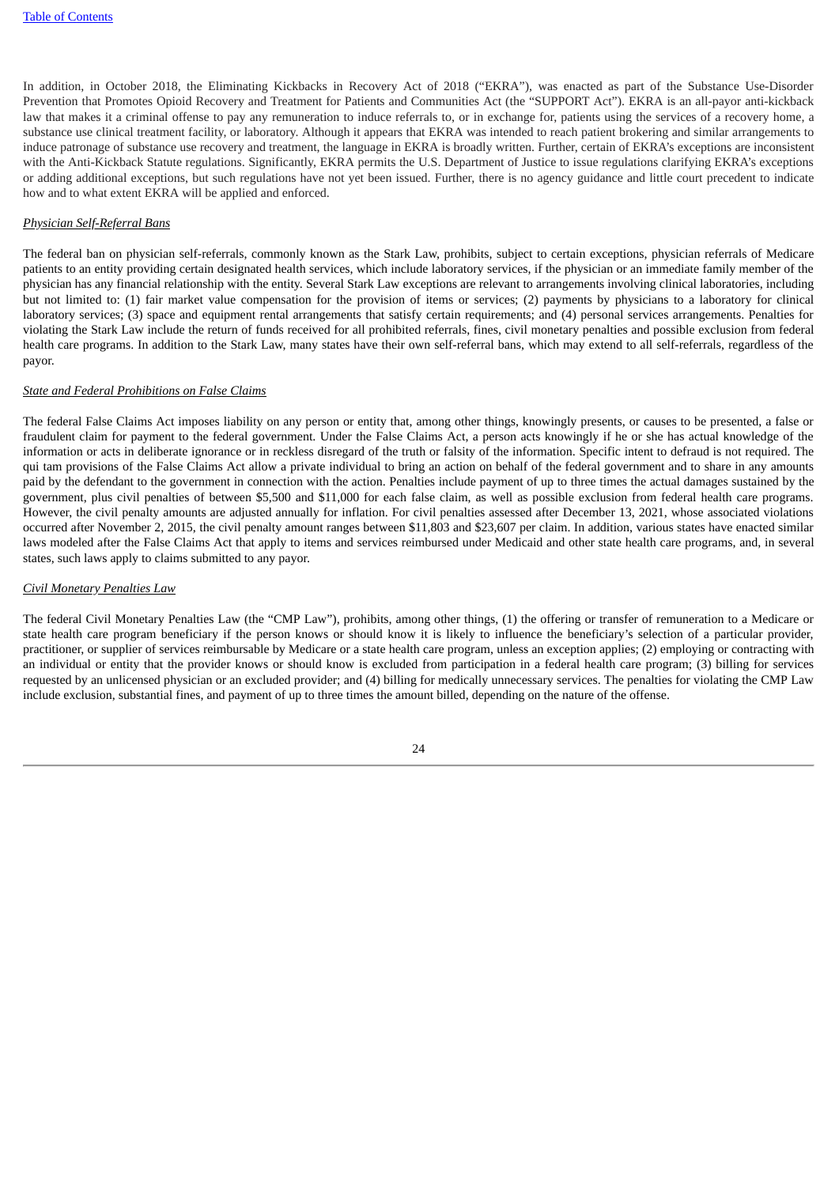In addition, in October 2018, the Eliminating Kickbacks in Recovery Act of 2018 ("EKRA"), was enacted as part of the Substance Use-Disorder Prevention that Promotes Opioid Recovery and Treatment for Patients and Communities Act (the "SUPPORT Act"). EKRA is an all-payor anti-kickback law that makes it a criminal offense to pay any remuneration to induce referrals to, or in exchange for, patients using the services of a recovery home, a substance use clinical treatment facility, or laboratory. Although it appears that EKRA was intended to reach patient brokering and similar arrangements to induce patronage of substance use recovery and treatment, the language in EKRA is broadly written. Further, certain of EKRA's exceptions are inconsistent with the Anti-Kickback Statute regulations. Significantly, EKRA permits the U.S. Department of Justice to issue regulations clarifying EKRA's exceptions or adding additional exceptions, but such regulations have not yet been issued. Further, there is no agency guidance and little court precedent to indicate how and to what extent EKRA will be applied and enforced.

#### *Physician Self-Referral Bans*

The federal ban on physician self-referrals, commonly known as the Stark Law, prohibits, subject to certain exceptions, physician referrals of Medicare patients to an entity providing certain designated health services, which include laboratory services, if the physician or an immediate family member of the physician has any financial relationship with the entity. Several Stark Law exceptions are relevant to arrangements involving clinical laboratories, including but not limited to: (1) fair market value compensation for the provision of items or services; (2) payments by physicians to a laboratory for clinical laboratory services; (3) space and equipment rental arrangements that satisfy certain requirements; and (4) personal services arrangements. Penalties for violating the Stark Law include the return of funds received for all prohibited referrals, fines, civil monetary penalties and possible exclusion from federal health care programs. In addition to the Stark Law, many states have their own self-referral bans, which may extend to all self-referrals, regardless of the payor.

# *State and Federal Prohibitions on False Claims*

The federal False Claims Act imposes liability on any person or entity that, among other things, knowingly presents, or causes to be presented, a false or fraudulent claim for payment to the federal government. Under the False Claims Act, a person acts knowingly if he or she has actual knowledge of the information or acts in deliberate ignorance or in reckless disregard of the truth or falsity of the information. Specific intent to defraud is not required. The qui tam provisions of the False Claims Act allow a private individual to bring an action on behalf of the federal government and to share in any amounts paid by the defendant to the government in connection with the action. Penalties include payment of up to three times the actual damages sustained by the government, plus civil penalties of between \$5,500 and \$11,000 for each false claim, as well as possible exclusion from federal health care programs. However, the civil penalty amounts are adjusted annually for inflation. For civil penalties assessed after December 13, 2021, whose associated violations occurred after November 2, 2015, the civil penalty amount ranges between \$11,803 and \$23,607 per claim. In addition, various states have enacted similar laws modeled after the False Claims Act that apply to items and services reimbursed under Medicaid and other state health care programs, and, in several states, such laws apply to claims submitted to any payor.

#### *Civil Monetary Penalties Law*

The federal Civil Monetary Penalties Law (the "CMP Law"), prohibits, among other things, (1) the offering or transfer of remuneration to a Medicare or state health care program beneficiary if the person knows or should know it is likely to influence the beneficiary's selection of a particular provider, practitioner, or supplier of services reimbursable by Medicare or a state health care program, unless an exception applies; (2) employing or contracting with an individual or entity that the provider knows or should know is excluded from participation in a federal health care program; (3) billing for services requested by an unlicensed physician or an excluded provider; and (4) billing for medically unnecessary services. The penalties for violating the CMP Law include exclusion, substantial fines, and payment of up to three times the amount billed, depending on the nature of the offense.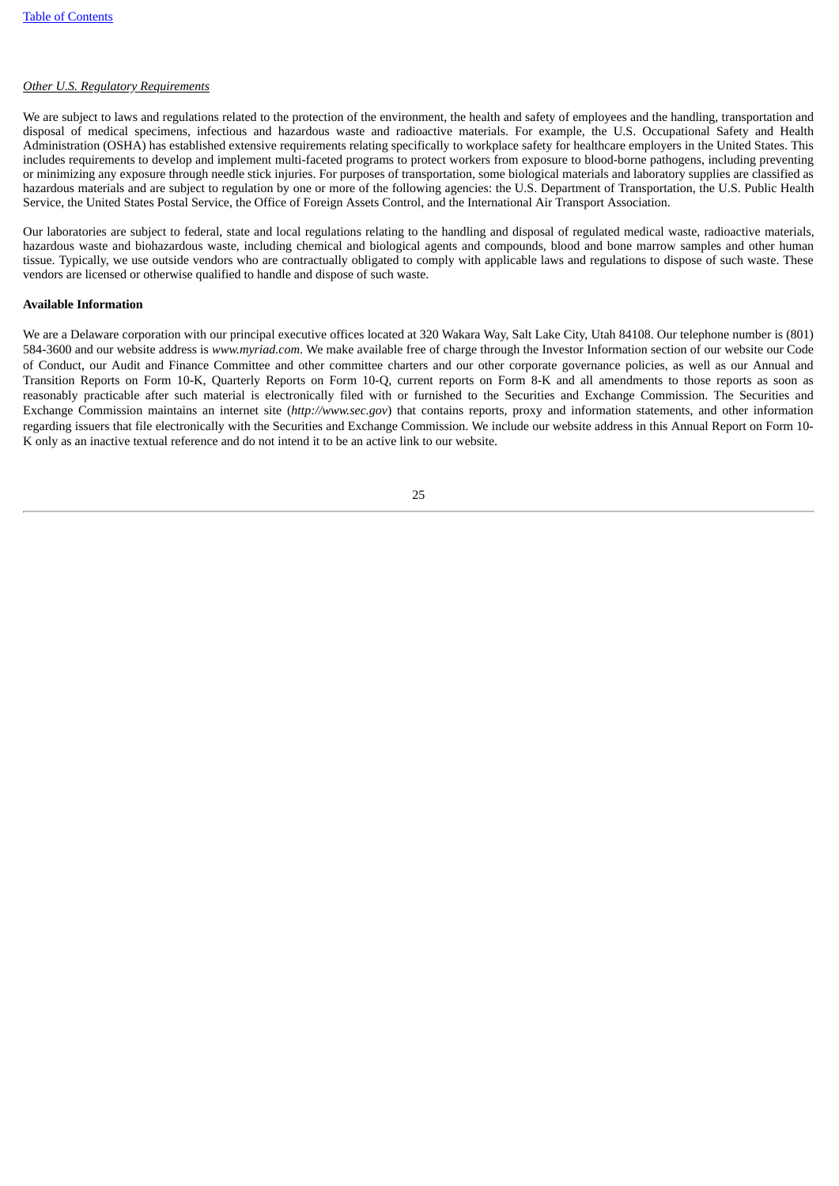# *Other U.S. Regulatory Requirements*

We are subject to laws and regulations related to the protection of the environment, the health and safety of employees and the handling, transportation and disposal of medical specimens, infectious and hazardous waste and radioactive materials. For example, the U.S. Occupational Safety and Health Administration (OSHA) has established extensive requirements relating specifically to workplace safety for healthcare employers in the United States. This includes requirements to develop and implement multi-faceted programs to protect workers from exposure to blood-borne pathogens, including preventing or minimizing any exposure through needle stick injuries. For purposes of transportation, some biological materials and laboratory supplies are classified as hazardous materials and are subject to regulation by one or more of the following agencies: the U.S. Department of Transportation, the U.S. Public Health Service, the United States Postal Service, the Office of Foreign Assets Control, and the International Air Transport Association.

Our laboratories are subject to federal, state and local regulations relating to the handling and disposal of regulated medical waste, radioactive materials, hazardous waste and biohazardous waste, including chemical and biological agents and compounds, blood and bone marrow samples and other human tissue. Typically, we use outside vendors who are contractually obligated to comply with applicable laws and regulations to dispose of such waste. These vendors are licensed or otherwise qualified to handle and dispose of such waste.

# **Available Information**

<span id="page-24-0"></span>We are a Delaware corporation with our principal executive offices located at 320 Wakara Way, Salt Lake City, Utah 84108. Our telephone number is (801) 584-3600 and our website address is *www.myriad.com*. We make available free of charge through the Investor Information section of our website our Code of Conduct, our Audit and Finance Committee and other committee charters and our other corporate governance policies, as well as our Annual and Transition Reports on Form 10-K, Quarterly Reports on Form 10-Q, current reports on Form 8-K and all amendments to those reports as soon as reasonably practicable after such material is electronically filed with or furnished to the Securities and Exchange Commission. The Securities and Exchange Commission maintains an internet site (*http://www.sec.gov*) that contains reports, proxy and information statements, and other information regarding issuers that file electronically with the Securities and Exchange Commission. We include our website address in this Annual Report on Form 10- K only as an inactive textual reference and do not intend it to be an active link to our website.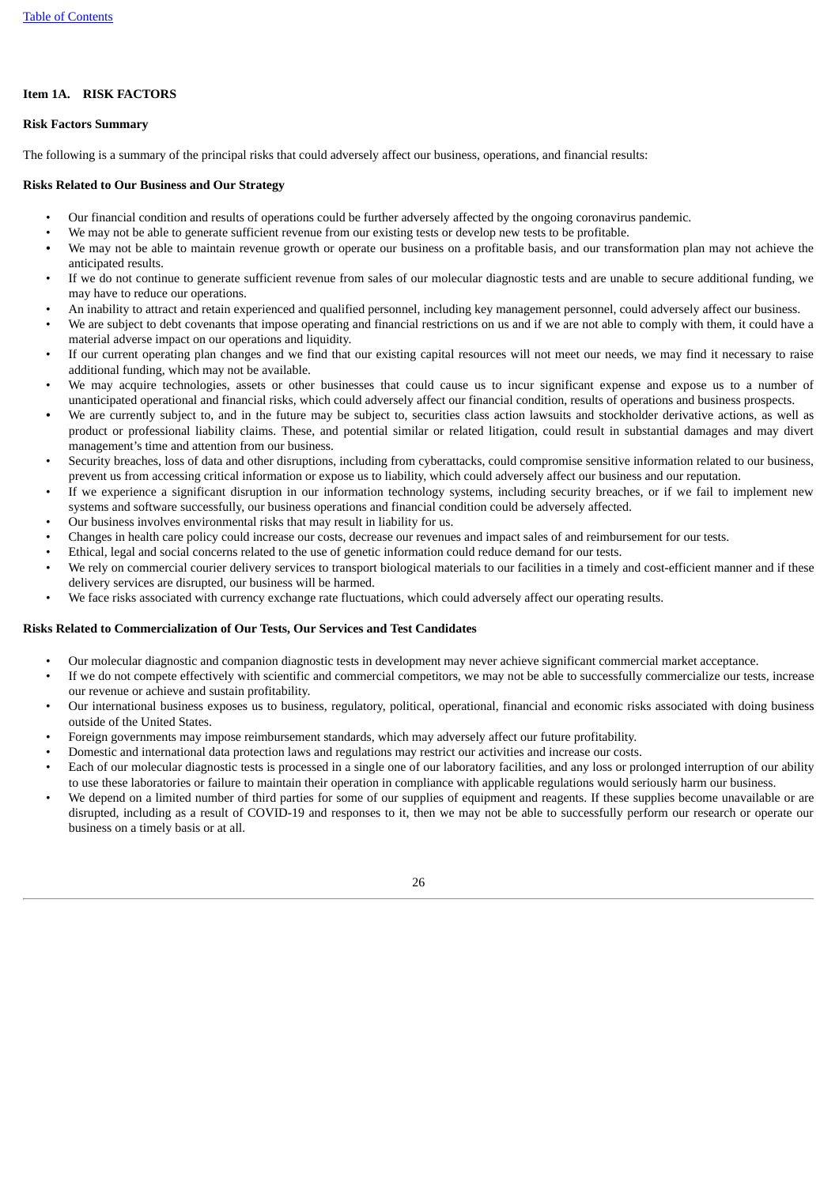# **Item 1A. RISK FACTORS**

# **Risk Factors Summary**

The following is a summary of the principal risks that could adversely affect our business, operations, and financial results:

# **Risks Related to Our Business and Our Strategy**

- Our financial condition and results of operations could be further adversely affected by the ongoing coronavirus pandemic.
- We may not be able to generate sufficient revenue from our existing tests or develop new tests to be profitable.
- *•* We may not be able to maintain revenue growth or operate our business on a profitable basis, and our transformation plan may not achieve the anticipated results.
- If we do not continue to generate sufficient revenue from sales of our molecular diagnostic tests and are unable to secure additional funding, we may have to reduce our operations.
- An inability to attract and retain experienced and qualified personnel, including key management personnel, could adversely affect our business.
- We are subject to debt covenants that impose operating and financial restrictions on us and if we are not able to comply with them, it could have a material adverse impact on our operations and liquidity.
- If our current operating plan changes and we find that our existing capital resources will not meet our needs, we may find it necessary to raise additional funding, which may not be available.
- We may acquire technologies, assets or other businesses that could cause us to incur significant expense and expose us to a number of unanticipated operational and financial risks, which could adversely affect our financial condition, results of operations and business prospects.
- We are currently subject to, and in the future may be subject to, securities class action lawsuits and stockholder derivative actions, as well as product or professional liability claims. These, and potential similar or related litigation, could result in substantial damages and may divert management's time and attention from our business.
- Security breaches, loss of data and other disruptions, including from cyberattacks, could compromise sensitive information related to our business, prevent us from accessing critical information or expose us to liability, which could adversely affect our business and our reputation.
- If we experience a significant disruption in our information technology systems, including security breaches, or if we fail to implement new systems and software successfully, our business operations and financial condition could be adversely affected.
- Our business involves environmental risks that may result in liability for us.
- Changes in health care policy could increase our costs, decrease our revenues and impact sales of and reimbursement for our tests.
- Ethical, legal and social concerns related to the use of genetic information could reduce demand for our tests.
- We rely on commercial courier delivery services to transport biological materials to our facilities in a timely and cost-efficient manner and if these delivery services are disrupted, our business will be harmed.
- We face risks associated with currency exchange rate fluctuations, which could adversely affect our operating results.

# **Risks Related to Commercialization of Our Tests, Our Services and Test Candidates**

- Our molecular diagnostic and companion diagnostic tests in development may never achieve significant commercial market acceptance.
- If we do not compete effectively with scientific and commercial competitors, we may not be able to successfully commercialize our tests, increase our revenue or achieve and sustain profitability.
- Our international business exposes us to business, regulatory, political, operational, financial and economic risks associated with doing business outside of the United States.
- Foreign governments may impose reimbursement standards, which may adversely affect our future profitability.
- Domestic and international data protection laws and regulations may restrict our activities and increase our costs.
- Each of our molecular diagnostic tests is processed in a single one of our laboratory facilities, and any loss or prolonged interruption of our ability to use these laboratories or failure to maintain their operation in compliance with applicable regulations would seriously harm our business.
- We depend on a limited number of third parties for some of our supplies of equipment and reagents. If these supplies become unavailable or are disrupted, including as a result of COVID-19 and responses to it, then we may not be able to successfully perform our research or operate our business on a timely basis or at all.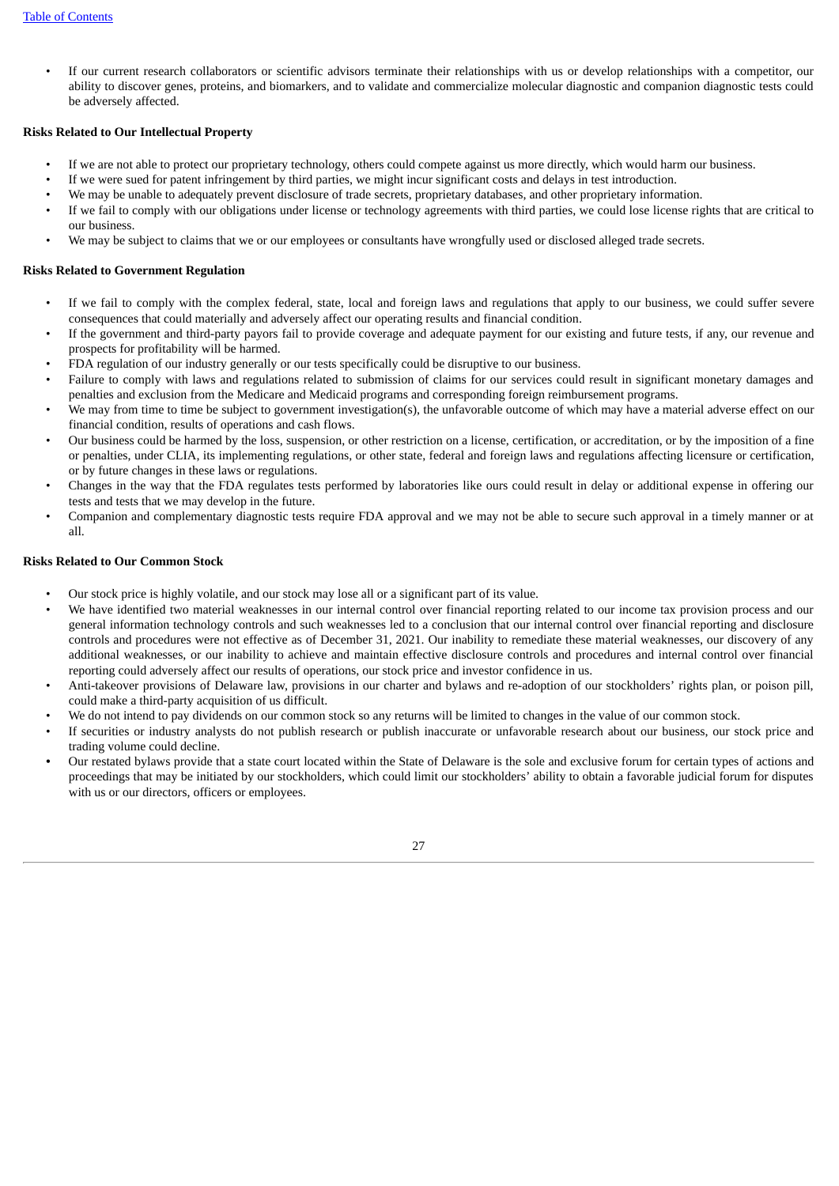If our current research collaborators or scientific advisors terminate their relationships with us or develop relationships with a competitor, our ability to discover genes, proteins, and biomarkers, and to validate and commercialize molecular diagnostic and companion diagnostic tests could be adversely affected.

# **Risks Related to Our Intellectual Property**

- If we are not able to protect our proprietary technology, others could compete against us more directly, which would harm our business.
- If we were sued for patent infringement by third parties, we might incur significant costs and delays in test introduction.
- We may be unable to adequately prevent disclosure of trade secrets, proprietary databases, and other proprietary information.
- If we fail to comply with our obligations under license or technology agreements with third parties, we could lose license rights that are critical to our business.
- We may be subject to claims that we or our employees or consultants have wrongfully used or disclosed alleged trade secrets.

#### **Risks Related to Government Regulation**

- If we fail to comply with the complex federal, state, local and foreign laws and regulations that apply to our business, we could suffer severe consequences that could materially and adversely affect our operating results and financial condition.
- If the government and third-party payors fail to provide coverage and adequate payment for our existing and future tests, if any, our revenue and prospects for profitability will be harmed.
- FDA regulation of our industry generally or our tests specifically could be disruptive to our business.
- Failure to comply with laws and regulations related to submission of claims for our services could result in significant monetary damages and penalties and exclusion from the Medicare and Medicaid programs and corresponding foreign reimbursement programs.
- We may from time to time be subject to government investigation(s), the unfavorable outcome of which may have a material adverse effect on our financial condition, results of operations and cash flows.
- Our business could be harmed by the loss, suspension, or other restriction on a license, certification, or accreditation, or by the imposition of a fine or penalties, under CLIA, its implementing regulations, or other state, federal and foreign laws and regulations affecting licensure or certification, or by future changes in these laws or regulations.
- Changes in the way that the FDA regulates tests performed by laboratories like ours could result in delay or additional expense in offering our tests and tests that we may develop in the future.
- Companion and complementary diagnostic tests require FDA approval and we may not be able to secure such approval in a timely manner or at all.

# **Risks Related to Our Common Stock**

- Our stock price is highly volatile, and our stock may lose all or a significant part of its value.
- We have identified two material weaknesses in our internal control over financial reporting related to our income tax provision process and our general information technology controls and such weaknesses led to a conclusion that our internal control over financial reporting and disclosure controls and procedures were not effective as of December 31, 2021. Our inability to remediate these material weaknesses, our discovery of any additional weaknesses, or our inability to achieve and maintain effective disclosure controls and procedures and internal control over financial reporting could adversely affect our results of operations, our stock price and investor confidence in us.
- Anti-takeover provisions of Delaware law, provisions in our charter and bylaws and re-adoption of our stockholders' rights plan, or poison pill, could make a third-party acquisition of us difficult.
- We do not intend to pay dividends on our common stock so any returns will be limited to changes in the value of our common stock.
- If securities or industry analysts do not publish research or publish inaccurate or unfavorable research about our business, our stock price and trading volume could decline.
- *•* Our restated bylaws provide that a state court located within the State of Delaware is the sole and exclusive forum for certain types of actions and proceedings that may be initiated by our stockholders, which could limit our stockholders' ability to obtain a favorable judicial forum for disputes with us or our directors, officers or employees.

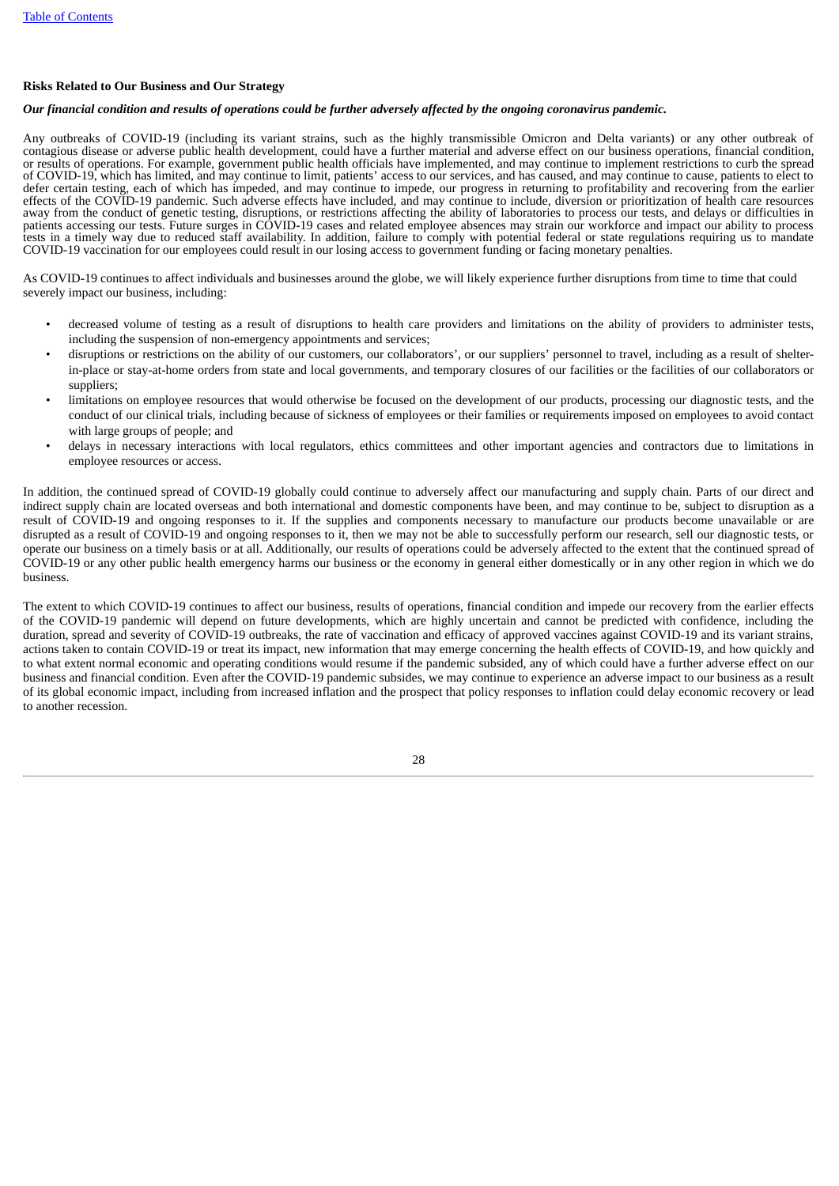# **Risks Related to Our Business and Our Strategy**

# Our financial condition and results of operations could be further adversely affected by the ongoing coronavirus pandemic.

Any outbreaks of COVID-19 (including its variant strains, such as the highly transmissible Omicron and Delta variants) or any other outbreak of contagious disease or adverse public health development, could have a further material and adverse effect on our business operations, financial condition, or results of operations. For example, government public health officials have implemented, and may continue to implement restrictions to curb the spread of COVID-19, which has limited, and may continue to limit, patients' access to our services, and has caused, and may continue to cause, patients to elect to defer certain testing, each of which has impeded, and may continue to impede, our progress in returning to profitability and recovering from the earlier effects of the COVID-19 pandemic. Such adverse effects have included, and may continue to include, diversion or prioritization of health care resources away from the conduct of genetic testing, disruptions, or restrictions affecting the ability of laboratories to process our tests, and delays or difficulties in patients accessing our tests. Future surges in COVID-19 cases and related employee absences may strain our workforce and impact our ability to process tests in a timely way due to reduced staff availability. In addition, failure to comply with potential federal or state regulations requiring us to mandate COVID-19 vaccination for our employees could result in our losing access to government funding or facing monetary penalties.

As COVID-19 continues to affect individuals and businesses around the globe, we will likely experience further disruptions from time to time that could severely impact our business, including:

- decreased volume of testing as a result of disruptions to health care providers and limitations on the ability of providers to administer tests, including the suspension of non-emergency appointments and services;
- disruptions or restrictions on the ability of our customers, our collaborators', or our suppliers' personnel to travel, including as a result of shelterin-place or stay-at-home orders from state and local governments, and temporary closures of our facilities or the facilities of our collaborators or suppliers;
- limitations on employee resources that would otherwise be focused on the development of our products, processing our diagnostic tests, and the conduct of our clinical trials, including because of sickness of employees or their families or requirements imposed on employees to avoid contact with large groups of people; and
- delays in necessary interactions with local regulators, ethics committees and other important agencies and contractors due to limitations in employee resources or access.

In addition, the continued spread of COVID-19 globally could continue to adversely affect our manufacturing and supply chain. Parts of our direct and indirect supply chain are located overseas and both international and domestic components have been, and may continue to be, subject to disruption as a result of COVID-19 and ongoing responses to it. If the supplies and components necessary to manufacture our products become unavailable or are disrupted as a result of COVID-19 and ongoing responses to it, then we may not be able to successfully perform our research, sell our diagnostic tests, or operate our business on a timely basis or at all. Additionally, our results of operations could be adversely affected to the extent that the continued spread of COVID-19 or any other public health emergency harms our business or the economy in general either domestically or in any other region in which we do business.

The extent to which COVID-19 continues to affect our business, results of operations, financial condition and impede our recovery from the earlier effects of the COVID-19 pandemic will depend on future developments, which are highly uncertain and cannot be predicted with confidence, including the duration, spread and severity of COVID-19 outbreaks, the rate of vaccination and efficacy of approved vaccines against COVID-19 and its variant strains, actions taken to contain COVID-19 or treat its impact, new information that may emerge concerning the health effects of COVID-19, and how quickly and to what extent normal economic and operating conditions would resume if the pandemic subsided, any of which could have a further adverse effect on our business and financial condition. Even after the COVID-19 pandemic subsides, we may continue to experience an adverse impact to our business as a result of its global economic impact, including from increased inflation and the prospect that policy responses to inflation could delay economic recovery or lead to another recession.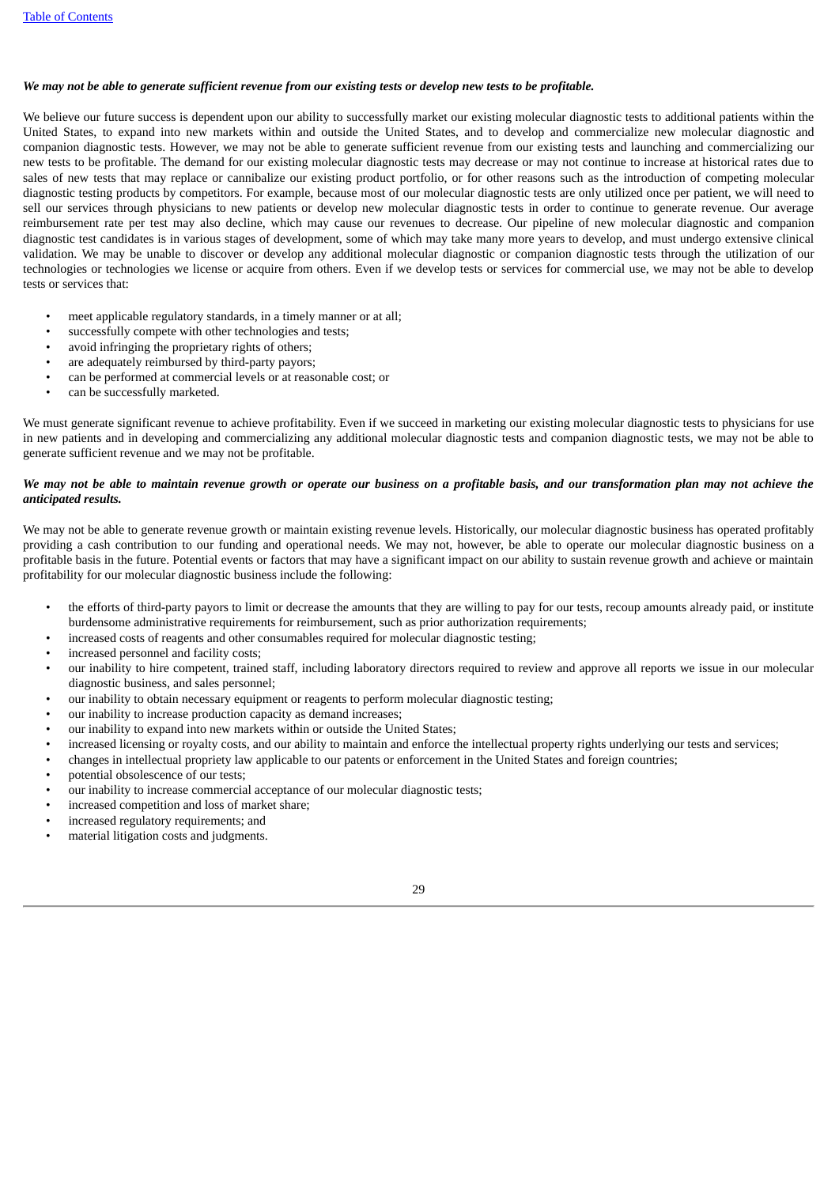# We may not be able to generate sufficient revenue from our existing tests or develop new tests to be profitable.

We believe our future success is dependent upon our ability to successfully market our existing molecular diagnostic tests to additional patients within the United States, to expand into new markets within and outside the United States, and to develop and commercialize new molecular diagnostic and companion diagnostic tests. However, we may not be able to generate sufficient revenue from our existing tests and launching and commercializing our new tests to be profitable. The demand for our existing molecular diagnostic tests may decrease or may not continue to increase at historical rates due to sales of new tests that may replace or cannibalize our existing product portfolio, or for other reasons such as the introduction of competing molecular diagnostic testing products by competitors. For example, because most of our molecular diagnostic tests are only utilized once per patient, we will need to sell our services through physicians to new patients or develop new molecular diagnostic tests in order to continue to generate revenue. Our average reimbursement rate per test may also decline, which may cause our revenues to decrease. Our pipeline of new molecular diagnostic and companion diagnostic test candidates is in various stages of development, some of which may take many more years to develop, and must undergo extensive clinical validation. We may be unable to discover or develop any additional molecular diagnostic or companion diagnostic tests through the utilization of our technologies or technologies we license or acquire from others. Even if we develop tests or services for commercial use, we may not be able to develop tests or services that:

- meet applicable regulatory standards, in a timely manner or at all;
- successfully compete with other technologies and tests;
- avoid infringing the proprietary rights of others;
- are adequately reimbursed by third-party payors;
- can be performed at commercial levels or at reasonable cost; or
- can be successfully marketed.

We must generate significant revenue to achieve profitability. Even if we succeed in marketing our existing molecular diagnostic tests to physicians for use in new patients and in developing and commercializing any additional molecular diagnostic tests and companion diagnostic tests, we may not be able to generate sufficient revenue and we may not be profitable.

# We may not be able to maintain revenue growth or operate our business on a profitable basis, and our transformation plan may not achieve the *anticipated results.*

We may not be able to generate revenue growth or maintain existing revenue levels. Historically, our molecular diagnostic business has operated profitably providing a cash contribution to our funding and operational needs. We may not, however, be able to operate our molecular diagnostic business on a profitable basis in the future. Potential events or factors that may have a significant impact on our ability to sustain revenue growth and achieve or maintain profitability for our molecular diagnostic business include the following:

- the efforts of third-party payors to limit or decrease the amounts that they are willing to pay for our tests, recoup amounts already paid, or institute burdensome administrative requirements for reimbursement, such as prior authorization requirements;
- increased costs of reagents and other consumables required for molecular diagnostic testing;
- increased personnel and facility costs;
- our inability to hire competent, trained staff, including laboratory directors required to review and approve all reports we issue in our molecular diagnostic business, and sales personnel;
- our inability to obtain necessary equipment or reagents to perform molecular diagnostic testing;
- our inability to increase production capacity as demand increases;
- our inability to expand into new markets within or outside the United States;
- increased licensing or royalty costs, and our ability to maintain and enforce the intellectual property rights underlying our tests and services;
- changes in intellectual propriety law applicable to our patents or enforcement in the United States and foreign countries;
- potential obsolescence of our tests;
- our inability to increase commercial acceptance of our molecular diagnostic tests;
- increased competition and loss of market share;
- increased regulatory requirements; and
- material litigation costs and judgments.

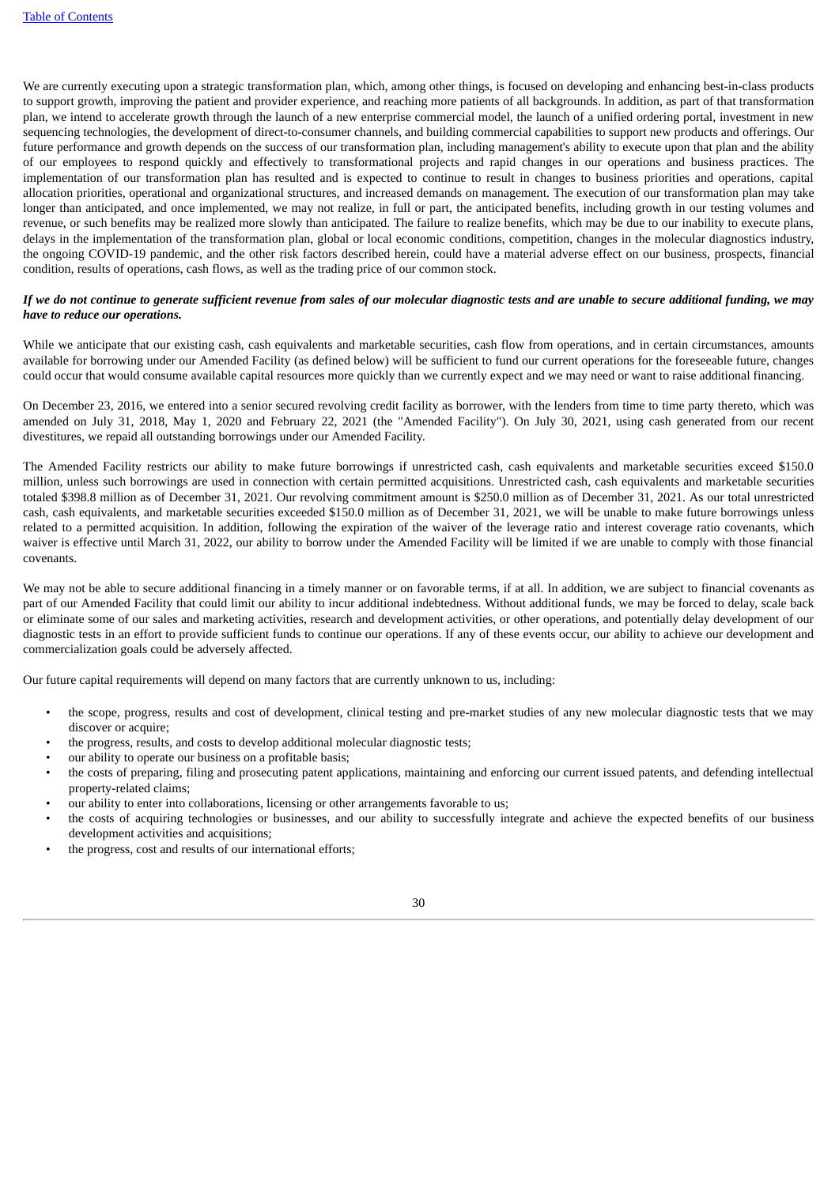We are currently executing upon a strategic transformation plan, which, among other things, is focused on developing and enhancing best-in-class products to support growth, improving the patient and provider experience, and reaching more patients of all backgrounds. In addition, as part of that transformation plan, we intend to accelerate growth through the launch of a new enterprise commercial model, the launch of a unified ordering portal, investment in new sequencing technologies, the development of direct-to-consumer channels, and building commercial capabilities to support new products and offerings. Our future performance and growth depends on the success of our transformation plan, including management's ability to execute upon that plan and the ability of our employees to respond quickly and effectively to transformational projects and rapid changes in our operations and business practices. The implementation of our transformation plan has resulted and is expected to continue to result in changes to business priorities and operations, capital allocation priorities, operational and organizational structures, and increased demands on management. The execution of our transformation plan may take longer than anticipated, and once implemented, we may not realize, in full or part, the anticipated benefits, including growth in our testing volumes and revenue, or such benefits may be realized more slowly than anticipated. The failure to realize benefits, which may be due to our inability to execute plans, delays in the implementation of the transformation plan, global or local economic conditions, competition, changes in the molecular diagnostics industry, the ongoing COVID-19 pandemic, and the other risk factors described herein, could have a material adverse effect on our business, prospects, financial condition, results of operations, cash flows, as well as the trading price of our common stock.

# If we do not continue to generate sufficient revenue from sales of our molecular diagnostic tests and are unable to secure additional funding, we may *have to reduce our operations.*

While we anticipate that our existing cash, cash equivalents and marketable securities, cash flow from operations, and in certain circumstances, amounts available for borrowing under our Amended Facility (as defined below) will be sufficient to fund our current operations for the foreseeable future, changes could occur that would consume available capital resources more quickly than we currently expect and we may need or want to raise additional financing.

On December 23, 2016, we entered into a senior secured revolving credit facility as borrower, with the lenders from time to time party thereto, which was amended on July 31, 2018, May 1, 2020 and February 22, 2021 (the "Amended Facility"). On July 30, 2021, using cash generated from our recent divestitures, we repaid all outstanding borrowings under our Amended Facility.

The Amended Facility restricts our ability to make future borrowings if unrestricted cash, cash equivalents and marketable securities exceed \$150.0 million, unless such borrowings are used in connection with certain permitted acquisitions. Unrestricted cash, cash equivalents and marketable securities totaled \$398.8 million as of December 31, 2021. Our revolving commitment amount is \$250.0 million as of December 31, 2021. As our total unrestricted cash, cash equivalents, and marketable securities exceeded \$150.0 million as of December 31, 2021, we will be unable to make future borrowings unless related to a permitted acquisition. In addition, following the expiration of the waiver of the leverage ratio and interest coverage ratio covenants, which waiver is effective until March 31, 2022, our ability to borrow under the Amended Facility will be limited if we are unable to comply with those financial covenants.

We may not be able to secure additional financing in a timely manner or on favorable terms, if at all. In addition, we are subject to financial covenants as part of our Amended Facility that could limit our ability to incur additional indebtedness. Without additional funds, we may be forced to delay, scale back or eliminate some of our sales and marketing activities, research and development activities, or other operations, and potentially delay development of our diagnostic tests in an effort to provide sufficient funds to continue our operations. If any of these events occur, our ability to achieve our development and commercialization goals could be adversely affected.

Our future capital requirements will depend on many factors that are currently unknown to us, including:

- the scope, progress, results and cost of development, clinical testing and pre-market studies of any new molecular diagnostic tests that we may discover or acquire;
- the progress, results, and costs to develop additional molecular diagnostic tests;
- our ability to operate our business on a profitable basis;
- the costs of preparing, filing and prosecuting patent applications, maintaining and enforcing our current issued patents, and defending intellectual property-related claims;
- our ability to enter into collaborations, licensing or other arrangements favorable to us;
- the costs of acquiring technologies or businesses, and our ability to successfully integrate and achieve the expected benefits of our business development activities and acquisitions;
- the progress, cost and results of our international efforts;

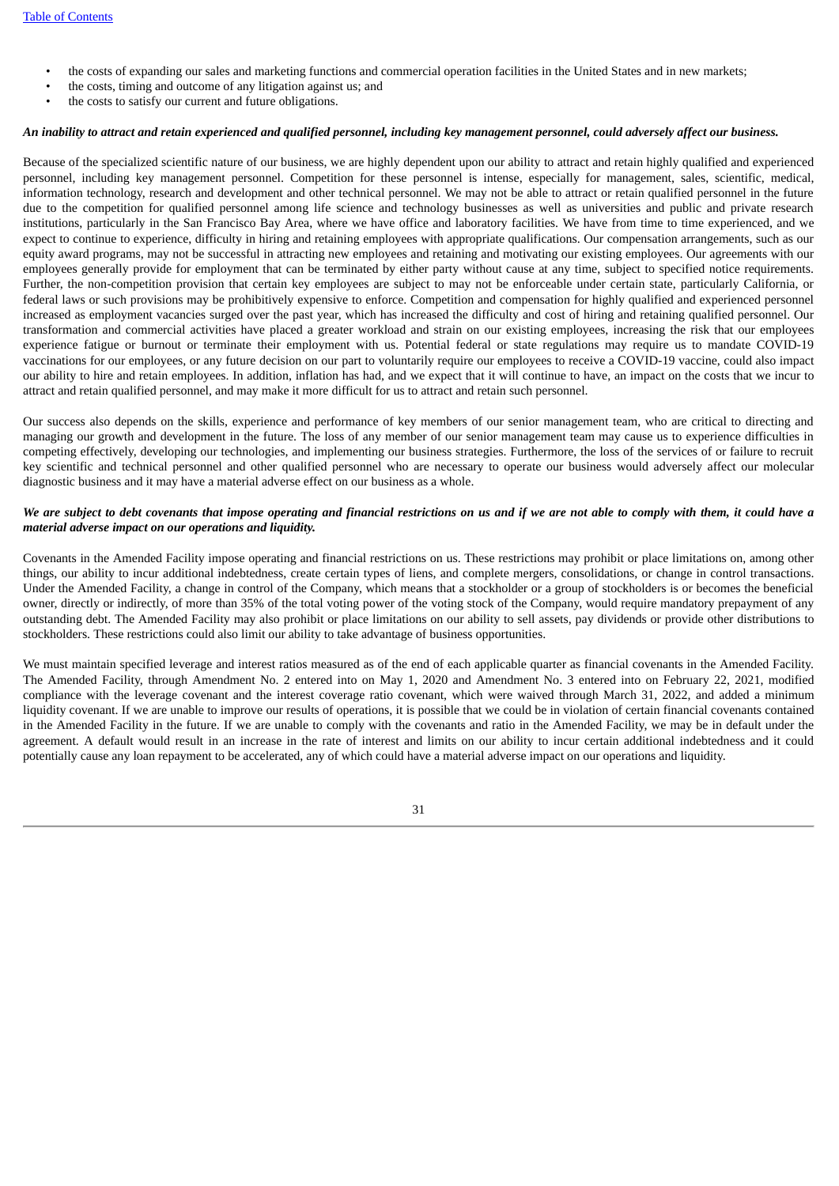- the costs of expanding our sales and marketing functions and commercial operation facilities in the United States and in new markets;
- the costs, timing and outcome of any litigation against us; and
- the costs to satisfy our current and future obligations.

# An inability to attract and retain experienced and qualified personnel, including key management personnel, could adversely affect our business.

Because of the specialized scientific nature of our business, we are highly dependent upon our ability to attract and retain highly qualified and experienced personnel, including key management personnel. Competition for these personnel is intense, especially for management, sales, scientific, medical, information technology, research and development and other technical personnel. We may not be able to attract or retain qualified personnel in the future due to the competition for qualified personnel among life science and technology businesses as well as universities and public and private research institutions, particularly in the San Francisco Bay Area, where we have office and laboratory facilities. We have from time to time experienced, and we expect to continue to experience, difficulty in hiring and retaining employees with appropriate qualifications. Our compensation arrangements, such as our equity award programs, may not be successful in attracting new employees and retaining and motivating our existing employees. Our agreements with our employees generally provide for employment that can be terminated by either party without cause at any time, subject to specified notice requirements. Further, the non-competition provision that certain key employees are subject to may not be enforceable under certain state, particularly California, or federal laws or such provisions may be prohibitively expensive to enforce. Competition and compensation for highly qualified and experienced personnel increased as employment vacancies surged over the past year, which has increased the difficulty and cost of hiring and retaining qualified personnel. Our transformation and commercial activities have placed a greater workload and strain on our existing employees, increasing the risk that our employees experience fatigue or burnout or terminate their employment with us. Potential federal or state regulations may require us to mandate COVID-19 vaccinations for our employees, or any future decision on our part to voluntarily require our employees to receive a COVID-19 vaccine, could also impact our ability to hire and retain employees. In addition, inflation has had, and we expect that it will continue to have, an impact on the costs that we incur to attract and retain qualified personnel, and may make it more difficult for us to attract and retain such personnel.

Our success also depends on the skills, experience and performance of key members of our senior management team, who are critical to directing and managing our growth and development in the future. The loss of any member of our senior management team may cause us to experience difficulties in competing effectively, developing our technologies, and implementing our business strategies. Furthermore, the loss of the services of or failure to recruit key scientific and technical personnel and other qualified personnel who are necessary to operate our business would adversely affect our molecular diagnostic business and it may have a material adverse effect on our business as a whole.

### We are subject to debt covenants that impose operating and financial restrictions on us and if we are not able to comply with them, it could have a *material adverse impact on our operations and liquidity.*

Covenants in the Amended Facility impose operating and financial restrictions on us. These restrictions may prohibit or place limitations on, among other things, our ability to incur additional indebtedness, create certain types of liens, and complete mergers, consolidations, or change in control transactions. Under the Amended Facility, a change in control of the Company, which means that a stockholder or a group of stockholders is or becomes the beneficial owner, directly or indirectly, of more than 35% of the total voting power of the voting stock of the Company, would require mandatory prepayment of any outstanding debt. The Amended Facility may also prohibit or place limitations on our ability to sell assets, pay dividends or provide other distributions to stockholders. These restrictions could also limit our ability to take advantage of business opportunities.

We must maintain specified leverage and interest ratios measured as of the end of each applicable quarter as financial covenants in the Amended Facility. The Amended Facility, through Amendment No. 2 entered into on May 1, 2020 and Amendment No. 3 entered into on February 22, 2021, modified compliance with the leverage covenant and the interest coverage ratio covenant, which were waived through March 31, 2022, and added a minimum liquidity covenant. If we are unable to improve our results of operations, it is possible that we could be in violation of certain financial covenants contained in the Amended Facility in the future. If we are unable to comply with the covenants and ratio in the Amended Facility, we may be in default under the agreement. A default would result in an increase in the rate of interest and limits on our ability to incur certain additional indebtedness and it could potentially cause any loan repayment to be accelerated, any of which could have a material adverse impact on our operations and liquidity.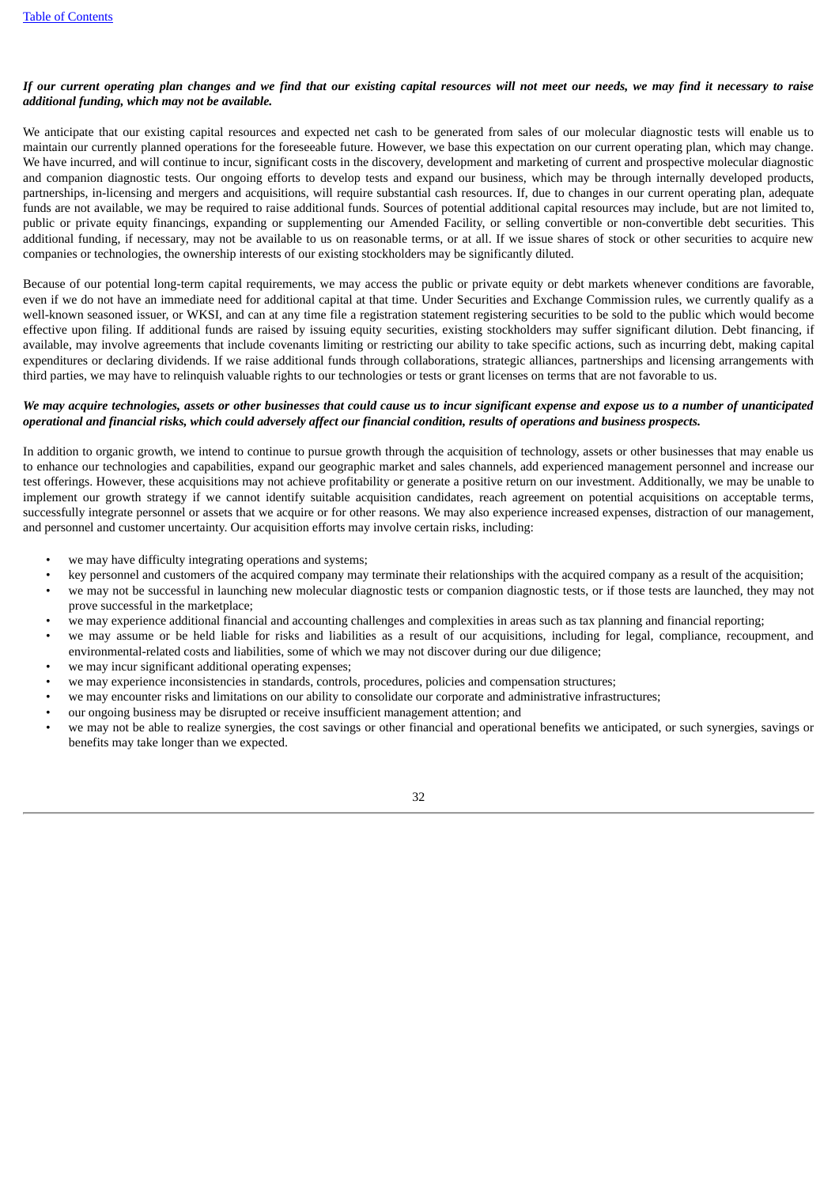# If our current operating plan changes and we find that our existing capital resources will not meet our needs, we may find it necessary to raise *additional funding, which may not be available.*

We anticipate that our existing capital resources and expected net cash to be generated from sales of our molecular diagnostic tests will enable us to maintain our currently planned operations for the foreseeable future. However, we base this expectation on our current operating plan, which may change. We have incurred, and will continue to incur, significant costs in the discovery, development and marketing of current and prospective molecular diagnostic and companion diagnostic tests. Our ongoing efforts to develop tests and expand our business, which may be through internally developed products, partnerships, in-licensing and mergers and acquisitions, will require substantial cash resources. If, due to changes in our current operating plan, adequate funds are not available, we may be required to raise additional funds. Sources of potential additional capital resources may include, but are not limited to, public or private equity financings, expanding or supplementing our Amended Facility, or selling convertible or non-convertible debt securities. This additional funding, if necessary, may not be available to us on reasonable terms, or at all. If we issue shares of stock or other securities to acquire new companies or technologies, the ownership interests of our existing stockholders may be significantly diluted.

Because of our potential long-term capital requirements, we may access the public or private equity or debt markets whenever conditions are favorable, even if we do not have an immediate need for additional capital at that time. Under Securities and Exchange Commission rules, we currently qualify as a well-known seasoned issuer, or WKSI, and can at any time file a registration statement registering securities to be sold to the public which would become effective upon filing. If additional funds are raised by issuing equity securities, existing stockholders may suffer significant dilution. Debt financing, if available, may involve agreements that include covenants limiting or restricting our ability to take specific actions, such as incurring debt, making capital expenditures or declaring dividends. If we raise additional funds through collaborations, strategic alliances, partnerships and licensing arrangements with third parties, we may have to relinquish valuable rights to our technologies or tests or grant licenses on terms that are not favorable to us.

# We may acquire technologies, assets or other businesses that could cause us to incur significant expense and expose us to a number of unanticipated operational and financial risks, which could adversely affect our financial condition, results of operations and business prospects.

In addition to organic growth, we intend to continue to pursue growth through the acquisition of technology, assets or other businesses that may enable us to enhance our technologies and capabilities, expand our geographic market and sales channels, add experienced management personnel and increase our test offerings. However, these acquisitions may not achieve profitability or generate a positive return on our investment. Additionally, we may be unable to implement our growth strategy if we cannot identify suitable acquisition candidates, reach agreement on potential acquisitions on acceptable terms, successfully integrate personnel or assets that we acquire or for other reasons. We may also experience increased expenses, distraction of our management, and personnel and customer uncertainty. Our acquisition efforts may involve certain risks, including:

- we may have difficulty integrating operations and systems;
- key personnel and customers of the acquired company may terminate their relationships with the acquired company as a result of the acquisition;
- we may not be successful in launching new molecular diagnostic tests or companion diagnostic tests, or if those tests are launched, they may not prove successful in the marketplace;
- we may experience additional financial and accounting challenges and complexities in areas such as tax planning and financial reporting;
- we may assume or be held liable for risks and liabilities as a result of our acquisitions, including for legal, compliance, recoupment, and environmental-related costs and liabilities, some of which we may not discover during our due diligence;
- we may incur significant additional operating expenses;
- we may experience inconsistencies in standards, controls, procedures, policies and compensation structures;
- we may encounter risks and limitations on our ability to consolidate our corporate and administrative infrastructures;
- our ongoing business may be disrupted or receive insufficient management attention; and
- we may not be able to realize synergies, the cost savings or other financial and operational benefits we anticipated, or such synergies, savings or benefits may take longer than we expected.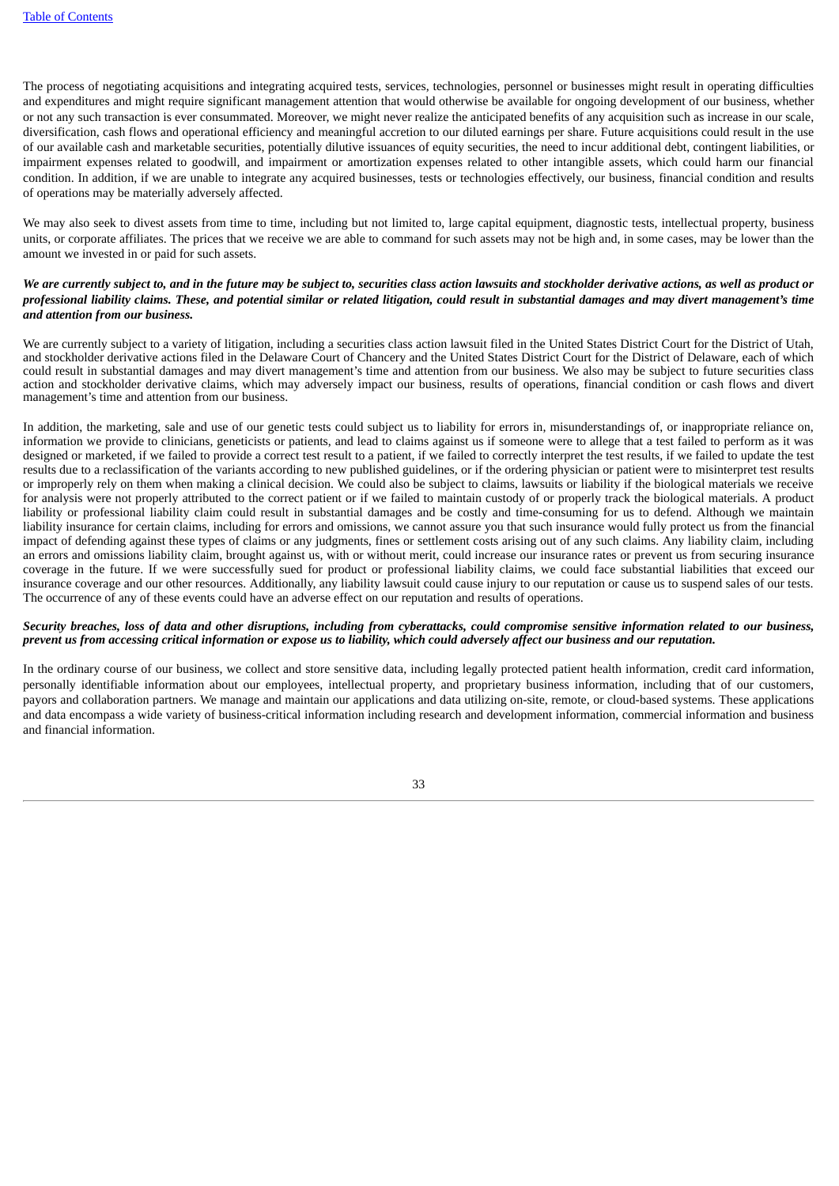The process of negotiating acquisitions and integrating acquired tests, services, technologies, personnel or businesses might result in operating difficulties and expenditures and might require significant management attention that would otherwise be available for ongoing development of our business, whether or not any such transaction is ever consummated. Moreover, we might never realize the anticipated benefits of any acquisition such as increase in our scale, diversification, cash flows and operational efficiency and meaningful accretion to our diluted earnings per share. Future acquisitions could result in the use of our available cash and marketable securities, potentially dilutive issuances of equity securities, the need to incur additional debt, contingent liabilities, or impairment expenses related to goodwill, and impairment or amortization expenses related to other intangible assets, which could harm our financial condition. In addition, if we are unable to integrate any acquired businesses, tests or technologies effectively, our business, financial condition and results of operations may be materially adversely affected.

We may also seek to divest assets from time to time, including but not limited to, large capital equipment, diagnostic tests, intellectual property, business units, or corporate affiliates. The prices that we receive we are able to command for such assets may not be high and, in some cases, may be lower than the amount we invested in or paid for such assets.

# We are currently subject to, and in the future may be subject to, securities class action lawsuits and stockholder derivative actions, as well as product or professional liability claims. These, and potential similar or related litigation, could result in substantial damages and may divert management's time *and attention from our business.*

We are currently subject to a variety of litigation, including a securities class action lawsuit filed in the United States District Court for the District of Utah, and stockholder derivative actions filed in the Delaware Court of Chancery and the United States District Court for the District of Delaware, each of which could result in substantial damages and may divert management's time and attention from our business. We also may be subject to future securities class action and stockholder derivative claims, which may adversely impact our business, results of operations, financial condition or cash flows and divert management's time and attention from our business.

In addition, the marketing, sale and use of our genetic tests could subject us to liability for errors in, misunderstandings of, or inappropriate reliance on, information we provide to clinicians, geneticists or patients, and lead to claims against us if someone were to allege that a test failed to perform as it was designed or marketed, if we failed to provide a correct test result to a patient, if we failed to correctly interpret the test results, if we failed to update the test results due to a reclassification of the variants according to new published guidelines, or if the ordering physician or patient were to misinterpret test results or improperly rely on them when making a clinical decision. We could also be subject to claims, lawsuits or liability if the biological materials we receive for analysis were not properly attributed to the correct patient or if we failed to maintain custody of or properly track the biological materials. A product liability or professional liability claim could result in substantial damages and be costly and time-consuming for us to defend. Although we maintain liability insurance for certain claims, including for errors and omissions, we cannot assure you that such insurance would fully protect us from the financial impact of defending against these types of claims or any judgments, fines or settlement costs arising out of any such claims. Any liability claim, including an errors and omissions liability claim, brought against us, with or without merit, could increase our insurance rates or prevent us from securing insurance coverage in the future. If we were successfully sued for product or professional liability claims, we could face substantial liabilities that exceed our insurance coverage and our other resources. Additionally, any liability lawsuit could cause injury to our reputation or cause us to suspend sales of our tests. The occurrence of any of these events could have an adverse effect on our reputation and results of operations.

# Security breaches, loss of data and other disruptions, including from cyberattacks, could compromise sensitive information related to our business, prevent us from accessing critical information or expose us to liability, which could adversely affect our business and our reputation.

In the ordinary course of our business, we collect and store sensitive data, including legally protected patient health information, credit card information, personally identifiable information about our employees, intellectual property, and proprietary business information, including that of our customers, payors and collaboration partners. We manage and maintain our applications and data utilizing on-site, remote, or cloud-based systems. These applications and data encompass a wide variety of business-critical information including research and development information, commercial information and business and financial information.

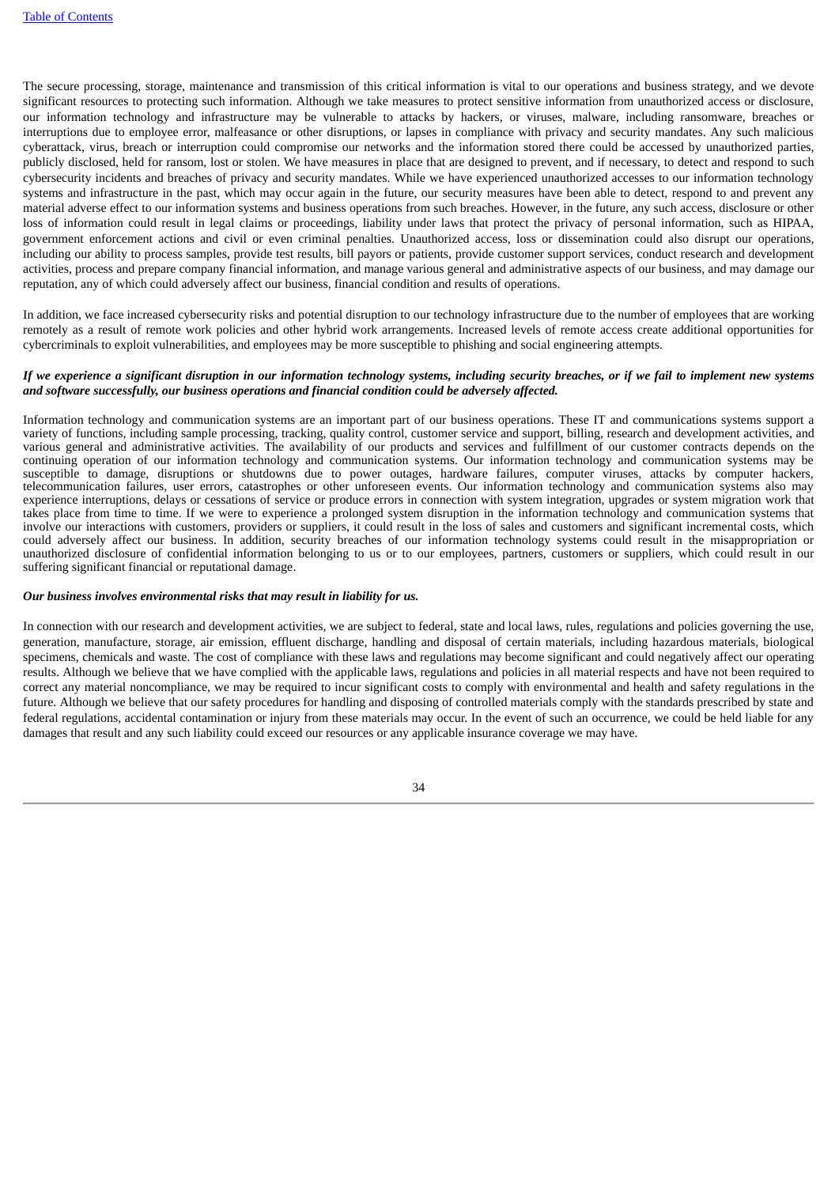The secure processing, storage, maintenance and transmission of this critical information is vital to our operations and business strategy, and we devote significant resources to protecting such information. Although we take measures to protect sensitive information from unauthorized access or disclosure, our information technology and infrastructure may be vulnerable to attacks by hackers, or viruses, malware, including ransomware, breaches or interruptions due to employee error, malfeasance or other disruptions, or lapses in compliance with privacy and security mandates. Any such malicious cyberattack, virus, breach or interruption could compromise our networks and the information stored there could be accessed by unauthorized parties, publicly disclosed, held for ransom, lost or stolen. We have measures in place that are designed to prevent, and if necessary, to detect and respond to such cybersecurity incidents and breaches of privacy and security mandates. While we have experienced unauthorized accesses to our information technology systems and infrastructure in the past, which may occur again in the future, our security measures have been able to detect, respond to and prevent any material adverse effect to our information systems and business operations from such breaches. However, in the future, any such access, disclosure or other loss of information could result in legal claims or proceedings, liability under laws that protect the privacy of personal information, such as HIPAA, government enforcement actions and civil or even criminal penalties. Unauthorized access, loss or dissemination could also disrupt our operations, including our ability to process samples, provide test results, bill payors or patients, provide customer support services, conduct research and development activities, process and prepare company financial information, and manage various general and administrative aspects of our business, and may damage our reputation, any of which could adversely affect our business, financial condition and results of operations.

In addition, we face increased cybersecurity risks and potential disruption to our technology infrastructure due to the number of employees that are working remotely as a result of remote work policies and other hybrid work arrangements. Increased levels of remote access create additional opportunities for cybercriminals to exploit vulnerabilities, and employees may be more susceptible to phishing and social engineering attempts.

# If we experience a significant disruption in our information technology systems, including security breaches, or if we fail to implement new systems *and software successfully, our business operations and financial condition could be adversely affected.*

Information technology and communication systems are an important part of our business operations. These IT and communications systems support a variety of functions, including sample processing, tracking, quality control, customer service and support, billing, research and development activities, and various general and administrative activities. The availability of our products and services and fulfillment of our customer contracts depends on the continuing operation of our information technology and communication systems. Our information technology and communication systems may be susceptible to damage, disruptions or shutdowns due to power outages, hardware failures, computer viruses, attacks by computer hackers, telecommunication failures, user errors, catastrophes or other unforeseen events. Our information technology and communication systems also may experience interruptions, delays or cessations of service or produce errors in connection with system integration, upgrades or system migration work that takes place from time to time. If we were to experience a prolonged system disruption in the information technology and communication systems that involve our interactions with customers, providers or suppliers, it could result in the loss of sales and customers and significant incremental costs, which could adversely affect our business. In addition, security breaches of our information technology systems could result in the misappropriation or unauthorized disclosure of confidential information belonging to us or to our employees, partners, customers or suppliers, which could result in our suffering significant financial or reputational damage.

#### *Our business involves environmental risks that may result in liability for us.*

In connection with our research and development activities, we are subject to federal, state and local laws, rules, regulations and policies governing the use, generation, manufacture, storage, air emission, effluent discharge, handling and disposal of certain materials, including hazardous materials, biological specimens, chemicals and waste. The cost of compliance with these laws and regulations may become significant and could negatively affect our operating results. Although we believe that we have complied with the applicable laws, regulations and policies in all material respects and have not been required to correct any material noncompliance, we may be required to incur significant costs to comply with environmental and health and safety regulations in the future. Although we believe that our safety procedures for handling and disposing of controlled materials comply with the standards prescribed by state and federal regulations, accidental contamination or injury from these materials may occur. In the event of such an occurrence, we could be held liable for any damages that result and any such liability could exceed our resources or any applicable insurance coverage we may have.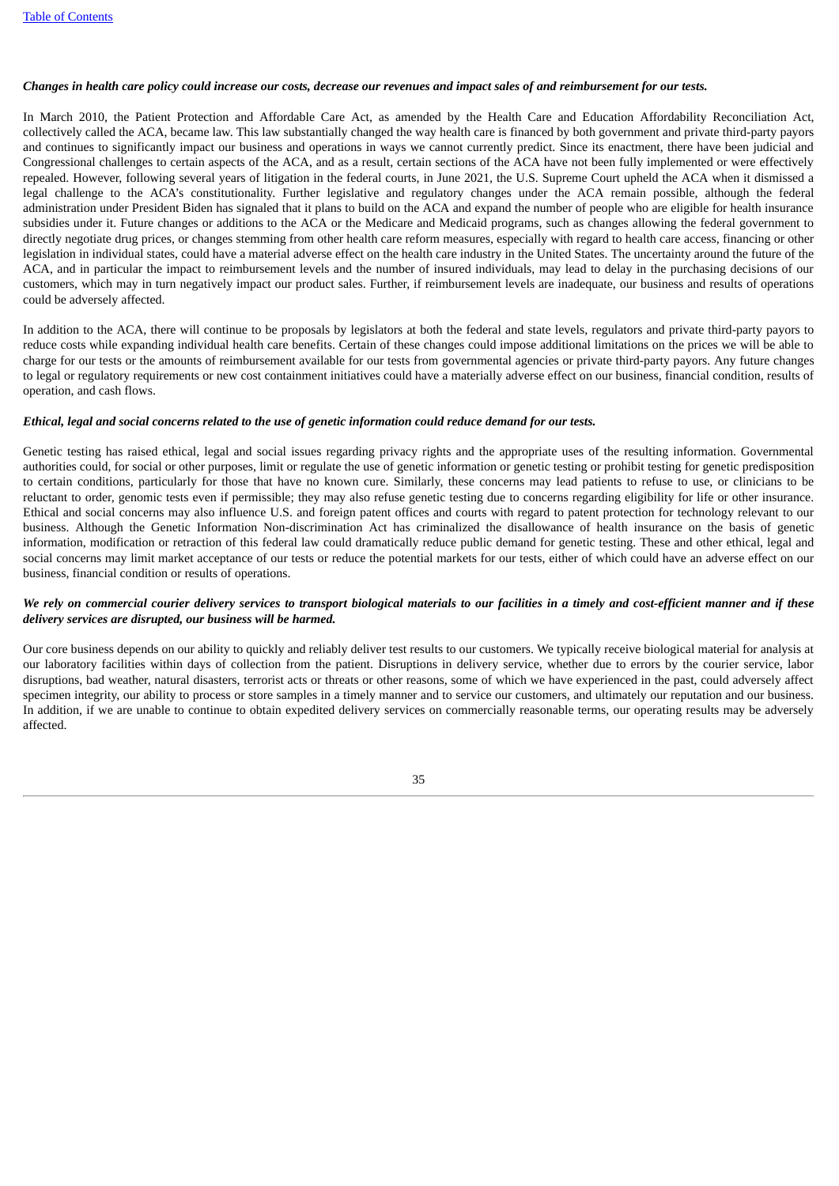# Changes in health care policy could increase our costs, decrease our revenues and impact sales of and reimbursement for our tests.

In March 2010, the Patient Protection and Affordable Care Act, as amended by the Health Care and Education Affordability Reconciliation Act, collectively called the ACA, became law. This law substantially changed the way health care is financed by both government and private third-party payors and continues to significantly impact our business and operations in ways we cannot currently predict. Since its enactment, there have been judicial and Congressional challenges to certain aspects of the ACA, and as a result, certain sections of the ACA have not been fully implemented or were effectively repealed. However, following several years of litigation in the federal courts, in June 2021, the U.S. Supreme Court upheld the ACA when it dismissed a legal challenge to the ACA's constitutionality. Further legislative and regulatory changes under the ACA remain possible, although the federal administration under President Biden has signaled that it plans to build on the ACA and expand the number of people who are eligible for health insurance subsidies under it. Future changes or additions to the ACA or the Medicare and Medicaid programs, such as changes allowing the federal government to directly negotiate drug prices, or changes stemming from other health care reform measures, especially with regard to health care access, financing or other legislation in individual states, could have a material adverse effect on the health care industry in the United States. The uncertainty around the future of the ACA, and in particular the impact to reimbursement levels and the number of insured individuals, may lead to delay in the purchasing decisions of our customers, which may in turn negatively impact our product sales. Further, if reimbursement levels are inadequate, our business and results of operations could be adversely affected.

In addition to the ACA, there will continue to be proposals by legislators at both the federal and state levels, regulators and private third-party payors to reduce costs while expanding individual health care benefits. Certain of these changes could impose additional limitations on the prices we will be able to charge for our tests or the amounts of reimbursement available for our tests from governmental agencies or private third-party payors. Any future changes to legal or regulatory requirements or new cost containment initiatives could have a materially adverse effect on our business, financial condition, results of operation, and cash flows.

# Ethical, legal and social concerns related to the use of genetic information could reduce demand for our tests.

Genetic testing has raised ethical, legal and social issues regarding privacy rights and the appropriate uses of the resulting information. Governmental authorities could, for social or other purposes, limit or regulate the use of genetic information or genetic testing or prohibit testing for genetic predisposition to certain conditions, particularly for those that have no known cure. Similarly, these concerns may lead patients to refuse to use, or clinicians to be reluctant to order, genomic tests even if permissible; they may also refuse genetic testing due to concerns regarding eligibility for life or other insurance. Ethical and social concerns may also influence U.S. and foreign patent offices and courts with regard to patent protection for technology relevant to our business. Although the Genetic Information Non-discrimination Act has criminalized the disallowance of health insurance on the basis of genetic information, modification or retraction of this federal law could dramatically reduce public demand for genetic testing. These and other ethical, legal and social concerns may limit market acceptance of our tests or reduce the potential markets for our tests, either of which could have an adverse effect on our business, financial condition or results of operations.

# We rely on commercial courier delivery services to transport biological materials to our facilities in a timely and cost-efficient manner and if these *delivery services are disrupted, our business will be harmed.*

Our core business depends on our ability to quickly and reliably deliver test results to our customers. We typically receive biological material for analysis at our laboratory facilities within days of collection from the patient. Disruptions in delivery service, whether due to errors by the courier service, labor disruptions, bad weather, natural disasters, terrorist acts or threats or other reasons, some of which we have experienced in the past, could adversely affect specimen integrity, our ability to process or store samples in a timely manner and to service our customers, and ultimately our reputation and our business. In addition, if we are unable to continue to obtain expedited delivery services on commercially reasonable terms, our operating results may be adversely affected.

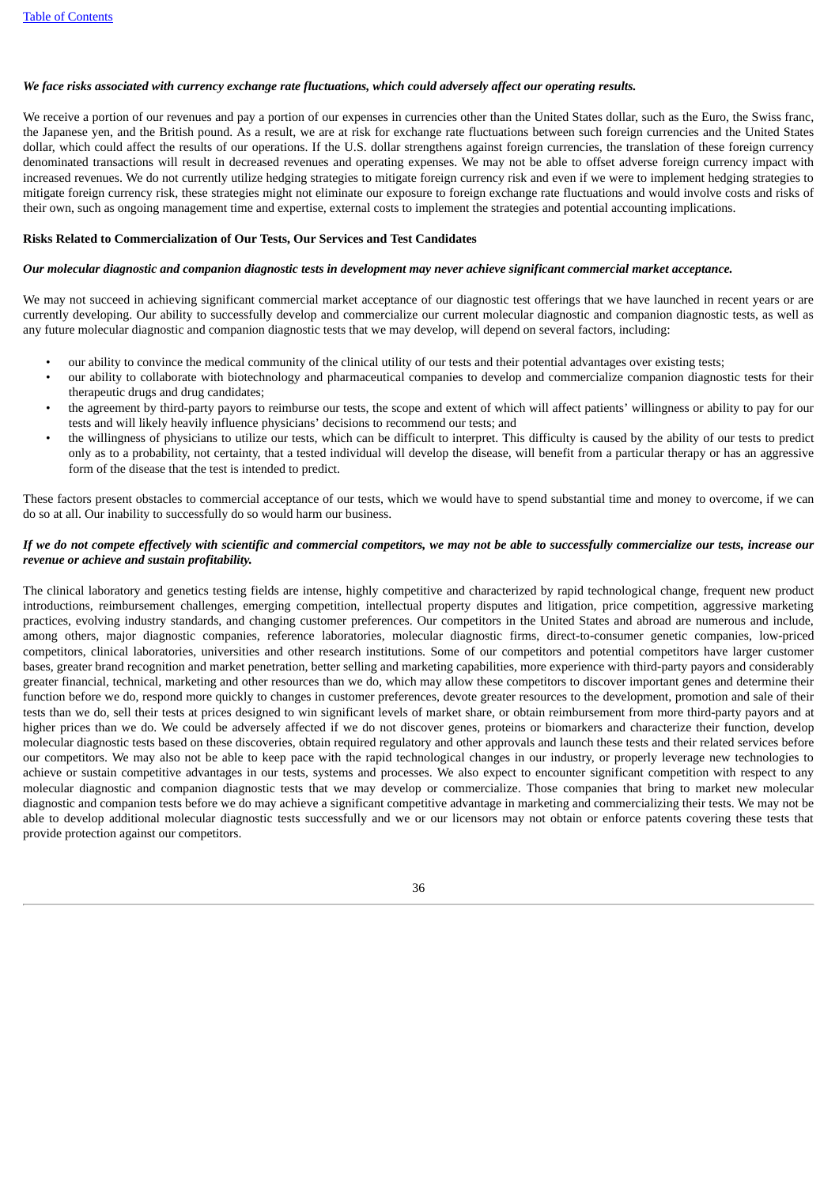# We face risks associated with currency exchange rate fluctuations, which could adversely affect our operating results.

We receive a portion of our revenues and pay a portion of our expenses in currencies other than the United States dollar, such as the Euro, the Swiss franc, the Japanese yen, and the British pound. As a result, we are at risk for exchange rate fluctuations between such foreign currencies and the United States dollar, which could affect the results of our operations. If the U.S. dollar strengthens against foreign currencies, the translation of these foreign currency denominated transactions will result in decreased revenues and operating expenses. We may not be able to offset adverse foreign currency impact with increased revenues. We do not currently utilize hedging strategies to mitigate foreign currency risk and even if we were to implement hedging strategies to mitigate foreign currency risk, these strategies might not eliminate our exposure to foreign exchange rate fluctuations and would involve costs and risks of their own, such as ongoing management time and expertise, external costs to implement the strategies and potential accounting implications.

#### **Risks Related to Commercialization of Our Tests, Our Services and Test Candidates**

#### Our molecular diagnostic and companion diagnostic tests in development may never achieve significant commercial market acceptance.

We may not succeed in achieving significant commercial market acceptance of our diagnostic test offerings that we have launched in recent years or are currently developing. Our ability to successfully develop and commercialize our current molecular diagnostic and companion diagnostic tests, as well as any future molecular diagnostic and companion diagnostic tests that we may develop, will depend on several factors, including:

- our ability to convince the medical community of the clinical utility of our tests and their potential advantages over existing tests;
- our ability to collaborate with biotechnology and pharmaceutical companies to develop and commercialize companion diagnostic tests for their therapeutic drugs and drug candidates;
- the agreement by third-party payors to reimburse our tests, the scope and extent of which will affect patients' willingness or ability to pay for our tests and will likely heavily influence physicians' decisions to recommend our tests; and
- the willingness of physicians to utilize our tests, which can be difficult to interpret. This difficulty is caused by the ability of our tests to predict only as to a probability, not certainty, that a tested individual will develop the disease, will benefit from a particular therapy or has an aggressive form of the disease that the test is intended to predict.

These factors present obstacles to commercial acceptance of our tests, which we would have to spend substantial time and money to overcome, if we can do so at all. Our inability to successfully do so would harm our business.

# If we do not compete effectively with scientific and commercial competitors, we may not be able to successfully commercialize our tests, increase our *revenue or achieve and sustain profitability.*

The clinical laboratory and genetics testing fields are intense, highly competitive and characterized by rapid technological change, frequent new product introductions, reimbursement challenges, emerging competition, intellectual property disputes and litigation, price competition, aggressive marketing practices, evolving industry standards, and changing customer preferences. Our competitors in the United States and abroad are numerous and include, among others, major diagnostic companies, reference laboratories, molecular diagnostic firms, direct-to-consumer genetic companies, low-priced competitors, clinical laboratories, universities and other research institutions. Some of our competitors and potential competitors have larger customer bases, greater brand recognition and market penetration, better selling and marketing capabilities, more experience with third-party payors and considerably greater financial, technical, marketing and other resources than we do, which may allow these competitors to discover important genes and determine their function before we do, respond more quickly to changes in customer preferences, devote greater resources to the development, promotion and sale of their tests than we do, sell their tests at prices designed to win significant levels of market share, or obtain reimbursement from more third-party payors and at higher prices than we do. We could be adversely affected if we do not discover genes, proteins or biomarkers and characterize their function, develop molecular diagnostic tests based on these discoveries, obtain required regulatory and other approvals and launch these tests and their related services before our competitors. We may also not be able to keep pace with the rapid technological changes in our industry, or properly leverage new technologies to achieve or sustain competitive advantages in our tests, systems and processes. We also expect to encounter significant competition with respect to any molecular diagnostic and companion diagnostic tests that we may develop or commercialize. Those companies that bring to market new molecular diagnostic and companion tests before we do may achieve a significant competitive advantage in marketing and commercializing their tests. We may not be able to develop additional molecular diagnostic tests successfully and we or our licensors may not obtain or enforce patents covering these tests that provide protection against our competitors.

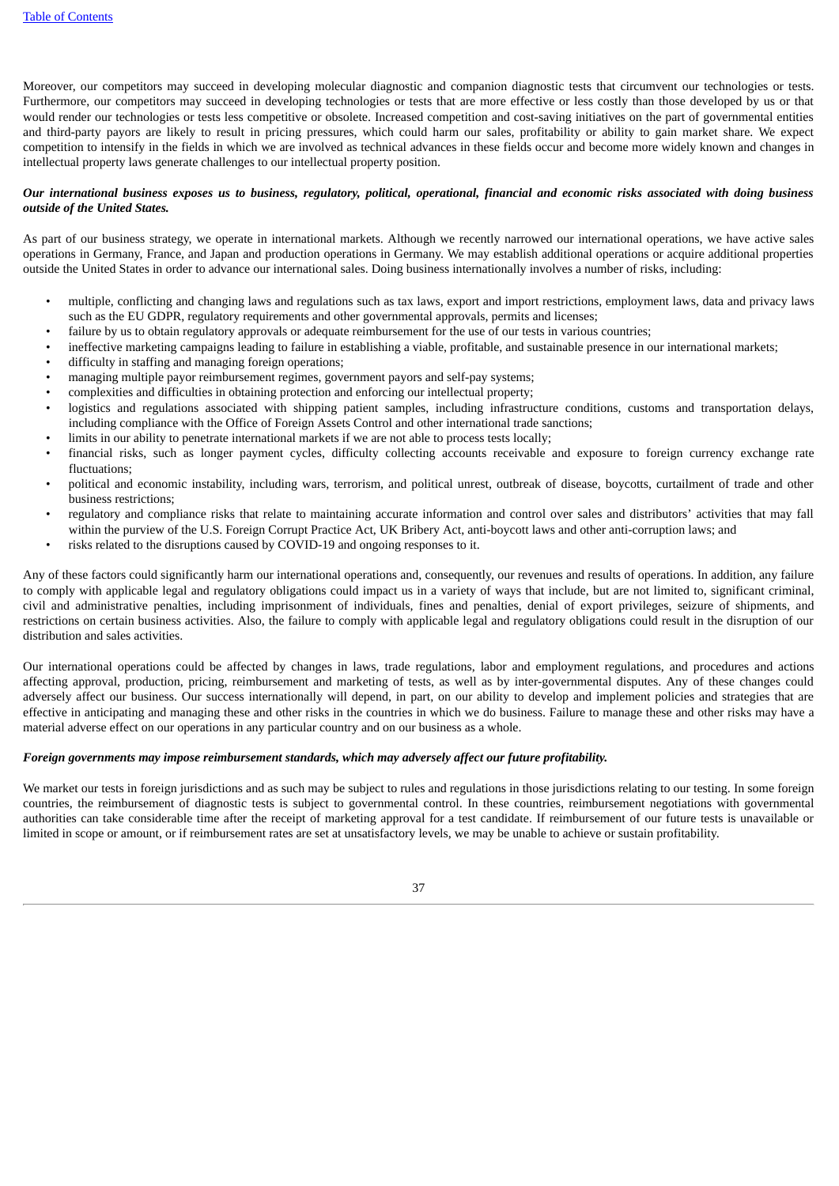Moreover, our competitors may succeed in developing molecular diagnostic and companion diagnostic tests that circumvent our technologies or tests. Furthermore, our competitors may succeed in developing technologies or tests that are more effective or less costly than those developed by us or that would render our technologies or tests less competitive or obsolete. Increased competition and cost-saving initiatives on the part of governmental entities and third-party payors are likely to result in pricing pressures, which could harm our sales, profitability or ability to gain market share. We expect competition to intensify in the fields in which we are involved as technical advances in these fields occur and become more widely known and changes in intellectual property laws generate challenges to our intellectual property position.

## Our international business exposes us to business, regulatory, political, operational, financial and economic risks associated with doing business *outside of the United States.*

As part of our business strategy, we operate in international markets. Although we recently narrowed our international operations, we have active sales operations in Germany, France, and Japan and production operations in Germany. We may establish additional operations or acquire additional properties outside the United States in order to advance our international sales. Doing business internationally involves a number of risks, including:

- multiple, conflicting and changing laws and regulations such as tax laws, export and import restrictions, employment laws, data and privacy laws such as the EU GDPR, regulatory requirements and other governmental approvals, permits and licenses;
- failure by us to obtain regulatory approvals or adequate reimbursement for the use of our tests in various countries;
- ineffective marketing campaigns leading to failure in establishing a viable, profitable, and sustainable presence in our international markets;
- difficulty in staffing and managing foreign operations;
- managing multiple payor reimbursement regimes, government payors and self-pay systems;
- complexities and difficulties in obtaining protection and enforcing our intellectual property;
- logistics and regulations associated with shipping patient samples, including infrastructure conditions, customs and transportation delays, including compliance with the Office of Foreign Assets Control and other international trade sanctions;
- limits in our ability to penetrate international markets if we are not able to process tests locally;
- financial risks, such as longer payment cycles, difficulty collecting accounts receivable and exposure to foreign currency exchange rate fluctuations;
- political and economic instability, including wars, terrorism, and political unrest, outbreak of disease, boycotts, curtailment of trade and other business restrictions;
- regulatory and compliance risks that relate to maintaining accurate information and control over sales and distributors' activities that may fall within the purview of the U.S. Foreign Corrupt Practice Act, UK Bribery Act, anti-boycott laws and other anti-corruption laws; and
- risks related to the disruptions caused by COVID-19 and ongoing responses to it.

Any of these factors could significantly harm our international operations and, consequently, our revenues and results of operations. In addition, any failure to comply with applicable legal and regulatory obligations could impact us in a variety of ways that include, but are not limited to, significant criminal, civil and administrative penalties, including imprisonment of individuals, fines and penalties, denial of export privileges, seizure of shipments, and restrictions on certain business activities. Also, the failure to comply with applicable legal and regulatory obligations could result in the disruption of our distribution and sales activities.

Our international operations could be affected by changes in laws, trade regulations, labor and employment regulations, and procedures and actions affecting approval, production, pricing, reimbursement and marketing of tests, as well as by inter-governmental disputes. Any of these changes could adversely affect our business. Our success internationally will depend, in part, on our ability to develop and implement policies and strategies that are effective in anticipating and managing these and other risks in the countries in which we do business. Failure to manage these and other risks may have a material adverse effect on our operations in any particular country and on our business as a whole.

#### *Foreign governments may impose reimbursement standards, which may adversely affect our future profitability.*

We market our tests in foreign jurisdictions and as such may be subject to rules and regulations in those jurisdictions relating to our testing. In some foreign countries, the reimbursement of diagnostic tests is subject to governmental control. In these countries, reimbursement negotiations with governmental authorities can take considerable time after the receipt of marketing approval for a test candidate. If reimbursement of our future tests is unavailable or limited in scope or amount, or if reimbursement rates are set at unsatisfactory levels, we may be unable to achieve or sustain profitability.

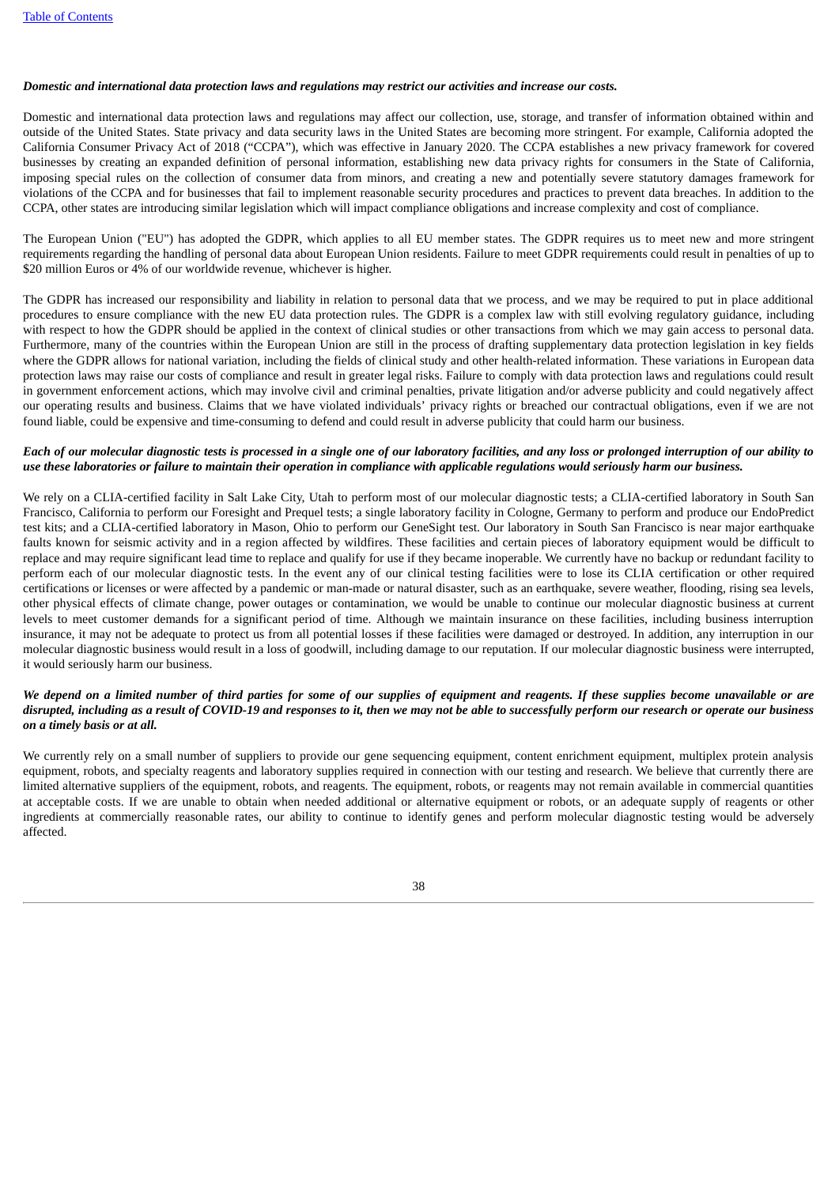## Domestic and international data protection laws and regulations may restrict our activities and increase our costs.

Domestic and international data protection laws and regulations may affect our collection, use, storage, and transfer of information obtained within and outside of the United States. State privacy and data security laws in the United States are becoming more stringent. For example, California adopted the California Consumer Privacy Act of 2018 ("CCPA"), which was effective in January 2020. The CCPA establishes a new privacy framework for covered businesses by creating an expanded definition of personal information, establishing new data privacy rights for consumers in the State of California, imposing special rules on the collection of consumer data from minors, and creating a new and potentially severe statutory damages framework for violations of the CCPA and for businesses that fail to implement reasonable security procedures and practices to prevent data breaches. In addition to the CCPA, other states are introducing similar legislation which will impact compliance obligations and increase complexity and cost of compliance.

The European Union ("EU") has adopted the GDPR, which applies to all EU member states. The GDPR requires us to meet new and more stringent requirements regarding the handling of personal data about European Union residents. Failure to meet GDPR requirements could result in penalties of up to \$20 million Euros or 4% of our worldwide revenue, whichever is higher.

The GDPR has increased our responsibility and liability in relation to personal data that we process, and we may be required to put in place additional procedures to ensure compliance with the new EU data protection rules. The GDPR is a complex law with still evolving regulatory guidance, including with respect to how the GDPR should be applied in the context of clinical studies or other transactions from which we may gain access to personal data. Furthermore, many of the countries within the European Union are still in the process of drafting supplementary data protection legislation in key fields where the GDPR allows for national variation, including the fields of clinical study and other health-related information. These variations in European data protection laws may raise our costs of compliance and result in greater legal risks. Failure to comply with data protection laws and regulations could result in government enforcement actions, which may involve civil and criminal penalties, private litigation and/or adverse publicity and could negatively affect our operating results and business. Claims that we have violated individuals' privacy rights or breached our contractual obligations, even if we are not found liable, could be expensive and time-consuming to defend and could result in adverse publicity that could harm our business.

#### Each of our molecular diagnostic tests is processed in a single one of our laboratory facilities, and any loss or prolonged interruption of our ability to use these laboratories or failure to maintain their operation in compliance with applicable regulations would seriously harm our business.

We rely on a CLIA-certified facility in Salt Lake City, Utah to perform most of our molecular diagnostic tests; a CLIA-certified laboratory in South San Francisco, California to perform our Foresight and Prequel tests; a single laboratory facility in Cologne, Germany to perform and produce our EndoPredict test kits; and a CLIA-certified laboratory in Mason, Ohio to perform our GeneSight test. Our laboratory in South San Francisco is near major earthquake faults known for seismic activity and in a region affected by wildfires. These facilities and certain pieces of laboratory equipment would be difficult to replace and may require significant lead time to replace and qualify for use if they became inoperable. We currently have no backup or redundant facility to perform each of our molecular diagnostic tests. In the event any of our clinical testing facilities were to lose its CLIA certification or other required certifications or licenses or were affected by a pandemic or man-made or natural disaster, such as an earthquake, severe weather, flooding, rising sea levels, other physical effects of climate change, power outages or contamination, we would be unable to continue our molecular diagnostic business at current levels to meet customer demands for a significant period of time. Although we maintain insurance on these facilities, including business interruption insurance, it may not be adequate to protect us from all potential losses if these facilities were damaged or destroyed. In addition, any interruption in our molecular diagnostic business would result in a loss of goodwill, including damage to our reputation. If our molecular diagnostic business were interrupted, it would seriously harm our business.

## We depend on a limited number of third parties for some of our supplies of equipment and reagents. If these supplies become unavailable or are disrupted, including as a result of COVID-19 and responses to it, then we may not be able to successfully perform our research or operate our business *on a timely basis or at all.*

We currently rely on a small number of suppliers to provide our gene sequencing equipment, content enrichment equipment, multiplex protein analysis equipment, robots, and specialty reagents and laboratory supplies required in connection with our testing and research. We believe that currently there are limited alternative suppliers of the equipment, robots, and reagents. The equipment, robots, or reagents may not remain available in commercial quantities at acceptable costs. If we are unable to obtain when needed additional or alternative equipment or robots, or an adequate supply of reagents or other ingredients at commercially reasonable rates, our ability to continue to identify genes and perform molecular diagnostic testing would be adversely affected.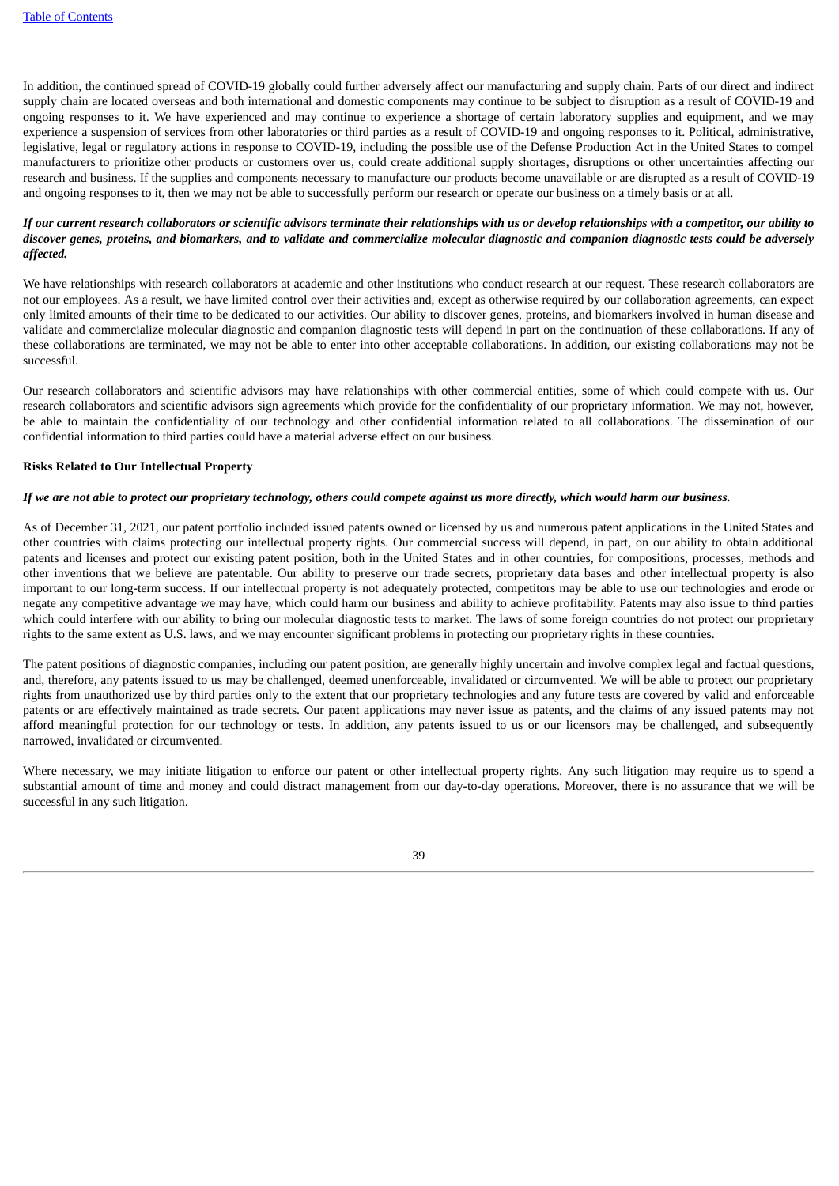In addition, the continued spread of COVID-19 globally could further adversely affect our manufacturing and supply chain. Parts of our direct and indirect supply chain are located overseas and both international and domestic components may continue to be subject to disruption as a result of COVID-19 and ongoing responses to it. We have experienced and may continue to experience a shortage of certain laboratory supplies and equipment, and we may experience a suspension of services from other laboratories or third parties as a result of COVID-19 and ongoing responses to it. Political, administrative, legislative, legal or regulatory actions in response to COVID-19, including the possible use of the Defense Production Act in the United States to compel manufacturers to prioritize other products or customers over us, could create additional supply shortages, disruptions or other uncertainties affecting our research and business. If the supplies and components necessary to manufacture our products become unavailable or are disrupted as a result of COVID-19 and ongoing responses to it, then we may not be able to successfully perform our research or operate our business on a timely basis or at all.

#### If our current research collaborators or scientific advisors terminate their relationships with us or develop relationships with a competitor, our ability to discover genes, proteins, and biomarkers, and to validate and commercialize molecular diagnostic and companion diagnostic tests could be adversely *affected.*

We have relationships with research collaborators at academic and other institutions who conduct research at our request. These research collaborators are not our employees. As a result, we have limited control over their activities and, except as otherwise required by our collaboration agreements, can expect only limited amounts of their time to be dedicated to our activities. Our ability to discover genes, proteins, and biomarkers involved in human disease and validate and commercialize molecular diagnostic and companion diagnostic tests will depend in part on the continuation of these collaborations. If any of these collaborations are terminated, we may not be able to enter into other acceptable collaborations. In addition, our existing collaborations may not be successful.

Our research collaborators and scientific advisors may have relationships with other commercial entities, some of which could compete with us. Our research collaborators and scientific advisors sign agreements which provide for the confidentiality of our proprietary information. We may not, however, be able to maintain the confidentiality of our technology and other confidential information related to all collaborations. The dissemination of our confidential information to third parties could have a material adverse effect on our business.

#### **Risks Related to Our Intellectual Property**

#### If we are not able to protect our proprietary technology, others could compete against us more directly, which would harm our business.

As of December 31, 2021, our patent portfolio included issued patents owned or licensed by us and numerous patent applications in the United States and other countries with claims protecting our intellectual property rights. Our commercial success will depend, in part, on our ability to obtain additional patents and licenses and protect our existing patent position, both in the United States and in other countries, for compositions, processes, methods and other inventions that we believe are patentable. Our ability to preserve our trade secrets, proprietary data bases and other intellectual property is also important to our long-term success. If our intellectual property is not adequately protected, competitors may be able to use our technologies and erode or negate any competitive advantage we may have, which could harm our business and ability to achieve profitability. Patents may also issue to third parties which could interfere with our ability to bring our molecular diagnostic tests to market. The laws of some foreign countries do not protect our proprietary rights to the same extent as U.S. laws, and we may encounter significant problems in protecting our proprietary rights in these countries.

The patent positions of diagnostic companies, including our patent position, are generally highly uncertain and involve complex legal and factual questions, and, therefore, any patents issued to us may be challenged, deemed unenforceable, invalidated or circumvented. We will be able to protect our proprietary rights from unauthorized use by third parties only to the extent that our proprietary technologies and any future tests are covered by valid and enforceable patents or are effectively maintained as trade secrets. Our patent applications may never issue as patents, and the claims of any issued patents may not afford meaningful protection for our technology or tests. In addition, any patents issued to us or our licensors may be challenged, and subsequently narrowed, invalidated or circumvented.

Where necessary, we may initiate litigation to enforce our patent or other intellectual property rights. Any such litigation may require us to spend a substantial amount of time and money and could distract management from our day-to-day operations. Moreover, there is no assurance that we will be successful in any such litigation.

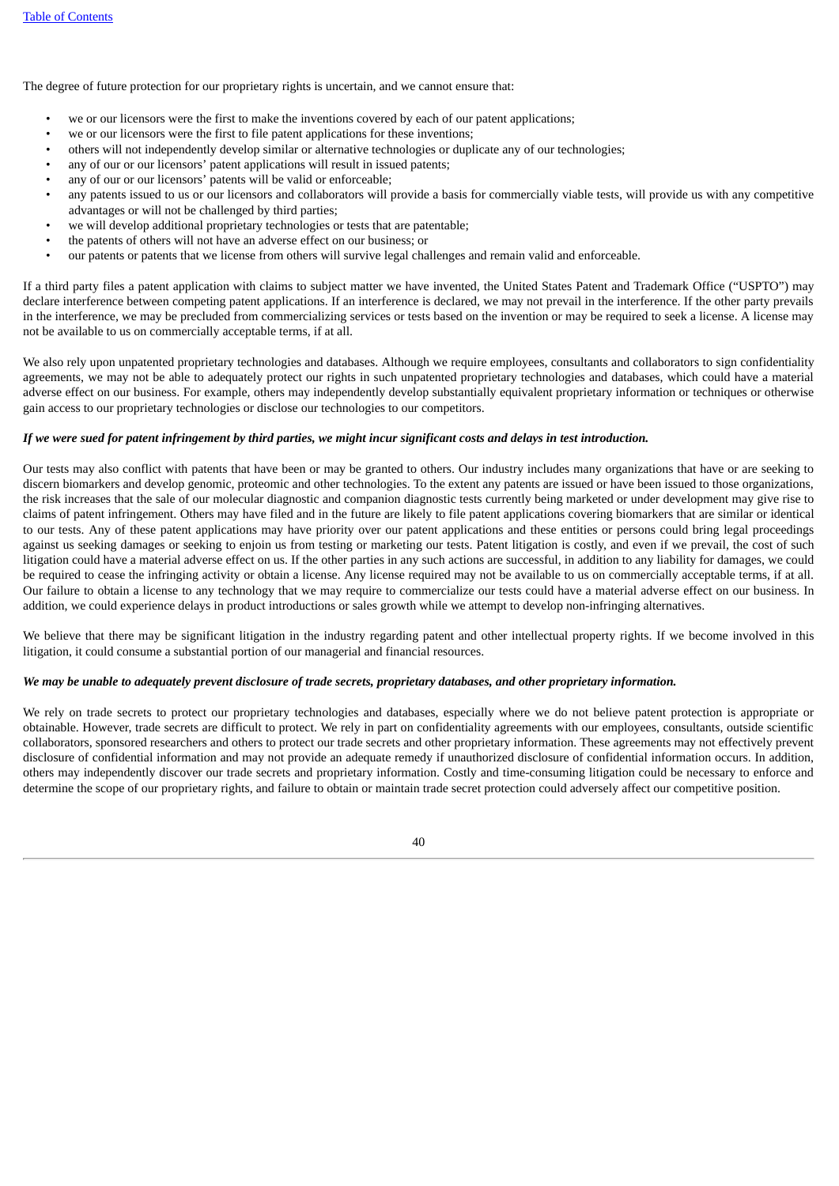The degree of future protection for our proprietary rights is uncertain, and we cannot ensure that:

- we or our licensors were the first to make the inventions covered by each of our patent applications;
- we or our licensors were the first to file patent applications for these inventions;
- others will not independently develop similar or alternative technologies or duplicate any of our technologies;
- any of our or our licensors' patent applications will result in issued patents;
- any of our or our licensors' patents will be valid or enforceable;
- any patents issued to us or our licensors and collaborators will provide a basis for commercially viable tests, will provide us with any competitive advantages or will not be challenged by third parties;
- we will develop additional proprietary technologies or tests that are patentable;
- the patents of others will not have an adverse effect on our business; or
- our patents or patents that we license from others will survive legal challenges and remain valid and enforceable.

If a third party files a patent application with claims to subject matter we have invented, the United States Patent and Trademark Office ("USPTO") may declare interference between competing patent applications. If an interference is declared, we may not prevail in the interference. If the other party prevails in the interference, we may be precluded from commercializing services or tests based on the invention or may be required to seek a license. A license may not be available to us on commercially acceptable terms, if at all.

We also rely upon unpatented proprietary technologies and databases. Although we require employees, consultants and collaborators to sign confidentiality agreements, we may not be able to adequately protect our rights in such unpatented proprietary technologies and databases, which could have a material adverse effect on our business. For example, others may independently develop substantially equivalent proprietary information or techniques or otherwise gain access to our proprietary technologies or disclose our technologies to our competitors.

# If we were sued for patent infringement by third parties, we might incur significant costs and delays in test introduction.

Our tests may also conflict with patents that have been or may be granted to others. Our industry includes many organizations that have or are seeking to discern biomarkers and develop genomic, proteomic and other technologies. To the extent any patents are issued or have been issued to those organizations, the risk increases that the sale of our molecular diagnostic and companion diagnostic tests currently being marketed or under development may give rise to claims of patent infringement. Others may have filed and in the future are likely to file patent applications covering biomarkers that are similar or identical to our tests. Any of these patent applications may have priority over our patent applications and these entities or persons could bring legal proceedings against us seeking damages or seeking to enjoin us from testing or marketing our tests. Patent litigation is costly, and even if we prevail, the cost of such litigation could have a material adverse effect on us. If the other parties in any such actions are successful, in addition to any liability for damages, we could be required to cease the infringing activity or obtain a license. Any license required may not be available to us on commercially acceptable terms, if at all. Our failure to obtain a license to any technology that we may require to commercialize our tests could have a material adverse effect on our business. In addition, we could experience delays in product introductions or sales growth while we attempt to develop non-infringing alternatives.

We believe that there may be significant litigation in the industry regarding patent and other intellectual property rights. If we become involved in this litigation, it could consume a substantial portion of our managerial and financial resources.

# We may be unable to adequately prevent disclosure of trade secrets, proprietary databases, and other proprietary information.

We rely on trade secrets to protect our proprietary technologies and databases, especially where we do not believe patent protection is appropriate or obtainable. However, trade secrets are difficult to protect. We rely in part on confidentiality agreements with our employees, consultants, outside scientific collaborators, sponsored researchers and others to protect our trade secrets and other proprietary information. These agreements may not effectively prevent disclosure of confidential information and may not provide an adequate remedy if unauthorized disclosure of confidential information occurs. In addition, others may independently discover our trade secrets and proprietary information. Costly and time-consuming litigation could be necessary to enforce and determine the scope of our proprietary rights, and failure to obtain or maintain trade secret protection could adversely affect our competitive position.

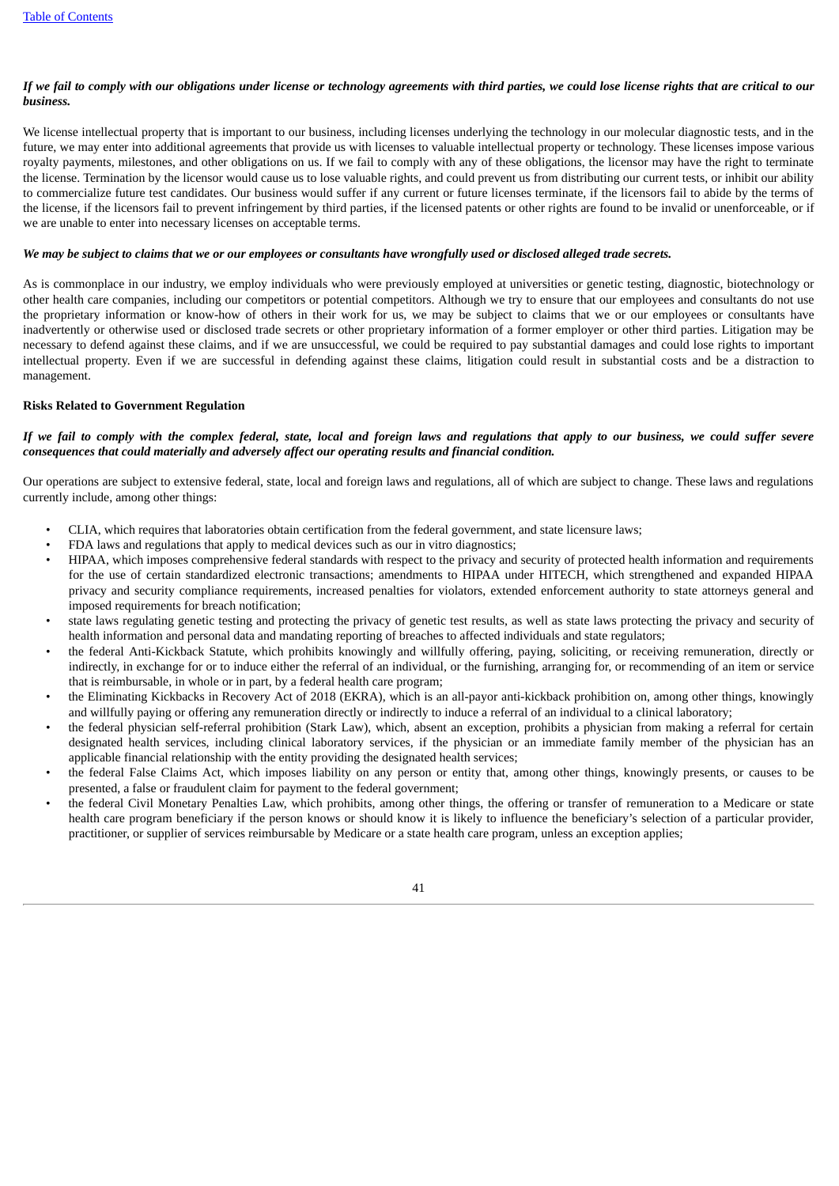## If we fail to comply with our obligations under license or technology agreements with third parties, we could lose license rights that are critical to our *business.*

We license intellectual property that is important to our business, including licenses underlying the technology in our molecular diagnostic tests, and in the future, we may enter into additional agreements that provide us with licenses to valuable intellectual property or technology. These licenses impose various royalty payments, milestones, and other obligations on us. If we fail to comply with any of these obligations, the licensor may have the right to terminate the license. Termination by the licensor would cause us to lose valuable rights, and could prevent us from distributing our current tests, or inhibit our ability to commercialize future test candidates. Our business would suffer if any current or future licenses terminate, if the licensors fail to abide by the terms of the license, if the licensors fail to prevent infringement by third parties, if the licensed patents or other rights are found to be invalid or unenforceable, or if we are unable to enter into necessary licenses on acceptable terms.

### We may be subject to claims that we or our employees or consultants have wrongfully used or disclosed alleged trade secrets.

As is commonplace in our industry, we employ individuals who were previously employed at universities or genetic testing, diagnostic, biotechnology or other health care companies, including our competitors or potential competitors. Although we try to ensure that our employees and consultants do not use the proprietary information or know-how of others in their work for us, we may be subject to claims that we or our employees or consultants have inadvertently or otherwise used or disclosed trade secrets or other proprietary information of a former employer or other third parties. Litigation may be necessary to defend against these claims, and if we are unsuccessful, we could be required to pay substantial damages and could lose rights to important intellectual property. Even if we are successful in defending against these claims, litigation could result in substantial costs and be a distraction to management.

#### **Risks Related to Government Regulation**

## If we fail to comply with the complex federal, state, local and foreign laws and regulations that apply to our business, we could suffer severe *consequences that could materially and adversely affect our operating results and financial condition.*

Our operations are subject to extensive federal, state, local and foreign laws and regulations, all of which are subject to change. These laws and regulations currently include, among other things:

- CLIA, which requires that laboratories obtain certification from the federal government, and state licensure laws;
- FDA laws and regulations that apply to medical devices such as our in vitro diagnostics;
- HIPAA, which imposes comprehensive federal standards with respect to the privacy and security of protected health information and requirements for the use of certain standardized electronic transactions; amendments to HIPAA under HITECH, which strengthened and expanded HIPAA privacy and security compliance requirements, increased penalties for violators, extended enforcement authority to state attorneys general and imposed requirements for breach notification;
- state laws regulating genetic testing and protecting the privacy of genetic test results, as well as state laws protecting the privacy and security of health information and personal data and mandating reporting of breaches to affected individuals and state regulators;
- the federal Anti-Kickback Statute, which prohibits knowingly and willfully offering, paying, soliciting, or receiving remuneration, directly or indirectly, in exchange for or to induce either the referral of an individual, or the furnishing, arranging for, or recommending of an item or service that is reimbursable, in whole or in part, by a federal health care program;
- the Eliminating Kickbacks in Recovery Act of 2018 (EKRA), which is an all-payor anti-kickback prohibition on, among other things, knowingly and willfully paying or offering any remuneration directly or indirectly to induce a referral of an individual to a clinical laboratory;
- the federal physician self-referral prohibition (Stark Law), which, absent an exception, prohibits a physician from making a referral for certain designated health services, including clinical laboratory services, if the physician or an immediate family member of the physician has an applicable financial relationship with the entity providing the designated health services;
- the federal False Claims Act, which imposes liability on any person or entity that, among other things, knowingly presents, or causes to be presented, a false or fraudulent claim for payment to the federal government;
- the federal Civil Monetary Penalties Law, which prohibits, among other things, the offering or transfer of remuneration to a Medicare or state health care program beneficiary if the person knows or should know it is likely to influence the beneficiary's selection of a particular provider, practitioner, or supplier of services reimbursable by Medicare or a state health care program, unless an exception applies;

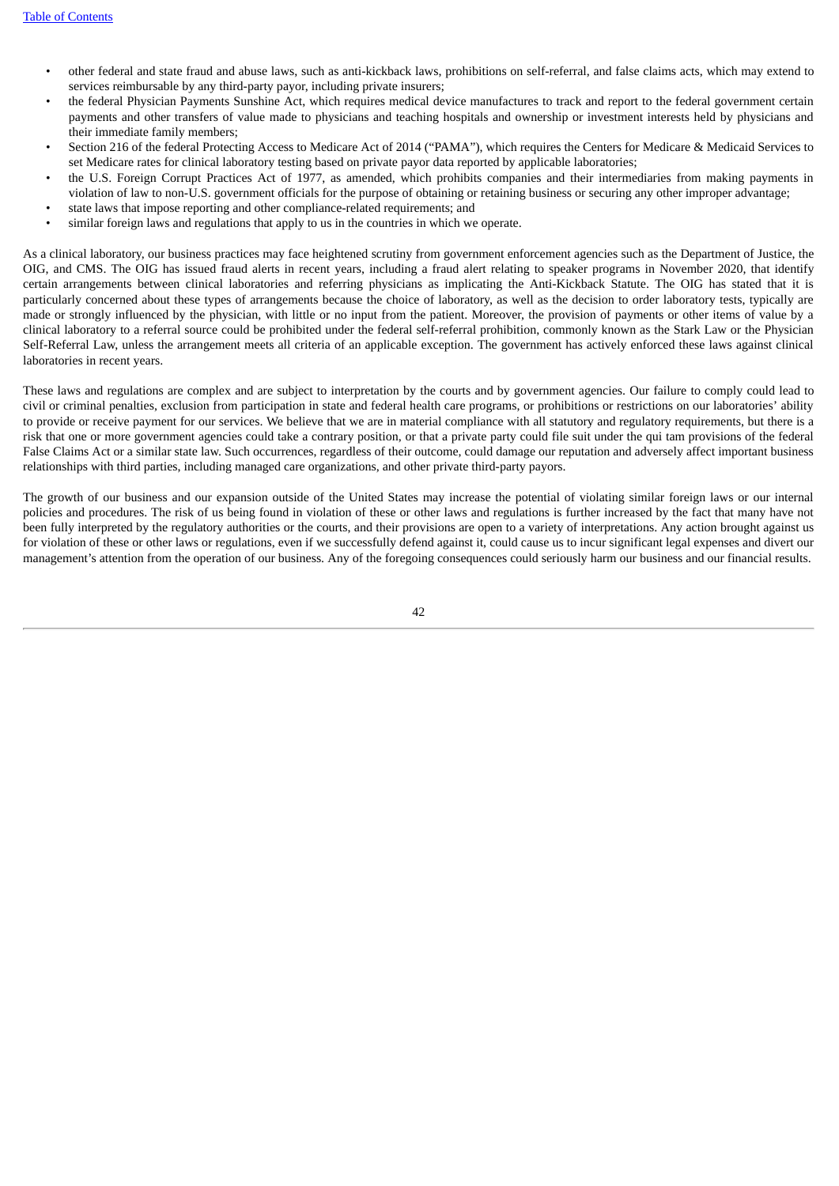- other federal and state fraud and abuse laws, such as anti-kickback laws, prohibitions on self-referral, and false claims acts, which may extend to services reimbursable by any third-party payor, including private insurers;
- the federal Physician Payments Sunshine Act, which requires medical device manufactures to track and report to the federal government certain payments and other transfers of value made to physicians and teaching hospitals and ownership or investment interests held by physicians and their immediate family members;
- Section 216 of the federal Protecting Access to Medicare Act of 2014 ("PAMA"), which requires the Centers for Medicare & Medicaid Services to set Medicare rates for clinical laboratory testing based on private payor data reported by applicable laboratories;
- the U.S. Foreign Corrupt Practices Act of 1977, as amended, which prohibits companies and their intermediaries from making payments in violation of law to non-U.S. government officials for the purpose of obtaining or retaining business or securing any other improper advantage;
- state laws that impose reporting and other compliance-related requirements; and
- similar foreign laws and regulations that apply to us in the countries in which we operate.

As a clinical laboratory, our business practices may face heightened scrutiny from government enforcement agencies such as the Department of Justice, the OIG, and CMS. The OIG has issued fraud alerts in recent years, including a fraud alert relating to speaker programs in November 2020, that identify certain arrangements between clinical laboratories and referring physicians as implicating the Anti-Kickback Statute. The OIG has stated that it is particularly concerned about these types of arrangements because the choice of laboratory, as well as the decision to order laboratory tests, typically are made or strongly influenced by the physician, with little or no input from the patient. Moreover, the provision of payments or other items of value by a clinical laboratory to a referral source could be prohibited under the federal self-referral prohibition, commonly known as the Stark Law or the Physician Self-Referral Law, unless the arrangement meets all criteria of an applicable exception. The government has actively enforced these laws against clinical laboratories in recent years.

These laws and regulations are complex and are subject to interpretation by the courts and by government agencies. Our failure to comply could lead to civil or criminal penalties, exclusion from participation in state and federal health care programs, or prohibitions or restrictions on our laboratories' ability to provide or receive payment for our services. We believe that we are in material compliance with all statutory and regulatory requirements, but there is a risk that one or more government agencies could take a contrary position, or that a private party could file suit under the qui tam provisions of the federal False Claims Act or a similar state law. Such occurrences, regardless of their outcome, could damage our reputation and adversely affect important business relationships with third parties, including managed care organizations, and other private third-party payors.

The growth of our business and our expansion outside of the United States may increase the potential of violating similar foreign laws or our internal policies and procedures. The risk of us being found in violation of these or other laws and regulations is further increased by the fact that many have not been fully interpreted by the regulatory authorities or the courts, and their provisions are open to a variety of interpretations. Any action brought against us for violation of these or other laws or regulations, even if we successfully defend against it, could cause us to incur significant legal expenses and divert our management's attention from the operation of our business. Any of the foregoing consequences could seriously harm our business and our financial results.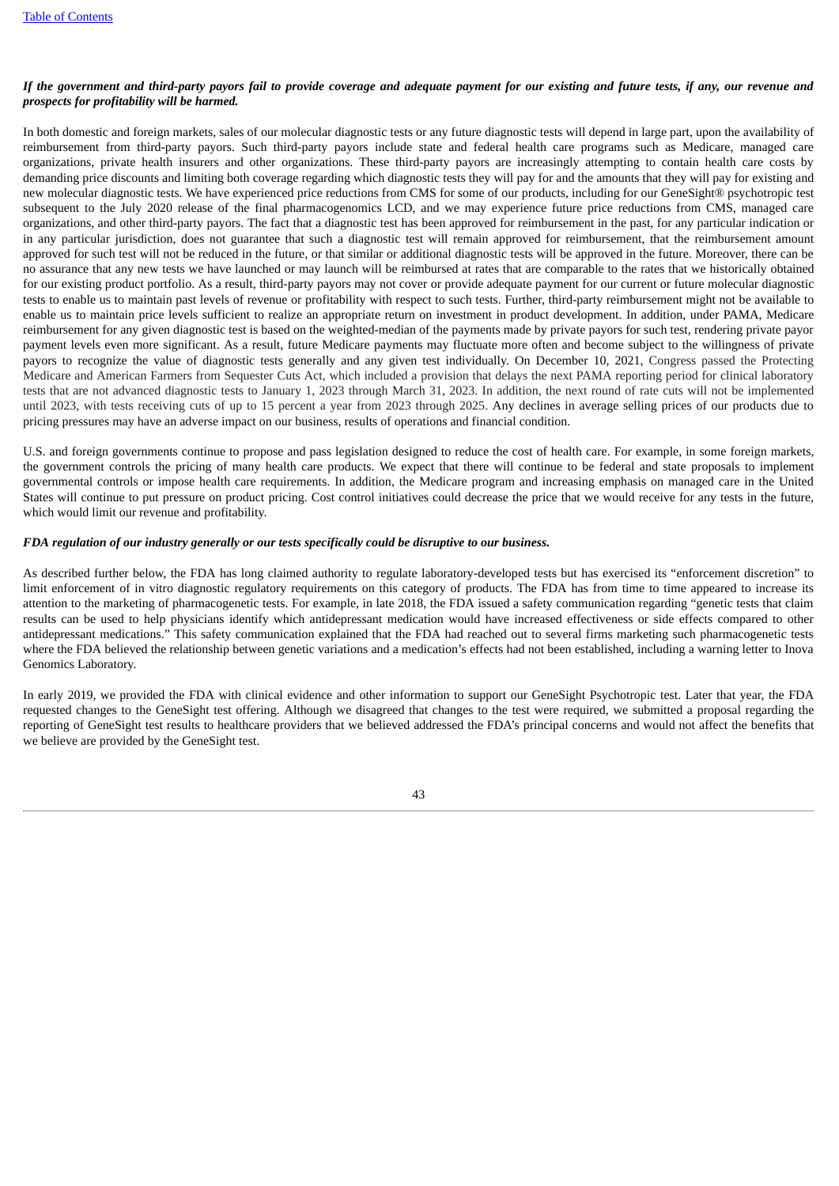## If the government and third-party payors fail to provide coverage and adequate payment for our existing and future tests, if any, our revenue and *prospects for profitability will be harmed.*

In both domestic and foreign markets, sales of our molecular diagnostic tests or any future diagnostic tests will depend in large part, upon the availability of reimbursement from third-party payors. Such third-party payors include state and federal health care programs such as Medicare, managed care organizations, private health insurers and other organizations. These third-party payors are increasingly attempting to contain health care costs by demanding price discounts and limiting both coverage regarding which diagnostic tests they will pay for and the amounts that they will pay for existing and new molecular diagnostic tests. We have experienced price reductions from CMS for some of our products, including for our GeneSight® psychotropic test subsequent to the July 2020 release of the final pharmacogenomics LCD, and we may experience future price reductions from CMS, managed care organizations, and other third-party payors. The fact that a diagnostic test has been approved for reimbursement in the past, for any particular indication or in any particular jurisdiction, does not guarantee that such a diagnostic test will remain approved for reimbursement, that the reimbursement amount approved for such test will not be reduced in the future, or that similar or additional diagnostic tests will be approved in the future. Moreover, there can be no assurance that any new tests we have launched or may launch will be reimbursed at rates that are comparable to the rates that we historically obtained for our existing product portfolio. As a result, third-party payors may not cover or provide adequate payment for our current or future molecular diagnostic tests to enable us to maintain past levels of revenue or profitability with respect to such tests. Further, third-party reimbursement might not be available to enable us to maintain price levels sufficient to realize an appropriate return on investment in product development. In addition, under PAMA, Medicare reimbursement for any given diagnostic test is based on the weighted-median of the payments made by private payors for such test, rendering private payor payment levels even more significant. As a result, future Medicare payments may fluctuate more often and become subject to the willingness of private payors to recognize the value of diagnostic tests generally and any given test individually. On December 10, 2021, Congress passed the Protecting Medicare and American Farmers from Sequester Cuts Act, which included a provision that delays the next PAMA reporting period for clinical laboratory tests that are not advanced diagnostic tests to January 1, 2023 through March 31, 2023. In addition, the next round of rate cuts will not be implemented until 2023, with tests receiving cuts of up to 15 percent a year from 2023 through 2025. Any declines in average selling prices of our products due to pricing pressures may have an adverse impact on our business, results of operations and financial condition.

U.S. and foreign governments continue to propose and pass legislation designed to reduce the cost of health care. For example, in some foreign markets, the government controls the pricing of many health care products. We expect that there will continue to be federal and state proposals to implement governmental controls or impose health care requirements. In addition, the Medicare program and increasing emphasis on managed care in the United States will continue to put pressure on product pricing. Cost control initiatives could decrease the price that we would receive for any tests in the future, which would limit our revenue and profitability.

### *FDA regulation of our industry generally or our tests specifically could be disruptive to our business.*

As described further below, the FDA has long claimed authority to regulate laboratory-developed tests but has exercised its "enforcement discretion" to limit enforcement of in vitro diagnostic regulatory requirements on this category of products. The FDA has from time to time appeared to increase its attention to the marketing of pharmacogenetic tests. For example, in late 2018, the FDA issued a safety communication regarding "genetic tests that claim results can be used to help physicians identify which antidepressant medication would have increased effectiveness or side effects compared to other antidepressant medications." This safety communication explained that the FDA had reached out to several firms marketing such pharmacogenetic tests where the FDA believed the relationship between genetic variations and a medication's effects had not been established, including a warning letter to Inova Genomics Laboratory.

In early 2019, we provided the FDA with clinical evidence and other information to support our GeneSight Psychotropic test. Later that year, the FDA requested changes to the GeneSight test offering. Although we disagreed that changes to the test were required, we submitted a proposal regarding the reporting of GeneSight test results to healthcare providers that we believed addressed the FDA's principal concerns and would not affect the benefits that we believe are provided by the GeneSight test.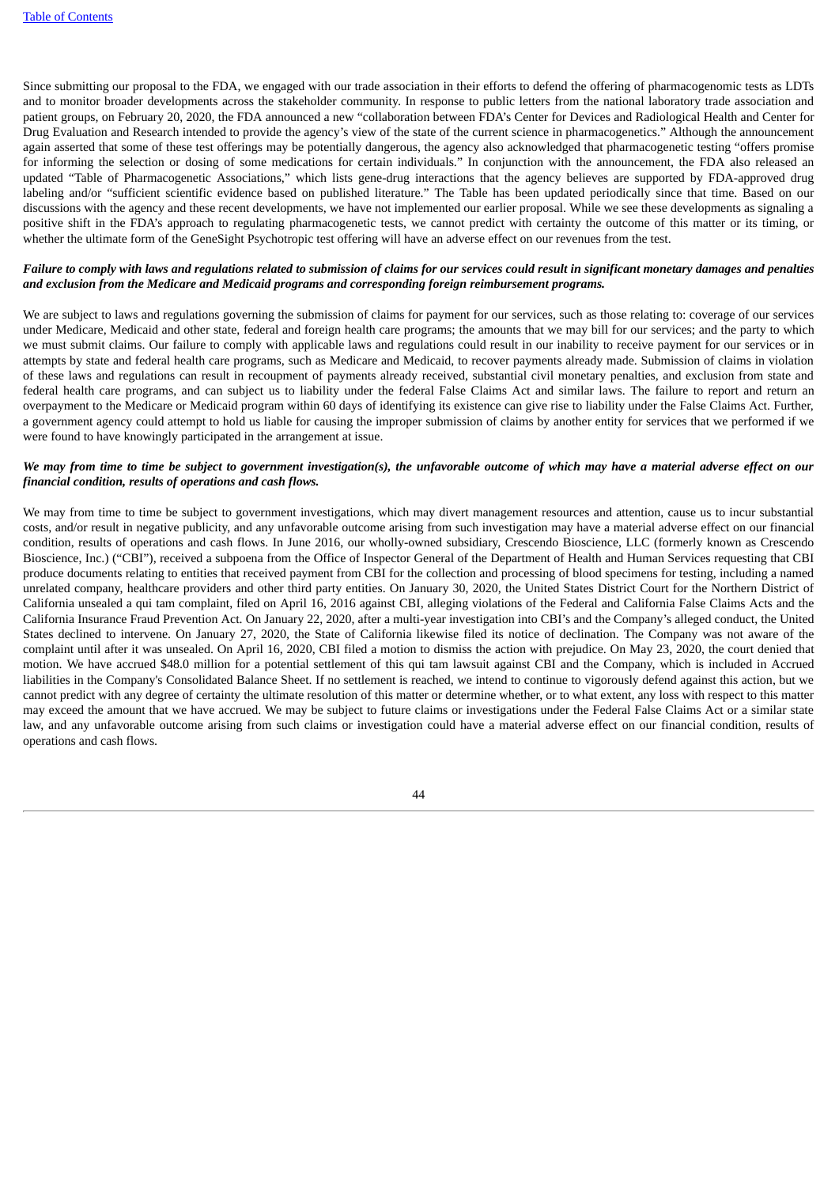Since submitting our proposal to the FDA, we engaged with our trade association in their efforts to defend the offering of pharmacogenomic tests as LDTs and to monitor broader developments across the stakeholder community. In response to public letters from the national laboratory trade association and patient groups, on February 20, 2020, the FDA announced a new "collaboration between FDA's Center for Devices and Radiological Health and Center for Drug Evaluation and Research intended to provide the agency's view of the state of the current science in pharmacogenetics." Although the announcement again asserted that some of these test offerings may be potentially dangerous, the agency also acknowledged that pharmacogenetic testing "offers promise for informing the selection or dosing of some medications for certain individuals." In conjunction with the announcement, the FDA also released an updated "Table of Pharmacogenetic Associations," which lists gene-drug interactions that the agency believes are supported by FDA-approved drug labeling and/or "sufficient scientific evidence based on published literature." The Table has been updated periodically since that time. Based on our discussions with the agency and these recent developments, we have not implemented our earlier proposal. While we see these developments as signaling a positive shift in the FDA's approach to regulating pharmacogenetic tests, we cannot predict with certainty the outcome of this matter or its timing, or whether the ultimate form of the GeneSight Psychotropic test offering will have an adverse effect on our revenues from the test.

## Failure to comply with laws and regulations related to submission of claims for our services could result in significant monetary damages and penalties *and exclusion from the Medicare and Medicaid programs and corresponding foreign reimbursement programs.*

We are subject to laws and regulations governing the submission of claims for payment for our services, such as those relating to: coverage of our services under Medicare, Medicaid and other state, federal and foreign health care programs; the amounts that we may bill for our services; and the party to which we must submit claims. Our failure to comply with applicable laws and regulations could result in our inability to receive payment for our services or in attempts by state and federal health care programs, such as Medicare and Medicaid, to recover payments already made. Submission of claims in violation of these laws and regulations can result in recoupment of payments already received, substantial civil monetary penalties, and exclusion from state and federal health care programs, and can subject us to liability under the federal False Claims Act and similar laws. The failure to report and return an overpayment to the Medicare or Medicaid program within 60 days of identifying its existence can give rise to liability under the False Claims Act. Further, a government agency could attempt to hold us liable for causing the improper submission of claims by another entity for services that we performed if we were found to have knowingly participated in the arrangement at issue.

#### We may from time to time be subject to government investigation(s), the unfavorable outcome of which may have a material adverse effect on our *financial condition, results of operations and cash flows.*

We may from time to time be subject to government investigations, which may divert management resources and attention, cause us to incur substantial costs, and/or result in negative publicity, and any unfavorable outcome arising from such investigation may have a material adverse effect on our financial condition, results of operations and cash flows. In June 2016, our wholly-owned subsidiary, Crescendo Bioscience, LLC (formerly known as Crescendo Bioscience, Inc.) ("CBI"), received a subpoena from the Office of Inspector General of the Department of Health and Human Services requesting that CBI produce documents relating to entities that received payment from CBI for the collection and processing of blood specimens for testing, including a named unrelated company, healthcare providers and other third party entities. On January 30, 2020, the United States District Court for the Northern District of California unsealed a qui tam complaint, filed on April 16, 2016 against CBI, alleging violations of the Federal and California False Claims Acts and the California Insurance Fraud Prevention Act. On January 22, 2020, after a multi-year investigation into CBI's and the Company's alleged conduct, the United States declined to intervene. On January 27, 2020, the State of California likewise filed its notice of declination. The Company was not aware of the complaint until after it was unsealed. On April 16, 2020, CBI filed a motion to dismiss the action with prejudice. On May 23, 2020, the court denied that motion. We have accrued \$48.0 million for a potential settlement of this qui tam lawsuit against CBI and the Company, which is included in Accrued liabilities in the Company's Consolidated Balance Sheet. If no settlement is reached, we intend to continue to vigorously defend against this action, but we cannot predict with any degree of certainty the ultimate resolution of this matter or determine whether, or to what extent, any loss with respect to this matter may exceed the amount that we have accrued. We may be subject to future claims or investigations under the Federal False Claims Act or a similar state law, and any unfavorable outcome arising from such claims or investigation could have a material adverse effect on our financial condition, results of operations and cash flows.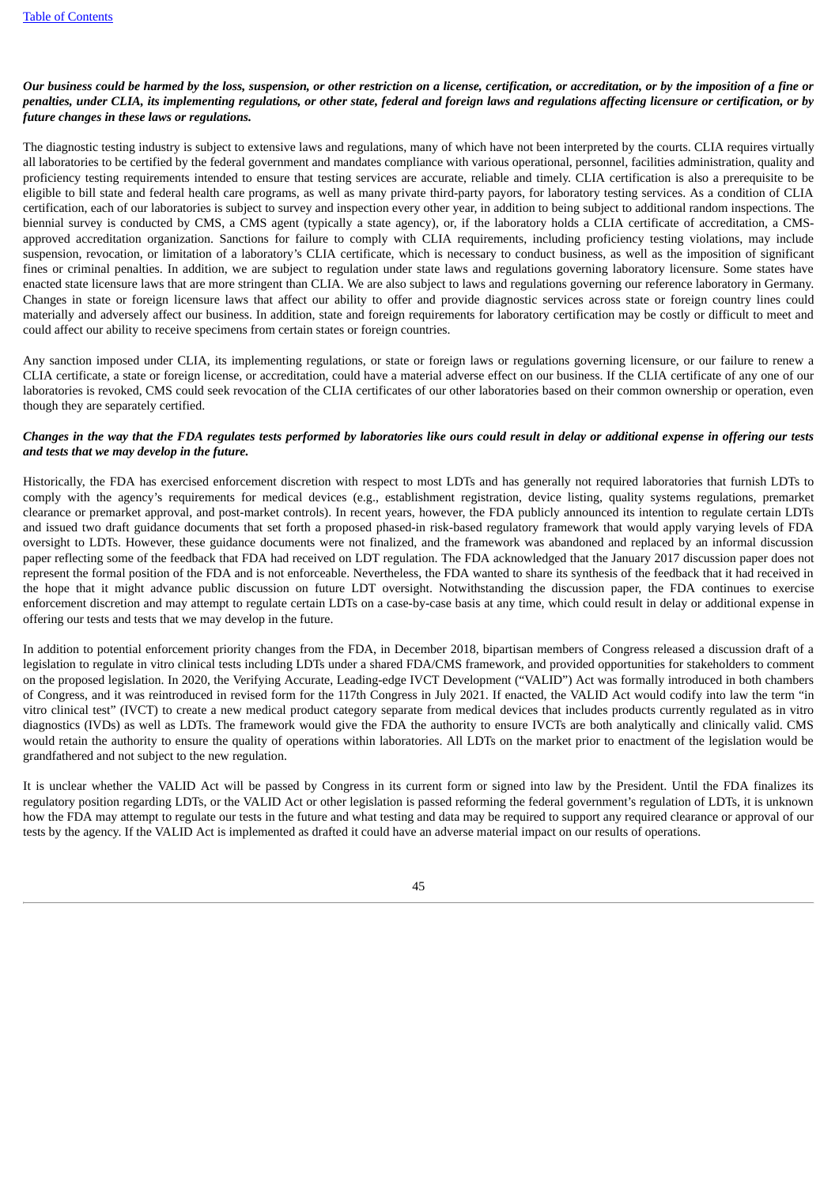## Our business could be harmed by the loss, suspension, or other restriction on a license, certification, or accreditation, or by the imposition of a fine or penalties, under CLIA, its implementing regulations, or other state, federal and foreign laws and regulations affecting licensure or certification, or by *future changes in these laws or regulations.*

The diagnostic testing industry is subject to extensive laws and regulations, many of which have not been interpreted by the courts. CLIA requires virtually all laboratories to be certified by the federal government and mandates compliance with various operational, personnel, facilities administration, quality and proficiency testing requirements intended to ensure that testing services are accurate, reliable and timely. CLIA certification is also a prerequisite to be eligible to bill state and federal health care programs, as well as many private third-party payors, for laboratory testing services. As a condition of CLIA certification, each of our laboratories is subject to survey and inspection every other year, in addition to being subject to additional random inspections. The biennial survey is conducted by CMS, a CMS agent (typically a state agency), or, if the laboratory holds a CLIA certificate of accreditation, a CMSapproved accreditation organization. Sanctions for failure to comply with CLIA requirements, including proficiency testing violations, may include suspension, revocation, or limitation of a laboratory's CLIA certificate, which is necessary to conduct business, as well as the imposition of significant fines or criminal penalties. In addition, we are subject to regulation under state laws and regulations governing laboratory licensure. Some states have enacted state licensure laws that are more stringent than CLIA. We are also subject to laws and regulations governing our reference laboratory in Germany. Changes in state or foreign licensure laws that affect our ability to offer and provide diagnostic services across state or foreign country lines could materially and adversely affect our business. In addition, state and foreign requirements for laboratory certification may be costly or difficult to meet and could affect our ability to receive specimens from certain states or foreign countries.

Any sanction imposed under CLIA, its implementing regulations, or state or foreign laws or regulations governing licensure, or our failure to renew a CLIA certificate, a state or foreign license, or accreditation, could have a material adverse effect on our business. If the CLIA certificate of any one of our laboratories is revoked, CMS could seek revocation of the CLIA certificates of our other laboratories based on their common ownership or operation, even though they are separately certified.

## Changes in the way that the FDA regulates tests performed by laboratories like ours could result in delay or additional expense in offering our tests *and tests that we may develop in the future.*

Historically, the FDA has exercised enforcement discretion with respect to most LDTs and has generally not required laboratories that furnish LDTs to comply with the agency's requirements for medical devices (e.g., establishment registration, device listing, quality systems regulations, premarket clearance or premarket approval, and post-market controls). In recent years, however, the FDA publicly announced its intention to regulate certain LDTs and issued two draft guidance documents that set forth a proposed phased-in risk-based regulatory framework that would apply varying levels of FDA oversight to LDTs. However, these guidance documents were not finalized, and the framework was abandoned and replaced by an informal discussion paper reflecting some of the feedback that FDA had received on LDT regulation. The FDA acknowledged that the January 2017 discussion paper does not represent the formal position of the FDA and is not enforceable. Nevertheless, the FDA wanted to share its synthesis of the feedback that it had received in the hope that it might advance public discussion on future LDT oversight. Notwithstanding the discussion paper, the FDA continues to exercise enforcement discretion and may attempt to regulate certain LDTs on a case-by-case basis at any time, which could result in delay or additional expense in offering our tests and tests that we may develop in the future.

In addition to potential enforcement priority changes from the FDA, in December 2018, bipartisan members of Congress released a discussion draft of a legislation to regulate in vitro clinical tests including LDTs under a shared FDA/CMS framework, and provided opportunities for stakeholders to comment on the proposed legislation. In 2020, the Verifying Accurate, Leading-edge IVCT Development ("VALID") Act was formally introduced in both chambers of Congress, and it was reintroduced in revised form for the 117th Congress in July 2021. If enacted, the VALID Act would codify into law the term "in vitro clinical test" (IVCT) to create a new medical product category separate from medical devices that includes products currently regulated as in vitro diagnostics (IVDs) as well as LDTs. The framework would give the FDA the authority to ensure IVCTs are both analytically and clinically valid. CMS would retain the authority to ensure the quality of operations within laboratories. All LDTs on the market prior to enactment of the legislation would be grandfathered and not subject to the new regulation.

It is unclear whether the VALID Act will be passed by Congress in its current form or signed into law by the President. Until the FDA finalizes its regulatory position regarding LDTs, or the VALID Act or other legislation is passed reforming the federal government's regulation of LDTs, it is unknown how the FDA may attempt to regulate our tests in the future and what testing and data may be required to support any required clearance or approval of our tests by the agency. If the VALID Act is implemented as drafted it could have an adverse material impact on our results of operations.

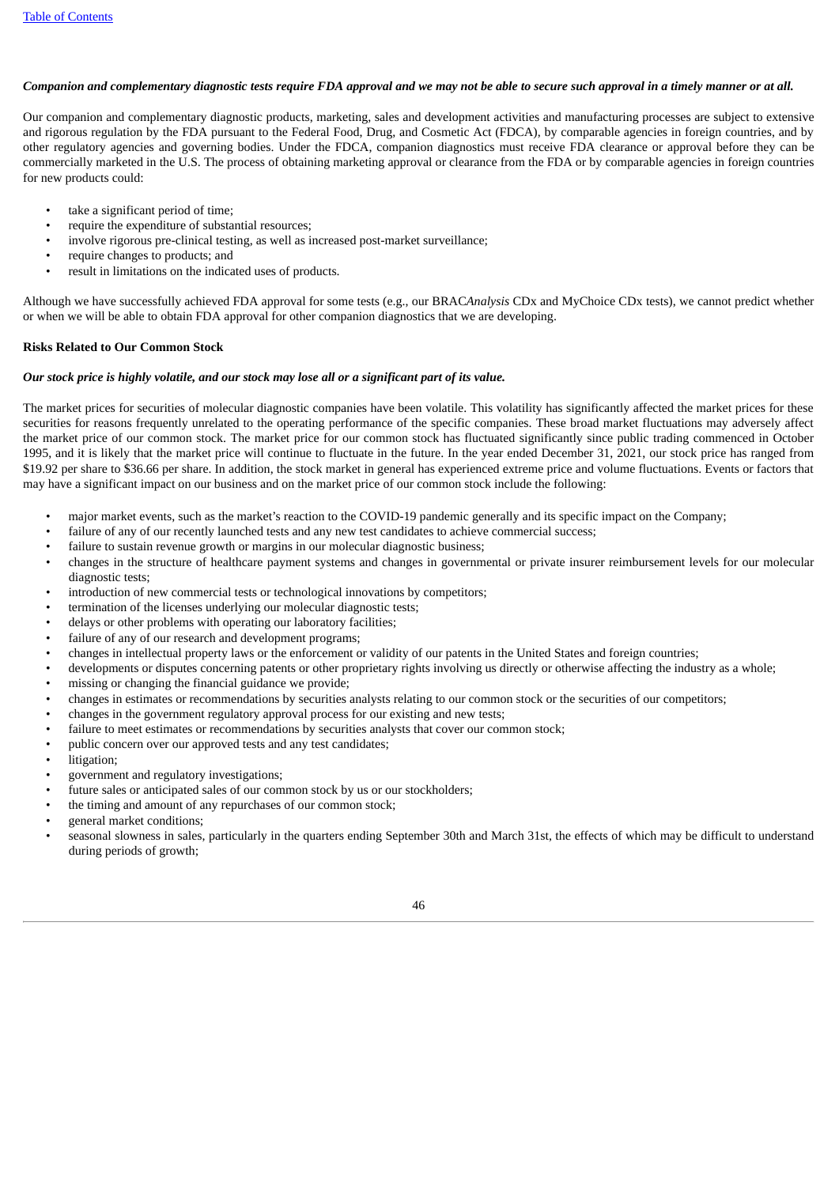## Companion and complementary diagnostic tests require FDA approval and we may not be able to secure such approval in a timely manner or at all.

Our companion and complementary diagnostic products, marketing, sales and development activities and manufacturing processes are subject to extensive and rigorous regulation by the FDA pursuant to the Federal Food, Drug, and Cosmetic Act (FDCA), by comparable agencies in foreign countries, and by other regulatory agencies and governing bodies. Under the FDCA, companion diagnostics must receive FDA clearance or approval before they can be commercially marketed in the U.S. The process of obtaining marketing approval or clearance from the FDA or by comparable agencies in foreign countries for new products could:

- take a significant period of time;
- require the expenditure of substantial resources;
- involve rigorous pre-clinical testing, as well as increased post-market surveillance;
- require changes to products; and
- result in limitations on the indicated uses of products.

Although we have successfully achieved FDA approval for some tests (e.g., our BRAC*Analysis* CDx and MyChoice CDx tests), we cannot predict whether or when we will be able to obtain FDA approval for other companion diagnostics that we are developing.

#### **Risks Related to Our Common Stock**

#### Our stock price is highly volatile, and our stock may lose all or a significant part of its value.

The market prices for securities of molecular diagnostic companies have been volatile. This volatility has significantly affected the market prices for these securities for reasons frequently unrelated to the operating performance of the specific companies. These broad market fluctuations may adversely affect the market price of our common stock. The market price for our common stock has fluctuated significantly since public trading commenced in October 1995, and it is likely that the market price will continue to fluctuate in the future. In the year ended December 31, 2021, our stock price has ranged from \$19.92 per share to \$36.66 per share. In addition, the stock market in general has experienced extreme price and volume fluctuations. Events or factors that may have a significant impact on our business and on the market price of our common stock include the following:

- major market events, such as the market's reaction to the COVID-19 pandemic generally and its specific impact on the Company;
- failure of any of our recently launched tests and any new test candidates to achieve commercial success;
- failure to sustain revenue growth or margins in our molecular diagnostic business;
- changes in the structure of healthcare payment systems and changes in governmental or private insurer reimbursement levels for our molecular diagnostic tests;
- introduction of new commercial tests or technological innovations by competitors;
- termination of the licenses underlying our molecular diagnostic tests;
- delays or other problems with operating our laboratory facilities;
- failure of any of our research and development programs;
- changes in intellectual property laws or the enforcement or validity of our patents in the United States and foreign countries;
- developments or disputes concerning patents or other proprietary rights involving us directly or otherwise affecting the industry as a whole;
- missing or changing the financial guidance we provide;
- changes in estimates or recommendations by securities analysts relating to our common stock or the securities of our competitors;
- changes in the government regulatory approval process for our existing and new tests;
- failure to meet estimates or recommendations by securities analysts that cover our common stock;
- public concern over our approved tests and any test candidates;
- litigation:
- government and regulatory investigations;
- future sales or anticipated sales of our common stock by us or our stockholders;
- the timing and amount of any repurchases of our common stock;
- general market conditions;
- seasonal slowness in sales, particularly in the quarters ending September 30th and March 31st, the effects of which may be difficult to understand during periods of growth;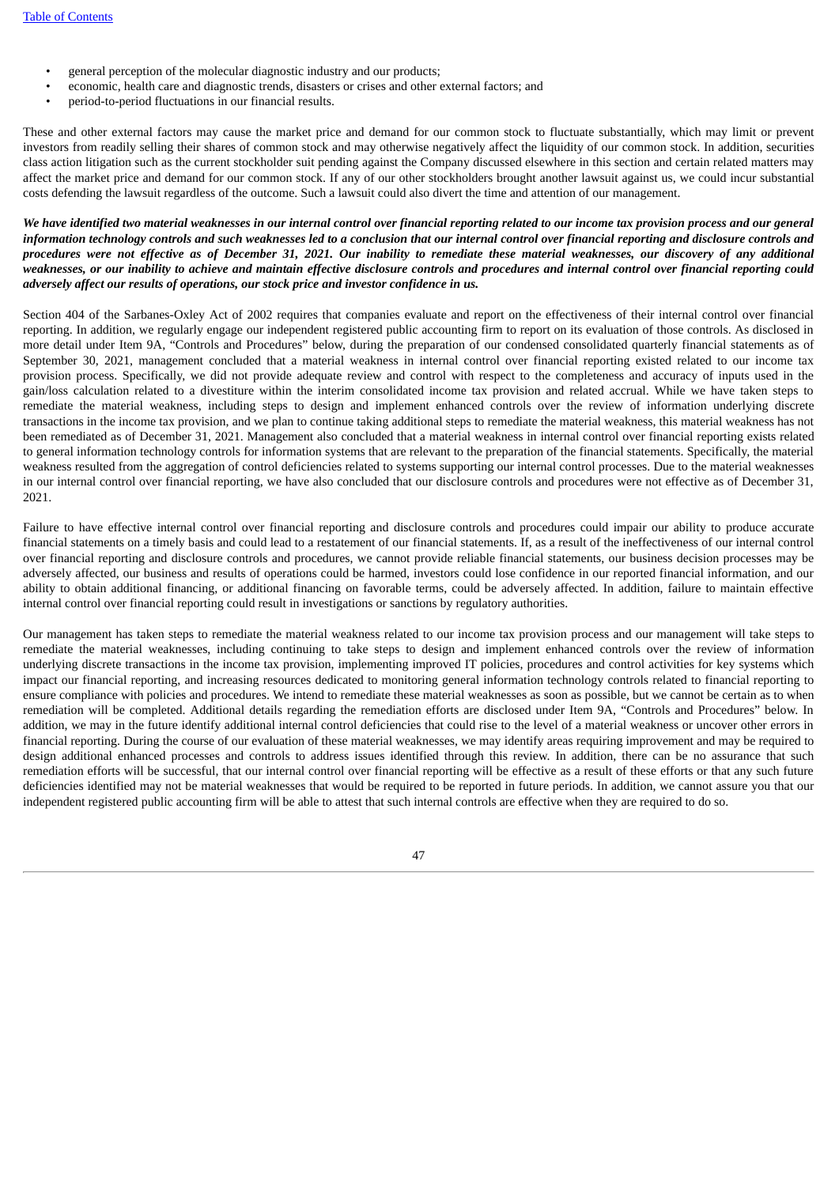- general perception of the molecular diagnostic industry and our products;
- economic, health care and diagnostic trends, disasters or crises and other external factors; and
- period-to-period fluctuations in our financial results.

These and other external factors may cause the market price and demand for our common stock to fluctuate substantially, which may limit or prevent investors from readily selling their shares of common stock and may otherwise negatively affect the liquidity of our common stock. In addition, securities class action litigation such as the current stockholder suit pending against the Company discussed elsewhere in this section and certain related matters may affect the market price and demand for our common stock. If any of our other stockholders brought another lawsuit against us, we could incur substantial costs defending the lawsuit regardless of the outcome. Such a lawsuit could also divert the time and attention of our management.

We have identified two material weaknesses in our internal control over financial reporting related to our income tax provision process and our general information technology controls and such weaknesses led to a conclusion that our internal control over financial reporting and disclosure controls and procedures were not effective as of December 31, 2021. Our inability to remediate these material weaknesses, our discovery of any additional weaknesses, or our inability to achieve and maintain effective disclosure controls and procedures and internal control over financial reporting could *adversely affect our results of operations, our stock price and investor confidence in us.*

Section 404 of the Sarbanes-Oxley Act of 2002 requires that companies evaluate and report on the effectiveness of their internal control over financial reporting. In addition, we regularly engage our independent registered public accounting firm to report on its evaluation of those controls. As disclosed in more detail under Item 9A, "Controls and Procedures" below, during the preparation of our condensed consolidated quarterly financial statements as of September 30, 2021, management concluded that a material weakness in internal control over financial reporting existed related to our income tax provision process. Specifically, we did not provide adequate review and control with respect to the completeness and accuracy of inputs used in the gain/loss calculation related to a divestiture within the interim consolidated income tax provision and related accrual. While we have taken steps to remediate the material weakness, including steps to design and implement enhanced controls over the review of information underlying discrete transactions in the income tax provision, and we plan to continue taking additional steps to remediate the material weakness, this material weakness has not been remediated as of December 31, 2021. Management also concluded that a material weakness in internal control over financial reporting exists related to general information technology controls for information systems that are relevant to the preparation of the financial statements. Specifically, the material weakness resulted from the aggregation of control deficiencies related to systems supporting our internal control processes. Due to the material weaknesses in our internal control over financial reporting, we have also concluded that our disclosure controls and procedures were not effective as of December 31, 2021.

Failure to have effective internal control over financial reporting and disclosure controls and procedures could impair our ability to produce accurate financial statements on a timely basis and could lead to a restatement of our financial statements. If, as a result of the ineffectiveness of our internal control over financial reporting and disclosure controls and procedures, we cannot provide reliable financial statements, our business decision processes may be adversely affected, our business and results of operations could be harmed, investors could lose confidence in our reported financial information, and our ability to obtain additional financing, or additional financing on favorable terms, could be adversely affected. In addition, failure to maintain effective internal control over financial reporting could result in investigations or sanctions by regulatory authorities.

Our management has taken steps to remediate the material weakness related to our income tax provision process and our management will take steps to remediate the material weaknesses, including continuing to take steps to design and implement enhanced controls over the review of information underlying discrete transactions in the income tax provision, implementing improved IT policies, procedures and control activities for key systems which impact our financial reporting, and increasing resources dedicated to monitoring general information technology controls related to financial reporting to ensure compliance with policies and procedures. We intend to remediate these material weaknesses as soon as possible, but we cannot be certain as to when remediation will be completed. Additional details regarding the remediation efforts are disclosed under Item 9A, "Controls and Procedures" below. In addition, we may in the future identify additional internal control deficiencies that could rise to the level of a material weakness or uncover other errors in financial reporting. During the course of our evaluation of these material weaknesses, we may identify areas requiring improvement and may be required to design additional enhanced processes and controls to address issues identified through this review. In addition, there can be no assurance that such remediation efforts will be successful, that our internal control over financial reporting will be effective as a result of these efforts or that any such future deficiencies identified may not be material weaknesses that would be required to be reported in future periods. In addition, we cannot assure you that our independent registered public accounting firm will be able to attest that such internal controls are effective when they are required to do so.

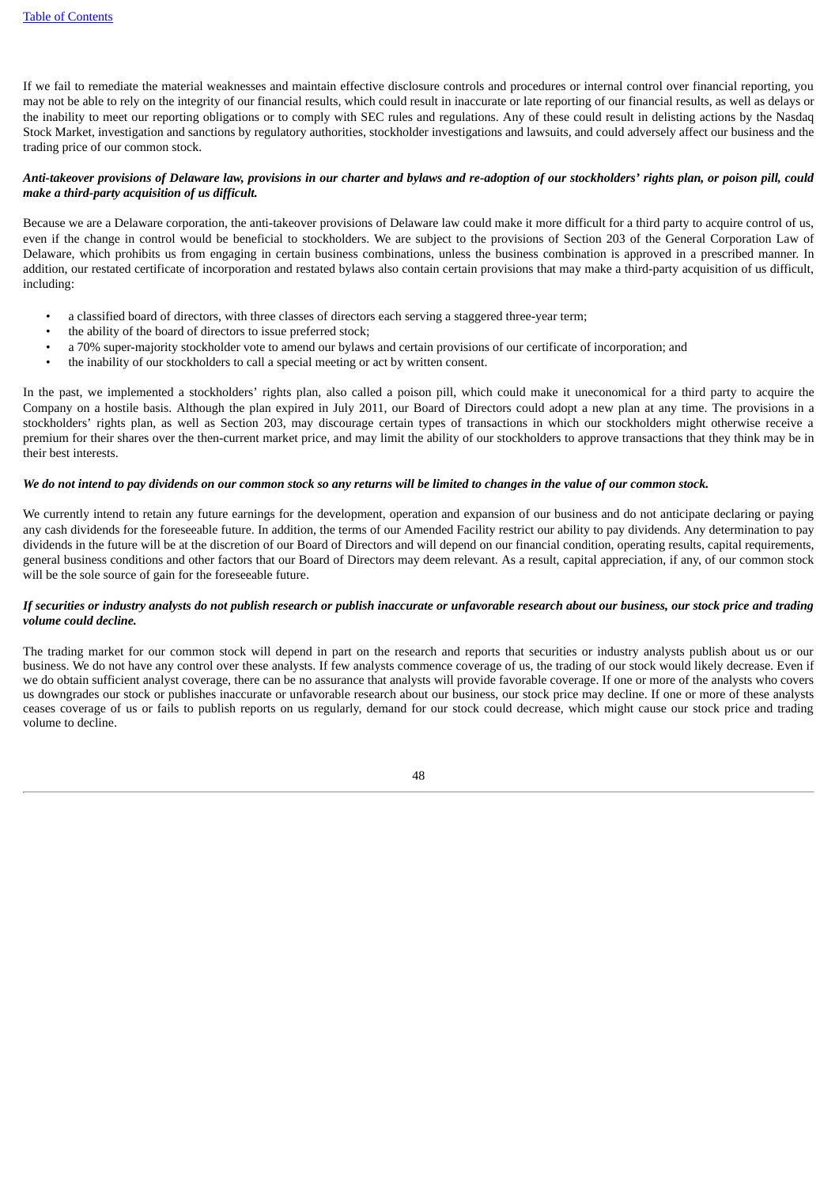If we fail to remediate the material weaknesses and maintain effective disclosure controls and procedures or internal control over financial reporting, you may not be able to rely on the integrity of our financial results, which could result in inaccurate or late reporting of our financial results, as well as delays or the inability to meet our reporting obligations or to comply with SEC rules and regulations. Any of these could result in delisting actions by the Nasdaq Stock Market, investigation and sanctions by regulatory authorities, stockholder investigations and lawsuits, and could adversely affect our business and the trading price of our common stock.

### Anti-takeover provisions of Delaware law, provisions in our charter and bylaws and re-adoption of our stockholders' rights plan, or poison pill, could *make a third-party acquisition of us difficult.*

Because we are a Delaware corporation, the anti-takeover provisions of Delaware law could make it more difficult for a third party to acquire control of us, even if the change in control would be beneficial to stockholders. We are subject to the provisions of Section 203 of the General Corporation Law of Delaware, which prohibits us from engaging in certain business combinations, unless the business combination is approved in a prescribed manner. In addition, our restated certificate of incorporation and restated bylaws also contain certain provisions that may make a third-party acquisition of us difficult, including:

- a classified board of directors, with three classes of directors each serving a staggered three-year term;
- the ability of the board of directors to issue preferred stock;
- a 70% super-majority stockholder vote to amend our bylaws and certain provisions of our certificate of incorporation; and
- the inability of our stockholders to call a special meeting or act by written consent.

In the past, we implemented a stockholders' rights plan, also called a poison pill, which could make it uneconomical for a third party to acquire the Company on a hostile basis. Although the plan expired in July 2011, our Board of Directors could adopt a new plan at any time. The provisions in a stockholders' rights plan, as well as Section 203, may discourage certain types of transactions in which our stockholders might otherwise receive a premium for their shares over the then-current market price, and may limit the ability of our stockholders to approve transactions that they think may be in their best interests.

### We do not intend to pay dividends on our common stock so any returns will be limited to changes in the value of our common stock.

We currently intend to retain any future earnings for the development, operation and expansion of our business and do not anticipate declaring or paying any cash dividends for the foreseeable future. In addition, the terms of our Amended Facility restrict our ability to pay dividends. Any determination to pay dividends in the future will be at the discretion of our Board of Directors and will depend on our financial condition, operating results, capital requirements, general business conditions and other factors that our Board of Directors may deem relevant. As a result, capital appreciation, if any, of our common stock will be the sole source of gain for the foreseeable future.

#### If securities or industry analysts do not publish research or publish inaccurate or unfavorable research about our business, our stock price and trading *volume could decline.*

The trading market for our common stock will depend in part on the research and reports that securities or industry analysts publish about us or our business. We do not have any control over these analysts. If few analysts commence coverage of us, the trading of our stock would likely decrease. Even if we do obtain sufficient analyst coverage, there can be no assurance that analysts will provide favorable coverage. If one or more of the analysts who covers us downgrades our stock or publishes inaccurate or unfavorable research about our business, our stock price may decline. If one or more of these analysts ceases coverage of us or fails to publish reports on us regularly, demand for our stock could decrease, which might cause our stock price and trading volume to decline.

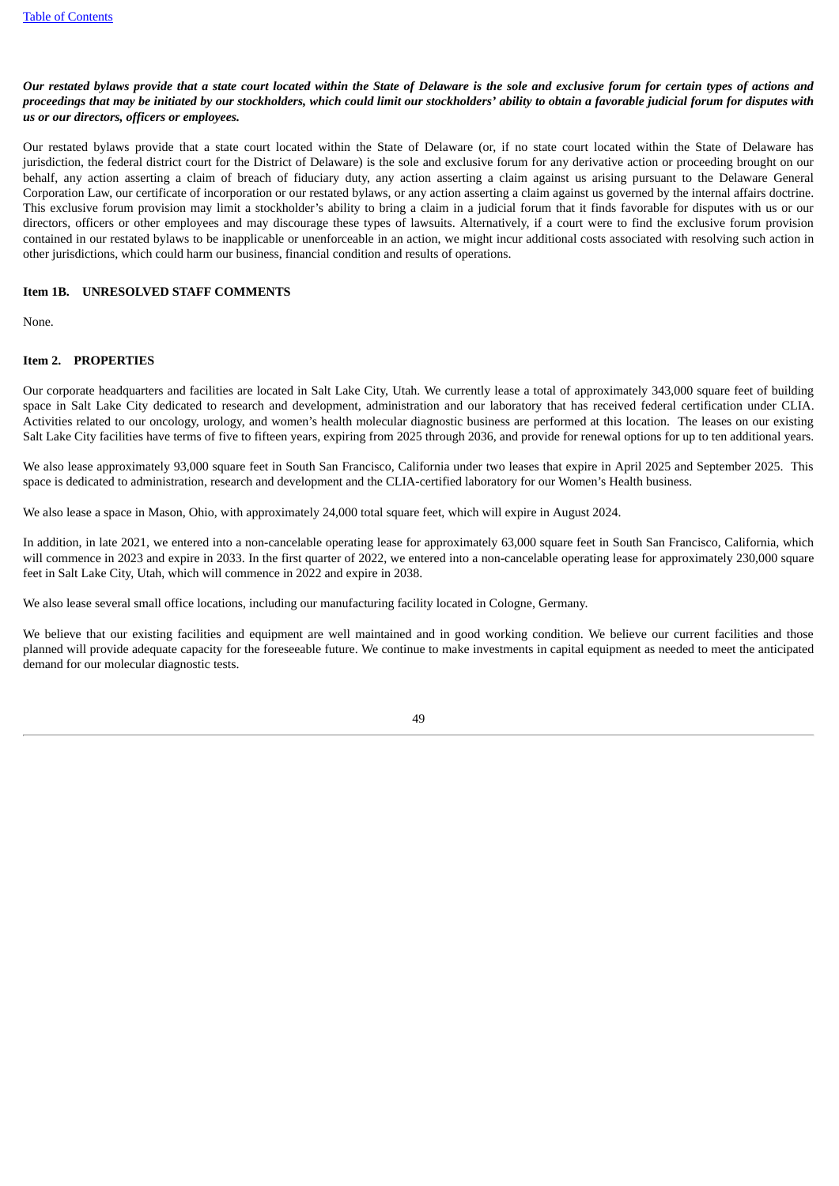## Our restated bylaws provide that a state court located within the State of Delaware is the sole and exclusive forum for certain types of actions and proceedings that may be initiated by our stockholders, which could limit our stockholders' ability to obtain a favorable judicial forum for disputes with *us or our directors, officers or employees.*

Our restated bylaws provide that a state court located within the State of Delaware (or, if no state court located within the State of Delaware has jurisdiction, the federal district court for the District of Delaware) is the sole and exclusive forum for any derivative action or proceeding brought on our behalf, any action asserting a claim of breach of fiduciary duty, any action asserting a claim against us arising pursuant to the Delaware General Corporation Law, our certificate of incorporation or our restated bylaws, or any action asserting a claim against us governed by the internal affairs doctrine. This exclusive forum provision may limit a stockholder's ability to bring a claim in a judicial forum that it finds favorable for disputes with us or our directors, officers or other employees and may discourage these types of lawsuits. Alternatively, if a court were to find the exclusive forum provision contained in our restated bylaws to be inapplicable or unenforceable in an action, we might incur additional costs associated with resolving such action in other jurisdictions, which could harm our business, financial condition and results of operations.

## **Item 1B. UNRESOLVED STAFF COMMENTS**

None.

#### **Item 2. PROPERTIES**

Our corporate headquarters and facilities are located in Salt Lake City, Utah. We currently lease a total of approximately 343,000 square feet of building space in Salt Lake City dedicated to research and development, administration and our laboratory that has received federal certification under CLIA. Activities related to our oncology, urology, and women's health molecular diagnostic business are performed at this location. The leases on our existing Salt Lake City facilities have terms of five to fifteen years, expiring from 2025 through 2036, and provide for renewal options for up to ten additional years.

We also lease approximately 93,000 square feet in South San Francisco, California under two leases that expire in April 2025 and September 2025. This space is dedicated to administration, research and development and the CLIA-certified laboratory for our Women's Health business.

We also lease a space in Mason, Ohio, with approximately 24,000 total square feet, which will expire in August 2024.

In addition, in late 2021, we entered into a non-cancelable operating lease for approximately 63,000 square feet in South San Francisco, California, which will commence in 2023 and expire in 2033. In the first quarter of 2022, we entered into a non-cancelable operating lease for approximately 230,000 square feet in Salt Lake City, Utah, which will commence in 2022 and expire in 2038.

We also lease several small office locations, including our manufacturing facility located in Cologne, Germany.

We believe that our existing facilities and equipment are well maintained and in good working condition. We believe our current facilities and those planned will provide adequate capacity for the foreseeable future. We continue to make investments in capital equipment as needed to meet the anticipated demand for our molecular diagnostic tests.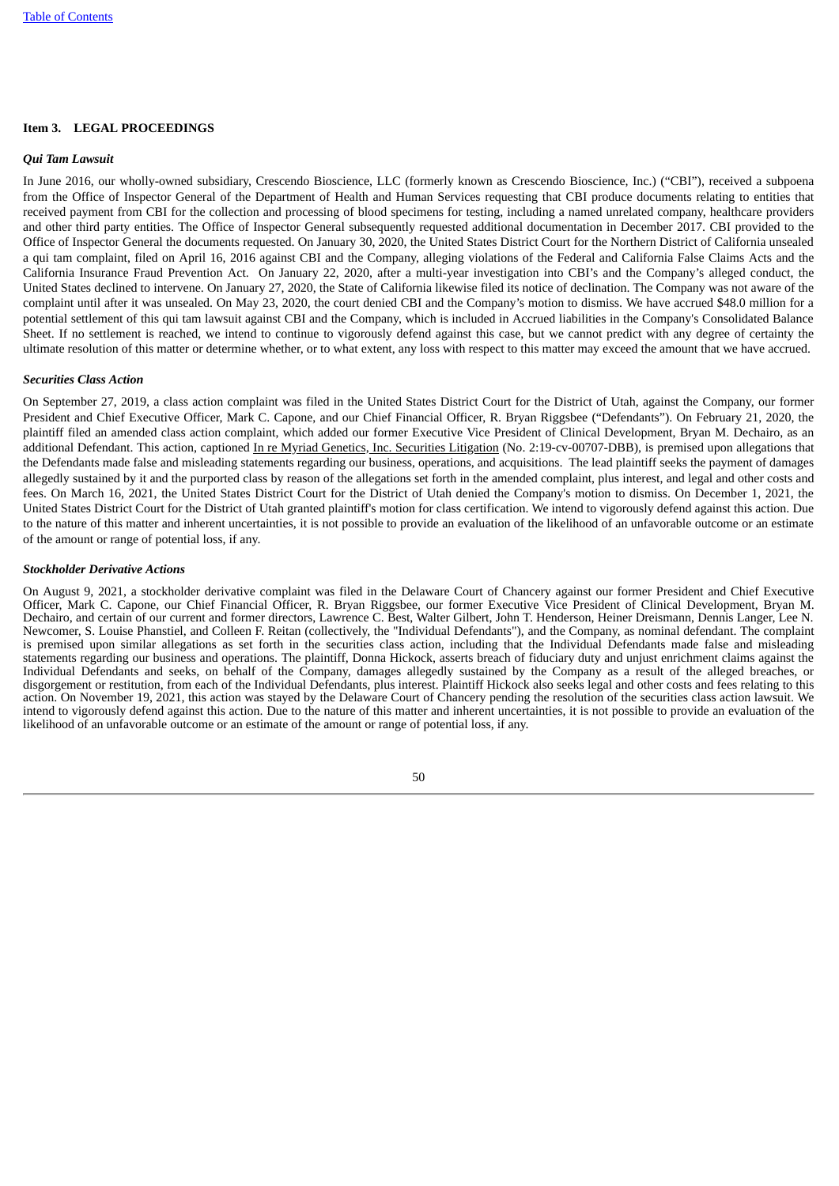#### **Item 3. LEGAL PROCEEDINGS**

#### *Qui Tam Lawsuit*

In June 2016, our wholly-owned subsidiary, Crescendo Bioscience, LLC (formerly known as Crescendo Bioscience, Inc.) ("CBI"), received a subpoena from the Office of Inspector General of the Department of Health and Human Services requesting that CBI produce documents relating to entities that received payment from CBI for the collection and processing of blood specimens for testing, including a named unrelated company, healthcare providers and other third party entities. The Office of Inspector General subsequently requested additional documentation in December 2017. CBI provided to the Office of Inspector General the documents requested. On January 30, 2020, the United States District Court for the Northern District of California unsealed a qui tam complaint, filed on April 16, 2016 against CBI and the Company, alleging violations of the Federal and California False Claims Acts and the California Insurance Fraud Prevention Act. On January 22, 2020, after a multi-year investigation into CBI's and the Company's alleged conduct, the United States declined to intervene. On January 27, 2020, the State of California likewise filed its notice of declination. The Company was not aware of the complaint until after it was unsealed. On May 23, 2020, the court denied CBI and the Company's motion to dismiss. We have accrued \$48.0 million for a potential settlement of this qui tam lawsuit against CBI and the Company, which is included in Accrued liabilities in the Company's Consolidated Balance Sheet. If no settlement is reached, we intend to continue to vigorously defend against this case, but we cannot predict with any degree of certainty the ultimate resolution of this matter or determine whether, or to what extent, any loss with respect to this matter may exceed the amount that we have accrued.

#### *Securities Class Action*

On September 27, 2019, a class action complaint was filed in the United States District Court for the District of Utah, against the Company, our former President and Chief Executive Officer, Mark C. Capone, and our Chief Financial Officer, R. Bryan Riggsbee ("Defendants"). On February 21, 2020, the plaintiff filed an amended class action complaint, which added our former Executive Vice President of Clinical Development, Bryan M. Dechairo, as an additional Defendant. This action, captioned In re Myriad Genetics, Inc. Securities Litigation (No. 2:19-cv-00707-DBB), is premised upon allegations that the Defendants made false and misleading statements regarding our business, operations, and acquisitions. The lead plaintiff seeks the payment of damages allegedly sustained by it and the purported class by reason of the allegations set forth in the amended complaint, plus interest, and legal and other costs and fees. On March 16, 2021, the United States District Court for the District of Utah denied the Company's motion to dismiss. On December 1, 2021, the United States District Court for the District of Utah granted plaintiff's motion for class certification. We intend to vigorously defend against this action. Due to the nature of this matter and inherent uncertainties, it is not possible to provide an evaluation of the likelihood of an unfavorable outcome or an estimate of the amount or range of potential loss, if any.

#### *Stockholder Derivative Actions*

On August 9, 2021, a stockholder derivative complaint was filed in the Delaware Court of Chancery against our former President and Chief Executive Officer, Mark C. Capone, our Chief Financial Officer, R. Bryan Riggsbee, our former Executive Vice President of Clinical Development, Bryan M. Dechairo, and certain of our current and former directors, Lawrence C. Best, Walter Gilbert, John T. Henderson, Heiner Dreismann, Dennis Langer, Lee N. Newcomer, S. Louise Phanstiel, and Colleen F. Reitan (collectively, the "Individual Defendants"), and the Company, as nominal defendant. The complaint is premised upon similar allegations as set forth in the securities class action, including that the Individual Defendants made false and misleading statements regarding our business and operations. The plaintiff, Donna Hickock, asserts breach of fiduciary duty and unjust enrichment claims against the Individual Defendants and seeks, on behalf of the Company, damages allegedly sustained by the Company as a result of the alleged breaches, or disgorgement or restitution, from each of the Individual Defendants, plus interest. Plaintiff Hickock also seeks legal and other costs and fees relating to this action. On November 19, 2021, this action was stayed by the Delaware Court of Chancery pending the resolution of the securities class action lawsuit. We intend to vigorously defend against this action. Due to the nature of this matter and inherent uncertainties, it is not possible to provide an evaluation of the likelihood of an unfavorable outcome or an estimate of the amount or range of potential loss, if any.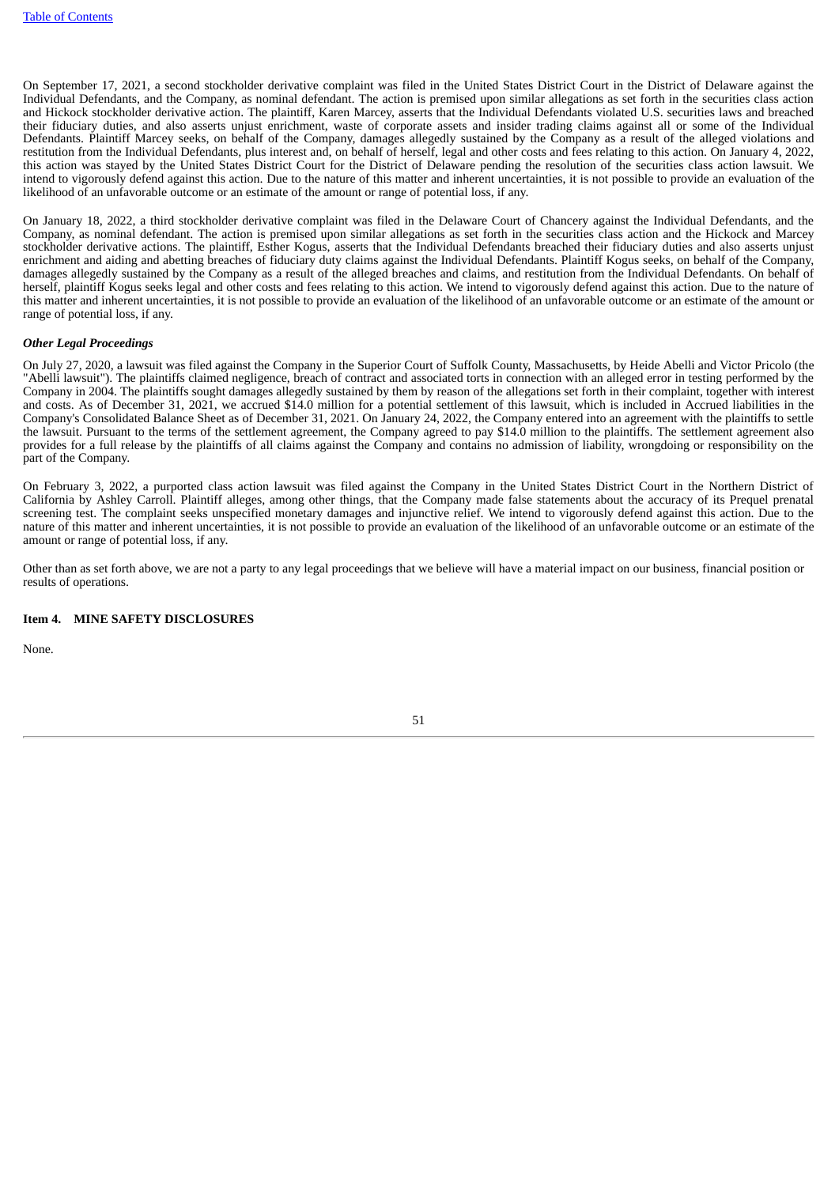On September 17, 2021, a second stockholder derivative complaint was filed in the United States District Court in the District of Delaware against the Individual Defendants, and the Company, as nominal defendant. The action is premised upon similar allegations as set forth in the securities class action and Hickock stockholder derivative action. The plaintiff, Karen Marcey, asserts that the Individual Defendants violated U.S. securities laws and breached their fiduciary duties, and also asserts unjust enrichment, waste of corporate assets and insider trading claims against all or some of the Individual Defendants. Plaintiff Marcey seeks, on behalf of the Company, damages allegedly sustained by the Company as a result of the alleged violations and restitution from the Individual Defendants, plus interest and, on behalf of herself, legal and other costs and fees relating to this action. On January 4, 2022, this action was stayed by the United States District Court for the District of Delaware pending the resolution of the securities class action lawsuit. We intend to vigorously defend against this action. Due to the nature of this matter and inherent uncertainties, it is not possible to provide an evaluation of the likelihood of an unfavorable outcome or an estimate of the amount or range of potential loss, if any.

On January 18, 2022, a third stockholder derivative complaint was filed in the Delaware Court of Chancery against the Individual Defendants, and the Company, as nominal defendant. The action is premised upon similar allegations as set forth in the securities class action and the Hickock and Marcey stockholder derivative actions. The plaintiff, Esther Kogus, asserts that the Individual Defendants breached their fiduciary duties and also asserts unjust enrichment and aiding and abetting breaches of fiduciary duty claims against the Individual Defendants. Plaintiff Kogus seeks, on behalf of the Company, damages allegedly sustained by the Company as a result of the alleged breaches and claims, and restitution from the Individual Defendants. On behalf of herself, plaintiff Kogus seeks legal and other costs and fees relating to this action. We intend to vigorously defend against this action. Due to the nature of this matter and inherent uncertainties, it is not possible to provide an evaluation of the likelihood of an unfavorable outcome or an estimate of the amount or range of potential loss, if any.

#### *Other Legal Proceedings*

On July 27, 2020, a lawsuit was filed against the Company in the Superior Court of Suffolk County, Massachusetts, by Heide Abelli and Victor Pricolo (the "Abelli lawsuit"). The plaintiffs claimed negligence, breach of contract and associated torts in connection with an alleged error in testing performed by the Company in 2004. The plaintiffs sought damages allegedly sustained by them by reason of the allegations set forth in their complaint, together with interest and costs. As of December 31, 2021, we accrued \$14.0 million for a potential settlement of this lawsuit, which is included in Accrued liabilities in the Company's Consolidated Balance Sheet as of December 31, 2021. On January 24, 2022, the Company entered into an agreement with the plaintiffs to settle the lawsuit. Pursuant to the terms of the settlement agreement, the Company agreed to pay \$14.0 million to the plaintiffs. The settlement agreement also provides for a full release by the plaintiffs of all claims against the Company and contains no admission of liability, wrongdoing or responsibility on the part of the Company.

On February 3, 2022, a purported class action lawsuit was filed against the Company in the United States District Court in the Northern District of California by Ashley Carroll. Plaintiff alleges, among other things, that the Company made false statements about the accuracy of its Prequel prenatal screening test. The complaint seeks unspecified monetary damages and injunctive relief. We intend to vigorously defend against this action. Due to the nature of this matter and inherent uncertainties, it is not possible to provide an evaluation of the likelihood of an unfavorable outcome or an estimate of the amount or range of potential loss, if any.

Other than as set forth above, we are not a party to any legal proceedings that we believe will have a material impact on our business, financial position or results of operations.

#### **Item 4. MINE SAFETY DISCLOSURES**

None.

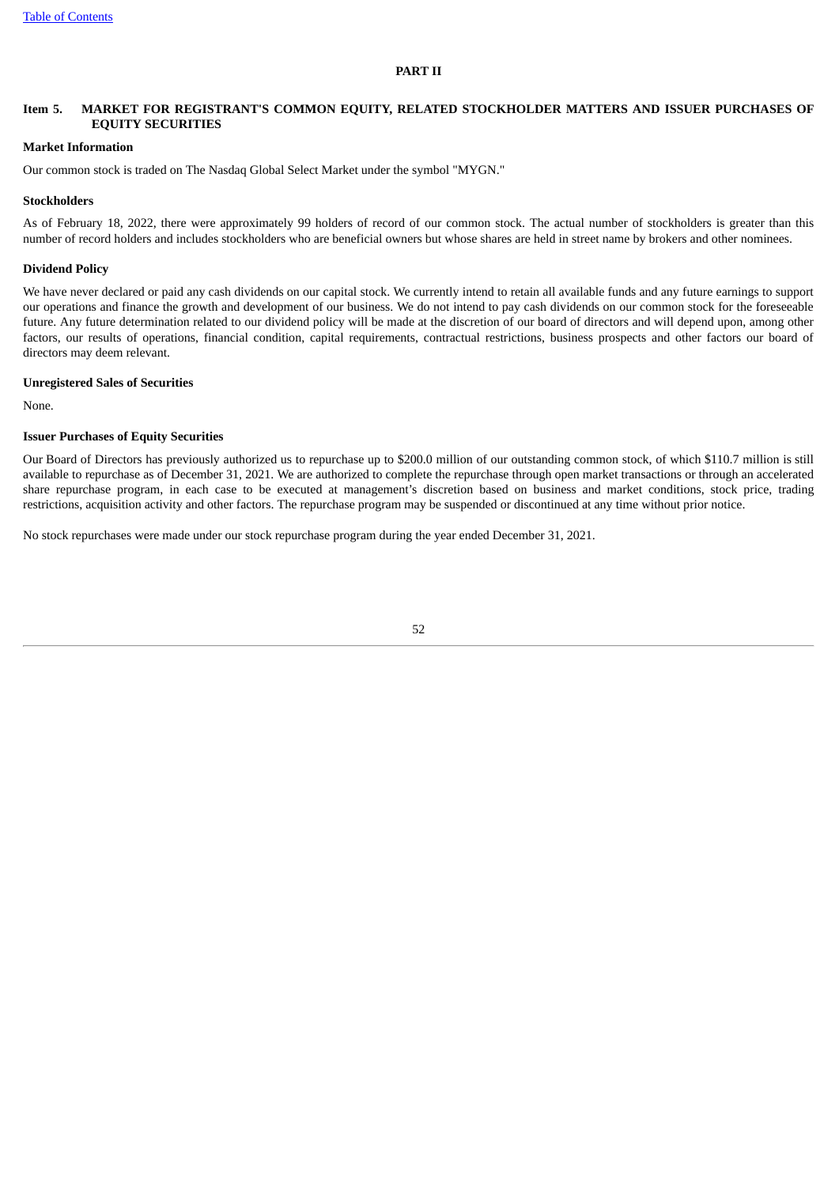## **PART II**

## **Item 5. MARKET FOR REGISTRANT'S COMMON EQUITY, RELATED STOCKHOLDER MATTERS AND ISSUER PURCHASES OF EQUITY SECURITIES**

## **Market Information**

Our common stock is traded on The Nasdaq Global Select Market under the symbol "MYGN."

#### **Stockholders**

As of February 18, 2022, there were approximately 99 holders of record of our common stock. The actual number of stockholders is greater than this number of record holders and includes stockholders who are beneficial owners but whose shares are held in street name by brokers and other nominees.

## **Dividend Policy**

We have never declared or paid any cash dividends on our capital stock. We currently intend to retain all available funds and any future earnings to support our operations and finance the growth and development of our business. We do not intend to pay cash dividends on our common stock for the foreseeable future. Any future determination related to our dividend policy will be made at the discretion of our board of directors and will depend upon, among other factors, our results of operations, financial condition, capital requirements, contractual restrictions, business prospects and other factors our board of directors may deem relevant.

#### **Unregistered Sales of Securities**

None.

#### **Issuer Purchases of Equity Securities**

Our Board of Directors has previously authorized us to repurchase up to \$200.0 million of our outstanding common stock, of which \$110.7 million is still available to repurchase as of December 31, 2021. We are authorized to complete the repurchase through open market transactions or through an accelerated share repurchase program, in each case to be executed at management's discretion based on business and market conditions, stock price, trading restrictions, acquisition activity and other factors. The repurchase program may be suspended or discontinued at any time without prior notice.

No stock repurchases were made under our stock repurchase program during the year ended December 31, 2021.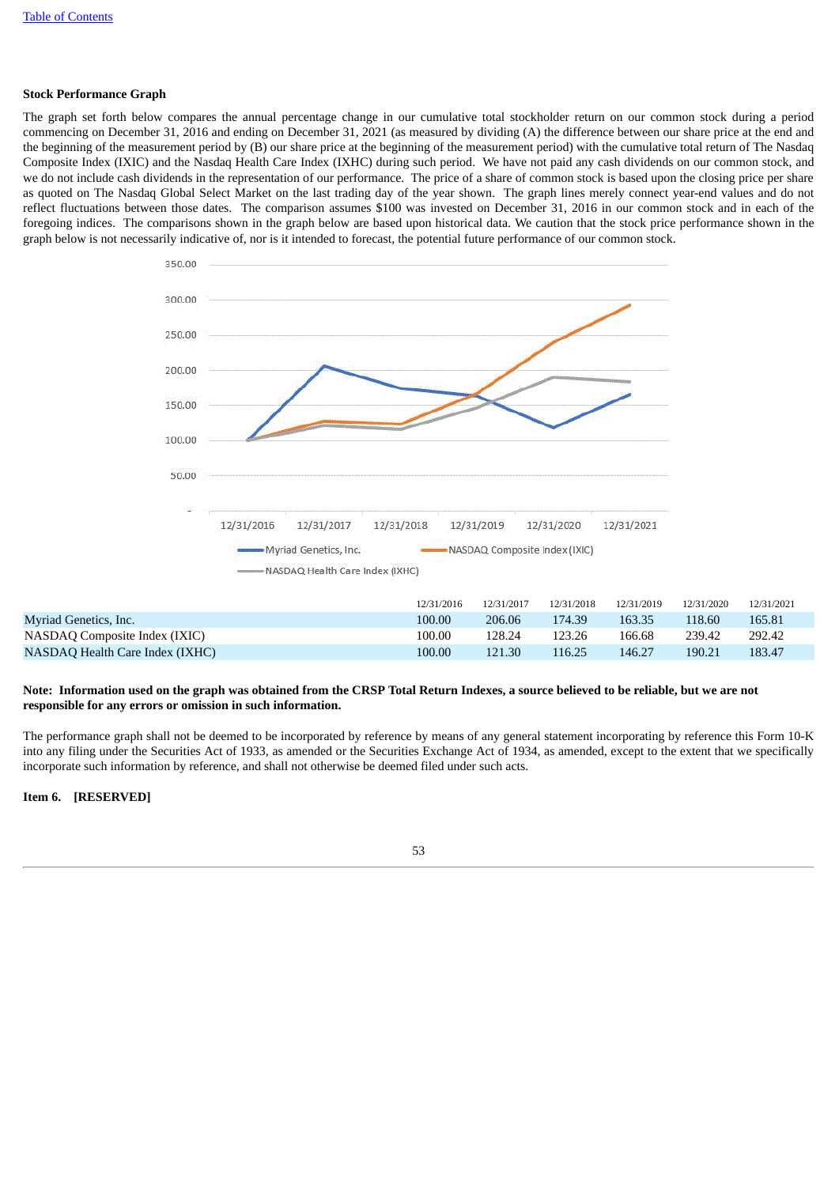#### **Stock Performance Graph**

The graph set forth below compares the annual percentage change in our cumulative total stockholder return on our common stock during a period commencing on December 31, 2016 and ending on December 31, 2021 (as measured by dividing (A) the difference between our share price at the end and the beginning of the measurement period by (B) our share price at the beginning of the measurement period) with the cumulative total return of The Nasdaq Composite Index (IXIC) and the Nasdaq Health Care Index (IXHC) during such period. We have not paid any cash dividends on our common stock, and we do not include cash dividends in the representation of our performance. The price of a share of common stock is based upon the closing price per share as quoted on The Nasdaq Global Select Market on the last trading day of the year shown. The graph lines merely connect year-end values and do not reflect fluctuations between those dates. The comparison assumes \$100 was invested on December 31, 2016 in our common stock and in each of the foregoing indices. The comparisons shown in the graph below are based upon historical data. We caution that the stock price performance shown in the graph below is not necessarily indicative of, nor is it intended to forecast, the potential future performance of our common stock.



|                                 | 12/31/2016 | 12/31/2017 | 12/31/2018 | 12/31/2019 | 12/31/2020 | 12/31/2021 |
|---------------------------------|------------|------------|------------|------------|------------|------------|
| Myriad Genetics, Inc.           | 100.00     | 206.06     | 174.39     | 163.35     | 118.60     | 165.81     |
| NASDAQ Composite Index (IXIC)   | 100.00     | 128.24     | 123.26     | 166.68     | 239.42     | 292.42     |
| NASDAQ Health Care Index (IXHC) | 100.00     | 121.30     | 116.25     | 146.27     | 190.21     | 183.47     |

## Note: Information used on the graph was obtained from the CRSP Total Return Indexes, a source believed to be reliable, but we are not **responsible for any errors or omission in such information.**

The performance graph shall not be deemed to be incorporated by reference by means of any general statement incorporating by reference this Form 10-K into any filing under the Securities Act of 1933, as amended or the Securities Exchange Act of 1934, as amended, except to the extent that we specifically incorporate such information by reference, and shall not otherwise be deemed filed under such acts.

**Item 6. [RESERVED]**

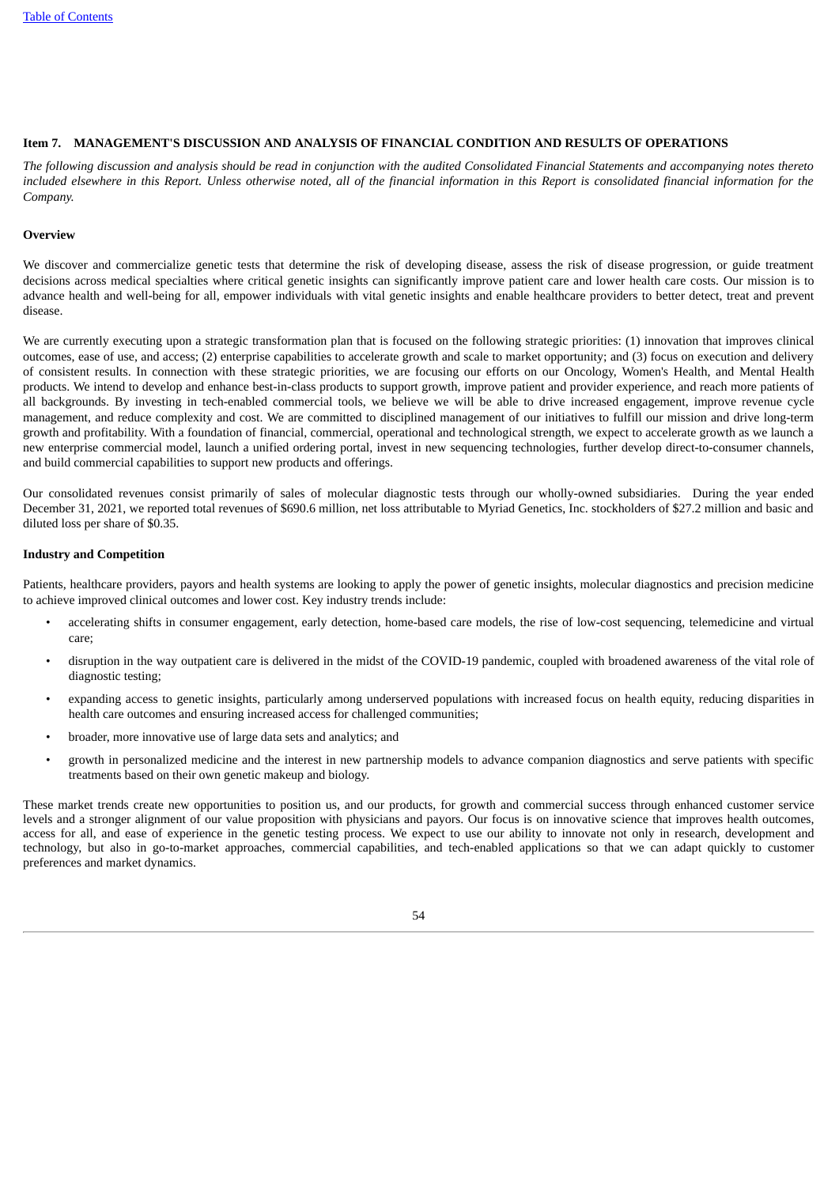### **Item 7. MANAGEMENT'S DISCUSSION AND ANALYSIS OF FINANCIAL CONDITION AND RESULTS OF OPERATIONS**

The following discussion and analysis should be read in conjunction with the audited Consolidated Financial Statements and accompanying notes thereto included elsewhere in this Report. Unless otherwise noted, all of the financial information in this Report is consolidated financial information for the *Company.*

#### **Overview**

We discover and commercialize genetic tests that determine the risk of developing disease, assess the risk of disease progression, or guide treatment decisions across medical specialties where critical genetic insights can significantly improve patient care and lower health care costs. Our mission is to advance health and well-being for all, empower individuals with vital genetic insights and enable healthcare providers to better detect, treat and prevent disease.

We are currently executing upon a strategic transformation plan that is focused on the following strategic priorities: (1) innovation that improves clinical outcomes, ease of use, and access; (2) enterprise capabilities to accelerate growth and scale to market opportunity; and (3) focus on execution and delivery of consistent results. In connection with these strategic priorities, we are focusing our efforts on our Oncology, Women's Health, and Mental Health products. We intend to develop and enhance best-in-class products to support growth, improve patient and provider experience, and reach more patients of all backgrounds. By investing in tech-enabled commercial tools, we believe we will be able to drive increased engagement, improve revenue cycle management, and reduce complexity and cost. We are committed to disciplined management of our initiatives to fulfill our mission and drive long-term growth and profitability. With a foundation of financial, commercial, operational and technological strength, we expect to accelerate growth as we launch a new enterprise commercial model, launch a unified ordering portal, invest in new sequencing technologies, further develop direct-to-consumer channels, and build commercial capabilities to support new products and offerings.

Our consolidated revenues consist primarily of sales of molecular diagnostic tests through our wholly-owned subsidiaries. During the year ended December 31, 2021, we reported total revenues of \$690.6 million, net loss attributable to Myriad Genetics, Inc. stockholders of \$27.2 million and basic and diluted loss per share of \$0.35.

#### **Industry and Competition**

Patients, healthcare providers, payors and health systems are looking to apply the power of genetic insights, molecular diagnostics and precision medicine to achieve improved clinical outcomes and lower cost. Key industry trends include:

- accelerating shifts in consumer engagement, early detection, home-based care models, the rise of low-cost sequencing, telemedicine and virtual care;
- disruption in the way outpatient care is delivered in the midst of the COVID-19 pandemic, coupled with broadened awareness of the vital role of diagnostic testing;
- expanding access to genetic insights, particularly among underserved populations with increased focus on health equity, reducing disparities in health care outcomes and ensuring increased access for challenged communities;
- broader, more innovative use of large data sets and analytics; and
- growth in personalized medicine and the interest in new partnership models to advance companion diagnostics and serve patients with specific treatments based on their own genetic makeup and biology.

These market trends create new opportunities to position us, and our products, for growth and commercial success through enhanced customer service levels and a stronger alignment of our value proposition with physicians and payors. Our focus is on innovative science that improves health outcomes, access for all, and ease of experience in the genetic testing process. We expect to use our ability to innovate not only in research, development and technology, but also in go-to-market approaches, commercial capabilities, and tech-enabled applications so that we can adapt quickly to customer preferences and market dynamics.

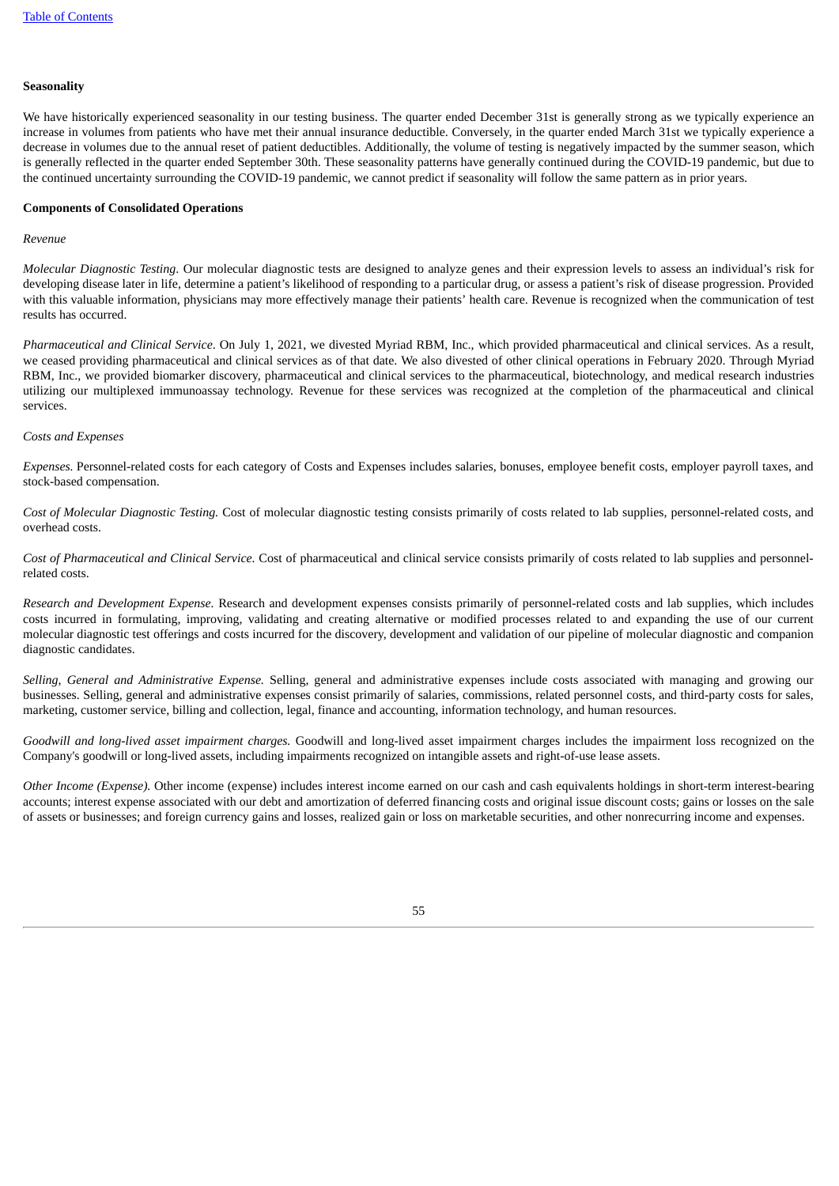#### **Seasonality**

We have historically experienced seasonality in our testing business. The quarter ended December 31st is generally strong as we typically experience an increase in volumes from patients who have met their annual insurance deductible. Conversely, in the quarter ended March 31st we typically experience a decrease in volumes due to the annual reset of patient deductibles. Additionally, the volume of testing is negatively impacted by the summer season, which is generally reflected in the quarter ended September 30th. These seasonality patterns have generally continued during the COVID-19 pandemic, but due to the continued uncertainty surrounding the COVID-19 pandemic, we cannot predict if seasonality will follow the same pattern as in prior years.

#### **Components of Consolidated Operations**

#### *Revenue*

*Molecular Diagnostic Testing*. Our molecular diagnostic tests are designed to analyze genes and their expression levels to assess an individual's risk for developing disease later in life, determine a patient's likelihood of responding to a particular drug, or assess a patient's risk of disease progression. Provided with this valuable information, physicians may more effectively manage their patients' health care. Revenue is recognized when the communication of test results has occurred.

*Pharmaceutical and Clinical Service*. On July 1, 2021, we divested Myriad RBM, Inc., which provided pharmaceutical and clinical services. As a result, we ceased providing pharmaceutical and clinical services as of that date. We also divested of other clinical operations in February 2020. Through Myriad RBM, Inc., we provided biomarker discovery, pharmaceutical and clinical services to the pharmaceutical, biotechnology, and medical research industries utilizing our multiplexed immunoassay technology. Revenue for these services was recognized at the completion of the pharmaceutical and clinical services.

#### *Costs and Expenses*

*Expenses.* Personnel-related costs for each category of Costs and Expenses includes salaries, bonuses, employee benefit costs, employer payroll taxes, and stock-based compensation.

*Cost of Molecular Diagnostic Testing.* Cost of molecular diagnostic testing consists primarily of costs related to lab supplies, personnel-related costs, and overhead costs.

*Cost of Pharmaceutical and Clinical Service.* Cost of pharmaceutical and clinical service consists primarily of costs related to lab supplies and personnelrelated costs.

*Research and Development Expense.* Research and development expenses consists primarily of personnel-related costs and lab supplies, which includes costs incurred in formulating, improving, validating and creating alternative or modified processes related to and expanding the use of our current molecular diagnostic test offerings and costs incurred for the discovery, development and validation of our pipeline of molecular diagnostic and companion diagnostic candidates.

*Selling, General and Administrative Expense.* Selling, general and administrative expenses include costs associated with managing and growing our businesses. Selling, general and administrative expenses consist primarily of salaries, commissions, related personnel costs, and third-party costs for sales, marketing, customer service, billing and collection, legal, finance and accounting, information technology, and human resources.

*Goodwill and long-lived asset impairment charges.* Goodwill and long-lived asset impairment charges includes the impairment loss recognized on the Company's goodwill or long-lived assets, including impairments recognized on intangible assets and right-of-use lease assets.

*Other Income (Expense).* Other income (expense) includes interest income earned on our cash and cash equivalents holdings in short-term interest-bearing accounts; interest expense associated with our debt and amortization of deferred financing costs and original issue discount costs; gains or losses on the sale of assets or businesses; and foreign currency gains and losses, realized gain or loss on marketable securities, and other nonrecurring income and expenses.

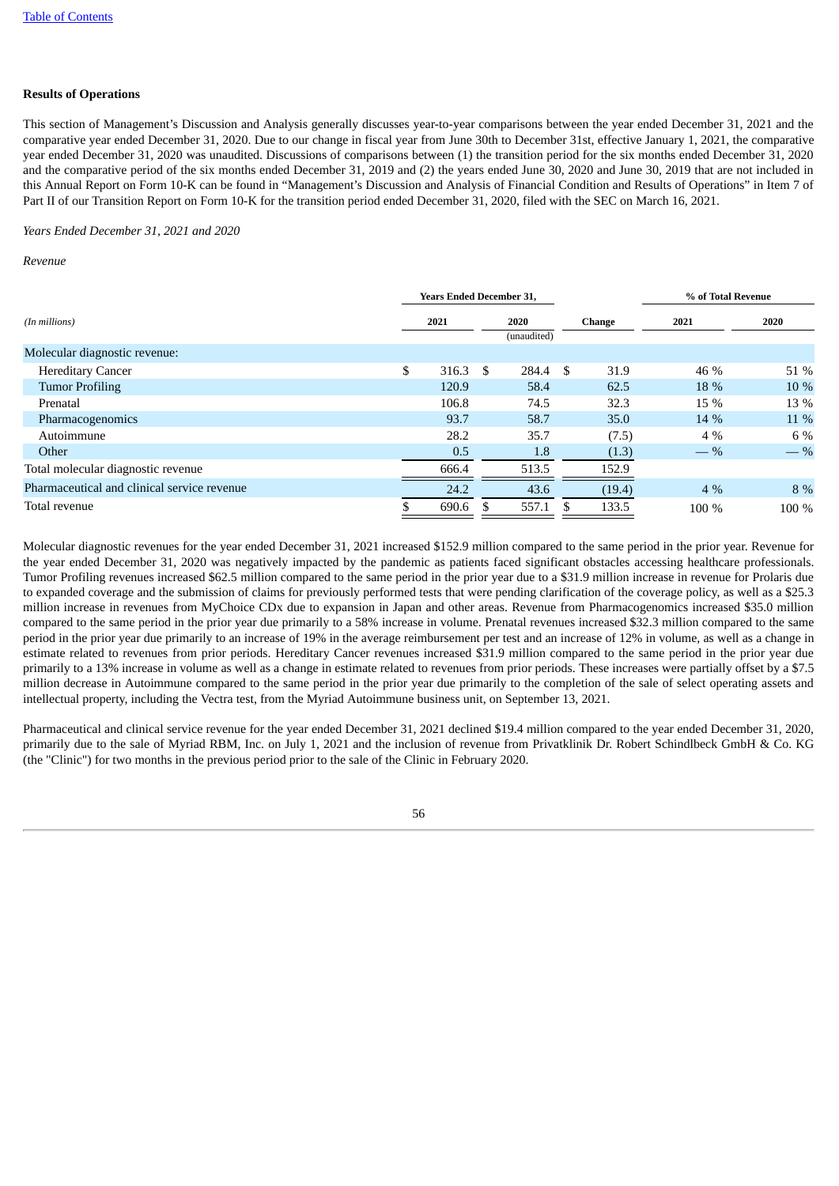#### **Results of Operations**

This section of Management's Discussion and Analysis generally discusses year-to-year comparisons between the year ended December 31, 2021 and the comparative year ended December 31, 2020. Due to our change in fiscal year from June 30th to December 31st, effective January 1, 2021, the comparative year ended December 31, 2020 was unaudited. Discussions of comparisons between (1) the transition period for the six months ended December 31, 2020 and the comparative period of the six months ended December 31, 2019 and (2) the years ended June 30, 2020 and June 30, 2019 that are not included in this Annual Report on Form 10-K can be found in "Management's Discussion and Analysis of Financial Condition and Results of Operations" in Item 7 of Part II of our Transition Report on Form 10-K for the transition period ended December 31, 2020, filed with the SEC on March 16, 2021.

#### *Years Ended December 31, 2021 and 2020*

*Revenue*

|                                             | <b>Years Ended December 31,</b> |      |                     |    |        | % of Total Revenue |       |
|---------------------------------------------|---------------------------------|------|---------------------|----|--------|--------------------|-------|
| (In millions)                               | 2021                            |      | 2020<br>(unaudited) |    | Change | 2021               | 2020  |
| Molecular diagnostic revenue:               |                                 |      |                     |    |        |                    |       |
| <b>Hereditary Cancer</b>                    | \$<br>316.3                     | - \$ | 284.4 \$            |    | 31.9   | 46 %               | 51 %  |
| <b>Tumor Profiling</b>                      | 120.9                           |      | 58.4                |    | 62.5   | 18 %               | 10 %  |
| Prenatal                                    | 106.8                           |      | 74.5                |    | 32.3   | 15 %               | 13 %  |
| Pharmacogenomics                            | 93.7                            |      | 58.7                |    | 35.0   | 14 %               | 11 %  |
| Autoimmune                                  | 28.2                            |      | 35.7                |    | (7.5)  | $4\%$              | 6 %   |
| Other                                       | 0.5                             |      | 1.8                 |    | (1.3)  | $-$ %              | $-$ % |
| Total molecular diagnostic revenue          | 666.4                           |      | 513.5               |    | 152.9  |                    |       |
| Pharmaceutical and clinical service revenue | 24.2                            |      | 43.6                |    | (19.4) | $4\%$              | 8 %   |
| Total revenue                               | 690.6                           |      | 557.1               | £. | 133.5  | 100 %              | 100 % |

Molecular diagnostic revenues for the year ended December 31, 2021 increased \$152.9 million compared to the same period in the prior year. Revenue for the year ended December 31, 2020 was negatively impacted by the pandemic as patients faced significant obstacles accessing healthcare professionals. Tumor Profiling revenues increased \$62.5 million compared to the same period in the prior year due to a \$31.9 million increase in revenue for Prolaris due to expanded coverage and the submission of claims for previously performed tests that were pending clarification of the coverage policy, as well as a \$25.3 million increase in revenues from MyChoice CDx due to expansion in Japan and other areas. Revenue from Pharmacogenomics increased \$35.0 million compared to the same period in the prior year due primarily to a 58% increase in volume. Prenatal revenues increased \$32.3 million compared to the same period in the prior year due primarily to an increase of 19% in the average reimbursement per test and an increase of 12% in volume, as well as a change in estimate related to revenues from prior periods. Hereditary Cancer revenues increased \$31.9 million compared to the same period in the prior year due primarily to a 13% increase in volume as well as a change in estimate related to revenues from prior periods. These increases were partially offset by a \$7.5 million decrease in Autoimmune compared to the same period in the prior year due primarily to the completion of the sale of select operating assets and intellectual property, including the Vectra test, from the Myriad Autoimmune business unit, on September 13, 2021.

Pharmaceutical and clinical service revenue for the year ended December 31, 2021 declined \$19.4 million compared to the year ended December 31, 2020, primarily due to the sale of Myriad RBM, Inc. on July 1, 2021 and the inclusion of revenue from Privatklinik Dr. Robert Schindlbeck GmbH & Co. KG (the "Clinic") for two months in the previous period prior to the sale of the Clinic in February 2020.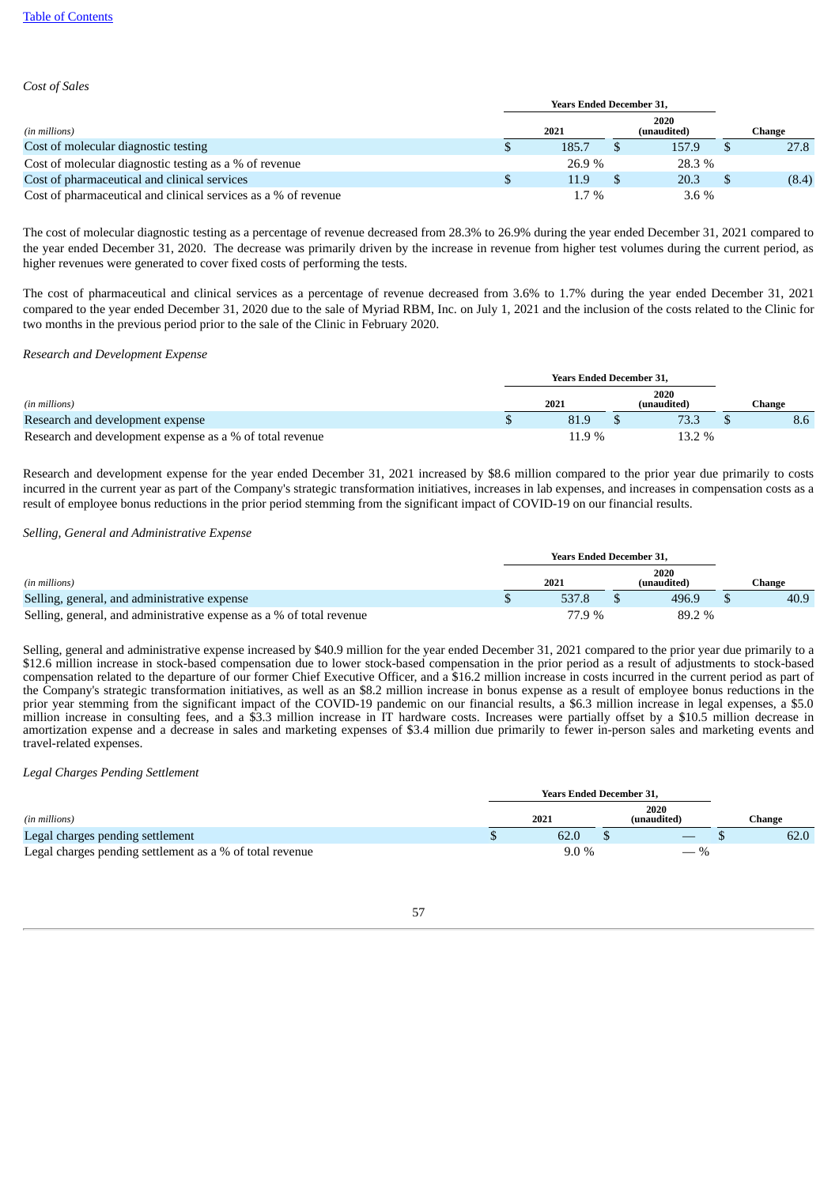#### *Cost of Sales*

|                                                                | <b>Years Ended December 31,</b> |                     |        |
|----------------------------------------------------------------|---------------------------------|---------------------|--------|
| (in millions)                                                  | 2021                            | 2020<br>(unaudited) | Change |
| Cost of molecular diagnostic testing                           | 185.7                           | 157.9               | 27.8   |
| Cost of molecular diagnostic testing as a % of revenue         | 26.9 %                          | 28.3%               |        |
| Cost of pharmaceutical and clinical services                   | 11.9                            | 20.3                | (8.4)  |
| Cost of pharmaceutical and clinical services as a % of revenue | $1.7\%$                         | $3.6\%$             |        |

The cost of molecular diagnostic testing as a percentage of revenue decreased from 28.3% to 26.9% during the year ended December 31, 2021 compared to the year ended December 31, 2020. The decrease was primarily driven by the increase in revenue from higher test volumes during the current period, as higher revenues were generated to cover fixed costs of performing the tests.

The cost of pharmaceutical and clinical services as a percentage of revenue decreased from 3.6% to 1.7% during the year ended December 31, 2021 compared to the year ended December 31, 2020 due to the sale of Myriad RBM, Inc. on July 1, 2021 and the inclusion of the costs related to the Clinic for two months in the previous period prior to the sale of the Clinic in February 2020.

#### *Research and Development Expense*

|                                                          | <b>Years Ended December 31.</b> |                     |        |
|----------------------------------------------------------|---------------------------------|---------------------|--------|
| (in millions)                                            | 2021                            | 2020<br>(unaudited) | Change |
| Research and development expense                         | 81.9                            | 73.3                | 8.6    |
| Research and development expense as a % of total revenue | 11.9%                           | $13.2\%$            |        |

Research and development expense for the year ended December 31, 2021 increased by \$8.6 million compared to the prior year due primarily to costs incurred in the current year as part of the Company's strategic transformation initiatives, increases in lab expenses, and increases in compensation costs as a result of employee bonus reductions in the prior period stemming from the significant impact of COVID-19 on our financial results.

#### *Selling, General and Administrative Expense*

|                                                                      | <b>Years Ended December 31.</b> |        |  |                     |  |        |
|----------------------------------------------------------------------|---------------------------------|--------|--|---------------------|--|--------|
| (in millions)                                                        |                                 | 2021   |  | 2020<br>(unaudited) |  | Change |
| Selling, general, and administrative expense                         |                                 | 537.8  |  | 496.9               |  | 40.9   |
| Selling, general, and administrative expense as a % of total revenue |                                 | 77.9 % |  | 89.2 %              |  |        |

Selling, general and administrative expense increased by \$40.9 million for the year ended December 31, 2021 compared to the prior year due primarily to a \$12.6 million increase in stock-based compensation due to lower stock-based compensation in the prior period as a result of adjustments to stock-based compensation related to the departure of our former Chief Executive Officer, and a \$16.2 million increase in costs incurred in the current period as part of the Company's strategic transformation initiatives, as well as an \$8.2 million increase in bonus expense as a result of employee bonus reductions in the prior year stemming from the significant impact of the COVID-19 pandemic on our financial results, a \$6.3 million increase in legal expenses, a \$5.0 million increase in consulting fees, and a \$3.3 million increase in IT hardware costs. Increases were partially offset by a \$10.5 million decrease in amortization expense and a decrease in sales and marketing expenses of \$3.4 million due primarily to fewer in-person sales and marketing events and travel-related expenses.

#### *Legal Charges Pending Settlement*

|                                                          | <b>Years Ended December 31.</b> |         |  |                                         |  |        |
|----------------------------------------------------------|---------------------------------|---------|--|-----------------------------------------|--|--------|
| (in millions)                                            |                                 | 2021    |  | 2020<br>(unaudited)                     |  | Change |
| Legal charges pending settlement                         |                                 | 62.0    |  | __                                      |  | 62.0   |
| Legal charges pending settlement as a % of total revenue |                                 | $9.0\%$ |  | $\%$<br>$\hspace{0.1mm}-\hspace{0.1mm}$ |  |        |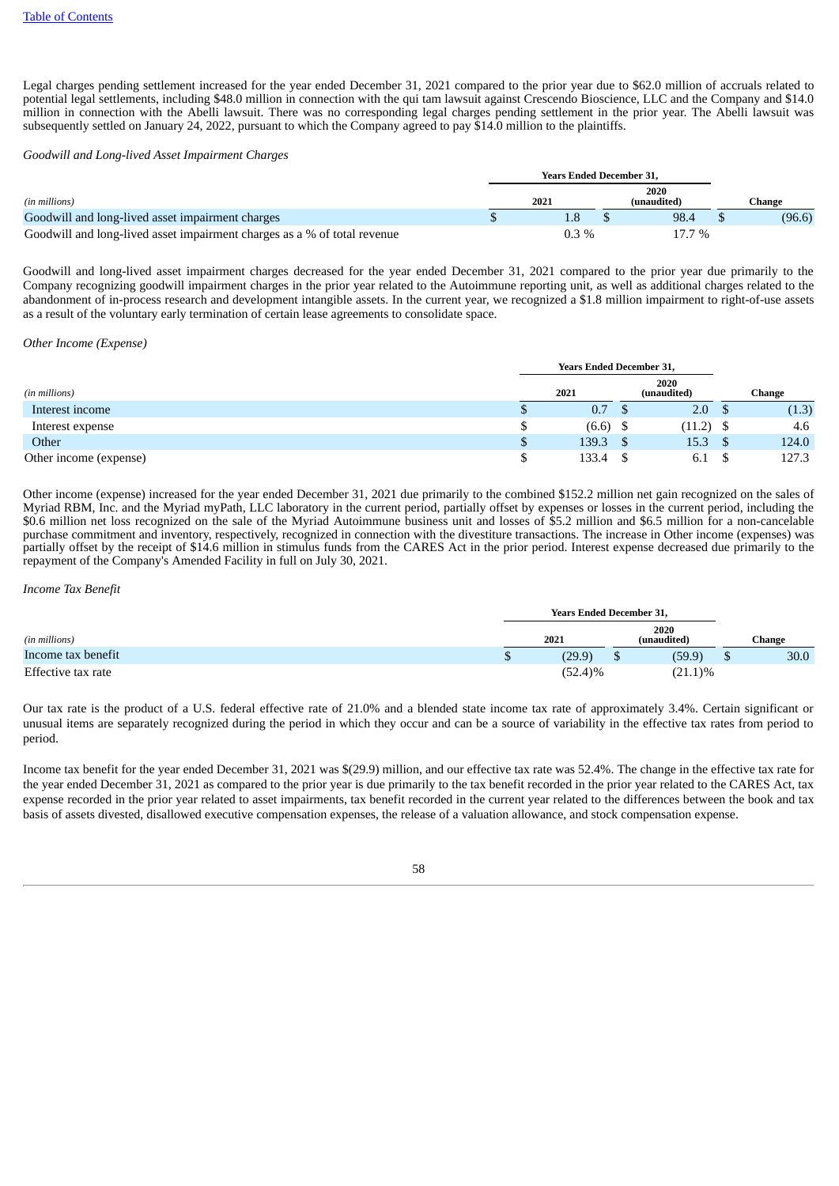Legal charges pending settlement increased for the year ended December 31, 2021 compared to the prior year due to \$62.0 million of accruals related to potential legal settlements, including \$48.0 million in connection with the qui tam lawsuit against Crescendo Bioscience, LLC and the Company and \$14.0 million in connection with the Abelli lawsuit. There was no corresponding legal charges pending settlement in the prior year. The Abelli lawsuit was subsequently settled on January 24, 2022, pursuant to which the Company agreed to pay \$14.0 million to the plaintiffs.

*Goodwill and Long-lived Asset Impairment Charges*

| (in millions)                                                            |  | 2021    | 2020<br>(unaudited) | Change |
|--------------------------------------------------------------------------|--|---------|---------------------|--------|
| Goodwill and long-lived asset impairment charges                         |  |         | 98.4                | (96.6) |
| Goodwill and long-lived asset impairment charges as a % of total revenue |  | $0.3\%$ | 17.7 %              |        |

Goodwill and long-lived asset impairment charges decreased for the year ended December 31, 2021 compared to the prior year due primarily to the Company recognizing goodwill impairment charges in the prior year related to the Autoimmune reporting unit, as well as additional charges related to the abandonment of in-process research and development intangible assets. In the current year, we recognized a \$1.8 million impairment to right-of-use assets as a result of the voluntary early termination of certain lease agreements to consolidate space.

#### *Other Income (Expense)*

|                        |    | <b>Years Ended December 31,</b> |  |                     |               |        |
|------------------------|----|---------------------------------|--|---------------------|---------------|--------|
| (in millions)          |    | 2021                            |  | 2020<br>(unaudited) |               | Change |
| Interest income        | Φ  | 0.7                             |  | 2.0                 |               | (1.3)  |
| Interest expense       | D  | (6.6)                           |  | (11.2)              |               | 4.6    |
| Other                  | \$ | 139.3                           |  | 15.3                | <sup>\$</sup> | 124.0  |
| Other income (expense) |    | 133.4                           |  | 6.1                 |               | 127.3  |

Other income (expense) increased for the year ended December 31, 2021 due primarily to the combined \$152.2 million net gain recognized on the sales of Myriad RBM, Inc. and the Myriad myPath, LLC laboratory in the current period, partially offset by expenses or losses in the current period, including the \$0.6 million net loss recognized on the sale of the Myriad Autoimmune business unit and losses of \$5.2 million and \$6.5 million for a non-cancelable purchase commitment and inventory, respectively, recognized in connection with the divestiture transactions. The increase in Other income (expenses) was partially offset by the receipt of \$14.6 million in stimulus funds from the CARES Act in the prior period. Interest expense decreased due primarily to the repayment of the Company's Amended Facility in full on July 30, 2021.

#### *Income Tax Benefit*

|                    | <b>Years Ended December 31.</b> |                     |   |               |
|--------------------|---------------------------------|---------------------|---|---------------|
| (in millions)      | 2021                            | 2020<br>(unaudited) |   | <b>Change</b> |
| Income tax benefit | (29.9)                          | (59.9)              | Ψ | 30.0          |
| Effective tax rate | $(52.4)\%$                      | $(21.1)\%$          |   |               |

Our tax rate is the product of a U.S. federal effective rate of 21.0% and a blended state income tax rate of approximately 3.4%. Certain significant or unusual items are separately recognized during the period in which they occur and can be a source of variability in the effective tax rates from period to period.

Income tax benefit for the year ended December 31, 2021 was \$(29.9) million, and our effective tax rate was 52.4%. The change in the effective tax rate for the year ended December 31, 2021 as compared to the prior year is due primarily to the tax benefit recorded in the prior year related to the CARES Act, tax expense recorded in the prior year related to asset impairments, tax benefit recorded in the current year related to the differences between the book and tax basis of assets divested, disallowed executive compensation expenses, the release of a valuation allowance, and stock compensation expense.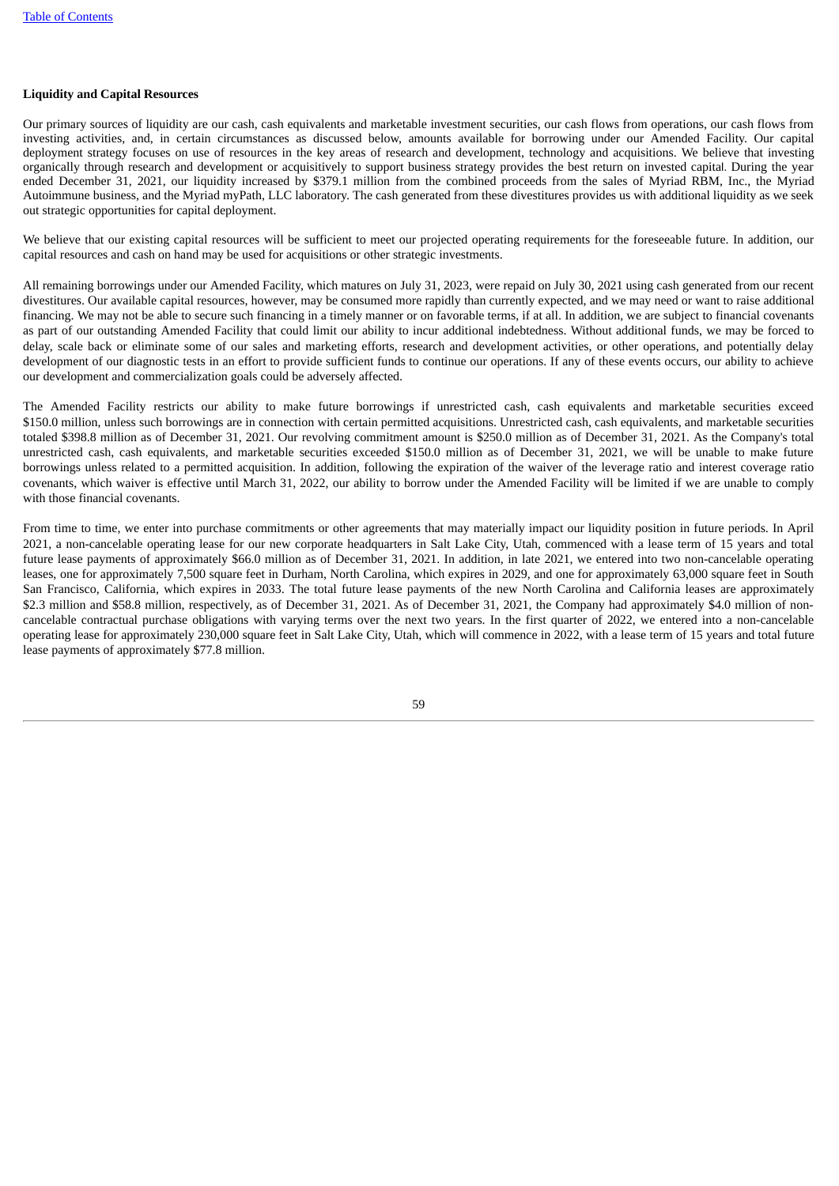# **Liquidity and Capital Resources**

Our primary sources of liquidity are our cash, cash equivalents and marketable investment securities, our cash flows from operations, our cash flows from investing activities, and, in certain circumstances as discussed below, amounts available for borrowing under our Amended Facility. Our capital deployment strategy focuses on use of resources in the key areas of research and development, technology and acquisitions. We believe that investing organically through research and development or acquisitively to support business strategy provides the best return on invested capital. During the year ended December 31, 2021, our liquidity increased by \$379.1 million from the combined proceeds from the sales of Myriad RBM, Inc., the Myriad Autoimmune business, and the Myriad myPath, LLC laboratory. The cash generated from these divestitures provides us with additional liquidity as we seek out strategic opportunities for capital deployment.

We believe that our existing capital resources will be sufficient to meet our projected operating requirements for the foreseeable future. In addition, our capital resources and cash on hand may be used for acquisitions or other strategic investments.

All remaining borrowings under our Amended Facility, which matures on July 31, 2023, were repaid on July 30, 2021 using cash generated from our recent divestitures. Our available capital resources, however, may be consumed more rapidly than currently expected, and we may need or want to raise additional financing. We may not be able to secure such financing in a timely manner or on favorable terms, if at all. In addition, we are subject to financial covenants as part of our outstanding Amended Facility that could limit our ability to incur additional indebtedness. Without additional funds, we may be forced to delay, scale back or eliminate some of our sales and marketing efforts, research and development activities, or other operations, and potentially delay development of our diagnostic tests in an effort to provide sufficient funds to continue our operations. If any of these events occurs, our ability to achieve our development and commercialization goals could be adversely affected.

The Amended Facility restricts our ability to make future borrowings if unrestricted cash, cash equivalents and marketable securities exceed \$150.0 million, unless such borrowings are in connection with certain permitted acquisitions. Unrestricted cash, cash equivalents, and marketable securities totaled \$398.8 million as of December 31, 2021. Our revolving commitment amount is \$250.0 million as of December 31, 2021. As the Company's total unrestricted cash, cash equivalents, and marketable securities exceeded \$150.0 million as of December 31, 2021, we will be unable to make future borrowings unless related to a permitted acquisition. In addition, following the expiration of the waiver of the leverage ratio and interest coverage ratio covenants, which waiver is effective until March 31, 2022, our ability to borrow under the Amended Facility will be limited if we are unable to comply with those financial covenants.

From time to time, we enter into purchase commitments or other agreements that may materially impact our liquidity position in future periods. In April 2021, a non-cancelable operating lease for our new corporate headquarters in Salt Lake City, Utah, commenced with a lease term of 15 years and total future lease payments of approximately \$66.0 million as of December 31, 2021. In addition, in late 2021, we entered into two non-cancelable operating leases, one for approximately 7,500 square feet in Durham, North Carolina, which expires in 2029, and one for approximately 63,000 square feet in South San Francisco, California, which expires in 2033. The total future lease payments of the new North Carolina and California leases are approximately \$2.3 million and \$58.8 million, respectively, as of December 31, 2021. As of December 31, 2021, the Company had approximately \$4.0 million of noncancelable contractual purchase obligations with varying terms over the next two years. In the first quarter of 2022, we entered into a non-cancelable operating lease for approximately 230,000 square feet in Salt Lake City, Utah, which will commence in 2022, with a lease term of 15 years and total future lease payments of approximately \$77.8 million.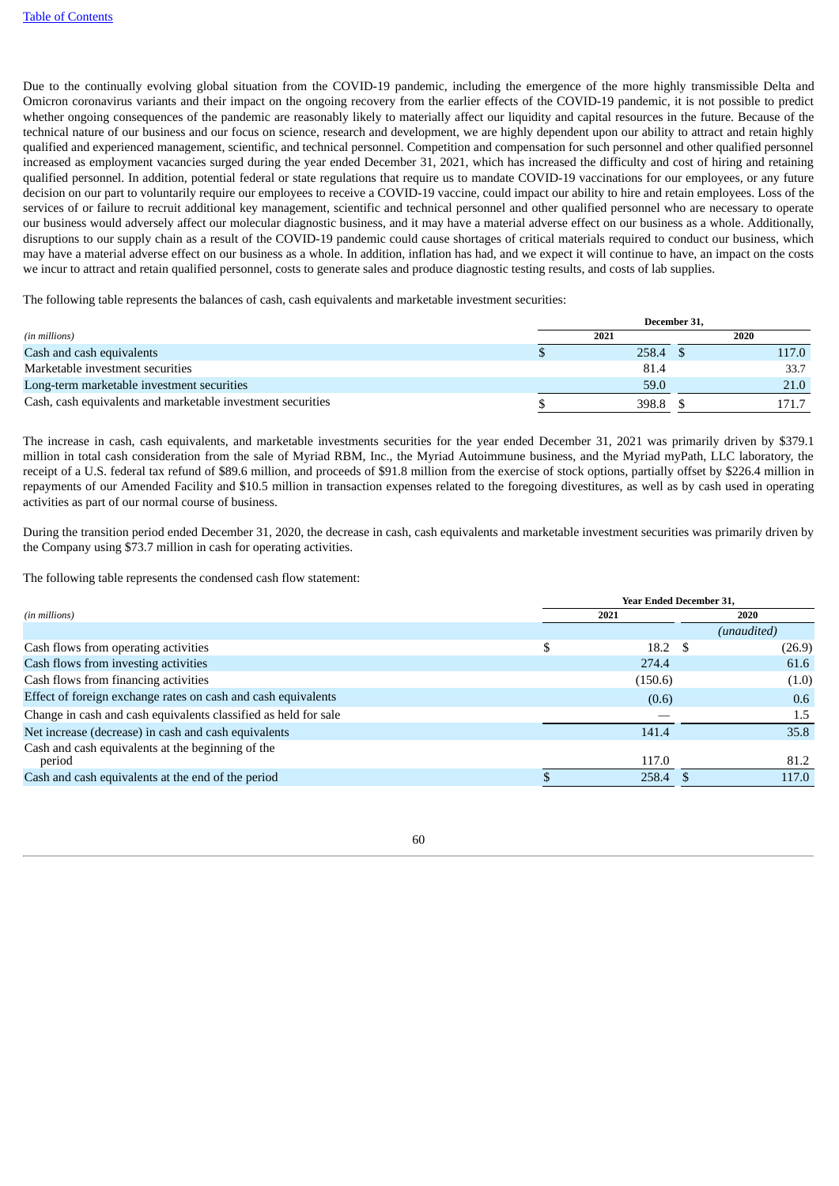Due to the continually evolving global situation from the COVID-19 pandemic, including the emergence of the more highly transmissible Delta and Omicron coronavirus variants and their impact on the ongoing recovery from the earlier effects of the COVID-19 pandemic, it is not possible to predict whether ongoing consequences of the pandemic are reasonably likely to materially affect our liquidity and capital resources in the future. Because of the technical nature of our business and our focus on science, research and development, we are highly dependent upon our ability to attract and retain highly qualified and experienced management, scientific, and technical personnel. Competition and compensation for such personnel and other qualified personnel increased as employment vacancies surged during the year ended December 31, 2021, which has increased the difficulty and cost of hiring and retaining qualified personnel. In addition, potential federal or state regulations that require us to mandate COVID-19 vaccinations for our employees, or any future decision on our part to voluntarily require our employees to receive a COVID-19 vaccine, could impact our ability to hire and retain employees. Loss of the services of or failure to recruit additional key management, scientific and technical personnel and other qualified personnel who are necessary to operate our business would adversely affect our molecular diagnostic business, and it may have a material adverse effect on our business as a whole. Additionally, disruptions to our supply chain as a result of the COVID-19 pandemic could cause shortages of critical materials required to conduct our business, which may have a material adverse effect on our business as a whole. In addition, inflation has had, and we expect it will continue to have, an impact on the costs we incur to attract and retain qualified personnel, costs to generate sales and produce diagnostic testing results, and costs of lab supplies.

The following table represents the balances of cash, cash equivalents and marketable investment securities:

|                                                             |       | December 31, |       |
|-------------------------------------------------------------|-------|--------------|-------|
| (in millions)                                               | 2021  |              | 2020  |
| Cash and cash equivalents                                   | 258.4 |              | 117.0 |
| Marketable investment securities                            | 81.4  |              | 33.7  |
| Long-term marketable investment securities                  | 59.0  |              | 21.0  |
| Cash, cash equivalents and marketable investment securities | 398.8 |              | 171.7 |

The increase in cash, cash equivalents, and marketable investments securities for the year ended December 31, 2021 was primarily driven by \$379.1 million in total cash consideration from the sale of Myriad RBM, Inc., the Myriad Autoimmune business, and the Myriad myPath, LLC laboratory, the receipt of a U.S. federal tax refund of \$89.6 million, and proceeds of \$91.8 million from the exercise of stock options, partially offset by \$226.4 million in repayments of our Amended Facility and \$10.5 million in transaction expenses related to the foregoing divestitures, as well as by cash used in operating activities as part of our normal course of business.

During the transition period ended December 31, 2020, the decrease in cash, cash equivalents and marketable investment securities was primarily driven by the Company using \$73.7 million in cash for operating activities.

The following table represents the condensed cash flow statement:

|                                                                 |    | <b>Year Ended December 31.</b> |      |             |  |
|-----------------------------------------------------------------|----|--------------------------------|------|-------------|--|
| (in millions)                                                   |    | 2021                           | 2020 |             |  |
|                                                                 |    |                                |      | (unaudited) |  |
| Cash flows from operating activities                            | \$ | $18.2 \quad $$                 |      | (26.9)      |  |
| Cash flows from investing activities                            |    | 274.4                          |      | 61.6        |  |
| Cash flows from financing activities                            |    | (150.6)                        |      | (1.0)       |  |
| Effect of foreign exchange rates on cash and cash equivalents   |    | (0.6)                          |      | 0.6         |  |
| Change in cash and cash equivalents classified as held for sale |    |                                |      | 1.5         |  |
| Net increase (decrease) in cash and cash equivalents            |    | 141.4                          |      | 35.8        |  |
| Cash and cash equivalents at the beginning of the<br>period     |    | 117.0                          |      | 81.2        |  |
| Cash and cash equivalents at the end of the period              |    | $258.4$ \$                     |      | 117.0       |  |
|                                                                 |    |                                |      |             |  |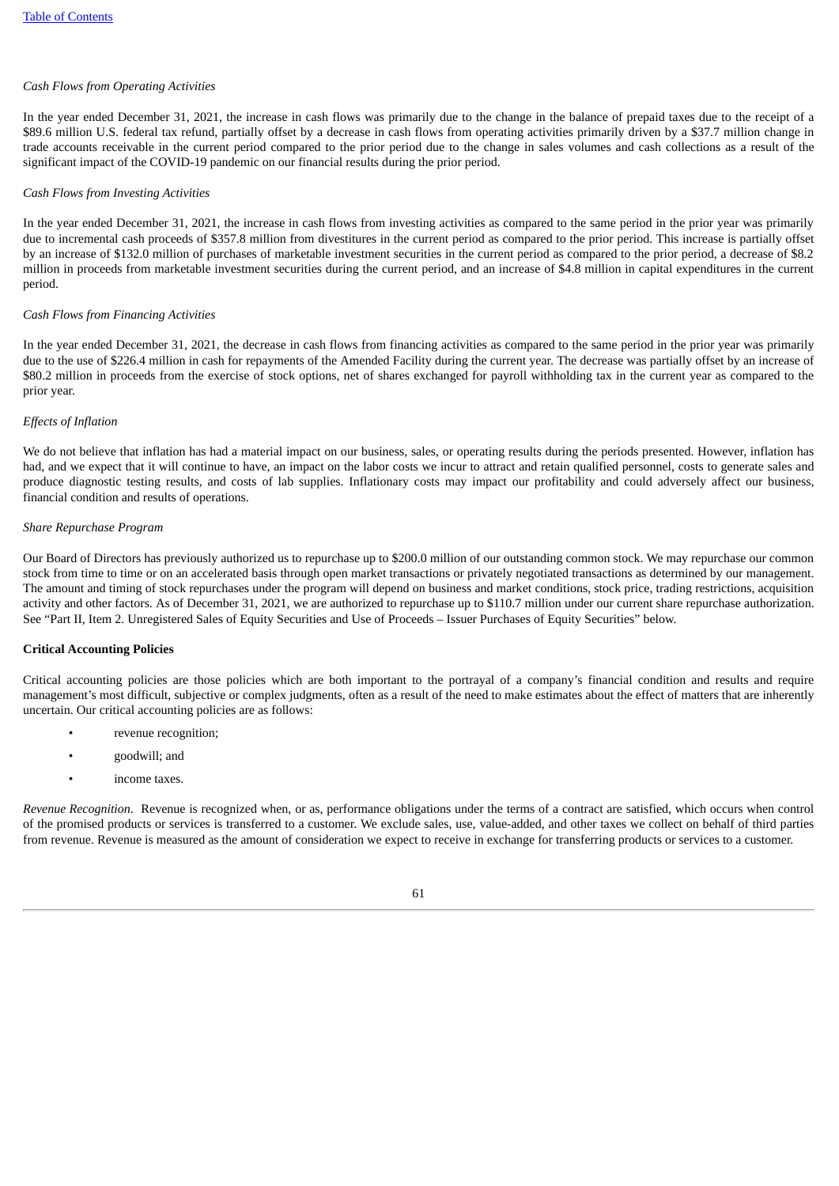## *Cash Flows from Operating Activities*

In the year ended December 31, 2021, the increase in cash flows was primarily due to the change in the balance of prepaid taxes due to the receipt of a \$89.6 million U.S. federal tax refund, partially offset by a decrease in cash flows from operating activities primarily driven by a \$37.7 million change in trade accounts receivable in the current period compared to the prior period due to the change in sales volumes and cash collections as a result of the significant impact of the COVID-19 pandemic on our financial results during the prior period.

#### *Cash Flows from Investing Activities*

In the year ended December 31, 2021, the increase in cash flows from investing activities as compared to the same period in the prior year was primarily due to incremental cash proceeds of \$357.8 million from divestitures in the current period as compared to the prior period. This increase is partially offset by an increase of \$132.0 million of purchases of marketable investment securities in the current period as compared to the prior period, a decrease of \$8.2 million in proceeds from marketable investment securities during the current period, and an increase of \$4.8 million in capital expenditures in the current period.

#### *Cash Flows from Financing Activities*

In the year ended December 31, 2021, the decrease in cash flows from financing activities as compared to the same period in the prior year was primarily due to the use of \$226.4 million in cash for repayments of the Amended Facility during the current year. The decrease was partially offset by an increase of \$80.2 million in proceeds from the exercise of stock options, net of shares exchanged for payroll withholding tax in the current year as compared to the prior year.

#### *Effects of Inflation*

We do not believe that inflation has had a material impact on our business, sales, or operating results during the periods presented. However, inflation has had, and we expect that it will continue to have, an impact on the labor costs we incur to attract and retain qualified personnel, costs to generate sales and produce diagnostic testing results, and costs of lab supplies. Inflationary costs may impact our profitability and could adversely affect our business, financial condition and results of operations.

#### *Share Repurchase Program*

Our Board of Directors has previously authorized us to repurchase up to \$200.0 million of our outstanding common stock. We may repurchase our common stock from time to time or on an accelerated basis through open market transactions or privately negotiated transactions as determined by our management. The amount and timing of stock repurchases under the program will depend on business and market conditions, stock price, trading restrictions, acquisition activity and other factors. As of December 31, 2021, we are authorized to repurchase up to \$110.7 million under our current share repurchase authorization. See "Part II, Item 2. Unregistered Sales of Equity Securities and Use of Proceeds – Issuer Purchases of Equity Securities" below.

#### **Critical Accounting Policies**

Critical accounting policies are those policies which are both important to the portrayal of a company's financial condition and results and require management's most difficult, subjective or complex judgments, often as a result of the need to make estimates about the effect of matters that are inherently uncertain. Our critical accounting policies are as follows:

- revenue recognition;
- goodwill; and
- income taxes.

*Revenue Recognition*. Revenue is recognized when, or as, performance obligations under the terms of a contract are satisfied, which occurs when control of the promised products or services is transferred to a customer. We exclude sales, use, value-added, and other taxes we collect on behalf of third parties from revenue. Revenue is measured as the amount of consideration we expect to receive in exchange for transferring products or services to a customer.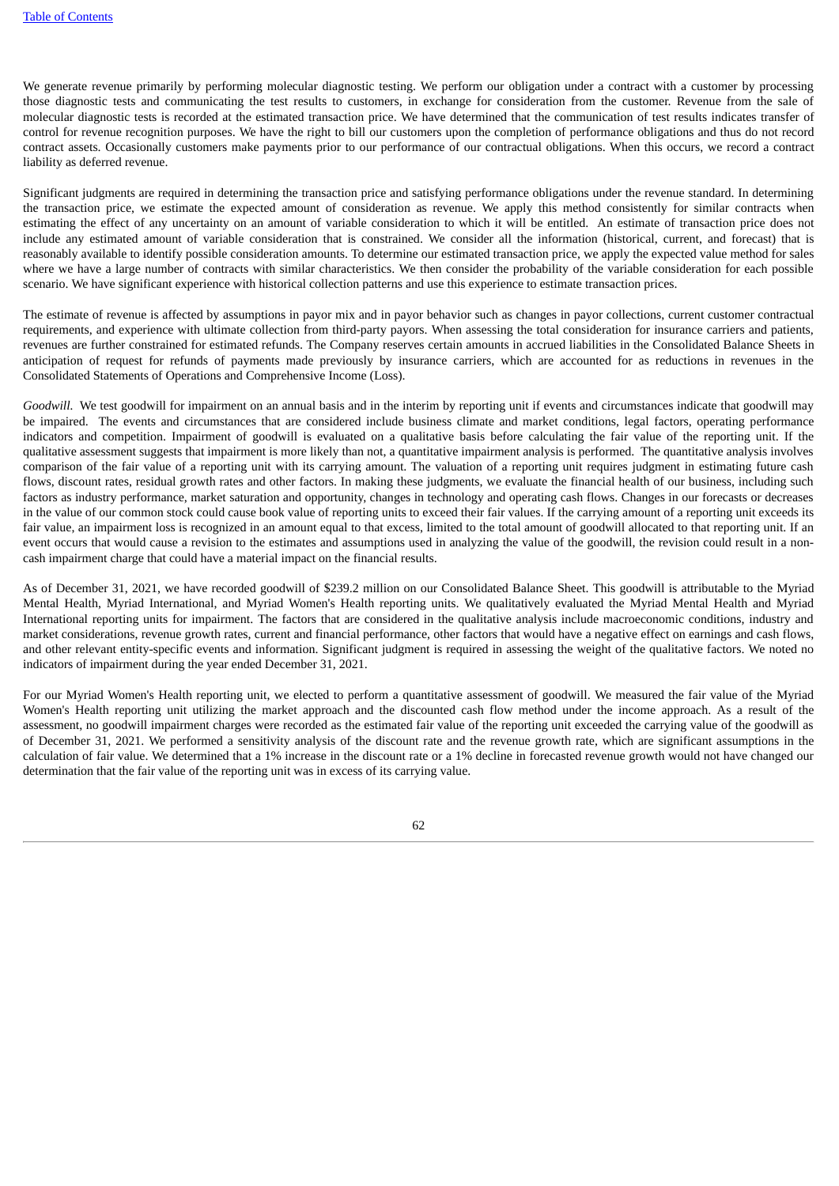We generate revenue primarily by performing molecular diagnostic testing. We perform our obligation under a contract with a customer by processing those diagnostic tests and communicating the test results to customers, in exchange for consideration from the customer. Revenue from the sale of molecular diagnostic tests is recorded at the estimated transaction price. We have determined that the communication of test results indicates transfer of control for revenue recognition purposes. We have the right to bill our customers upon the completion of performance obligations and thus do not record contract assets. Occasionally customers make payments prior to our performance of our contractual obligations. When this occurs, we record a contract liability as deferred revenue.

Significant judgments are required in determining the transaction price and satisfying performance obligations under the revenue standard. In determining the transaction price, we estimate the expected amount of consideration as revenue. We apply this method consistently for similar contracts when estimating the effect of any uncertainty on an amount of variable consideration to which it will be entitled. An estimate of transaction price does not include any estimated amount of variable consideration that is constrained. We consider all the information (historical, current, and forecast) that is reasonably available to identify possible consideration amounts. To determine our estimated transaction price, we apply the expected value method for sales where we have a large number of contracts with similar characteristics. We then consider the probability of the variable consideration for each possible scenario. We have significant experience with historical collection patterns and use this experience to estimate transaction prices.

The estimate of revenue is affected by assumptions in payor mix and in payor behavior such as changes in payor collections, current customer contractual requirements, and experience with ultimate collection from third-party payors. When assessing the total consideration for insurance carriers and patients, revenues are further constrained for estimated refunds. The Company reserves certain amounts in accrued liabilities in the Consolidated Balance Sheets in anticipation of request for refunds of payments made previously by insurance carriers, which are accounted for as reductions in revenues in the Consolidated Statements of Operations and Comprehensive Income (Loss).

*Goodwill.* We test goodwill for impairment on an annual basis and in the interim by reporting unit if events and circumstances indicate that goodwill may be impaired. The events and circumstances that are considered include business climate and market conditions, legal factors, operating performance indicators and competition. Impairment of goodwill is evaluated on a qualitative basis before calculating the fair value of the reporting unit. If the qualitative assessment suggests that impairment is more likely than not, a quantitative impairment analysis is performed. The quantitative analysis involves comparison of the fair value of a reporting unit with its carrying amount. The valuation of a reporting unit requires judgment in estimating future cash flows, discount rates, residual growth rates and other factors. In making these judgments, we evaluate the financial health of our business, including such factors as industry performance, market saturation and opportunity, changes in technology and operating cash flows. Changes in our forecasts or decreases in the value of our common stock could cause book value of reporting units to exceed their fair values. If the carrying amount of a reporting unit exceeds its fair value, an impairment loss is recognized in an amount equal to that excess, limited to the total amount of goodwill allocated to that reporting unit. If an event occurs that would cause a revision to the estimates and assumptions used in analyzing the value of the goodwill, the revision could result in a noncash impairment charge that could have a material impact on the financial results.

As of December 31, 2021, we have recorded goodwill of \$239.2 million on our Consolidated Balance Sheet. This goodwill is attributable to the Myriad Mental Health, Myriad International, and Myriad Women's Health reporting units. We qualitatively evaluated the Myriad Mental Health and Myriad International reporting units for impairment. The factors that are considered in the qualitative analysis include macroeconomic conditions, industry and market considerations, revenue growth rates, current and financial performance, other factors that would have a negative effect on earnings and cash flows, and other relevant entity-specific events and information. Significant judgment is required in assessing the weight of the qualitative factors. We noted no indicators of impairment during the year ended December 31, 2021.

For our Myriad Women's Health reporting unit, we elected to perform a quantitative assessment of goodwill. We measured the fair value of the Myriad Women's Health reporting unit utilizing the market approach and the discounted cash flow method under the income approach. As a result of the assessment, no goodwill impairment charges were recorded as the estimated fair value of the reporting unit exceeded the carrying value of the goodwill as of December 31, 2021. We performed a sensitivity analysis of the discount rate and the revenue growth rate, which are significant assumptions in the calculation of fair value. We determined that a 1% increase in the discount rate or a 1% decline in forecasted revenue growth would not have changed our determination that the fair value of the reporting unit was in excess of its carrying value.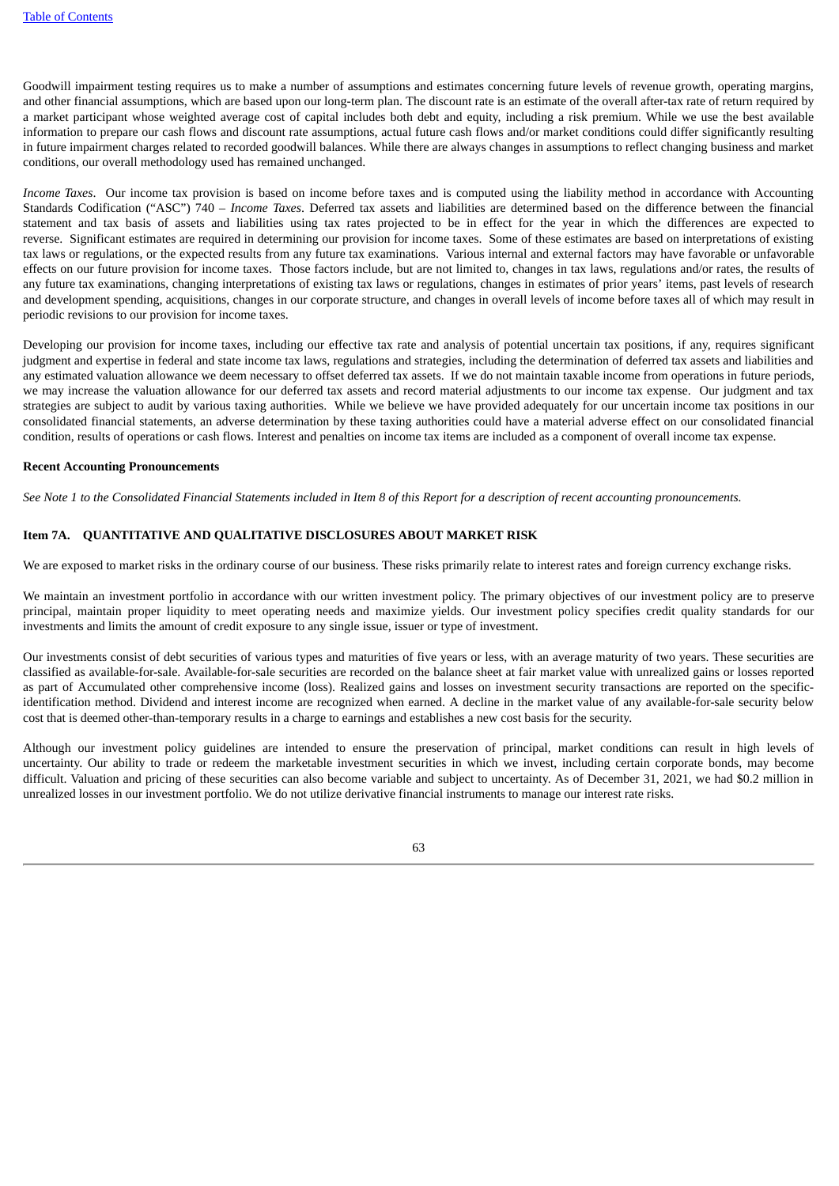Goodwill impairment testing requires us to make a number of assumptions and estimates concerning future levels of revenue growth, operating margins, and other financial assumptions, which are based upon our long-term plan. The discount rate is an estimate of the overall after-tax rate of return required by a market participant whose weighted average cost of capital includes both debt and equity, including a risk premium. While we use the best available information to prepare our cash flows and discount rate assumptions, actual future cash flows and/or market conditions could differ significantly resulting in future impairment charges related to recorded goodwill balances. While there are always changes in assumptions to reflect changing business and market conditions, our overall methodology used has remained unchanged.

*Income Taxes*. Our income tax provision is based on income before taxes and is computed using the liability method in accordance with Accounting Standards Codification ("ASC") 740 – *Income Taxes*. Deferred tax assets and liabilities are determined based on the difference between the financial statement and tax basis of assets and liabilities using tax rates projected to be in effect for the year in which the differences are expected to reverse. Significant estimates are required in determining our provision for income taxes. Some of these estimates are based on interpretations of existing tax laws or regulations, or the expected results from any future tax examinations. Various internal and external factors may have favorable or unfavorable effects on our future provision for income taxes. Those factors include, but are not limited to, changes in tax laws, regulations and/or rates, the results of any future tax examinations, changing interpretations of existing tax laws or regulations, changes in estimates of prior years' items, past levels of research and development spending, acquisitions, changes in our corporate structure, and changes in overall levels of income before taxes all of which may result in periodic revisions to our provision for income taxes.

Developing our provision for income taxes, including our effective tax rate and analysis of potential uncertain tax positions, if any, requires significant judgment and expertise in federal and state income tax laws, regulations and strategies, including the determination of deferred tax assets and liabilities and any estimated valuation allowance we deem necessary to offset deferred tax assets. If we do not maintain taxable income from operations in future periods, we may increase the valuation allowance for our deferred tax assets and record material adjustments to our income tax expense. Our judgment and tax strategies are subject to audit by various taxing authorities. While we believe we have provided adequately for our uncertain income tax positions in our consolidated financial statements, an adverse determination by these taxing authorities could have a material adverse effect on our consolidated financial condition, results of operations or cash flows. Interest and penalties on income tax items are included as a component of overall income tax expense.

#### **Recent Accounting Pronouncements**

See Note 1 to the Consolidated Financial Statements included in Item 8 of this Report for a description of recent accounting pronouncements.

## **Item 7A. QUANTITATIVE AND QUALITATIVE DISCLOSURES ABOUT MARKET RISK**

We are exposed to market risks in the ordinary course of our business. These risks primarily relate to interest rates and foreign currency exchange risks.

We maintain an investment portfolio in accordance with our written investment policy. The primary objectives of our investment policy are to preserve principal, maintain proper liquidity to meet operating needs and maximize yields. Our investment policy specifies credit quality standards for our investments and limits the amount of credit exposure to any single issue, issuer or type of investment.

Our investments consist of debt securities of various types and maturities of five years or less, with an average maturity of two years. These securities are classified as available-for-sale. Available-for-sale securities are recorded on the balance sheet at fair market value with unrealized gains or losses reported as part of Accumulated other comprehensive income (loss). Realized gains and losses on investment security transactions are reported on the specificidentification method. Dividend and interest income are recognized when earned. A decline in the market value of any available-for-sale security below cost that is deemed other-than-temporary results in a charge to earnings and establishes a new cost basis for the security.

Although our investment policy guidelines are intended to ensure the preservation of principal, market conditions can result in high levels of uncertainty. Our ability to trade or redeem the marketable investment securities in which we invest, including certain corporate bonds, may become difficult. Valuation and pricing of these securities can also become variable and subject to uncertainty. As of December 31, 2021, we had \$0.2 million in unrealized losses in our investment portfolio. We do not utilize derivative financial instruments to manage our interest rate risks.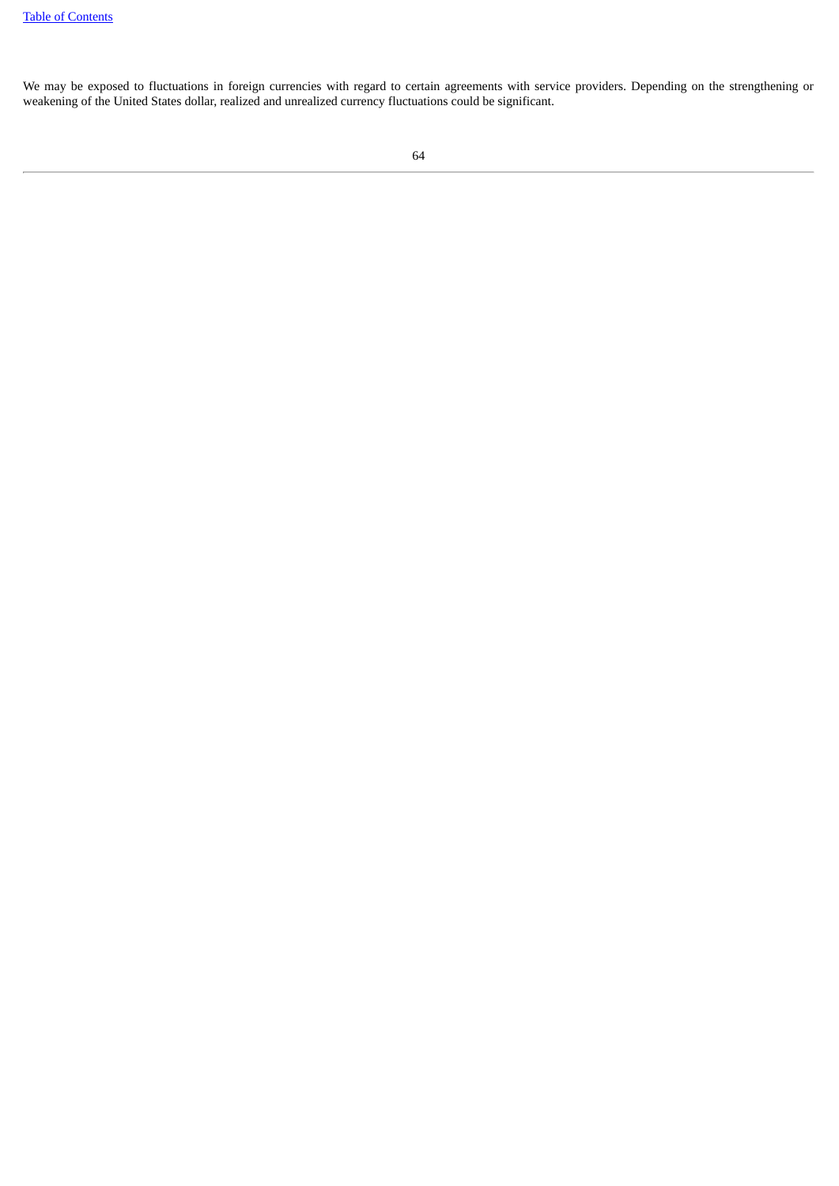<span id="page-63-0"></span>We may be exposed to fluctuations in foreign currencies with regard to certain agreements with service providers. Depending on the strengthening or weakening of the United States dollar, realized and unrealized currency fluctuations could be significant.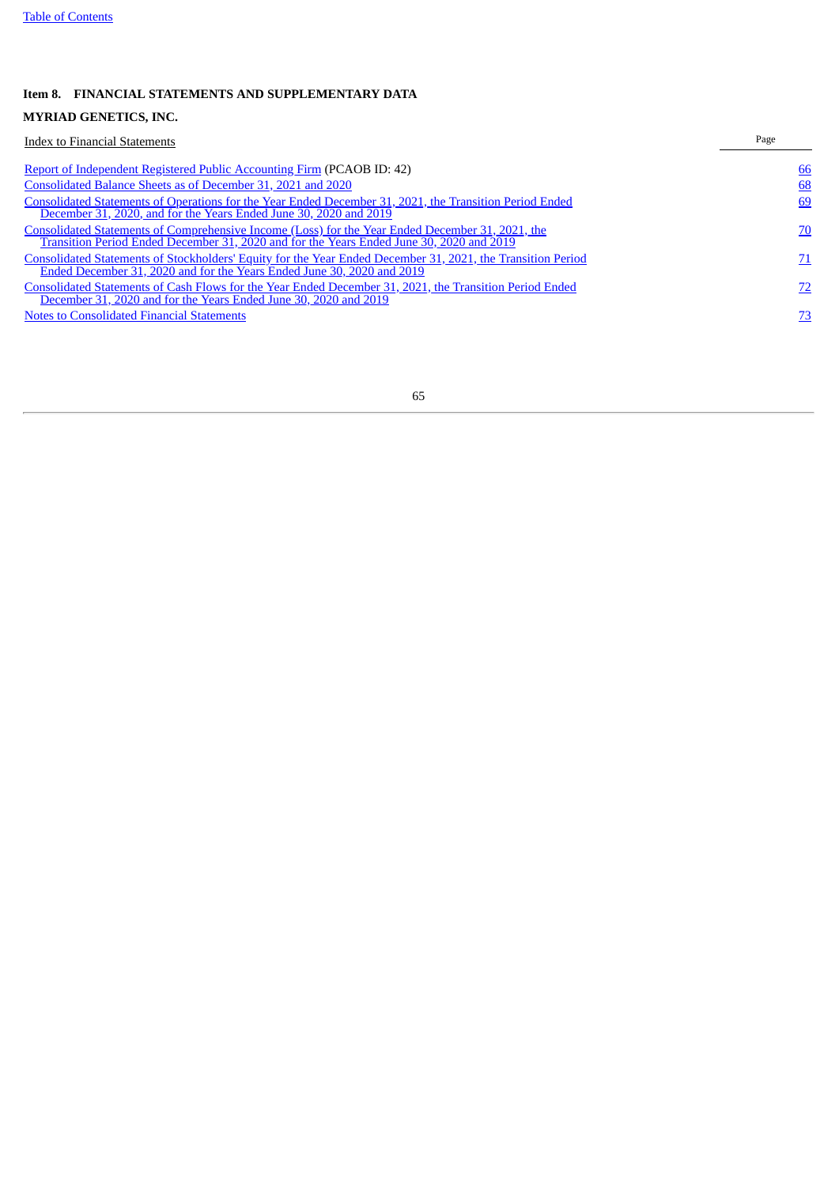# **Item 8. FINANCIAL STATEMENTS AND SUPPLEMENTARY DATA**

# **MYRIAD GENETICS, INC.**

<span id="page-64-0"></span>

| Index to Financial Statements                                                                                                                                                                    | Page      |
|--------------------------------------------------------------------------------------------------------------------------------------------------------------------------------------------------|-----------|
| <b>Report of Independent Registered Public Accounting Firm (PCAOB ID: 42)</b>                                                                                                                    | 66        |
| Consolidated Balance Sheets as of December 31, 2021 and 2020                                                                                                                                     | 68        |
| Consolidated Statements of Operations for the Year Ended December 31, 2021, the Transition Period Ended<br>December 31, 2020, and for the Years Ended June 30, 2020 and 2019                     | 69        |
| <u>Consolidated Statements of Comprehensive Income (Loss) for the Year Ended December 31, 2021, the Transition Period Ended December 31, 2020 and for the Years Ended June 30, 2020 and 2019</u> | 70        |
| Consolidated Statements of Stockholders' Equity for the Year Ended December 31, 2021, the Transition Period<br>Ended December 31, 2020 and for the Years Ended June 30, 2020 and 2019            | 71        |
| Consolidated Statements of Cash Flows for the Year Ended December 31, 2021, the Transition Period Ended<br>December 31, 2020 and for the Years Ended June 30, 2020 and 2019                      | <u>72</u> |
| <b>Notes to Consolidated Financial Statements</b>                                                                                                                                                | 73        |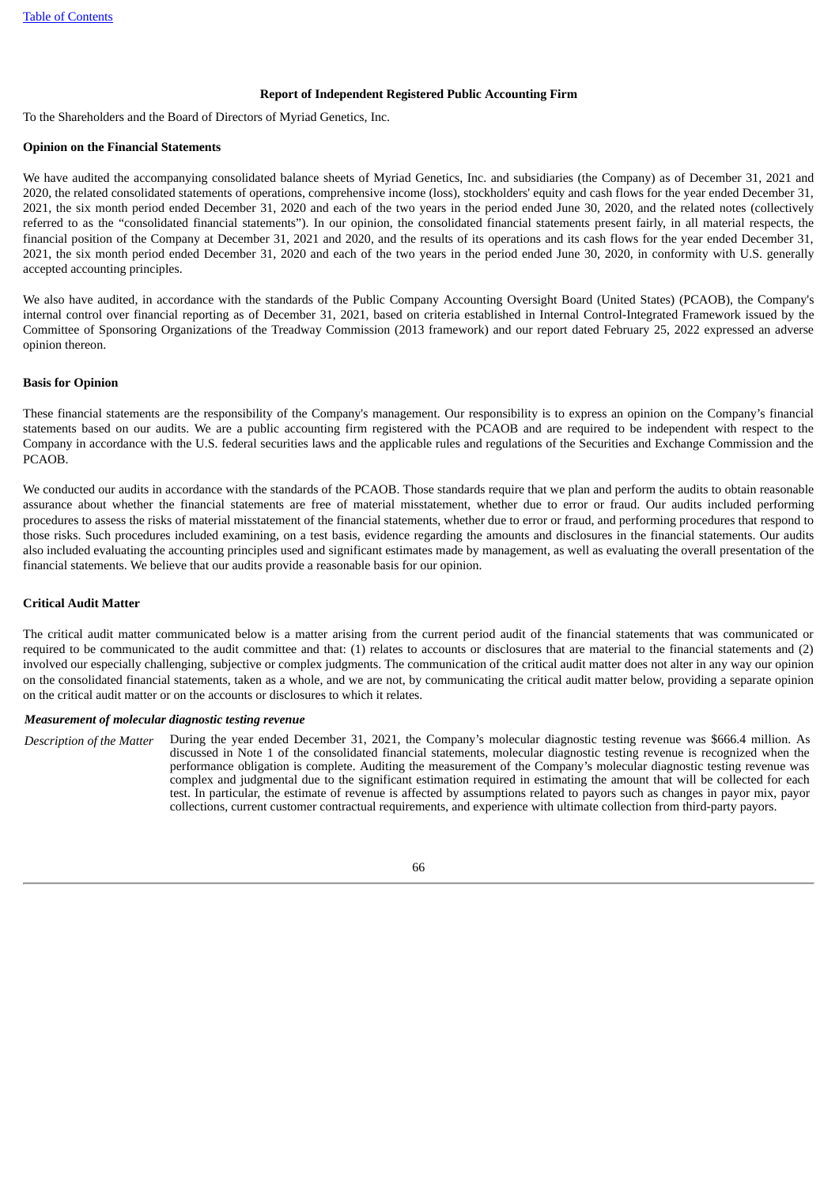## **Report of Independent Registered Public Accounting Firm**

To the Shareholders and the Board of Directors of Myriad Genetics, Inc.

#### **Opinion on the Financial Statements**

We have audited the accompanying consolidated balance sheets of Myriad Genetics, Inc. and subsidiaries (the Company) as of December 31, 2021 and 2020, the related consolidated statements of operations, comprehensive income (loss), stockholders' equity and cash flows for the year ended December 31, 2021, the six month period ended December 31, 2020 and each of the two years in the period ended June 30, 2020, and the related notes (collectively referred to as the "consolidated financial statements"). In our opinion, the consolidated financial statements present fairly, in all material respects, the financial position of the Company at December 31, 2021 and 2020, and the results of its operations and its cash flows for the year ended December 31, 2021, the six month period ended December 31, 2020 and each of the two years in the period ended June 30, 2020, in conformity with U.S. generally accepted accounting principles.

We also have audited, in accordance with the standards of the Public Company Accounting Oversight Board (United States) (PCAOB), the Company's internal control over financial reporting as of December 31, 2021, based on criteria established in Internal Control-Integrated Framework issued by the Committee of Sponsoring Organizations of the Treadway Commission (2013 framework) and our report dated February 25, 2022 expressed an adverse opinion thereon.

## **Basis for Opinion**

These financial statements are the responsibility of the Company's management. Our responsibility is to express an opinion on the Company's financial statements based on our audits. We are a public accounting firm registered with the PCAOB and are required to be independent with respect to the Company in accordance with the U.S. federal securities laws and the applicable rules and regulations of the Securities and Exchange Commission and the PCAOB.

We conducted our audits in accordance with the standards of the PCAOB. Those standards require that we plan and perform the audits to obtain reasonable assurance about whether the financial statements are free of material misstatement, whether due to error or fraud. Our audits included performing procedures to assess the risks of material misstatement of the financial statements, whether due to error or fraud, and performing procedures that respond to those risks. Such procedures included examining, on a test basis, evidence regarding the amounts and disclosures in the financial statements. Our audits also included evaluating the accounting principles used and significant estimates made by management, as well as evaluating the overall presentation of the financial statements. We believe that our audits provide a reasonable basis for our opinion.

#### **Critical Audit Matter**

The critical audit matter communicated below is a matter arising from the current period audit of the financial statements that was communicated or required to be communicated to the audit committee and that: (1) relates to accounts or disclosures that are material to the financial statements and (2) involved our especially challenging, subjective or complex judgments. The communication of the critical audit matter does not alter in any way our opinion on the consolidated financial statements, taken as a whole, and we are not, by communicating the critical audit matter below, providing a separate opinion on the critical audit matter or on the accounts or disclosures to which it relates.

## *Measurement of molecular diagnostic testing revenue*

*Description of the Matter* During the year ended December 31, 2021, the Company's molecular diagnostic testing revenue was \$666.4 million. As discussed in Note 1 of the consolidated financial statements, molecular diagnostic testing revenue is recognized when the performance obligation is complete. Auditing the measurement of the Company's molecular diagnostic testing revenue was complex and judgmental due to the significant estimation required in estimating the amount that will be collected for each test. In particular, the estimate of revenue is affected by assumptions related to payors such as changes in payor mix, payor collections, current customer contractual requirements, and experience with ultimate collection from third-party payors.

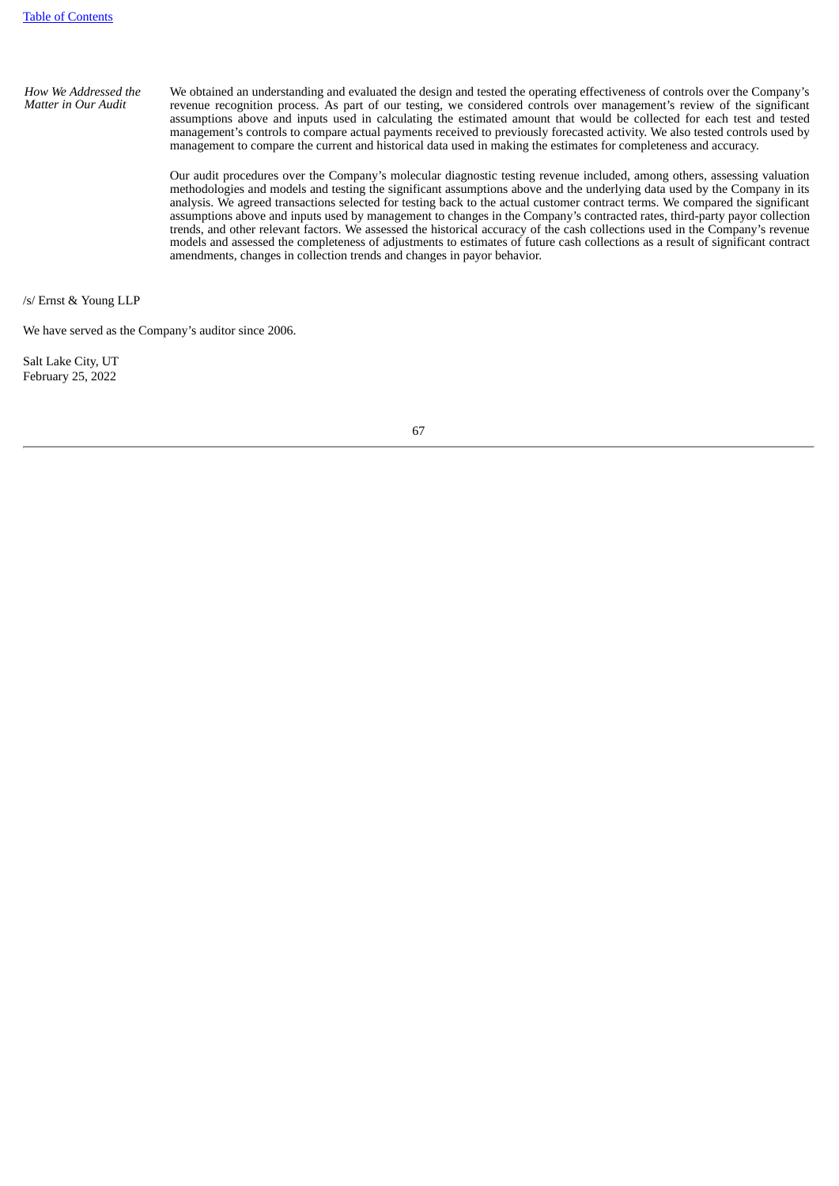*How We Addressed the Matter in Our Audit* We obtained an understanding and evaluated the design and tested the operating effectiveness of controls over the Company's revenue recognition process. As part of our testing, we considered controls over management's review of the significant assumptions above and inputs used in calculating the estimated amount that would be collected for each test and tested management's controls to compare actual payments received to previously forecasted activity. We also tested controls used by management to compare the current and historical data used in making the estimates for completeness and accuracy.

> Our audit procedures over the Company's molecular diagnostic testing revenue included, among others, assessing valuation methodologies and models and testing the significant assumptions above and the underlying data used by the Company in its analysis. We agreed transactions selected for testing back to the actual customer contract terms. We compared the significant assumptions above and inputs used by management to changes in the Company's contracted rates, third-party payor collection trends, and other relevant factors. We assessed the historical accuracy of the cash collections used in the Company's revenue models and assessed the completeness of adjustments to estimates of future cash collections as a result of significant contract amendments, changes in collection trends and changes in payor behavior.

/s/ Ernst & Young LLP

We have served as the Company's auditor since 2006.

<span id="page-66-0"></span>Salt Lake City, UT February 25, 2022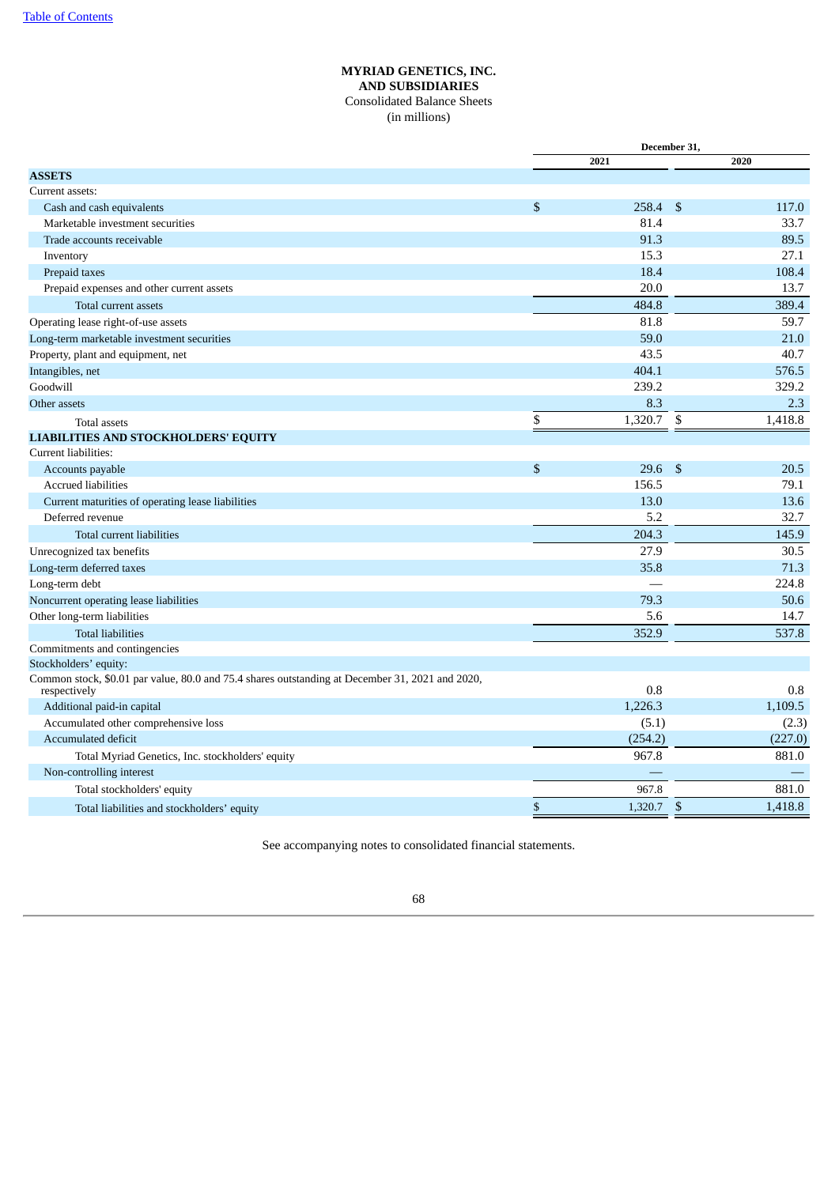## **MYRIAD GENETICS, INC. AND SUBSIDIARIES** Consolidated Balance Sheets (in millions)

|                                                                                                                 |              | December 31, |                |         |  |  |
|-----------------------------------------------------------------------------------------------------------------|--------------|--------------|----------------|---------|--|--|
|                                                                                                                 |              | 2021         |                | 2020    |  |  |
| <b>ASSETS</b>                                                                                                   |              |              |                |         |  |  |
| Current assets:                                                                                                 |              |              |                |         |  |  |
| Cash and cash equivalents                                                                                       | $\mathbb{S}$ | 258.4        | $\mathfrak{S}$ | 117.0   |  |  |
| Marketable investment securities                                                                                |              | 81.4         |                | 33.7    |  |  |
| Trade accounts receivable                                                                                       |              | 91.3         |                | 89.5    |  |  |
| Inventory                                                                                                       |              | 15.3         |                | 27.1    |  |  |
| Prepaid taxes                                                                                                   |              | 18.4         |                | 108.4   |  |  |
| Prepaid expenses and other current assets                                                                       |              | 20.0         |                | 13.7    |  |  |
| Total current assets                                                                                            |              | 484.8        |                | 389.4   |  |  |
| Operating lease right-of-use assets                                                                             |              | 81.8         |                | 59.7    |  |  |
| Long-term marketable investment securities                                                                      |              | 59.0         |                | 21.0    |  |  |
| Property, plant and equipment, net                                                                              |              | 43.5         |                | 40.7    |  |  |
| Intangibles, net                                                                                                |              | 404.1        |                | 576.5   |  |  |
| Goodwill                                                                                                        |              | 239.2        |                | 329.2   |  |  |
| Other assets                                                                                                    |              | 8.3          |                | 2.3     |  |  |
| Total assets                                                                                                    | \$           | 1,320.7      | \$             | 1,418.8 |  |  |
| <b>LIABILITIES AND STOCKHOLDERS' EQUITY</b>                                                                     |              |              |                |         |  |  |
| Current liabilities:                                                                                            |              |              |                |         |  |  |
| Accounts payable                                                                                                | \$           | 29.6         | \$             | 20.5    |  |  |
| <b>Accrued liabilities</b>                                                                                      |              | 156.5        |                | 79.1    |  |  |
| Current maturities of operating lease liabilities                                                               |              | 13.0         |                | 13.6    |  |  |
| Deferred revenue                                                                                                |              | 5.2          |                | 32.7    |  |  |
| Total current liabilities                                                                                       |              | 204.3        |                | 145.9   |  |  |
| Unrecognized tax benefits                                                                                       |              | 27.9         |                | 30.5    |  |  |
| Long-term deferred taxes                                                                                        |              | 35.8         |                | 71.3    |  |  |
| Long-term debt                                                                                                  |              |              |                | 224.8   |  |  |
| Noncurrent operating lease liabilities                                                                          |              | 79.3         |                | 50.6    |  |  |
| Other long-term liabilities                                                                                     |              | 5.6          |                | 14.7    |  |  |
| <b>Total liabilities</b>                                                                                        |              | 352.9        |                | 537.8   |  |  |
| Commitments and contingencies                                                                                   |              |              |                |         |  |  |
| Stockholders' equity:                                                                                           |              |              |                |         |  |  |
| Common stock, \$0.01 par value, 80.0 and 75.4 shares outstanding at December 31, 2021 and 2020,<br>respectively |              | 0.8          |                | 0.8     |  |  |
| Additional paid-in capital                                                                                      |              | 1,226.3      |                | 1,109.5 |  |  |
| Accumulated other comprehensive loss                                                                            |              | (5.1)        |                | (2.3)   |  |  |
| <b>Accumulated deficit</b>                                                                                      |              | (254.2)      |                | (227.0) |  |  |
| Total Myriad Genetics, Inc. stockholders' equity                                                                |              | 967.8        |                | 881.0   |  |  |
| Non-controlling interest                                                                                        |              |              |                |         |  |  |
| Total stockholders' equity                                                                                      |              | 967.8        |                | 881.0   |  |  |
| Total liabilities and stockholders' equity                                                                      | \$           | 1,320.7      | \$             | 1,418.8 |  |  |

<span id="page-67-0"></span>See accompanying notes to consolidated financial statements.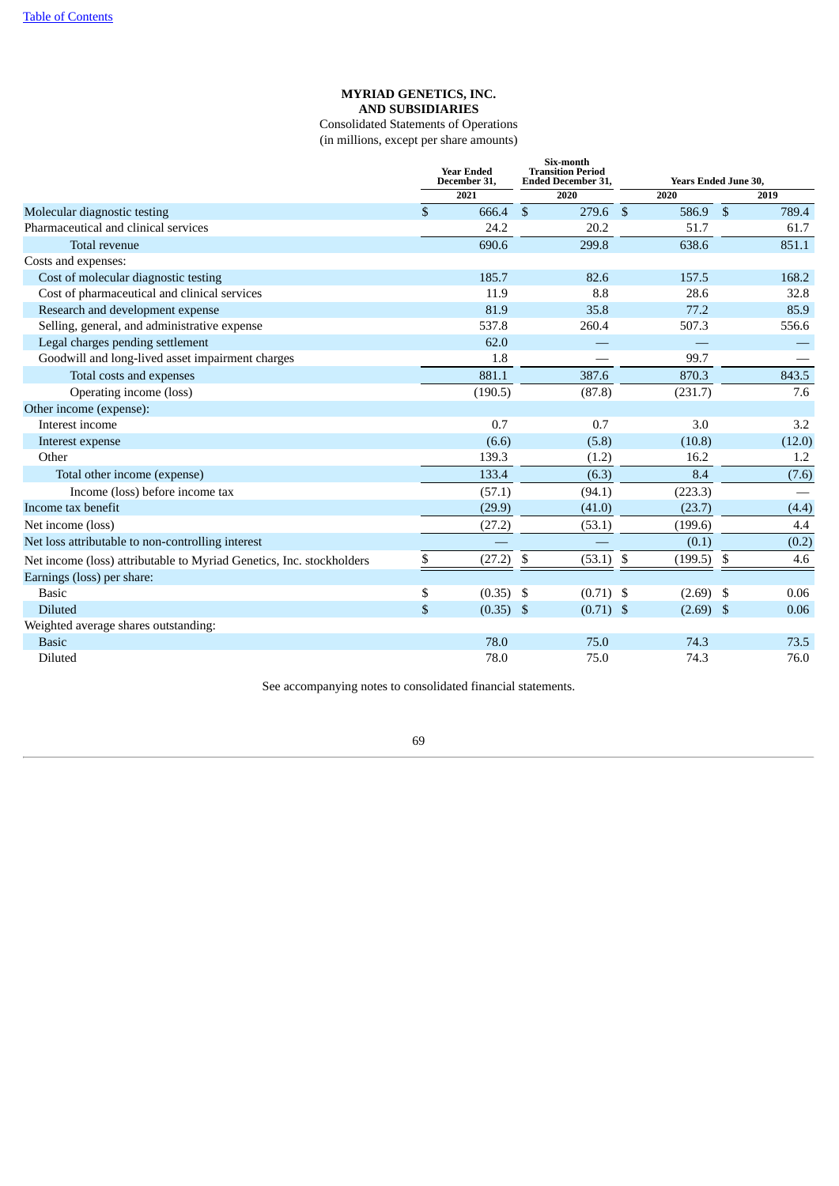# **MYRIAD GENETICS, INC. AND SUBSIDIARIES**

Consolidated Statements of Operations (in millions, except per share amounts)

|                                                                      |              | <b>Year Ended</b><br>December 31, |                | Six-month<br><b>Transition Period</b><br><b>Ended December 31,</b> |               | <b>Years Ended June 30.</b> |        |  |
|----------------------------------------------------------------------|--------------|-----------------------------------|----------------|--------------------------------------------------------------------|---------------|-----------------------------|--------|--|
|                                                                      |              | 2021                              |                | 2020                                                               | 2020          |                             | 2019   |  |
| Molecular diagnostic testing                                         | $\mathbb{S}$ | 666.4                             | $\mathfrak{S}$ | $279.6$ \$                                                         | 586.9         | $\mathbf{\hat{S}}$          | 789.4  |  |
| Pharmaceutical and clinical services                                 |              | 24.2                              |                | 20.2                                                               | 51.7          |                             | 61.7   |  |
| Total revenue                                                        |              | 690.6                             |                | 299.8                                                              | 638.6         |                             | 851.1  |  |
| Costs and expenses:                                                  |              |                                   |                |                                                                    |               |                             |        |  |
| Cost of molecular diagnostic testing                                 |              | 185.7                             |                | 82.6                                                               | 157.5         |                             | 168.2  |  |
| Cost of pharmaceutical and clinical services                         |              | 11.9                              |                | 8.8                                                                | 28.6          |                             | 32.8   |  |
| Research and development expense                                     |              | 81.9                              |                | 35.8                                                               | 77.2          |                             | 85.9   |  |
| Selling, general, and administrative expense                         |              | 537.8                             |                | 260.4                                                              | 507.3         |                             | 556.6  |  |
| Legal charges pending settlement                                     |              | 62.0                              |                |                                                                    |               |                             |        |  |
| Goodwill and long-lived asset impairment charges                     |              | 1.8                               |                |                                                                    | 99.7          |                             |        |  |
| Total costs and expenses                                             |              | 881.1                             |                | 387.6                                                              | 870.3         |                             | 843.5  |  |
| Operating income (loss)                                              |              | (190.5)                           |                | (87.8)                                                             | (231.7)       |                             | 7.6    |  |
| Other income (expense):                                              |              |                                   |                |                                                                    |               |                             |        |  |
| Interest income                                                      |              | 0.7                               |                | 0.7                                                                | 3.0           |                             | 3.2    |  |
| Interest expense                                                     |              | (6.6)                             |                | (5.8)                                                              | (10.8)        |                             | (12.0) |  |
| Other                                                                |              | 139.3                             |                | (1.2)                                                              | 16.2          |                             | 1.2    |  |
| Total other income (expense)                                         |              | 133.4                             |                | (6.3)                                                              | 8.4           |                             | (7.6)  |  |
| Income (loss) before income tax                                      |              | (57.1)                            |                | (94.1)                                                             | (223.3)       |                             |        |  |
| Income tax benefit                                                   |              | (29.9)                            |                | (41.0)                                                             | (23.7)        |                             | (4.4)  |  |
| Net income (loss)                                                    |              | (27.2)                            |                | (53.1)                                                             | (199.6)       |                             | 4.4    |  |
| Net loss attributable to non-controlling interest                    |              |                                   |                |                                                                    | (0.1)         |                             | (0.2)  |  |
| Net income (loss) attributable to Myriad Genetics, Inc. stockholders | \$           | (27.2)                            | \$             | (53.1)                                                             | \$<br>(199.5) | \$                          | 4.6    |  |
| Earnings (loss) per share:                                           |              |                                   |                |                                                                    |               |                             |        |  |
| <b>Basic</b>                                                         | \$           | (0.35)                            | -\$            | $(0.71)$ \$                                                        | (2.69)        | \$                          | 0.06   |  |
| <b>Diluted</b>                                                       | \$           | (0.35)                            | -\$            | $(0.71)$ \$                                                        | (2.69)        | \$                          | 0.06   |  |
| Weighted average shares outstanding:                                 |              |                                   |                |                                                                    |               |                             |        |  |
| <b>Basic</b>                                                         |              | 78.0                              |                | 75.0                                                               | 74.3          |                             | 73.5   |  |
| Diluted                                                              |              | 78.0                              |                | 75.0                                                               | 74.3          |                             | 76.0   |  |

<span id="page-68-0"></span>See accompanying notes to consolidated financial statements.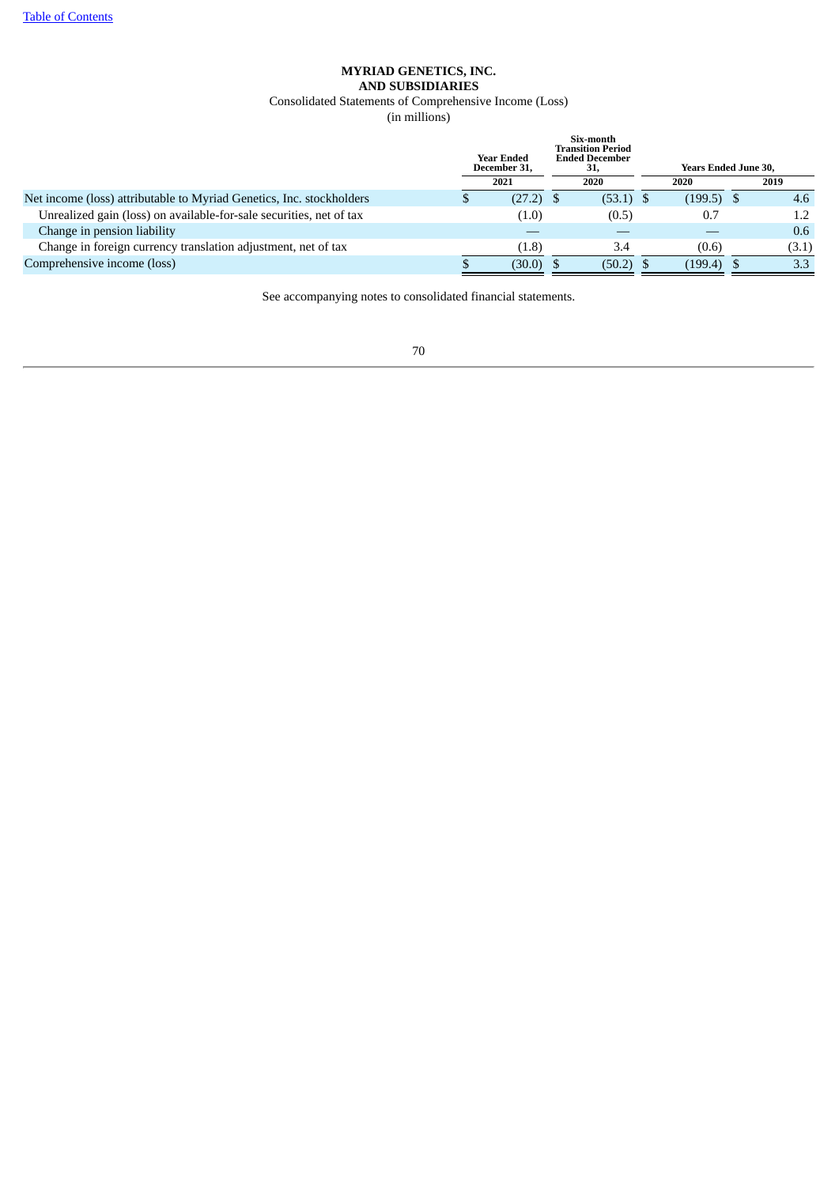## **MYRIAD GENETICS, INC. AND SUBSIDIARIES** Consolidated Statements of Comprehensive Income (Loss)

(in millions)

<span id="page-69-0"></span>

|                                                                      | <b>Year Ended</b><br>December 31.<br>2021 |             | Six-month<br><b>Transition Period</b><br><b>Ended December</b><br>31, |             |      | <b>Years Ended June 30.</b> |      |       |  |  |
|----------------------------------------------------------------------|-------------------------------------------|-------------|-----------------------------------------------------------------------|-------------|------|-----------------------------|------|-------|--|--|
|                                                                      |                                           |             | 2020                                                                  |             | 2020 |                             | 2019 |       |  |  |
| Net income (loss) attributable to Myriad Genetics, Inc. stockholders |                                           | $(27.2)$ \$ |                                                                       | $(53.1)$ \$ |      | $(199.5)$ \$                |      | 4.6   |  |  |
| Unrealized gain (loss) on available-for-sale securities, net of tax  |                                           | (1.0)       |                                                                       | (0.5)       |      | 0.7                         |      | 1.2   |  |  |
| Change in pension liability                                          |                                           |             |                                                                       |             |      |                             |      | 0.6   |  |  |
| Change in foreign currency translation adjustment, net of tax        |                                           | (1.8)       |                                                                       | 3.4         |      | (0.6)                       |      | (3.1) |  |  |
| Comprehensive income (loss)                                          |                                           | (30.0)      |                                                                       | $(50.2)$ \$ |      | (199.4)                     |      | 3.3   |  |  |

See accompanying notes to consolidated financial statements.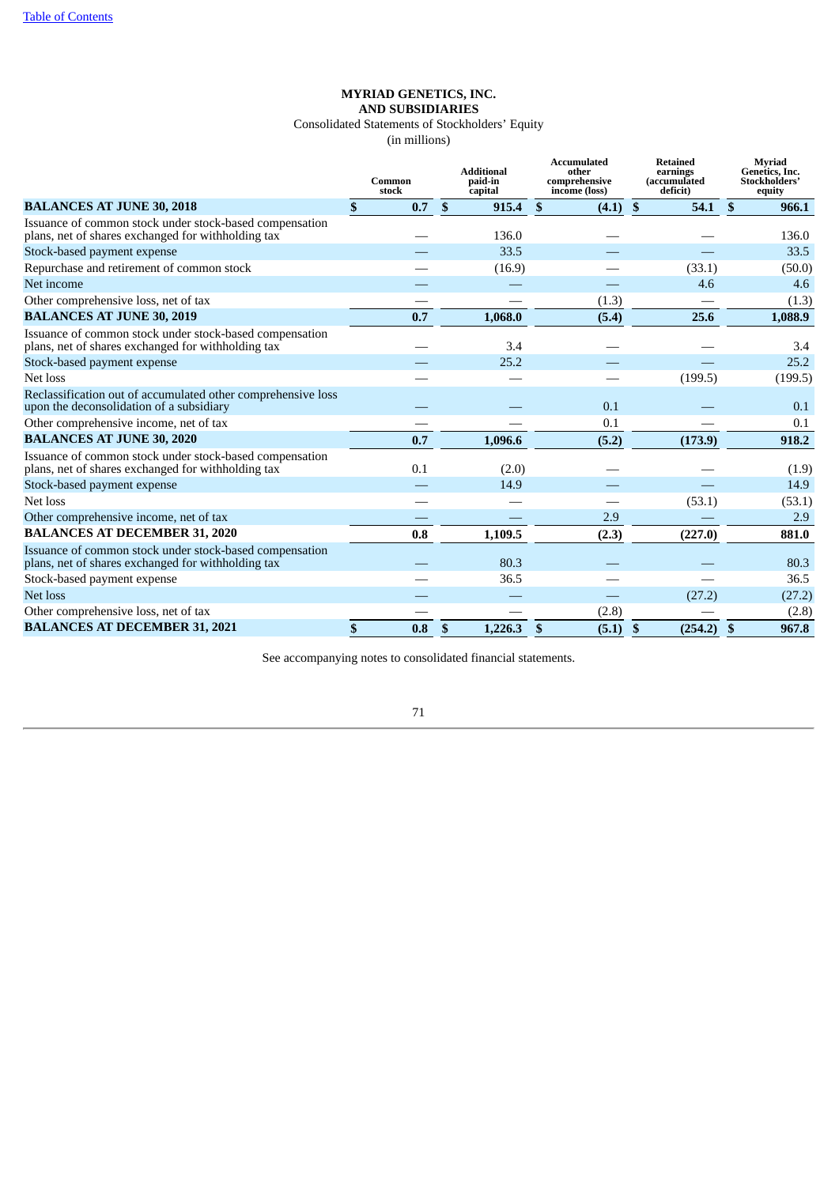## **MYRIAD GENETICS, INC. AND SUBSIDIARIES**

Consolidated Statements of Stockholders' Equity

(in millions)

|                                                                                                               | Common<br>stock |              | <b>Additional</b><br>paid-in<br>capital | <b>Accumulated</b><br>other<br>comprehensive<br>income (loss) | <b>Retained</b><br>earnings<br><i>(accumulated)</i><br>deficit) |     |                           | <b>Mvriad</b><br><b>Genetics</b> , Inc.<br>Stockholders'<br>equity |
|---------------------------------------------------------------------------------------------------------------|-----------------|--------------|-----------------------------------------|---------------------------------------------------------------|-----------------------------------------------------------------|-----|---------------------------|--------------------------------------------------------------------|
| <b>BALANCES AT JUNE 30, 2018</b>                                                                              | \$<br>0.7       | $\mathbf{s}$ | 915.4                                   | $\boldsymbol{\mathsf{s}}$<br>(4.1)                            | \$<br>54.1                                                      |     | \$                        | 966.1                                                              |
| Issuance of common stock under stock-based compensation<br>plans, net of shares exchanged for withholding tax |                 |              | 136.0                                   |                                                               |                                                                 |     |                           | 136.0                                                              |
| Stock-based payment expense                                                                                   |                 |              | 33.5                                    |                                                               |                                                                 |     |                           | 33.5                                                               |
| Repurchase and retirement of common stock                                                                     |                 |              | (16.9)                                  |                                                               | (33.1)                                                          |     |                           | (50.0)                                                             |
| Net income                                                                                                    |                 |              |                                         |                                                               |                                                                 | 4.6 |                           | 4.6                                                                |
| Other comprehensive loss, net of tax                                                                          |                 |              |                                         | (1.3)                                                         |                                                                 |     |                           | (1.3)                                                              |
| <b>BALANCES AT JUNE 30, 2019</b>                                                                              | 0.7             |              | 1,068.0                                 | (5.4)                                                         | 25.6                                                            |     |                           | 1,088.9                                                            |
| Issuance of common stock under stock-based compensation<br>plans, net of shares exchanged for withholding tax |                 |              | 3.4                                     |                                                               |                                                                 |     |                           | 3.4                                                                |
| Stock-based payment expense                                                                                   |                 |              | 25.2                                    |                                                               |                                                                 |     |                           | 25.2                                                               |
| Net loss                                                                                                      |                 |              |                                         |                                                               | (199.5)                                                         |     |                           | (199.5)                                                            |
| Reclassification out of accumulated other comprehensive loss<br>upon the deconsolidation of a subsidiary      |                 |              |                                         | 0.1                                                           |                                                                 |     |                           | 0.1                                                                |
| Other comprehensive income, net of tax                                                                        |                 |              |                                         | 0.1                                                           |                                                                 |     |                           | 0.1                                                                |
| <b>BALANCES AT JUNE 30, 2020</b>                                                                              | 0.7             |              | 1.096.6                                 | (5.2)                                                         | (173.9)                                                         |     |                           | 918.2                                                              |
| Issuance of common stock under stock-based compensation<br>plans, net of shares exchanged for withholding tax | 0.1             |              | (2.0)                                   |                                                               |                                                                 |     |                           | (1.9)                                                              |
| Stock-based payment expense                                                                                   |                 |              | 14.9                                    |                                                               |                                                                 |     |                           | 14.9                                                               |
| Net loss                                                                                                      |                 |              |                                         |                                                               | (53.1)                                                          |     |                           | (53.1)                                                             |
| Other comprehensive income, net of tax                                                                        |                 |              |                                         | 2.9                                                           |                                                                 |     |                           | 2.9                                                                |
| <b>BALANCES AT DECEMBER 31, 2020</b>                                                                          | 0.8             |              | 1,109.5                                 | (2.3)                                                         | (227.0)                                                         |     |                           | 881.0                                                              |
| Issuance of common stock under stock-based compensation<br>plans, net of shares exchanged for withholding tax |                 |              | 80.3                                    |                                                               |                                                                 |     |                           | 80.3                                                               |
| Stock-based payment expense                                                                                   |                 |              | 36.5                                    |                                                               |                                                                 |     |                           | 36.5                                                               |
| Net loss                                                                                                      |                 |              |                                         |                                                               | (27.2)                                                          |     |                           | (27.2)                                                             |
| Other comprehensive loss, net of tax                                                                          |                 |              |                                         | (2.8)                                                         |                                                                 |     |                           | (2.8)                                                              |
| <b>BALANCES AT DECEMBER 31, 2021</b>                                                                          | \$<br>0.8       | $\mathbf{s}$ | 1,226.3                                 | $\mathbf{s}$<br>(5.1)                                         | \$<br>(254.2)                                                   |     | $\boldsymbol{\mathsf{s}}$ | 967.8                                                              |

<span id="page-70-0"></span>See accompanying notes to consolidated financial statements.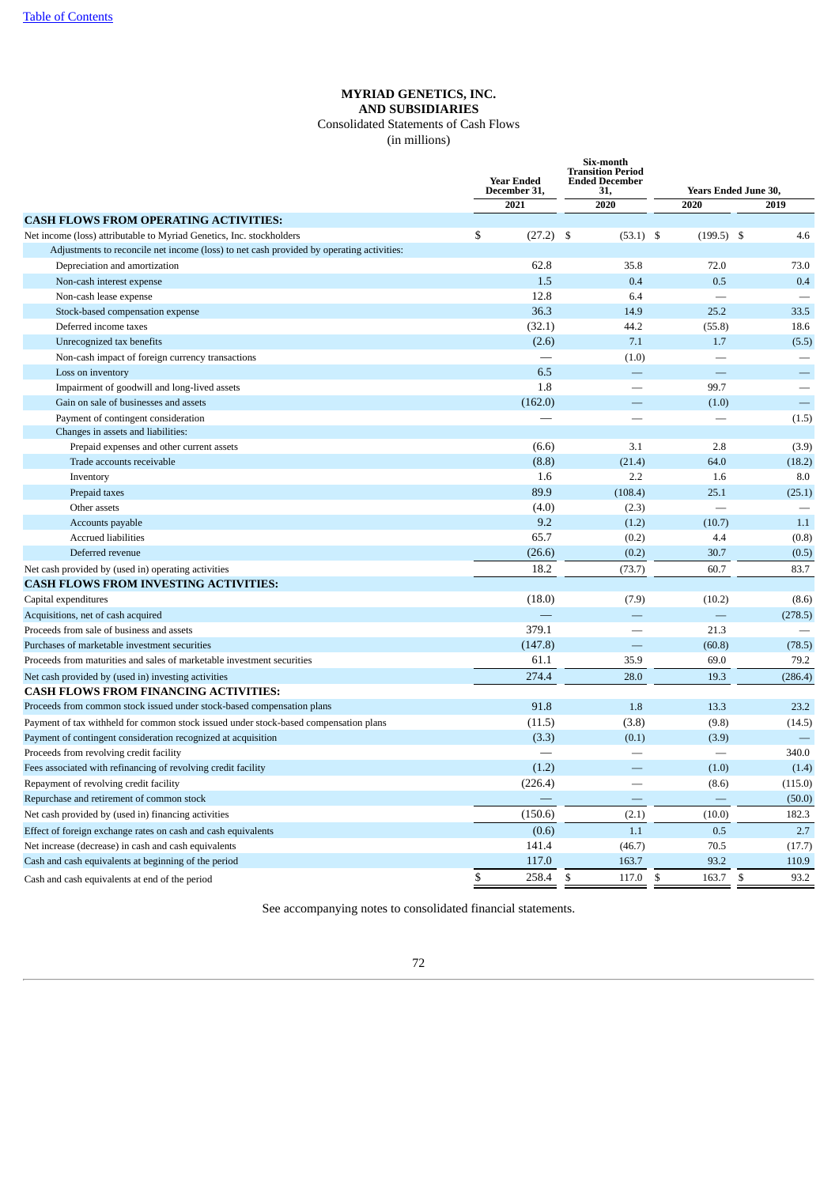## **MYRIAD GENETICS, INC. AND SUBSIDIARIES**

Consolidated Statements of Cash Flows (in millions)

|                                                                                          | <b>Year Ended</b><br>December 31, | Six-month<br><b>Transition Period</b><br><b>Ended December</b><br>31, | <b>Years Ended June 30,</b> |            |  |
|------------------------------------------------------------------------------------------|-----------------------------------|-----------------------------------------------------------------------|-----------------------------|------------|--|
|                                                                                          | 2021                              | 2020                                                                  | 2020                        | 2019       |  |
| <b>CASH FLOWS FROM OPERATING ACTIVITIES:</b>                                             |                                   |                                                                       |                             |            |  |
| Net income (loss) attributable to Myriad Genetics, Inc. stockholders                     | \$<br>(27.2)                      | - \$<br>$(53.1)$ \$                                                   | $(199.5)$ \$                | 4.6        |  |
| Adjustments to reconcile net income (loss) to net cash provided by operating activities: |                                   |                                                                       |                             |            |  |
| Depreciation and amortization                                                            | 62.8                              | 35.8                                                                  | 72.0                        | 73.0       |  |
| Non-cash interest expense                                                                | 1.5                               | 0.4                                                                   | 0.5                         | 0.4        |  |
| Non-cash lease expense                                                                   | 12.8                              | 6.4                                                                   |                             |            |  |
| Stock-based compensation expense                                                         | 36.3                              | 14.9                                                                  | 25.2                        | 33.5       |  |
| Deferred income taxes                                                                    | (32.1)                            | 44.2                                                                  | (55.8)                      | 18.6       |  |
| Unrecognized tax benefits                                                                | (2.6)                             | 7.1                                                                   | 1.7                         | (5.5)      |  |
| Non-cash impact of foreign currency transactions                                         | $\overline{\phantom{a}}$          | (1.0)                                                                 |                             |            |  |
| Loss on inventory                                                                        | 6.5                               |                                                                       |                             |            |  |
| Impairment of goodwill and long-lived assets                                             | 1.8                               | $\overline{\phantom{0}}$                                              | 99.7                        |            |  |
| Gain on sale of businesses and assets                                                    | (162.0)                           |                                                                       | (1.0)                       |            |  |
| Payment of contingent consideration                                                      |                                   | $\overline{\phantom{0}}$                                              |                             | (1.5)      |  |
| Changes in assets and liabilities:<br>Prepaid expenses and other current assets          | (6.6)                             | 3.1                                                                   | 2.8                         | (3.9)      |  |
| Trade accounts receivable                                                                | (8.8)                             | (21.4)                                                                | 64.0                        | (18.2)     |  |
| Inventory                                                                                | 1.6                               | 2.2                                                                   | 1.6                         | 8.0        |  |
| Prepaid taxes                                                                            | 89.9                              | (108.4)                                                               | 25.1                        | (25.1)     |  |
| Other assets                                                                             | (4.0)                             | (2.3)                                                                 |                             |            |  |
| Accounts payable                                                                         | 9.2                               | (1.2)                                                                 | (10.7)                      | 1.1        |  |
| Accrued liabilities                                                                      | 65.7                              | (0.2)                                                                 | 4.4                         | (0.8)      |  |
| Deferred revenue                                                                         | (26.6)                            | (0.2)                                                                 | 30.7                        | (0.5)      |  |
| Net cash provided by (used in) operating activities                                      | 18.2                              | (73.7)                                                                | 60.7                        | 83.7       |  |
| <b>CASH FLOWS FROM INVESTING ACTIVITIES:</b>                                             |                                   |                                                                       |                             |            |  |
| Capital expenditures                                                                     | (18.0)                            | (7.9)                                                                 | (10.2)                      | (8.6)      |  |
| Acquisitions, net of cash acquired                                                       |                                   |                                                                       |                             | (278.5)    |  |
| Proceeds from sale of business and assets                                                | 379.1                             | $\overline{\phantom{0}}$                                              | 21.3                        |            |  |
| Purchases of marketable investment securities                                            | (147.8)                           |                                                                       | (60.8)                      | (78.5)     |  |
| Proceeds from maturities and sales of marketable investment securities                   | 61.1                              | 35.9                                                                  | 69.0                        | 79.2       |  |
| Net cash provided by (used in) investing activities                                      | 274.4                             | 28.0                                                                  | 19.3                        | (286.4)    |  |
| <b>CASH FLOWS FROM FINANCING ACTIVITIES:</b>                                             |                                   |                                                                       |                             |            |  |
| Proceeds from common stock issued under stock-based compensation plans                   | 91.8                              | 1.8                                                                   | 13.3                        | 23.2       |  |
| Payment of tax withheld for common stock issued under stock-based compensation plans     | (11.5)                            | (3.8)                                                                 | (9.8)                       | (14.5)     |  |
| Payment of contingent consideration recognized at acquisition                            | (3.3)                             | (0.1)                                                                 | (3.9)                       |            |  |
| Proceeds from revolving credit facility                                                  |                                   |                                                                       |                             | 340.0      |  |
| Fees associated with refinancing of revolving credit facility                            | (1.2)                             |                                                                       | (1.0)                       | (1.4)      |  |
| Repayment of revolving credit facility                                                   | (226.4)                           | $\overline{\phantom{0}}$                                              | (8.6)                       | (115.0)    |  |
| Repurchase and retirement of common stock                                                |                                   | $\overline{\phantom{0}}$                                              |                             | (50.0)     |  |
|                                                                                          | (150.6)                           |                                                                       | (10.0)                      | 182.3      |  |
| Net cash provided by (used in) financing activities                                      |                                   | (2.1)                                                                 |                             |            |  |
| Effect of foreign exchange rates on cash and cash equivalents                            | (0.6)                             | 1.1                                                                   | 0.5                         | 2.7        |  |
| Net increase (decrease) in cash and cash equivalents                                     | 141.4                             | (46.7)                                                                | 70.5                        | (17.7)     |  |
| Cash and cash equivalents at beginning of the period                                     | 117.0                             | 163.7                                                                 | 93.2                        | 110.9      |  |
| Cash and cash equivalents at end of the period                                           | \$<br>258.4                       | \$<br>117.0                                                           | \$<br>163.7                 | \$<br>93.2 |  |

See accompanying notes to consolidated financial statements.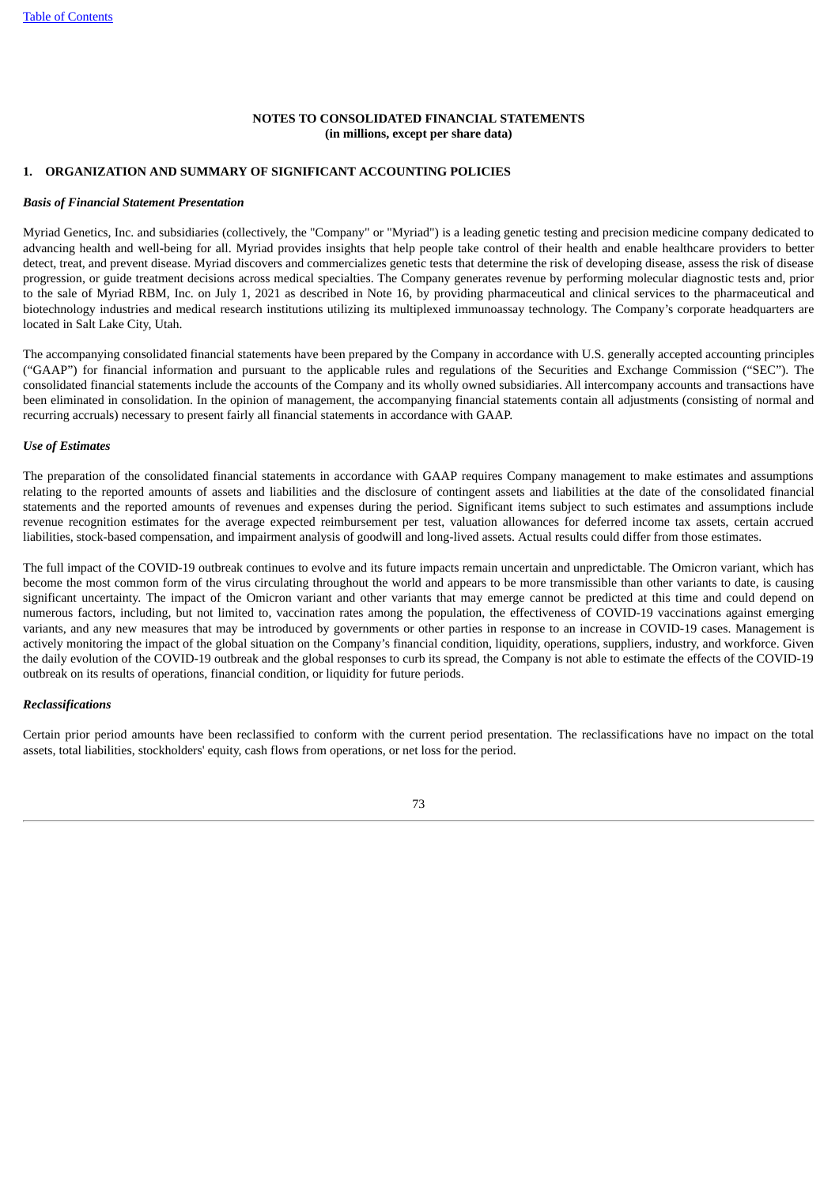# **NOTES TO CONSOLIDATED FINANCIAL STATEMENTS (in millions, except per share data)**

### **1. ORGANIZATION AND SUMMARY OF SIGNIFICANT ACCOUNTING POLICIES**

#### *Basis of Financial Statement Presentation*

Myriad Genetics, Inc. and subsidiaries (collectively, the "Company" or "Myriad") is a leading genetic testing and precision medicine company dedicated to advancing health and well-being for all. Myriad provides insights that help people take control of their health and enable healthcare providers to better detect, treat, and prevent disease. Myriad discovers and commercializes genetic tests that determine the risk of developing disease, assess the risk of disease progression, or guide treatment decisions across medical specialties. The Company generates revenue by performing molecular diagnostic tests and, prior to the sale of Myriad RBM, Inc. on July 1, 2021 as described in Note 16, by providing pharmaceutical and clinical services to the pharmaceutical and biotechnology industries and medical research institutions utilizing its multiplexed immunoassay technology. The Company's corporate headquarters are located in Salt Lake City, Utah.

The accompanying consolidated financial statements have been prepared by the Company in accordance with U.S. generally accepted accounting principles ("GAAP") for financial information and pursuant to the applicable rules and regulations of the Securities and Exchange Commission ("SEC"). The consolidated financial statements include the accounts of the Company and its wholly owned subsidiaries. All intercompany accounts and transactions have been eliminated in consolidation. In the opinion of management, the accompanying financial statements contain all adjustments (consisting of normal and recurring accruals) necessary to present fairly all financial statements in accordance with GAAP.

#### *Use of Estimates*

The preparation of the consolidated financial statements in accordance with GAAP requires Company management to make estimates and assumptions relating to the reported amounts of assets and liabilities and the disclosure of contingent assets and liabilities at the date of the consolidated financial statements and the reported amounts of revenues and expenses during the period. Significant items subject to such estimates and assumptions include revenue recognition estimates for the average expected reimbursement per test, valuation allowances for deferred income tax assets, certain accrued liabilities, stock-based compensation, and impairment analysis of goodwill and long-lived assets. Actual results could differ from those estimates.

The full impact of the COVID-19 outbreak continues to evolve and its future impacts remain uncertain and unpredictable. The Omicron variant, which has become the most common form of the virus circulating throughout the world and appears to be more transmissible than other variants to date, is causing significant uncertainty. The impact of the Omicron variant and other variants that may emerge cannot be predicted at this time and could depend on numerous factors, including, but not limited to, vaccination rates among the population, the effectiveness of COVID-19 vaccinations against emerging variants, and any new measures that may be introduced by governments or other parties in response to an increase in COVID-19 cases. Management is actively monitoring the impact of the global situation on the Company's financial condition, liquidity, operations, suppliers, industry, and workforce. Given the daily evolution of the COVID-19 outbreak and the global responses to curb its spread, the Company is not able to estimate the effects of the COVID-19 outbreak on its results of operations, financial condition, or liquidity for future periods.

## *Reclassifications*

Certain prior period amounts have been reclassified to conform with the current period presentation. The reclassifications have no impact on the total assets, total liabilities, stockholders' equity, cash flows from operations, or net loss for the period.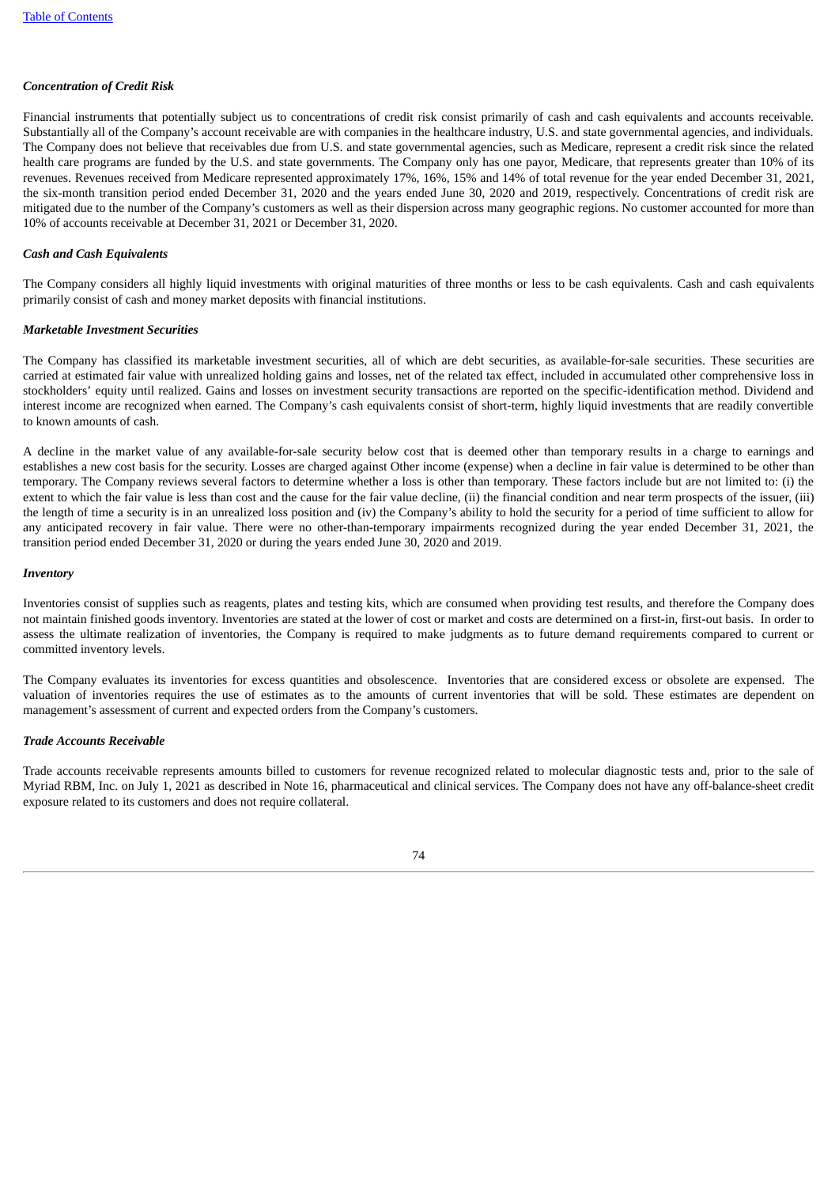## *Concentration of Credit Risk*

Financial instruments that potentially subject us to concentrations of credit risk consist primarily of cash and cash equivalents and accounts receivable. Substantially all of the Company's account receivable are with companies in the healthcare industry, U.S. and state governmental agencies, and individuals. The Company does not believe that receivables due from U.S. and state governmental agencies, such as Medicare, represent a credit risk since the related health care programs are funded by the U.S. and state governments. The Company only has one payor, Medicare, that represents greater than 10% of its revenues. Revenues received from Medicare represented approximately 17%, 16%, 15% and 14% of total revenue for the year ended December 31, 2021, the six-month transition period ended December 31, 2020 and the years ended June 30, 2020 and 2019, respectively. Concentrations of credit risk are mitigated due to the number of the Company's customers as well as their dispersion across many geographic regions. No customer accounted for more than 10% of accounts receivable at December 31, 2021 or December 31, 2020.

### *Cash and Cash Equivalents*

The Company considers all highly liquid investments with original maturities of three months or less to be cash equivalents. Cash and cash equivalents primarily consist of cash and money market deposits with financial institutions.

### *Marketable Investment Securities*

The Company has classified its marketable investment securities, all of which are debt securities, as available-for-sale securities. These securities are carried at estimated fair value with unrealized holding gains and losses, net of the related tax effect, included in accumulated other comprehensive loss in stockholders' equity until realized. Gains and losses on investment security transactions are reported on the specific-identification method. Dividend and interest income are recognized when earned. The Company's cash equivalents consist of short-term, highly liquid investments that are readily convertible to known amounts of cash.

A decline in the market value of any available-for-sale security below cost that is deemed other than temporary results in a charge to earnings and establishes a new cost basis for the security. Losses are charged against Other income (expense) when a decline in fair value is determined to be other than temporary. The Company reviews several factors to determine whether a loss is other than temporary. These factors include but are not limited to: (i) the extent to which the fair value is less than cost and the cause for the fair value decline, (ii) the financial condition and near term prospects of the issuer, (iii) the length of time a security is in an unrealized loss position and (iv) the Company's ability to hold the security for a period of time sufficient to allow for any anticipated recovery in fair value. There were no other-than-temporary impairments recognized during the year ended December 31, 2021, the transition period ended December 31, 2020 or during the years ended June 30, 2020 and 2019.

#### *Inventory*

Inventories consist of supplies such as reagents, plates and testing kits, which are consumed when providing test results, and therefore the Company does not maintain finished goods inventory. Inventories are stated at the lower of cost or market and costs are determined on a first-in, first-out basis. In order to assess the ultimate realization of inventories, the Company is required to make judgments as to future demand requirements compared to current or committed inventory levels.

The Company evaluates its inventories for excess quantities and obsolescence. Inventories that are considered excess or obsolete are expensed. The valuation of inventories requires the use of estimates as to the amounts of current inventories that will be sold. These estimates are dependent on management's assessment of current and expected orders from the Company's customers.

#### *Trade Accounts Receivable*

Trade accounts receivable represents amounts billed to customers for revenue recognized related to molecular diagnostic tests and, prior to the sale of Myriad RBM, Inc. on July 1, 2021 as described in Note 16, pharmaceutical and clinical services. The Company does not have any off-balance-sheet credit exposure related to its customers and does not require collateral.

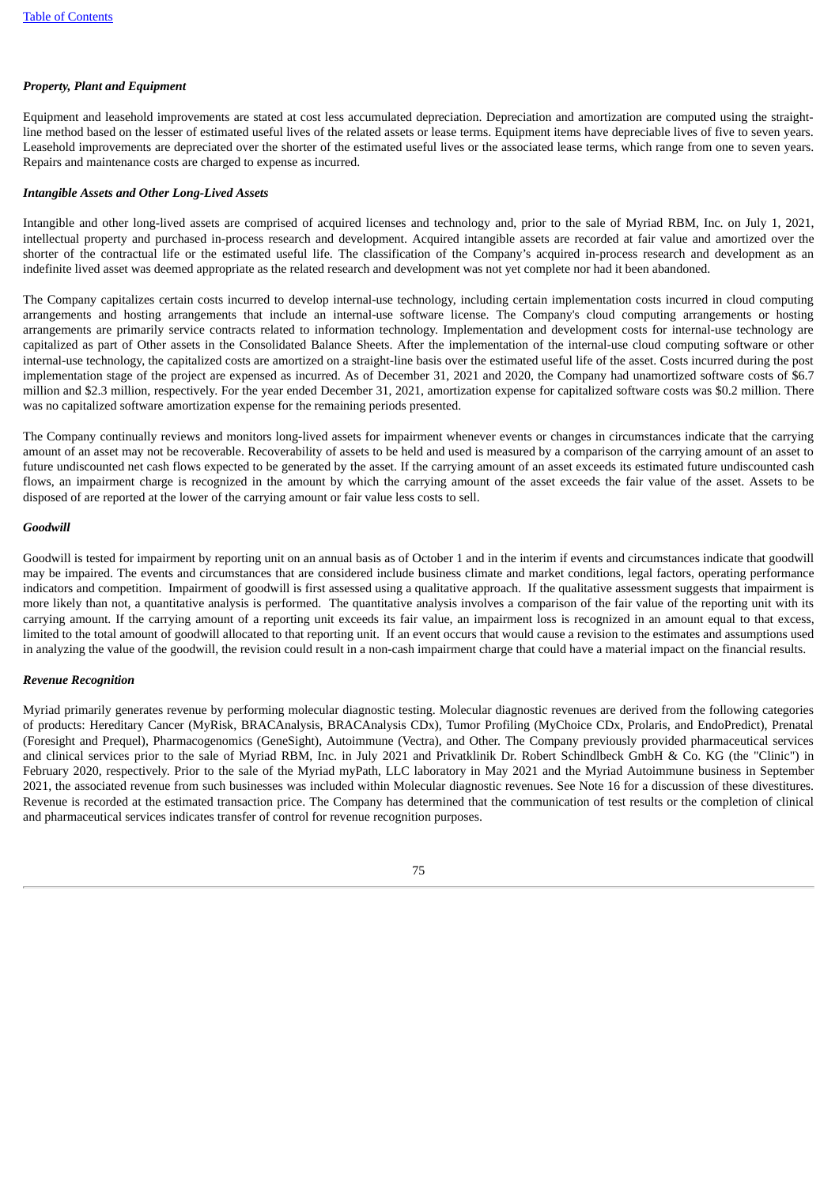# *Property, Plant and Equipment*

Equipment and leasehold improvements are stated at cost less accumulated depreciation. Depreciation and amortization are computed using the straightline method based on the lesser of estimated useful lives of the related assets or lease terms. Equipment items have depreciable lives of five to seven years. Leasehold improvements are depreciated over the shorter of the estimated useful lives or the associated lease terms, which range from one to seven years. Repairs and maintenance costs are charged to expense as incurred.

## *Intangible Assets and Other Long-Lived Assets*

Intangible and other long-lived assets are comprised of acquired licenses and technology and, prior to the sale of Myriad RBM, Inc. on July 1, 2021, intellectual property and purchased in-process research and development. Acquired intangible assets are recorded at fair value and amortized over the shorter of the contractual life or the estimated useful life. The classification of the Company's acquired in-process research and development as an indefinite lived asset was deemed appropriate as the related research and development was not yet complete nor had it been abandoned.

The Company capitalizes certain costs incurred to develop internal-use technology, including certain implementation costs incurred in cloud computing arrangements and hosting arrangements that include an internal-use software license. The Company's cloud computing arrangements or hosting arrangements are primarily service contracts related to information technology. Implementation and development costs for internal-use technology are capitalized as part of Other assets in the Consolidated Balance Sheets. After the implementation of the internal-use cloud computing software or other internal-use technology, the capitalized costs are amortized on a straight-line basis over the estimated useful life of the asset. Costs incurred during the post implementation stage of the project are expensed as incurred. As of December 31, 2021 and 2020, the Company had unamortized software costs of \$6.7 million and \$2.3 million, respectively. For the year ended December 31, 2021, amortization expense for capitalized software costs was \$0.2 million. There was no capitalized software amortization expense for the remaining periods presented.

The Company continually reviews and monitors long-lived assets for impairment whenever events or changes in circumstances indicate that the carrying amount of an asset may not be recoverable. Recoverability of assets to be held and used is measured by a comparison of the carrying amount of an asset to future undiscounted net cash flows expected to be generated by the asset. If the carrying amount of an asset exceeds its estimated future undiscounted cash flows, an impairment charge is recognized in the amount by which the carrying amount of the asset exceeds the fair value of the asset. Assets to be disposed of are reported at the lower of the carrying amount or fair value less costs to sell.

## *Goodwill*

Goodwill is tested for impairment by reporting unit on an annual basis as of October 1 and in the interim if events and circumstances indicate that goodwill may be impaired. The events and circumstances that are considered include business climate and market conditions, legal factors, operating performance indicators and competition. Impairment of goodwill is first assessed using a qualitative approach. If the qualitative assessment suggests that impairment is more likely than not, a quantitative analysis is performed. The quantitative analysis involves a comparison of the fair value of the reporting unit with its carrying amount. If the carrying amount of a reporting unit exceeds its fair value, an impairment loss is recognized in an amount equal to that excess, limited to the total amount of goodwill allocated to that reporting unit. If an event occurs that would cause a revision to the estimates and assumptions used in analyzing the value of the goodwill, the revision could result in a non-cash impairment charge that could have a material impact on the financial results.

#### *Revenue Recognition*

Myriad primarily generates revenue by performing molecular diagnostic testing. Molecular diagnostic revenues are derived from the following categories of products: Hereditary Cancer (MyRisk, BRACAnalysis, BRACAnalysis CDx), Tumor Profiling (MyChoice CDx, Prolaris, and EndoPredict), Prenatal (Foresight and Prequel), Pharmacogenomics (GeneSight), Autoimmune (Vectra), and Other. The Company previously provided pharmaceutical services and clinical services prior to the sale of Myriad RBM, Inc. in July 2021 and Privatklinik Dr. Robert Schindlbeck GmbH & Co. KG (the "Clinic") in February 2020, respectively. Prior to the sale of the Myriad myPath, LLC laboratory in May 2021 and the Myriad Autoimmune business in September 2021, the associated revenue from such businesses was included within Molecular diagnostic revenues. See Note 16 for a discussion of these divestitures. Revenue is recorded at the estimated transaction price. The Company has determined that the communication of test results or the completion of clinical and pharmaceutical services indicates transfer of control for revenue recognition purposes.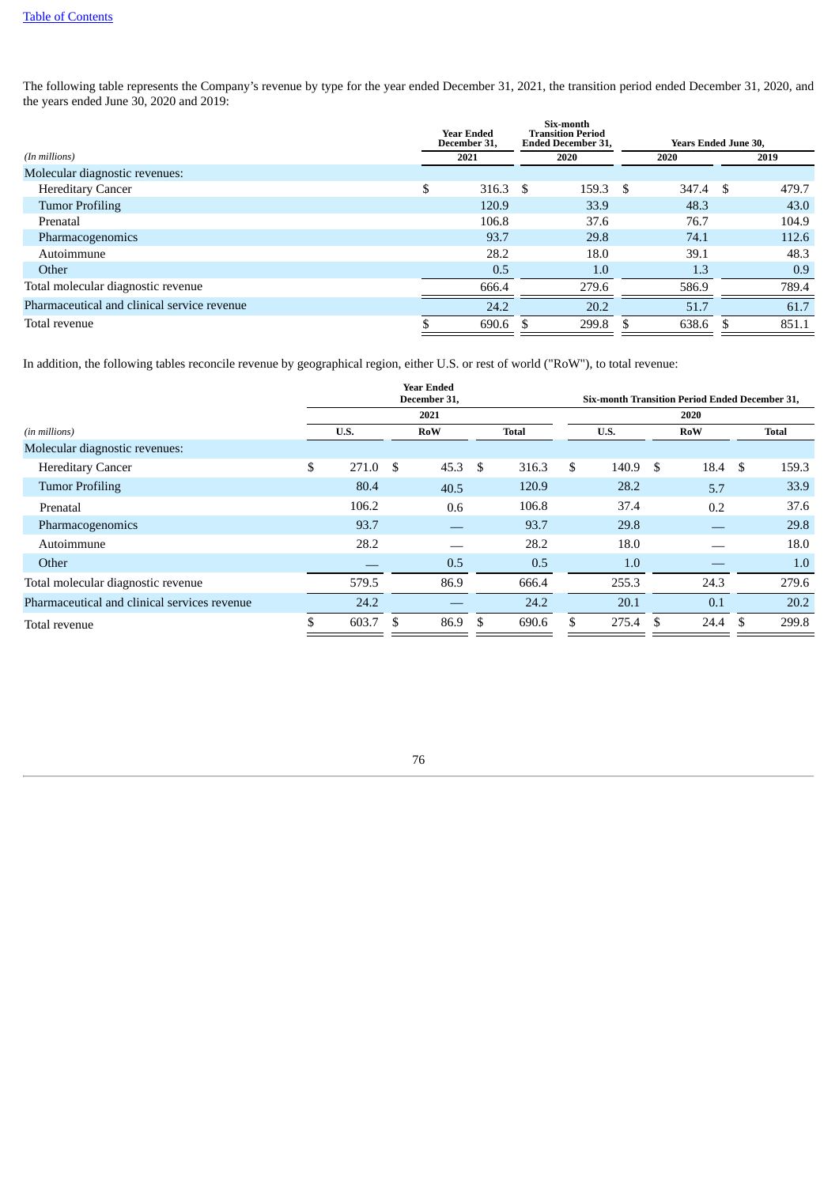The following table represents the Company's revenue by type for the year ended December 31, 2021, the transition period ended December 31, 2020, and the years ended June 30, 2020 and 2019:

|                                             | Year Ended<br>December 31, |       |     | Six-month<br><b>Transition Period</b><br><b>Ended December 31,</b> | <b>Years Ended June 30,</b> |       |    |       |  |  |
|---------------------------------------------|----------------------------|-------|-----|--------------------------------------------------------------------|-----------------------------|-------|----|-------|--|--|
| (In millions)                               |                            | 2021  |     | 2020                                                               |                             | 2020  |    | 2019  |  |  |
| Molecular diagnostic revenues:              |                            |       |     |                                                                    |                             |       |    |       |  |  |
| <b>Hereditary Cancer</b>                    | \$                         | 316.3 | -\$ | 159.3                                                              | -S                          | 347.4 | -S | 479.7 |  |  |
| <b>Tumor Profiling</b>                      |                            | 120.9 |     | 33.9                                                               |                             | 48.3  |    | 43.0  |  |  |
| Prenatal                                    |                            | 106.8 |     | 37.6                                                               |                             | 76.7  |    | 104.9 |  |  |
| Pharmacogenomics                            |                            | 93.7  |     | 29.8                                                               |                             | 74.1  |    | 112.6 |  |  |
| Autoimmune                                  |                            | 28.2  |     | 18.0                                                               |                             | 39.1  |    | 48.3  |  |  |
| Other                                       |                            | 0.5   |     | 1.0                                                                |                             | 1.3   |    | 0.9   |  |  |
| Total molecular diagnostic revenue          |                            | 666.4 |     | 279.6                                                              |                             | 586.9 |    | 789.4 |  |  |
| Pharmaceutical and clinical service revenue |                            | 24.2  |     | 20.2                                                               |                             | 51.7  |    | 61.7  |  |  |
| Total revenue                               |                            | 690.6 | \$. | 299.8                                                              |                             | 638.6 |    | 851.1 |  |  |
|                                             |                            |       |     |                                                                    |                             |       |    |       |  |  |

In addition, the following tables reconcile revenue by geographical region, either U.S. or rest of world ("RoW"), to total revenue:

|                                              |             |     | <b>Year Ended</b><br>December 31, |      |              |      | <b>Six-month Transition Period Ended December 31,</b> |    |            |    |              |
|----------------------------------------------|-------------|-----|-----------------------------------|------|--------------|------|-------------------------------------------------------|----|------------|----|--------------|
|                                              |             |     | 2021                              |      |              | 2020 |                                                       |    |            |    |              |
| (in millions)                                | U.S.        |     | <b>RoW</b>                        |      | <b>Total</b> |      | U.S.                                                  |    | <b>RoW</b> |    | <b>Total</b> |
| Molecular diagnostic revenues:               |             |     |                                   |      |              |      |                                                       |    |            |    |              |
| <b>Hereditary Cancer</b>                     | \$<br>271.0 | -\$ | 45.3                              | S.   | 316.3        | \$   | 140.9                                                 | \$ | 18.4       | \$ | 159.3        |
| <b>Tumor Profiling</b>                       | 80.4        |     | 40.5                              |      | 120.9        |      | 28.2                                                  |    | 5.7        |    | 33.9         |
| Prenatal                                     | 106.2       |     | 0.6                               |      | 106.8        |      | 37.4                                                  |    | 0.2        |    | 37.6         |
| Pharmacogenomics                             | 93.7        |     |                                   |      | 93.7         |      | 29.8                                                  |    |            |    | 29.8         |
| Autoimmune                                   | 28.2        |     |                                   |      | 28.2         |      | 18.0                                                  |    |            |    | 18.0         |
| Other                                        |             |     | 0.5                               |      | 0.5          |      | 1.0                                                   |    |            |    | 1.0          |
| Total molecular diagnostic revenue           | 579.5       |     | 86.9                              |      | 666.4        |      | 255.3                                                 |    | 24.3       |    | 279.6        |
| Pharmaceutical and clinical services revenue | 24.2        |     |                                   |      | 24.2         |      | 20.1                                                  |    | 0.1        |    | 20.2         |
| Total revenue                                | 603.7       | .S  | 86.9                              | - \$ | 690.6        | \$   | 275.4                                                 | -S | 24.4       | £. | 299.8        |
|                                              |             |     |                                   |      |              |      |                                                       |    |            |    |              |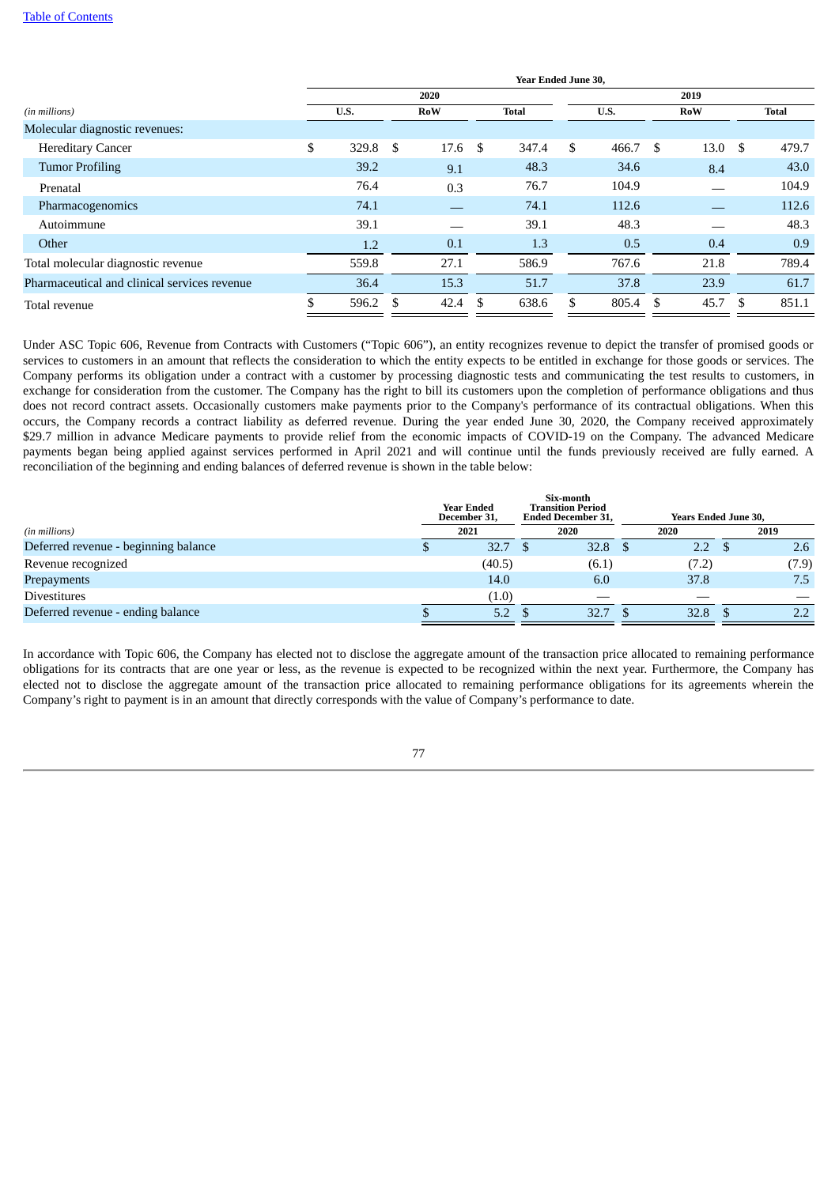#### [Table](#page-0-0) [of](#page-0-0) [Contents](#page-0-0)

|                                              | Year Ended June 30, |       |    |            |              |       |      |       |            |      |     |              |  |
|----------------------------------------------|---------------------|-------|----|------------|--------------|-------|------|-------|------------|------|-----|--------------|--|
|                                              |                     |       |    | 2020       |              |       |      |       |            |      |     |              |  |
| (in millions)                                |                     | U.S.  |    | <b>RoW</b> | <b>Total</b> |       | U.S. |       | <b>RoW</b> |      |     | <b>Total</b> |  |
| Molecular diagnostic revenues:               |                     |       |    |            |              |       |      |       |            |      |     |              |  |
| <b>Hereditary Cancer</b>                     | \$                  | 329.8 | \$ | 17.6       | \$           | 347.4 | \$   | 466.7 | \$.        | 13.0 | \$  | 479.7        |  |
| <b>Tumor Profiling</b>                       |                     | 39.2  |    | 9.1        |              | 48.3  |      | 34.6  |            | 8.4  |     | 43.0         |  |
| Prenatal                                     |                     | 76.4  |    | 0.3        |              | 76.7  |      | 104.9 |            |      |     | 104.9        |  |
| Pharmacogenomics                             |                     | 74.1  |    |            |              | 74.1  |      | 112.6 |            |      |     | 112.6        |  |
| Autoimmune                                   |                     | 39.1  |    |            |              | 39.1  |      | 48.3  |            |      |     | 48.3         |  |
| Other                                        |                     | 1.2   |    | 0.1        |              | 1.3   |      | 0.5   |            | 0.4  |     | 0.9          |  |
| Total molecular diagnostic revenue           |                     | 559.8 |    | 27.1       |              | 586.9 |      | 767.6 |            | 21.8 |     | 789.4        |  |
| Pharmaceutical and clinical services revenue |                     | 36.4  |    | 15.3       |              | 51.7  |      | 37.8  |            | 23.9 |     | 61.7         |  |
| Total revenue                                |                     | 596.2 |    | 42.4       |              | 638.6 | \$.  | 805.4 | \$.        | 45.7 | \$. | 851.1        |  |

Under ASC Topic 606, Revenue from Contracts with Customers ("Topic 606"), an entity recognizes revenue to depict the transfer of promised goods or services to customers in an amount that reflects the consideration to which the entity expects to be entitled in exchange for those goods or services. The Company performs its obligation under a contract with a customer by processing diagnostic tests and communicating the test results to customers, in exchange for consideration from the customer. The Company has the right to bill its customers upon the completion of performance obligations and thus does not record contract assets. Occasionally customers make payments prior to the Company's performance of its contractual obligations. When this occurs, the Company records a contract liability as deferred revenue. During the year ended June 30, 2020, the Company received approximately \$29.7 million in advance Medicare payments to provide relief from the economic impacts of COVID-19 on the Company. The advanced Medicare payments began being applied against services performed in April 2021 and will continue until the funds previously received are fully earned. A reconciliation of the beginning and ending balances of deferred revenue is shown in the table below:

|                                      | <b>Year Ended</b><br>December 31, | Six-month<br><b>Transition Period</b><br><b>Ended December 31,</b> |       | <b>Years Ended June 30,</b> |               |  |       |  |  |
|--------------------------------------|-----------------------------------|--------------------------------------------------------------------|-------|-----------------------------|---------------|--|-------|--|--|
| (in millions)                        | 2021                              | 2020                                                               |       |                             | 2020          |  | 2019  |  |  |
| Deferred revenue - beginning balance | 32.7                              |                                                                    | 32.8  |                             | $2.2^{\circ}$ |  | 2.6   |  |  |
| Revenue recognized                   | (40.5)                            |                                                                    | (6.1) |                             | (7.2)         |  | (7.9) |  |  |
| Prepayments                          | 14.0                              |                                                                    | 6.0   |                             | 37.8          |  | 7.5   |  |  |
| <b>Divestitures</b>                  | (1.0)                             |                                                                    |       |                             |               |  |       |  |  |
| Deferred revenue - ending balance    | 5.2                               |                                                                    | 32.7  |                             | 32.8          |  | 2.2   |  |  |

In accordance with Topic 606, the Company has elected not to disclose the aggregate amount of the transaction price allocated to remaining performance obligations for its contracts that are one year or less, as the revenue is expected to be recognized within the next year. Furthermore, the Company has elected not to disclose the aggregate amount of the transaction price allocated to remaining performance obligations for its agreements wherein the Company's right to payment is in an amount that directly corresponds with the value of Company's performance to date.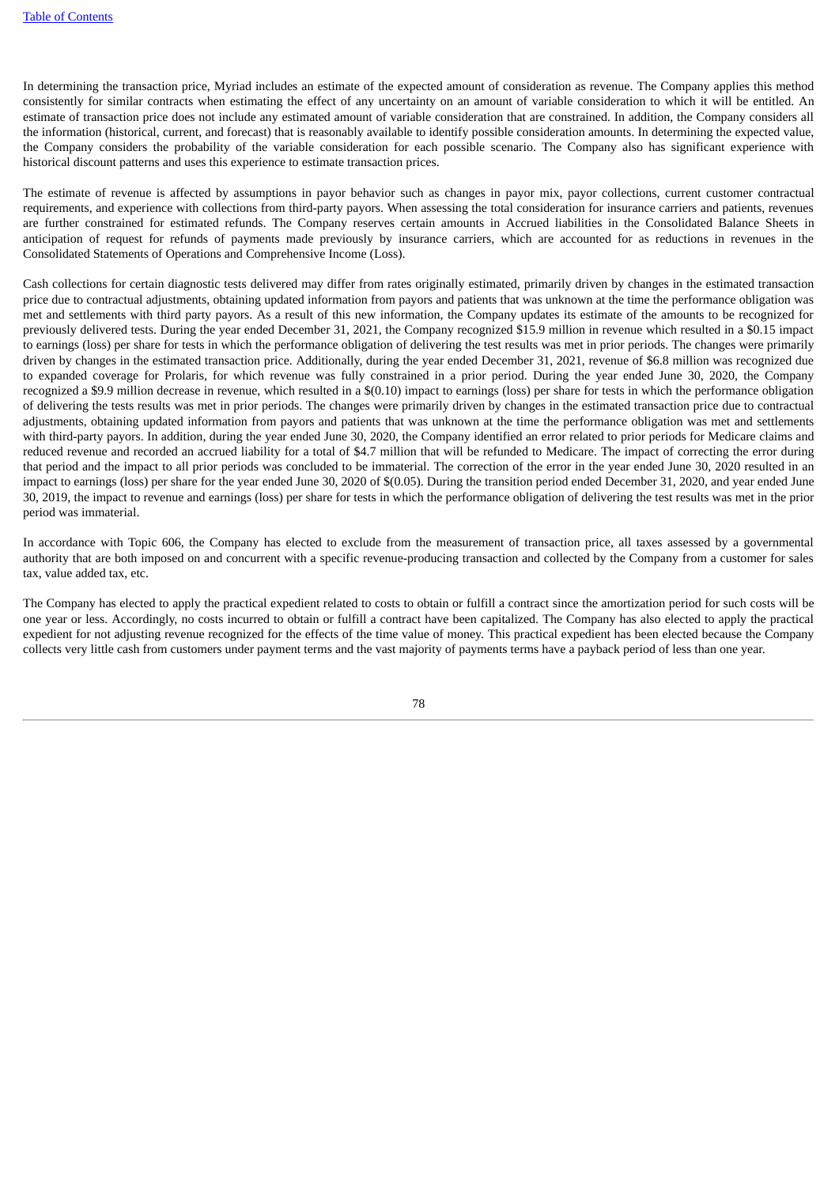In determining the transaction price, Myriad includes an estimate of the expected amount of consideration as revenue. The Company applies this method consistently for similar contracts when estimating the effect of any uncertainty on an amount of variable consideration to which it will be entitled. An estimate of transaction price does not include any estimated amount of variable consideration that are constrained. In addition, the Company considers all the information (historical, current, and forecast) that is reasonably available to identify possible consideration amounts. In determining the expected value, the Company considers the probability of the variable consideration for each possible scenario. The Company also has significant experience with historical discount patterns and uses this experience to estimate transaction prices.

The estimate of revenue is affected by assumptions in payor behavior such as changes in payor mix, payor collections, current customer contractual requirements, and experience with collections from third-party payors. When assessing the total consideration for insurance carriers and patients, revenues are further constrained for estimated refunds. The Company reserves certain amounts in Accrued liabilities in the Consolidated Balance Sheets in anticipation of request for refunds of payments made previously by insurance carriers, which are accounted for as reductions in revenues in the Consolidated Statements of Operations and Comprehensive Income (Loss).

Cash collections for certain diagnostic tests delivered may differ from rates originally estimated, primarily driven by changes in the estimated transaction price due to contractual adjustments, obtaining updated information from payors and patients that was unknown at the time the performance obligation was met and settlements with third party payors. As a result of this new information, the Company updates its estimate of the amounts to be recognized for previously delivered tests. During the year ended December 31, 2021, the Company recognized \$15.9 million in revenue which resulted in a \$0.15 impact to earnings (loss) per share for tests in which the performance obligation of delivering the test results was met in prior periods. The changes were primarily driven by changes in the estimated transaction price. Additionally, during the year ended December 31, 2021, revenue of \$6.8 million was recognized due to expanded coverage for Prolaris, for which revenue was fully constrained in a prior period. During the year ended June 30, 2020, the Company recognized a \$9.9 million decrease in revenue, which resulted in a \$(0.10) impact to earnings (loss) per share for tests in which the performance obligation of delivering the tests results was met in prior periods. The changes were primarily driven by changes in the estimated transaction price due to contractual adjustments, obtaining updated information from payors and patients that was unknown at the time the performance obligation was met and settlements with third-party payors. In addition, during the year ended June 30, 2020, the Company identified an error related to prior periods for Medicare claims and reduced revenue and recorded an accrued liability for a total of \$4.7 million that will be refunded to Medicare. The impact of correcting the error during that period and the impact to all prior periods was concluded to be immaterial. The correction of the error in the year ended June 30, 2020 resulted in an impact to earnings (loss) per share for the year ended June 30, 2020 of \$(0.05). During the transition period ended December 31, 2020, and year ended June 30, 2019, the impact to revenue and earnings (loss) per share for tests in which the performance obligation of delivering the test results was met in the prior period was immaterial.

In accordance with Topic 606, the Company has elected to exclude from the measurement of transaction price, all taxes assessed by a governmental authority that are both imposed on and concurrent with a specific revenue-producing transaction and collected by the Company from a customer for sales tax, value added tax, etc.

The Company has elected to apply the practical expedient related to costs to obtain or fulfill a contract since the amortization period for such costs will be one year or less. Accordingly, no costs incurred to obtain or fulfill a contract have been capitalized. The Company has also elected to apply the practical expedient for not adjusting revenue recognized for the effects of the time value of money. This practical expedient has been elected because the Company collects very little cash from customers under payment terms and the vast majority of payments terms have a payback period of less than one year.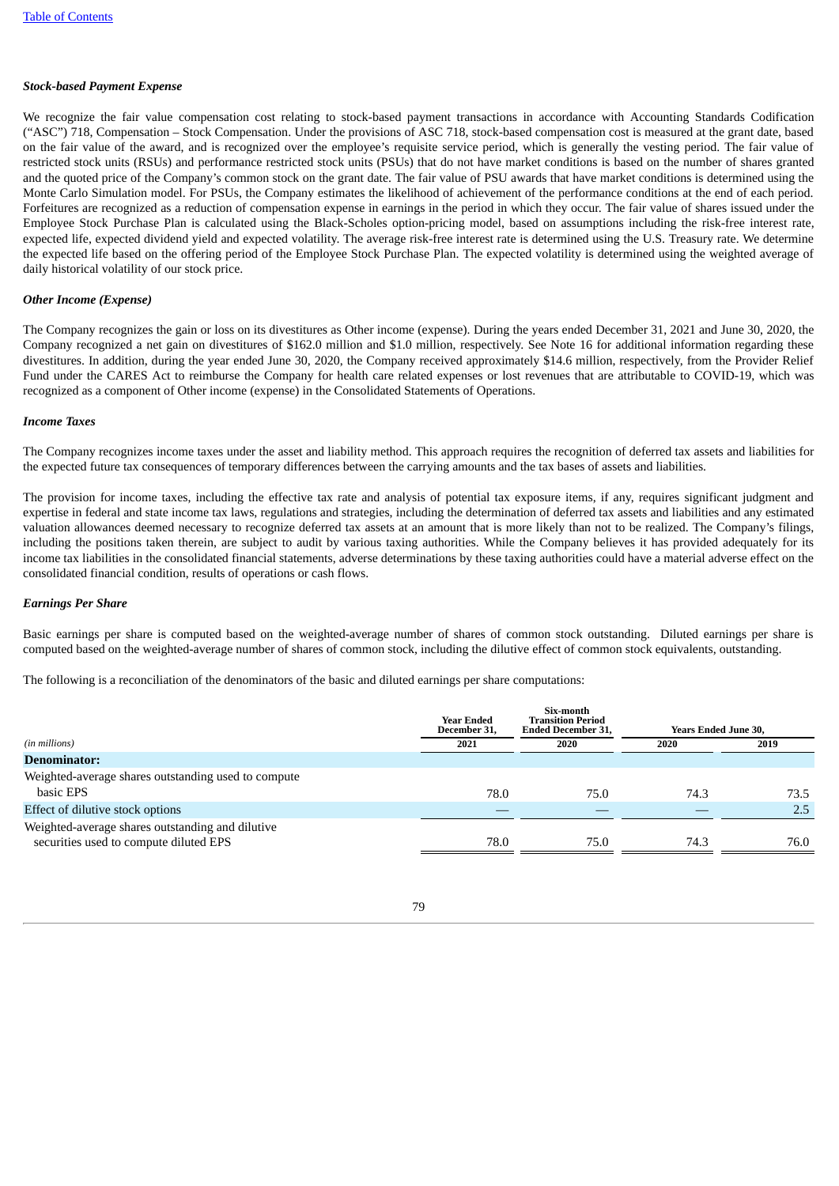# *Stock-based Payment Expense*

We recognize the fair value compensation cost relating to stock-based payment transactions in accordance with Accounting Standards Codification ("ASC") 718, Compensation – Stock Compensation. Under the provisions of ASC 718, stock-based compensation cost is measured at the grant date, based on the fair value of the award, and is recognized over the employee's requisite service period, which is generally the vesting period. The fair value of restricted stock units (RSUs) and performance restricted stock units (PSUs) that do not have market conditions is based on the number of shares granted and the quoted price of the Company's common stock on the grant date. The fair value of PSU awards that have market conditions is determined using the Monte Carlo Simulation model. For PSUs, the Company estimates the likelihood of achievement of the performance conditions at the end of each period. Forfeitures are recognized as a reduction of compensation expense in earnings in the period in which they occur. The fair value of shares issued under the Employee Stock Purchase Plan is calculated using the Black-Scholes option-pricing model, based on assumptions including the risk-free interest rate, expected life, expected dividend yield and expected volatility. The average risk-free interest rate is determined using the U.S. Treasury rate. We determine the expected life based on the offering period of the Employee Stock Purchase Plan. The expected volatility is determined using the weighted average of daily historical volatility of our stock price.

# *Other Income (Expense)*

The Company recognizes the gain or loss on its divestitures as Other income (expense). During the years ended December 31, 2021 and June 30, 2020, the Company recognized a net gain on divestitures of \$162.0 million and \$1.0 million, respectively. See Note 16 for additional information regarding these divestitures. In addition, during the year ended June 30, 2020, the Company received approximately \$14.6 million, respectively, from the Provider Relief Fund under the CARES Act to reimburse the Company for health care related expenses or lost revenues that are attributable to COVID-19, which was recognized as a component of Other income (expense) in the Consolidated Statements of Operations.

### *Income Taxes*

The Company recognizes income taxes under the asset and liability method. This approach requires the recognition of deferred tax assets and liabilities for the expected future tax consequences of temporary differences between the carrying amounts and the tax bases of assets and liabilities.

The provision for income taxes, including the effective tax rate and analysis of potential tax exposure items, if any, requires significant judgment and expertise in federal and state income tax laws, regulations and strategies, including the determination of deferred tax assets and liabilities and any estimated valuation allowances deemed necessary to recognize deferred tax assets at an amount that is more likely than not to be realized. The Company's filings, including the positions taken therein, are subject to audit by various taxing authorities. While the Company believes it has provided adequately for its income tax liabilities in the consolidated financial statements, adverse determinations by these taxing authorities could have a material adverse effect on the consolidated financial condition, results of operations or cash flows.

## *Earnings Per Share*

Basic earnings per share is computed based on the weighted-average number of shares of common stock outstanding. Diluted earnings per share is computed based on the weighted-average number of shares of common stock, including the dilutive effect of common stock equivalents, outstanding.

The following is a reconciliation of the denominators of the basic and diluted earnings per share computations:

|                                                                                            | <b>Year Ended</b><br>December 31. | Six-month<br><b>Transition Period</b><br><b>Ended December 31,</b> |      | <b>Years Ended June 30,</b> |
|--------------------------------------------------------------------------------------------|-----------------------------------|--------------------------------------------------------------------|------|-----------------------------|
| (in millions)                                                                              | 2021                              | 2020                                                               | 2020 | 2019                        |
| <b>Denominator:</b>                                                                        |                                   |                                                                    |      |                             |
| Weighted-average shares outstanding used to compute<br>basic EPS                           | 78.0                              | 75.0                                                               | 74.3 | 73.5                        |
| Effect of dilutive stock options                                                           |                                   |                                                                    |      | 2.5                         |
| Weighted-average shares outstanding and dilutive<br>securities used to compute diluted EPS | 78.0                              | 75.0                                                               | 74.3 | 76.0                        |

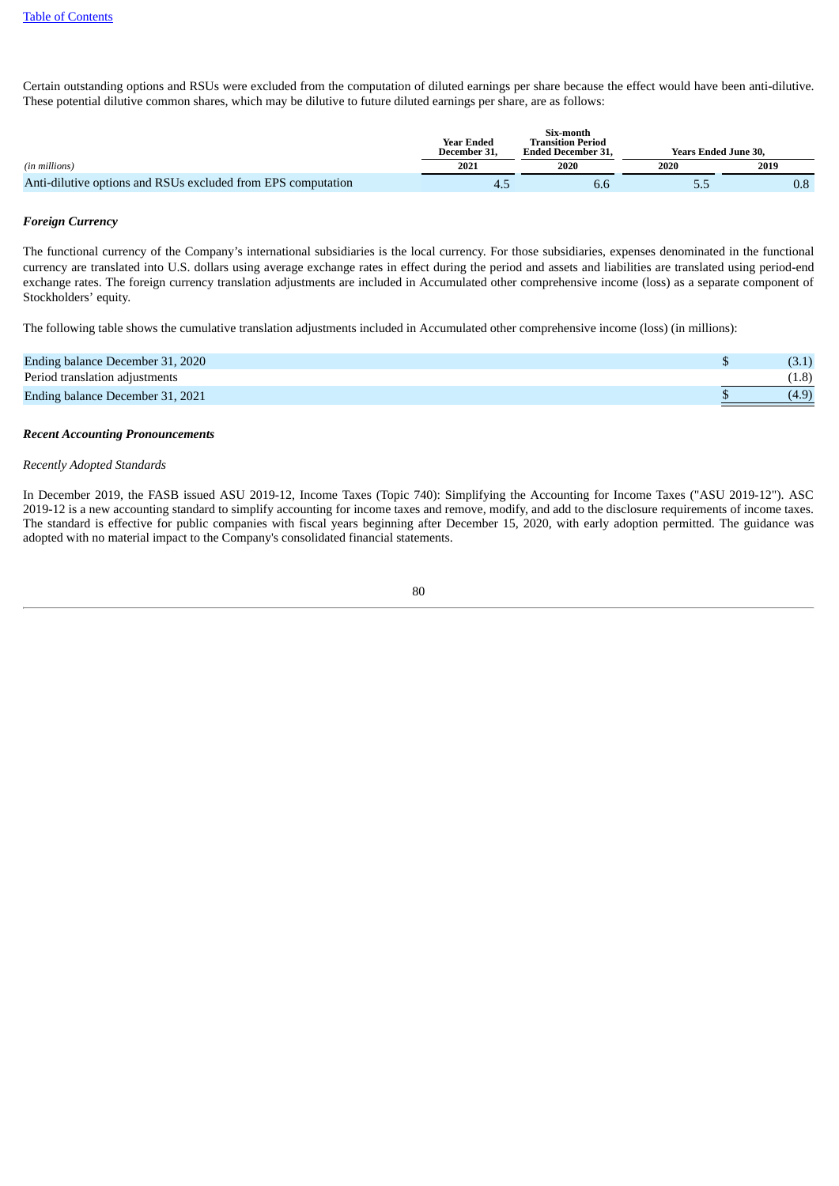Certain outstanding options and RSUs were excluded from the computation of diluted earnings per share because the effect would have been anti-dilutive. These potential dilutive common shares, which may be dilutive to future diluted earnings per share, are as follows:

|                                                              | <b>Year Ended</b><br>December 31. | Six-month<br><b>Transition Period</b><br><b>Ended December 31.</b> | <b>Years Ended June 30.</b> |      |  |  |
|--------------------------------------------------------------|-----------------------------------|--------------------------------------------------------------------|-----------------------------|------|--|--|
| (in millions)                                                | 2021                              | 2020                                                               | 2020                        | 2019 |  |  |
| Anti-dilutive options and RSUs excluded from EPS computation |                                   | 6.6                                                                | כ.כ                         | 0.8  |  |  |

## *Foreign Currency*

The functional currency of the Company's international subsidiaries is the local currency. For those subsidiaries, expenses denominated in the functional currency are translated into U.S. dollars using average exchange rates in effect during the period and assets and liabilities are translated using period-end exchange rates. The foreign currency translation adjustments are included in Accumulated other comprehensive income (loss) as a separate component of Stockholders' equity.

The following table shows the cumulative translation adjustments included in Accumulated other comprehensive income (loss) (in millions):

| Ending balance December 31, 2020 | (3.1) |
|----------------------------------|-------|
| Period translation adjustments   | (1.8) |
| Ending balance December 31, 2021 | (4.9) |

#### *Recent Accounting Pronouncements*

#### *Recently Adopted Standards*

In December 2019, the FASB issued ASU 2019-12, Income Taxes (Topic 740): Simplifying the Accounting for Income Taxes ("ASU 2019-12"). ASC 2019-12 is a new accounting standard to simplify accounting for income taxes and remove, modify, and add to the disclosure requirements of income taxes. The standard is effective for public companies with fiscal years beginning after December 15, 2020, with early adoption permitted. The guidance was adopted with no material impact to the Company's consolidated financial statements.

| ٠ | I  |
|---|----|
| ۰ |    |
| ٦ | i  |
|   | M. |
| v | ٧  |
|   |    |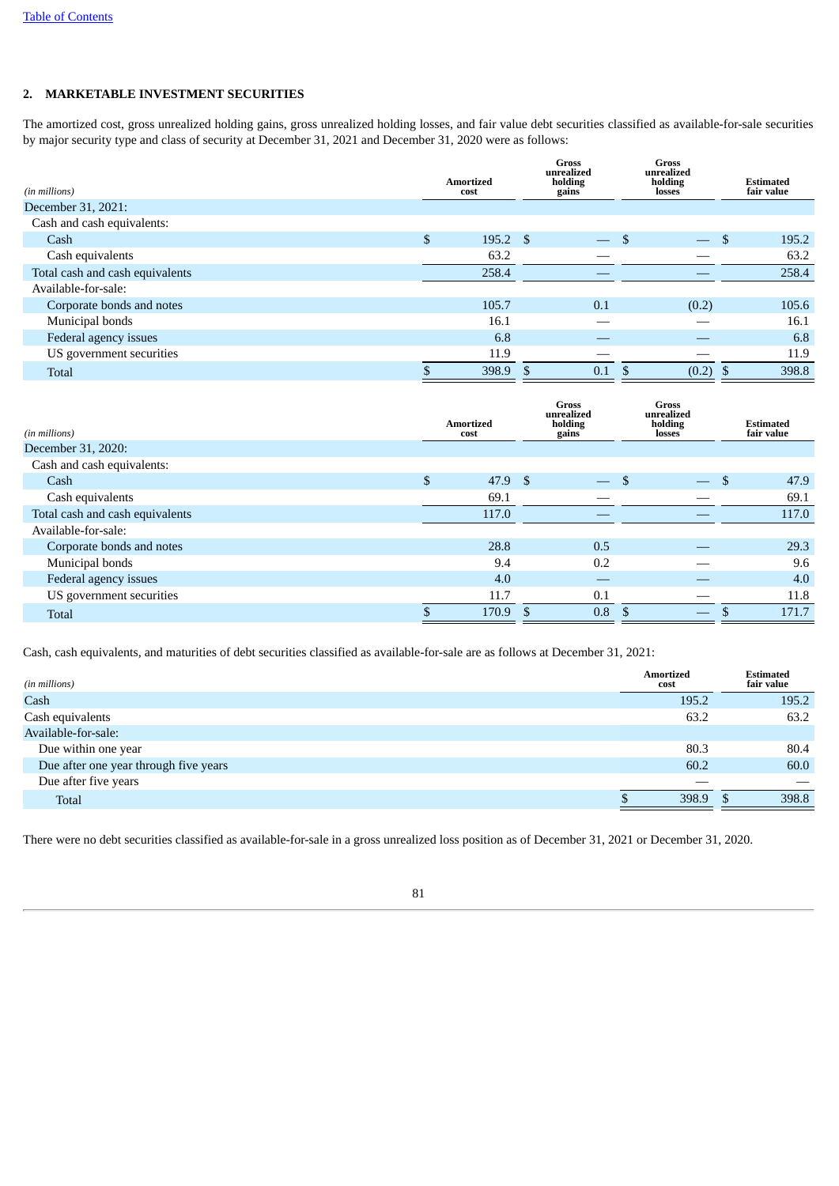# **2. MARKETABLE INVESTMENT SECURITIES**

The amortized cost, gross unrealized holding gains, gross unrealized holding losses, and fair value debt securities classified as available-for-sale securities by major security type and class of security at December 31, 2021 and December 31, 2020 were as follows:

| (in millions)                   | Amortized<br>cost     |    | <b>Gross</b><br>unrealized<br>holding<br>gains |               | <b>Gross</b><br>unrealized<br>holding<br>losses |     | <b>Estimated</b><br>fair value |
|---------------------------------|-----------------------|----|------------------------------------------------|---------------|-------------------------------------------------|-----|--------------------------------|
| December 31, 2021:              |                       |    |                                                |               |                                                 |     |                                |
| Cash and cash equivalents:      |                       |    |                                                |               |                                                 |     |                                |
| Cash                            | \$<br>$195.2 \quad $$ |    | $\overline{\phantom{0}}$                       | <sup>\$</sup> |                                                 | S   | 195.2                          |
| Cash equivalents                | 63.2                  |    |                                                |               |                                                 |     | 63.2                           |
| Total cash and cash equivalents | 258.4                 |    |                                                |               |                                                 |     | 258.4                          |
| Available-for-sale:             |                       |    |                                                |               |                                                 |     |                                |
| Corporate bonds and notes       | 105.7                 |    | 0.1                                            |               | (0.2)                                           |     | 105.6                          |
| Municipal bonds                 | 16.1                  |    |                                                |               |                                                 |     | 16.1                           |
| Federal agency issues           | 6.8                   |    |                                                |               |                                                 |     | 6.8                            |
| US government securities        | 11.9                  |    |                                                |               |                                                 |     | 11.9                           |
| <b>Total</b>                    | 398.9                 | -S | 0.1                                            | <sup>\$</sup> | (0.2)                                           | -\$ | 398.8                          |

| (in millions)                   | Amortized<br>cost | <b>Gross</b><br>unrealized<br>holding<br>gains |    | <b>Gross</b><br>unrealized<br>holding<br>losses |               | <b>Estimated</b><br>fair value |
|---------------------------------|-------------------|------------------------------------------------|----|-------------------------------------------------|---------------|--------------------------------|
| December 31, 2020:              |                   |                                                |    |                                                 |               |                                |
| Cash and cash equivalents:      |                   |                                                |    |                                                 |               |                                |
| Cash                            | \$<br>47.9 \$     | $\overline{\phantom{m}}$                       | .S | $\overline{\phantom{m}}$                        | <sup>\$</sup> | 47.9                           |
| Cash equivalents                | 69.1              |                                                |    |                                                 |               | 69.1                           |
| Total cash and cash equivalents | 117.0             |                                                |    |                                                 |               | 117.0                          |
| Available-for-sale:             |                   |                                                |    |                                                 |               |                                |
| Corporate bonds and notes       | 28.8              | 0.5                                            |    |                                                 |               | 29.3                           |
| Municipal bonds                 | 9.4               | 0.2                                            |    |                                                 |               | 9.6                            |
| Federal agency issues           | 4.0               |                                                |    |                                                 |               | 4.0                            |
| US government securities        | 11.7              | 0.1                                            |    |                                                 |               | 11.8                           |
| Total                           | 170.9             | 0.8                                            |    |                                                 |               | 171.7                          |

Cash, cash equivalents, and maturities of debt securities classified as available-for-sale are as follows at December 31, 2021:

| (in millions)                         | <b>Amortized</b><br>cost | <b>Estimated</b><br>fair value |
|---------------------------------------|--------------------------|--------------------------------|
| Cash                                  | 195.2                    | 195.2                          |
| Cash equivalents                      | 63.2                     | 63.2                           |
| Available-for-sale:                   |                          |                                |
| Due within one year                   | 80.3                     | 80.4                           |
| Due after one year through five years | 60.2                     | 60.0                           |
| Due after five years                  |                          |                                |
| Total                                 | 398.9                    | 398.8                          |

There were no debt securities classified as available-for-sale in a gross unrealized loss position as of December 31, 2021 or December 31, 2020.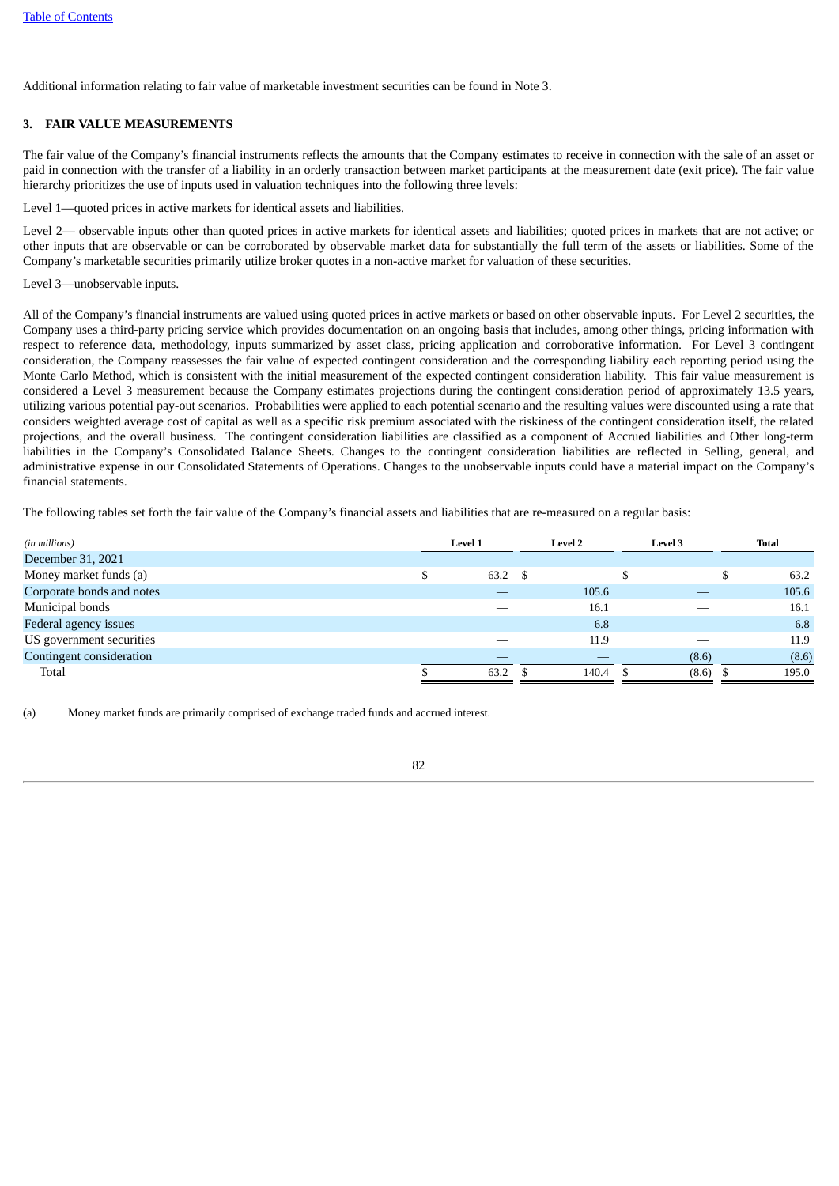Additional information relating to fair value of marketable investment securities can be found in Note 3.

## **3. FAIR VALUE MEASUREMENTS**

The fair value of the Company's financial instruments reflects the amounts that the Company estimates to receive in connection with the sale of an asset or paid in connection with the transfer of a liability in an orderly transaction between market participants at the measurement date (exit price). The fair value hierarchy prioritizes the use of inputs used in valuation techniques into the following three levels:

Level 1—quoted prices in active markets for identical assets and liabilities.

Level 2— observable inputs other than quoted prices in active markets for identical assets and liabilities; quoted prices in markets that are not active; or other inputs that are observable or can be corroborated by observable market data for substantially the full term of the assets or liabilities. Some of the Company's marketable securities primarily utilize broker quotes in a non-active market for valuation of these securities.

Level 3—unobservable inputs.

All of the Company's financial instruments are valued using quoted prices in active markets or based on other observable inputs. For Level 2 securities, the Company uses a third-party pricing service which provides documentation on an ongoing basis that includes, among other things, pricing information with respect to reference data, methodology, inputs summarized by asset class, pricing application and corroborative information. For Level 3 contingent consideration, the Company reassesses the fair value of expected contingent consideration and the corresponding liability each reporting period using the Monte Carlo Method, which is consistent with the initial measurement of the expected contingent consideration liability. This fair value measurement is considered a Level 3 measurement because the Company estimates projections during the contingent consideration period of approximately 13.5 years, utilizing various potential pay-out scenarios. Probabilities were applied to each potential scenario and the resulting values were discounted using a rate that considers weighted average cost of capital as well as a specific risk premium associated with the riskiness of the contingent consideration itself, the related projections, and the overall business. The contingent consideration liabilities are classified as a component of Accrued liabilities and Other long-term liabilities in the Company's Consolidated Balance Sheets. Changes to the contingent consideration liabilities are reflected in Selling, general, and administrative expense in our Consolidated Statements of Operations. Changes to the unobservable inputs could have a material impact on the Company's financial statements.

The following tables set forth the fair value of the Company's financial assets and liabilities that are re-measured on a regular basis:

| (in millions)                   | Level 1 | <b>Level 2</b>           | <b>Level 3</b>           |      | Total |
|---------------------------------|---------|--------------------------|--------------------------|------|-------|
| December 31, 2021               |         |                          |                          |      |       |
| Money market funds (a)          | 63.2    | $\overline{\phantom{0}}$ | $\overline{\phantom{0}}$ | - \$ | 63.2  |
| Corporate bonds and notes       |         | 105.6                    |                          |      | 105.6 |
| Municipal bonds                 |         | 16.1                     |                          |      | 16.1  |
| Federal agency issues           |         | 6.8                      |                          |      | 6.8   |
| US government securities        |         | 11.9                     |                          |      | 11.9  |
| <b>Contingent consideration</b> |         |                          | (8.6)                    |      | (8.6) |
| Total                           | 63.2    | 140.4                    | (8.6)                    |      | 195.0 |
|                                 |         |                          |                          |      |       |

(a) Money market funds are primarily comprised of exchange traded funds and accrued interest.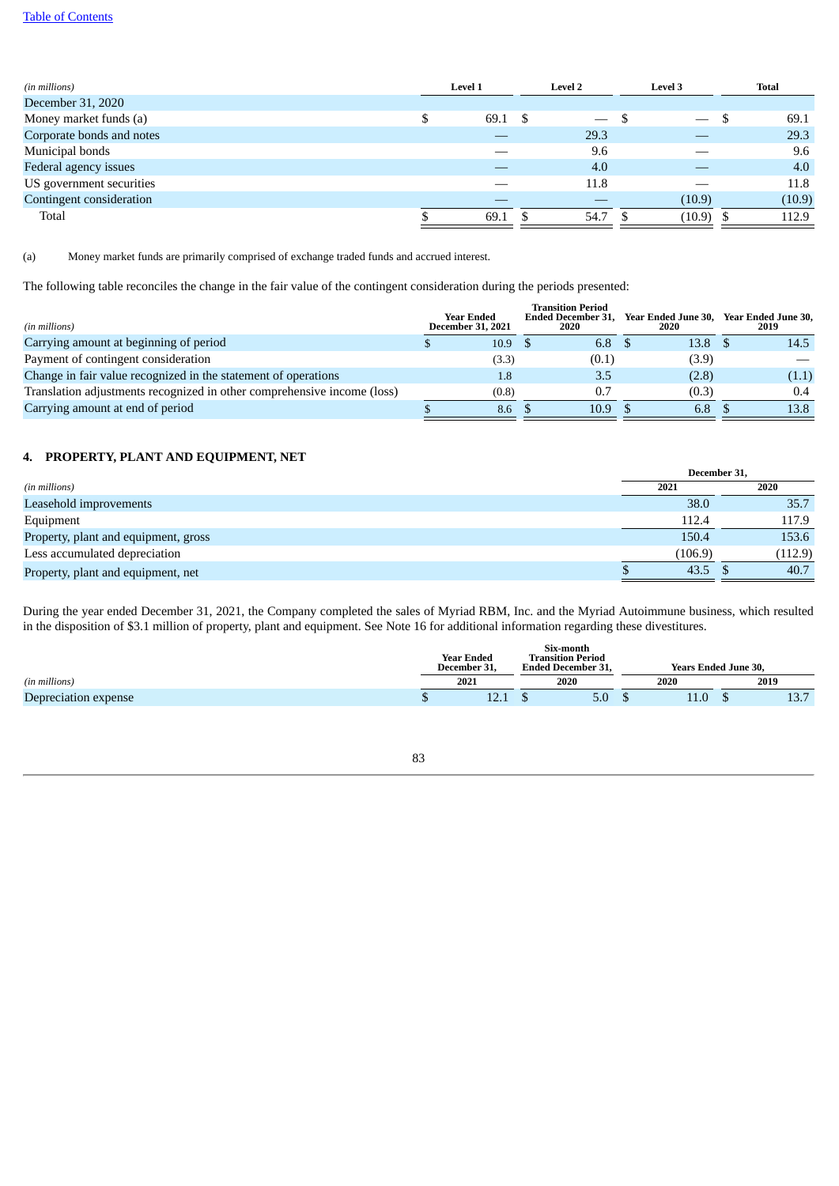| (in millions)             | Level 1    |      | <b>Level 2</b>                | Level 3                  |     | Total  |
|---------------------------|------------|------|-------------------------------|--------------------------|-----|--------|
| December 31, 2020         |            |      |                               |                          |     |        |
| Money market funds (a)    | \$<br>69.1 | - \$ | $\overbrace{\phantom{aaaaa}}$ | $\overline{\phantom{0}}$ | - S | 69.1   |
| Corporate bonds and notes |            |      | 29.3                          |                          |     | 29.3   |
| Municipal bonds           |            |      | 9.6                           |                          |     | 9.6    |
| Federal agency issues     |            |      | 4.0                           |                          |     | 4.0    |
| US government securities  |            |      | 11.8                          |                          |     | 11.8   |
| Contingent consideration  |            |      |                               | (10.9)                   |     | (10.9) |
| Total                     | 69.1       |      | 54.7                          | (10.9)                   |     | 112.9  |

(a) Money market funds are primarily comprised of exchange traded funds and accrued interest.

The following table reconciles the change in the fair value of the contingent consideration during the periods presented:

| (in millions)                                                           | <b>Year Ended</b><br><b>December 31, 2021</b> | <b>Transition Period</b><br><b>Ended December 31.</b><br>2020 | <b>Year Ended June 30,</b><br>2020 | Year Ended June 30.<br>2019 |
|-------------------------------------------------------------------------|-----------------------------------------------|---------------------------------------------------------------|------------------------------------|-----------------------------|
| Carrying amount at beginning of period                                  | 10.9                                          | 6.8                                                           | 13.8                               | 14.5                        |
| Payment of contingent consideration                                     | (3.3)                                         | (0.1)                                                         | (3.9)                              |                             |
| Change in fair value recognized in the statement of operations          | 1.8 <sup>°</sup>                              | 3.5                                                           | (2.8)                              | (1.1)                       |
| Translation adjustments recognized in other comprehensive income (loss) | (0.8)                                         | 0.7                                                           | (0.3)                              | 0.4                         |
| Carrying amount at end of period                                        | 8.6                                           | 10.9                                                          | 6.8                                | 13.8                        |

# **4. PROPERTY, PLANT AND EQUIPMENT, NET**

|                                      | December 31. |         |  |  |
|--------------------------------------|--------------|---------|--|--|
| (in millions)                        | 2021         | 2020    |  |  |
| Leasehold improvements               | 38.0         | 35.7    |  |  |
| Equipment                            | 112.4        | 117.9   |  |  |
| Property, plant and equipment, gross | 150.4        | 153.6   |  |  |
| Less accumulated depreciation        | (106.9)      | (112.9) |  |  |
| Property, plant and equipment, net   | 43.5         | 40.7    |  |  |

During the year ended December 31, 2021, the Company completed the sales of Myriad RBM, Inc. and the Myriad Autoimmune business, which resulted in the disposition of \$3.1 million of property, plant and equipment. See Note 16 for additional information regarding these divestitures.

|                      |  | <b>Year Ended</b><br>December 31. | Six-month<br><b>Transition Period</b><br><b>Ended December 31.</b> |      |  | <b>Years Ended June 30,</b> |  |      |  |  |
|----------------------|--|-----------------------------------|--------------------------------------------------------------------|------|--|-----------------------------|--|------|--|--|
| (in millions)        |  | 2021                              |                                                                    | 2020 |  | 2020                        |  | 2019 |  |  |
| Depreciation expense |  | $1^{\circ}$<br>14.L               |                                                                    | 5.0  |  | 11.0                        |  | 10.7 |  |  |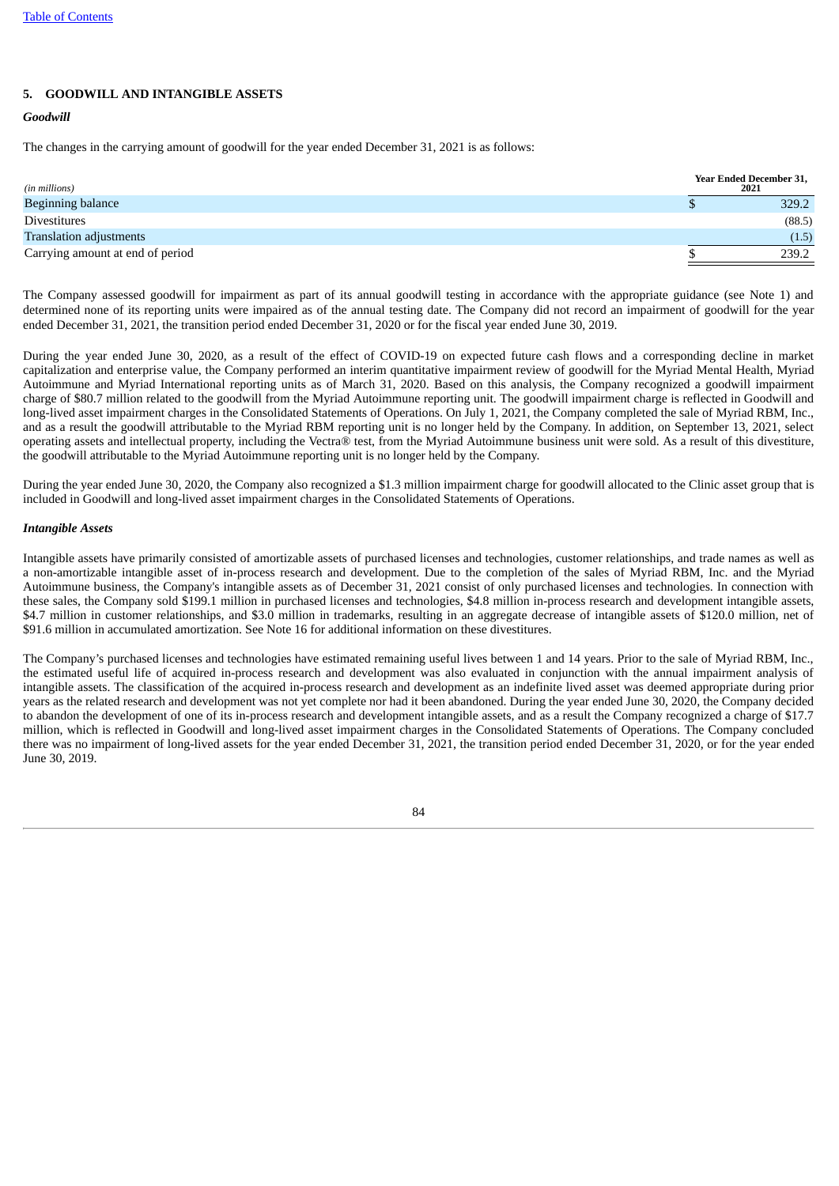# **5. GOODWILL AND INTANGIBLE ASSETS**

# *Goodwill*

The changes in the carrying amount of goodwill for the year ended December 31, 2021 is as follows:

| (in millions)                    | <b>Year Ended December 31,</b><br>2021 |
|----------------------------------|----------------------------------------|
| <b>Beginning balance</b>         | 329.2                                  |
| Divestitures                     | (88.5)                                 |
| <b>Translation adjustments</b>   | (1.5)                                  |
| Carrying amount at end of period | 239.2                                  |

The Company assessed goodwill for impairment as part of its annual goodwill testing in accordance with the appropriate guidance (see Note 1) and determined none of its reporting units were impaired as of the annual testing date. The Company did not record an impairment of goodwill for the year ended December 31, 2021, the transition period ended December 31, 2020 or for the fiscal year ended June 30, 2019.

During the year ended June 30, 2020, as a result of the effect of COVID-19 on expected future cash flows and a corresponding decline in market capitalization and enterprise value, the Company performed an interim quantitative impairment review of goodwill for the Myriad Mental Health, Myriad Autoimmune and Myriad International reporting units as of March 31, 2020. Based on this analysis, the Company recognized a goodwill impairment charge of \$80.7 million related to the goodwill from the Myriad Autoimmune reporting unit. The goodwill impairment charge is reflected in Goodwill and long-lived asset impairment charges in the Consolidated Statements of Operations. On July 1, 2021, the Company completed the sale of Myriad RBM, Inc., and as a result the goodwill attributable to the Myriad RBM reporting unit is no longer held by the Company. In addition, on September 13, 2021, select operating assets and intellectual property, including the Vectra® test, from the Myriad Autoimmune business unit were sold. As a result of this divestiture, the goodwill attributable to the Myriad Autoimmune reporting unit is no longer held by the Company.

During the year ended June 30, 2020, the Company also recognized a \$1.3 million impairment charge for goodwill allocated to the Clinic asset group that is included in Goodwill and long-lived asset impairment charges in the Consolidated Statements of Operations.

# *Intangible Assets*

Intangible assets have primarily consisted of amortizable assets of purchased licenses and technologies, customer relationships, and trade names as well as a non-amortizable intangible asset of in-process research and development. Due to the completion of the sales of Myriad RBM, Inc. and the Myriad Autoimmune business, the Company's intangible assets as of December 31, 2021 consist of only purchased licenses and technologies. In connection with these sales, the Company sold \$199.1 million in purchased licenses and technologies, \$4.8 million in-process research and development intangible assets, \$4.7 million in customer relationships, and \$3.0 million in trademarks, resulting in an aggregate decrease of intangible assets of \$120.0 million, net of \$91.6 million in accumulated amortization. See Note 16 for additional information on these divestitures.

The Company's purchased licenses and technologies have estimated remaining useful lives between 1 and 14 years. Prior to the sale of Myriad RBM, Inc., the estimated useful life of acquired in-process research and development was also evaluated in conjunction with the annual impairment analysis of intangible assets. The classification of the acquired in-process research and development as an indefinite lived asset was deemed appropriate during prior years as the related research and development was not yet complete nor had it been abandoned. During the year ended June 30, 2020, the Company decided to abandon the development of one of its in-process research and development intangible assets, and as a result the Company recognized a charge of \$17.7 million, which is reflected in Goodwill and long-lived asset impairment charges in the Consolidated Statements of Operations. The Company concluded there was no impairment of long-lived assets for the year ended December 31, 2021, the transition period ended December 31, 2020, or for the year ended June 30, 2019.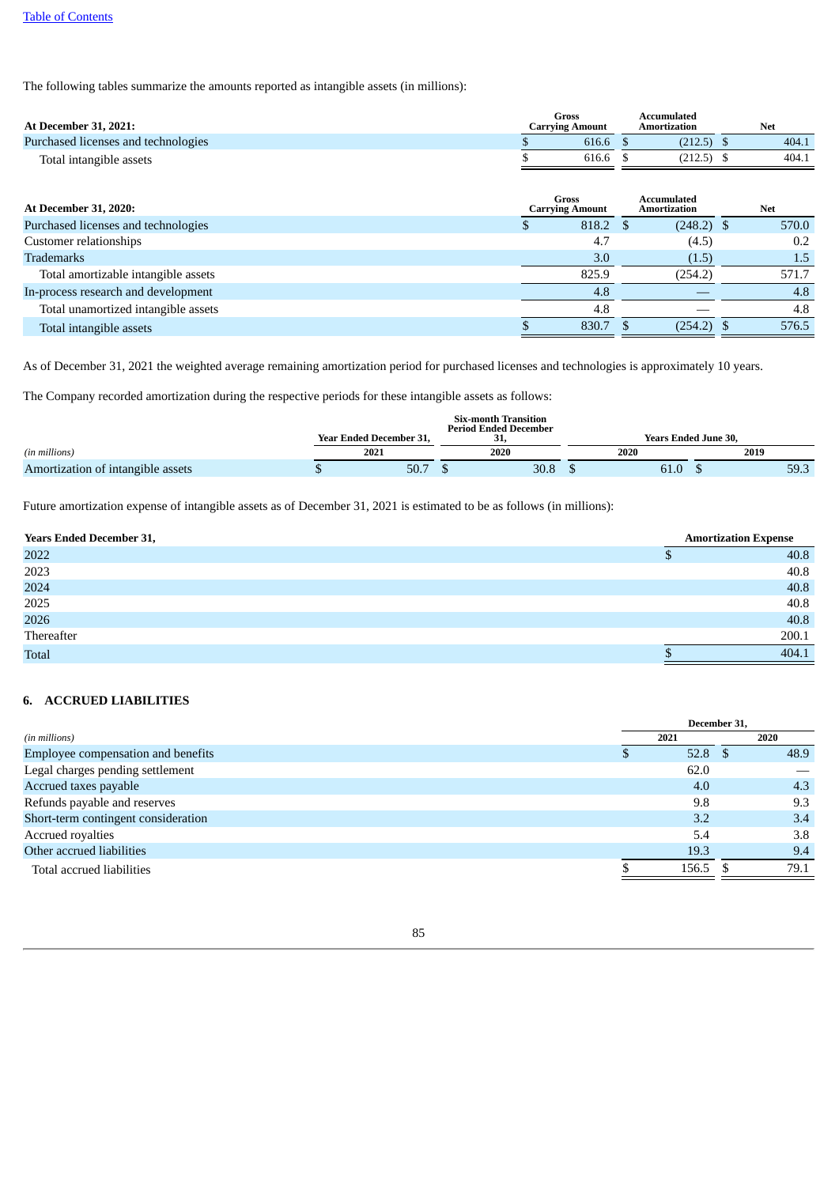The following tables summarize the amounts reported as intangible assets (in millions):

| At December 31, 2021:               | Gross<br>Carrving Amount | Accumulated<br>Amortization | Net   |
|-------------------------------------|--------------------------|-----------------------------|-------|
| Purchased licenses and technologies | 616.6                    | (212.5)                     | 404.1 |
| Total intangible assets             | 616.6                    | (212.5)                     | 404.1 |

| <b>At December 31, 2020:</b>        | Gross<br><b>Carrying Amount</b> | Accumulated<br>Amortization | <b>Net</b> |
|-------------------------------------|---------------------------------|-----------------------------|------------|
| Purchased licenses and technologies | 818.2 \$                        | $(248.2)$ \$                | 570.0      |
| Customer relationships              | 4.7                             | (4.5)                       | 0.2        |
| <b>Trademarks</b>                   | 3.0                             | (1.5)                       | 1.5        |
| Total amortizable intangible assets | 825.9                           | (254.2)                     | 571.7      |
| In-process research and development | 4.8                             |                             | 4.8        |
| Total unamortized intangible assets | 4.8                             |                             | 4.8        |
| Total intangible assets             | 830.7                           | (254.2)                     | 576.5      |

As of December 31, 2021 the weighted average remaining amortization period for purchased licenses and technologies is approximately 10 years.

The Company recorded amortization during the respective periods for these intangible assets as follows:

|                                   |                                |      | <b>Six-month Transition</b><br><b>Period Ended December</b> |  |                             |  |      |  |  |  |
|-----------------------------------|--------------------------------|------|-------------------------------------------------------------|--|-----------------------------|--|------|--|--|--|
|                                   | <b>Year Ended December 31.</b> |      | JI.                                                         |  | <b>Years Ended June 30.</b> |  |      |  |  |  |
| (in millions)                     |                                | 2021 | 2020                                                        |  | 2020                        |  | 2019 |  |  |  |
| Amortization of intangible assets |                                | 50.7 | 30.8                                                        |  |                             |  | 59.3 |  |  |  |

Future amortization expense of intangible assets as of December 31, 2021 is estimated to be as follows (in millions):

| <b>Years Ended December 31,</b> |  | <b>Amortization Expense</b> |
|---------------------------------|--|-----------------------------|
| 2022                            |  | 40.8                        |
| 2023                            |  | 40.8                        |
| 2024                            |  | 40.8                        |
| 2025                            |  | 40.8                        |
| 2026                            |  | 40.8                        |
| Thereafter                      |  | 200.1                       |
| <b>Total</b>                    |  | 404.1                       |

# **6. ACCRUED LIABILITIES**

|                                     |                   | December 31, |      |  |
|-------------------------------------|-------------------|--------------|------|--|
| (in millions)                       | 2021              |              | 2020 |  |
| Employee compensation and benefits  | 52.8 <sup>5</sup> |              | 48.9 |  |
| Legal charges pending settlement    | 62.0              |              |      |  |
| Accrued taxes payable               | 4.0               |              | 4.3  |  |
| Refunds payable and reserves        | 9.8               |              | 9.3  |  |
| Short-term contingent consideration | 3.2               |              | 3.4  |  |
| Accrued royalties                   | 5.4               |              | 3.8  |  |
| Other accrued liabilities           | 19.3              |              | 9.4  |  |
| Total accrued liabilities           | 156.5             |              | 79.1 |  |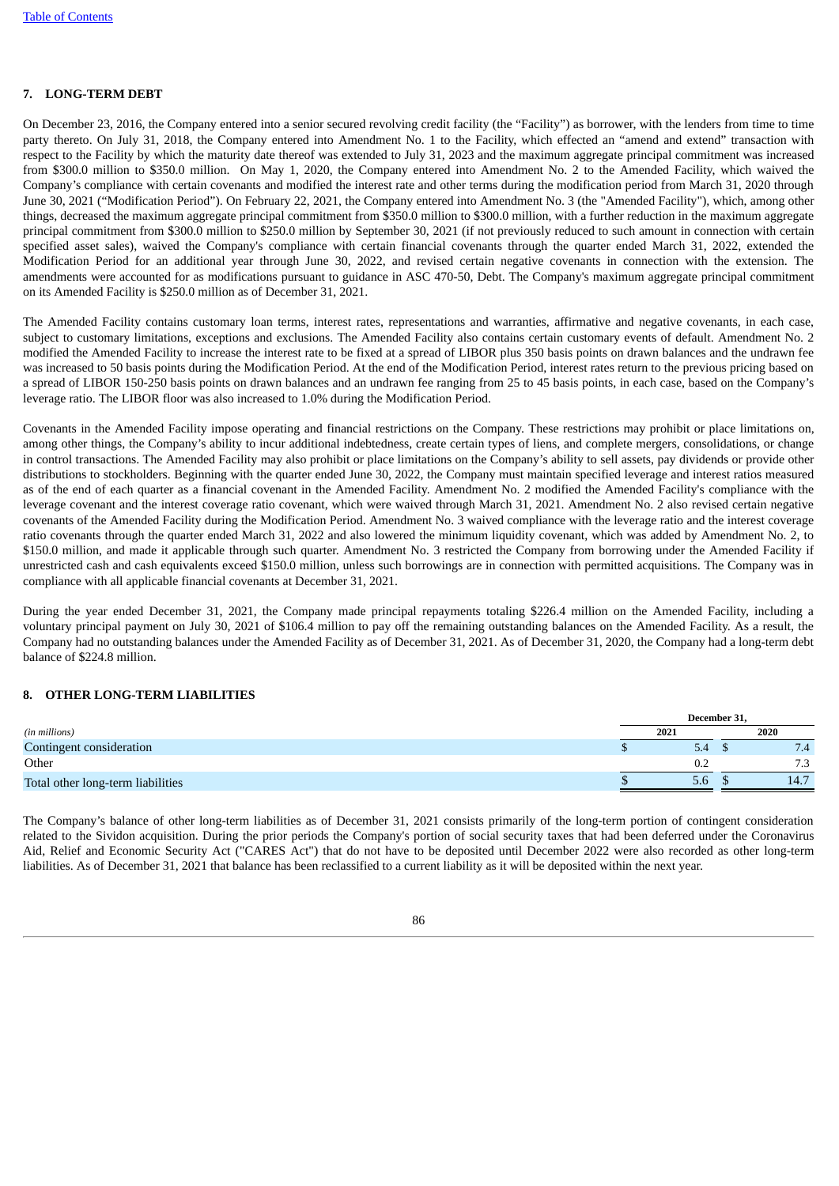# **7. LONG-TERM DEBT**

On December 23, 2016, the Company entered into a senior secured revolving credit facility (the "Facility") as borrower, with the lenders from time to time party thereto. On July 31, 2018, the Company entered into Amendment No. 1 to the Facility, which effected an "amend and extend" transaction with respect to the Facility by which the maturity date thereof was extended to July 31, 2023 and the maximum aggregate principal commitment was increased from \$300.0 million to \$350.0 million. On May 1, 2020, the Company entered into Amendment No. 2 to the Amended Facility, which waived the Company's compliance with certain covenants and modified the interest rate and other terms during the modification period from March 31, 2020 through June 30, 2021 ("Modification Period"). On February 22, 2021, the Company entered into Amendment No. 3 (the "Amended Facility"), which, among other things, decreased the maximum aggregate principal commitment from \$350.0 million to \$300.0 million, with a further reduction in the maximum aggregate principal commitment from \$300.0 million to \$250.0 million by September 30, 2021 (if not previously reduced to such amount in connection with certain specified asset sales), waived the Company's compliance with certain financial covenants through the quarter ended March 31, 2022, extended the Modification Period for an additional year through June 30, 2022, and revised certain negative covenants in connection with the extension. The amendments were accounted for as modifications pursuant to guidance in ASC 470-50, Debt. The Company's maximum aggregate principal commitment on its Amended Facility is \$250.0 million as of December 31, 2021.

The Amended Facility contains customary loan terms, interest rates, representations and warranties, affirmative and negative covenants, in each case, subject to customary limitations, exceptions and exclusions. The Amended Facility also contains certain customary events of default. Amendment No. 2 modified the Amended Facility to increase the interest rate to be fixed at a spread of LIBOR plus 350 basis points on drawn balances and the undrawn fee was increased to 50 basis points during the Modification Period. At the end of the Modification Period, interest rates return to the previous pricing based on a spread of LIBOR 150-250 basis points on drawn balances and an undrawn fee ranging from 25 to 45 basis points, in each case, based on the Company's leverage ratio. The LIBOR floor was also increased to 1.0% during the Modification Period.

Covenants in the Amended Facility impose operating and financial restrictions on the Company. These restrictions may prohibit or place limitations on, among other things, the Company's ability to incur additional indebtedness, create certain types of liens, and complete mergers, consolidations, or change in control transactions. The Amended Facility may also prohibit or place limitations on the Company's ability to sell assets, pay dividends or provide other distributions to stockholders. Beginning with the quarter ended June 30, 2022, the Company must maintain specified leverage and interest ratios measured as of the end of each quarter as a financial covenant in the Amended Facility. Amendment No. 2 modified the Amended Facility's compliance with the leverage covenant and the interest coverage ratio covenant, which were waived through March 31, 2021. Amendment No. 2 also revised certain negative covenants of the Amended Facility during the Modification Period. Amendment No. 3 waived compliance with the leverage ratio and the interest coverage ratio covenants through the quarter ended March 31, 2022 and also lowered the minimum liquidity covenant, which was added by Amendment No. 2, to \$150.0 million, and made it applicable through such quarter. Amendment No. 3 restricted the Company from borrowing under the Amended Facility if unrestricted cash and cash equivalents exceed \$150.0 million, unless such borrowings are in connection with permitted acquisitions. The Company was in compliance with all applicable financial covenants at December 31, 2021.

During the year ended December 31, 2021, the Company made principal repayments totaling \$226.4 million on the Amended Facility, including a voluntary principal payment on July 30, 2021 of \$106.4 million to pay off the remaining outstanding balances on the Amended Facility. As a result, the Company had no outstanding balances under the Amended Facility as of December 31, 2021. As of December 31, 2020, the Company had a long-term debt balance of \$224.8 million.

## **8. OTHER LONG-TERM LIABILITIES**

|                                   | December 31, |      |  |           |  |  |  |
|-----------------------------------|--------------|------|--|-----------|--|--|--|
| (in millions)                     |              | 2021 |  | 2020      |  |  |  |
| Contingent consideration          |              | 5.4  |  | 7.4       |  |  |  |
| Other                             |              | 0.2  |  | 72<br>ر., |  |  |  |
| Total other long-term liabilities |              | 5.6  |  | 14.7      |  |  |  |
|                                   |              |      |  |           |  |  |  |

The Company's balance of other long-term liabilities as of December 31, 2021 consists primarily of the long-term portion of contingent consideration related to the Sividon acquisition. During the prior periods the Company's portion of social security taxes that had been deferred under the Coronavirus Aid, Relief and Economic Security Act ("CARES Act") that do not have to be deposited until December 2022 were also recorded as other long-term liabilities. As of December 31, 2021 that balance has been reclassified to a current liability as it will be deposited within the next year.

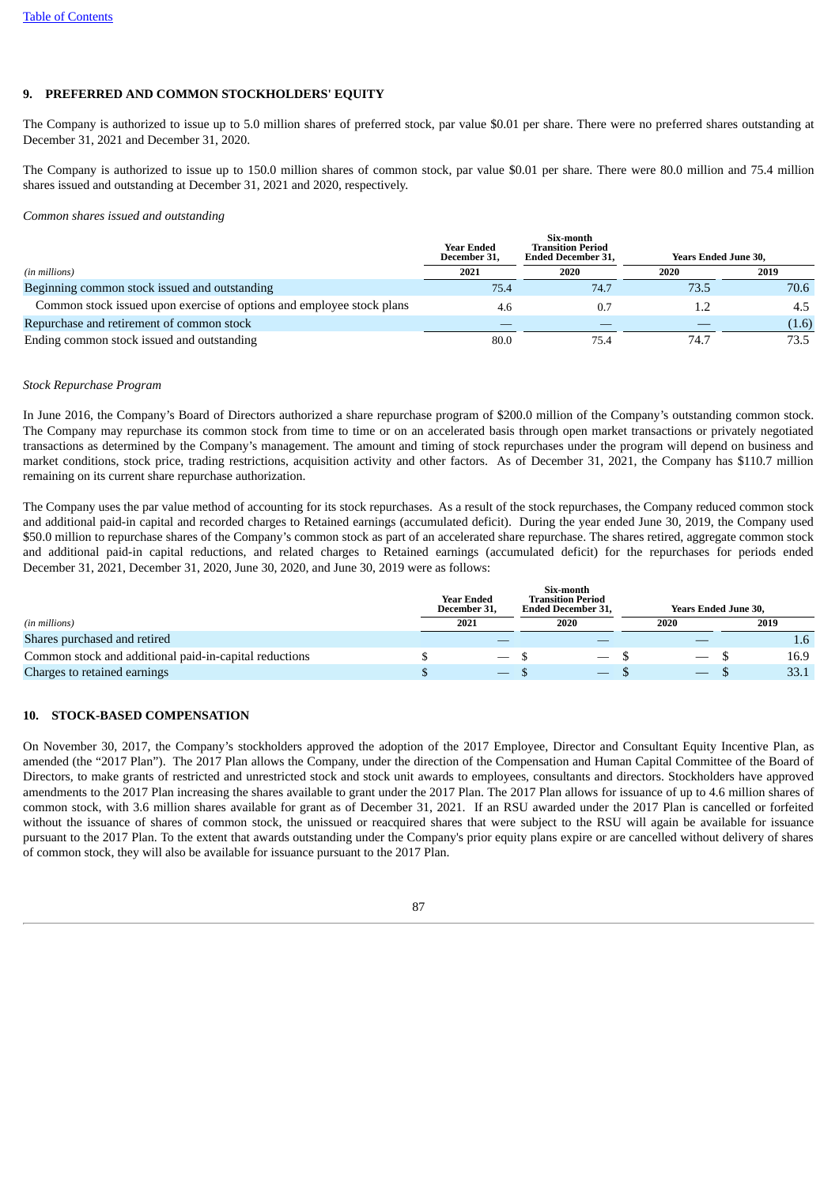# **9. PREFERRED AND COMMON STOCKHOLDERS' EQUITY**

The Company is authorized to issue up to 5.0 million shares of preferred stock, par value \$0.01 per share. There were no preferred shares outstanding at December 31, 2021 and December 31, 2020.

The Company is authorized to issue up to 150.0 million shares of common stock, par value \$0.01 per share. There were 80.0 million and 75.4 million shares issued and outstanding at December 31, 2021 and 2020, respectively.

#### *Common shares issued and outstanding*

|                                                                       | <b>Year Ended</b><br>December 31, | Six-month<br><b>Transition Period</b><br><b>Ended December 31.</b> | <b>Years Ended June 30,</b> |       |
|-----------------------------------------------------------------------|-----------------------------------|--------------------------------------------------------------------|-----------------------------|-------|
| (in millions)                                                         | 2021                              | 2020                                                               | 2020                        | 2019  |
| Beginning common stock issued and outstanding                         | 75.4                              | 74.7                                                               | 73.5                        | 70.6  |
| Common stock issued upon exercise of options and employee stock plans | 4.6                               | 0.7                                                                |                             | 4.5   |
| Repurchase and retirement of common stock                             |                                   |                                                                    |                             | (1.6) |
| Ending common stock issued and outstanding                            | 80.0                              | 75.4                                                               | 74.7                        | 73.5  |

#### *Stock Repurchase Program*

In June 2016, the Company's Board of Directors authorized a share repurchase program of \$200.0 million of the Company's outstanding common stock. The Company may repurchase its common stock from time to time or on an accelerated basis through open market transactions or privately negotiated transactions as determined by the Company's management. The amount and timing of stock repurchases under the program will depend on business and market conditions, stock price, trading restrictions, acquisition activity and other factors. As of December 31, 2021, the Company has \$110.7 million remaining on its current share repurchase authorization.

The Company uses the par value method of accounting for its stock repurchases. As a result of the stock repurchases, the Company reduced common stock and additional paid-in capital and recorded charges to Retained earnings (accumulated deficit). During the year ended June 30, 2019, the Company used \$50.0 million to repurchase shares of the Company's common stock as part of an accelerated share repurchase. The shares retired, aggregate common stock and additional paid-in capital reductions, and related charges to Retained earnings (accumulated deficit) for the repurchases for periods ended December 31, 2021, December 31, 2020, June 30, 2020, and June 30, 2019 were as follows:

|                                                        |  | <b>Year Ended</b><br>December 31, | Six-month<br><b>Transition Period</b><br><b>Ended December 31,</b> | <b>Years Ended June 30,</b> |               |
|--------------------------------------------------------|--|-----------------------------------|--------------------------------------------------------------------|-----------------------------|---------------|
| (in millions)                                          |  | 2021                              | 2020                                                               | 2020                        | 2019          |
| Shares purchased and retired                           |  |                                   |                                                                    |                             | $1.6^{\circ}$ |
| Common stock and additional paid-in-capital reductions |  | $\hspace{0.1mm}-\hspace{0.1mm}$   | $\hspace{0.1mm}-\hspace{0.1mm}$                                    | $\hspace{0.05cm}$           | 16.9          |
| Charges to retained earnings                           |  |                                   |                                                                    |                             | 33.1          |

# **10. STOCK-BASED COMPENSATION**

On November 30, 2017, the Company's stockholders approved the adoption of the 2017 Employee, Director and Consultant Equity Incentive Plan, as amended (the "2017 Plan"). The 2017 Plan allows the Company, under the direction of the Compensation and Human Capital Committee of the Board of Directors, to make grants of restricted and unrestricted stock and stock unit awards to employees, consultants and directors. Stockholders have approved amendments to the 2017 Plan increasing the shares available to grant under the 2017 Plan. The 2017 Plan allows for issuance of up to 4.6 million shares of common stock, with 3.6 million shares available for grant as of December 31, 2021. If an RSU awarded under the 2017 Plan is cancelled or forfeited without the issuance of shares of common stock, the unissued or reacquired shares that were subject to the RSU will again be available for issuance pursuant to the 2017 Plan. To the extent that awards outstanding under the Company's prior equity plans expire or are cancelled without delivery of shares of common stock, they will also be available for issuance pursuant to the 2017 Plan.

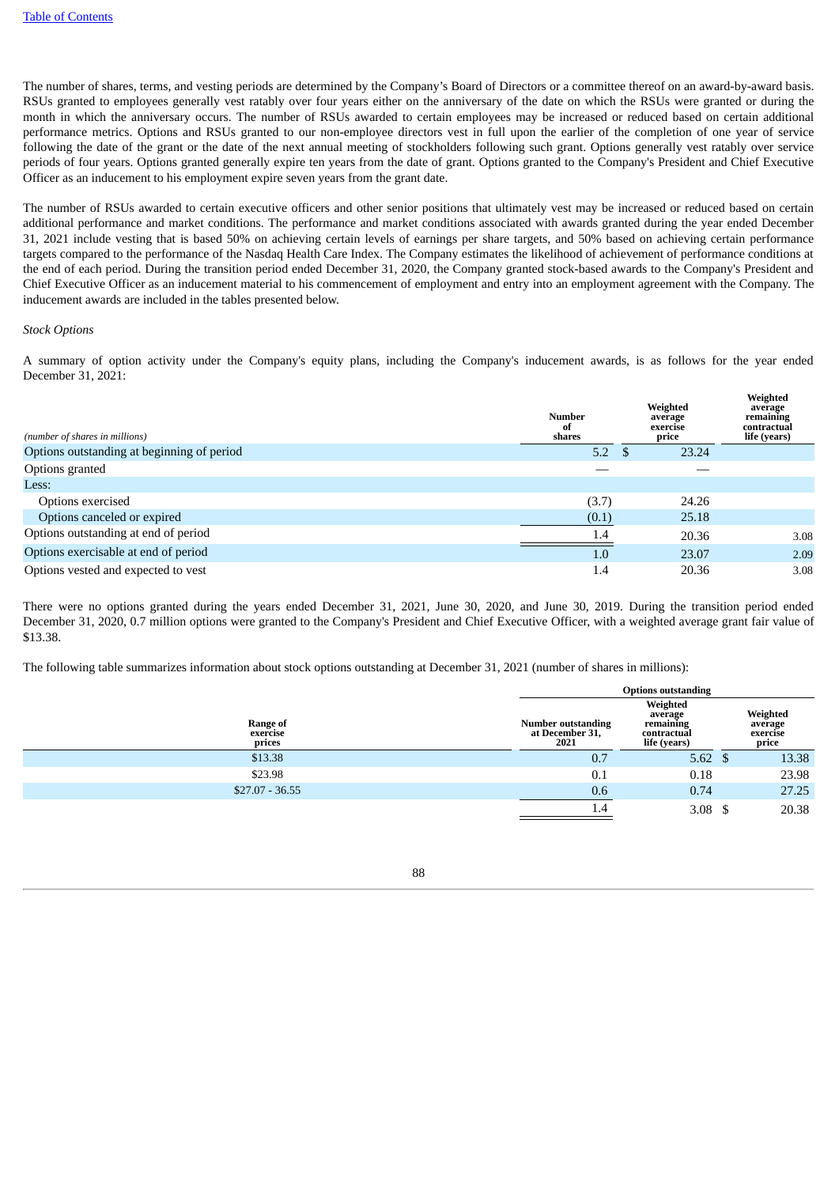The number of shares, terms, and vesting periods are determined by the Company's Board of Directors or a committee thereof on an award-by-award basis. RSUs granted to employees generally vest ratably over four years either on the anniversary of the date on which the RSUs were granted or during the month in which the anniversary occurs. The number of RSUs awarded to certain employees may be increased or reduced based on certain additional performance metrics. Options and RSUs granted to our non-employee directors vest in full upon the earlier of the completion of one year of service following the date of the grant or the date of the next annual meeting of stockholders following such grant. Options generally vest ratably over service periods of four years. Options granted generally expire ten years from the date of grant. Options granted to the Company's President and Chief Executive Officer as an inducement to his employment expire seven years from the grant date.

The number of RSUs awarded to certain executive officers and other senior positions that ultimately vest may be increased or reduced based on certain additional performance and market conditions. The performance and market conditions associated with awards granted during the year ended December 31, 2021 include vesting that is based 50% on achieving certain levels of earnings per share targets, and 50% based on achieving certain performance targets compared to the performance of the Nasdaq Health Care Index. The Company estimates the likelihood of achievement of performance conditions at the end of each period. During the transition period ended December 31, 2020, the Company granted stock-based awards to the Company's President and Chief Executive Officer as an inducement material to his commencement of employment and entry into an employment agreement with the Company. The inducement awards are included in the tables presented below.

### *Stock Options*

A summary of option activity under the Company's equity plans, including the Company's inducement awards, is as follows for the year ended December 31, 2021:

| (number of shares in millions)             | <b>Number</b><br>0t<br>shares | Weighted<br>average<br>exercise<br>price | Weighted<br>average<br>remaining<br>contractual<br>life (years) |
|--------------------------------------------|-------------------------------|------------------------------------------|-----------------------------------------------------------------|
| Options outstanding at beginning of period | 5.2                           | 23.24                                    |                                                                 |
| Options granted                            |                               |                                          |                                                                 |
| Less:                                      |                               |                                          |                                                                 |
| Options exercised                          | (3.7)                         | 24.26                                    |                                                                 |
| Options canceled or expired                | (0.1)                         | 25.18                                    |                                                                 |
| Options outstanding at end of period       | 1.4                           | 20.36                                    | 3.08                                                            |
| Options exercisable at end of period       | 1.0                           | 23.07                                    | 2.09                                                            |
| Options vested and expected to vest        | 1.4                           | 20.36                                    | 3.08                                                            |

There were no options granted during the years ended December 31, 2021, June 30, 2020, and June 30, 2019. During the transition period ended December 31, 2020, 0.7 million options were granted to the Company's President and Chief Executive Officer, with a weighted average grant fair value of \$13.38.

The following table summarizes information about stock options outstanding at December 31, 2021 (number of shares in millions):

|                                       | <b>Options outstanding</b>                           |                                                                 |  |                                          |  |  |
|---------------------------------------|------------------------------------------------------|-----------------------------------------------------------------|--|------------------------------------------|--|--|
| <b>Range of</b><br>exercise<br>prices | <b>Number outstanding</b><br>at December 31,<br>2021 | Weighted<br>average<br>remaining<br>contractual<br>life (years) |  | Weighted<br>average<br>exercise<br>price |  |  |
| \$13.38                               | 0.7                                                  | 5.62 \$                                                         |  | 13.38                                    |  |  |
| \$23.98                               | 0.1                                                  | 0.18                                                            |  | 23.98                                    |  |  |
| $$27.07 - 36.55$                      | 0.6                                                  | 0.74                                                            |  | 27.25                                    |  |  |
|                                       | 1.4                                                  | 3.08                                                            |  | 20.38                                    |  |  |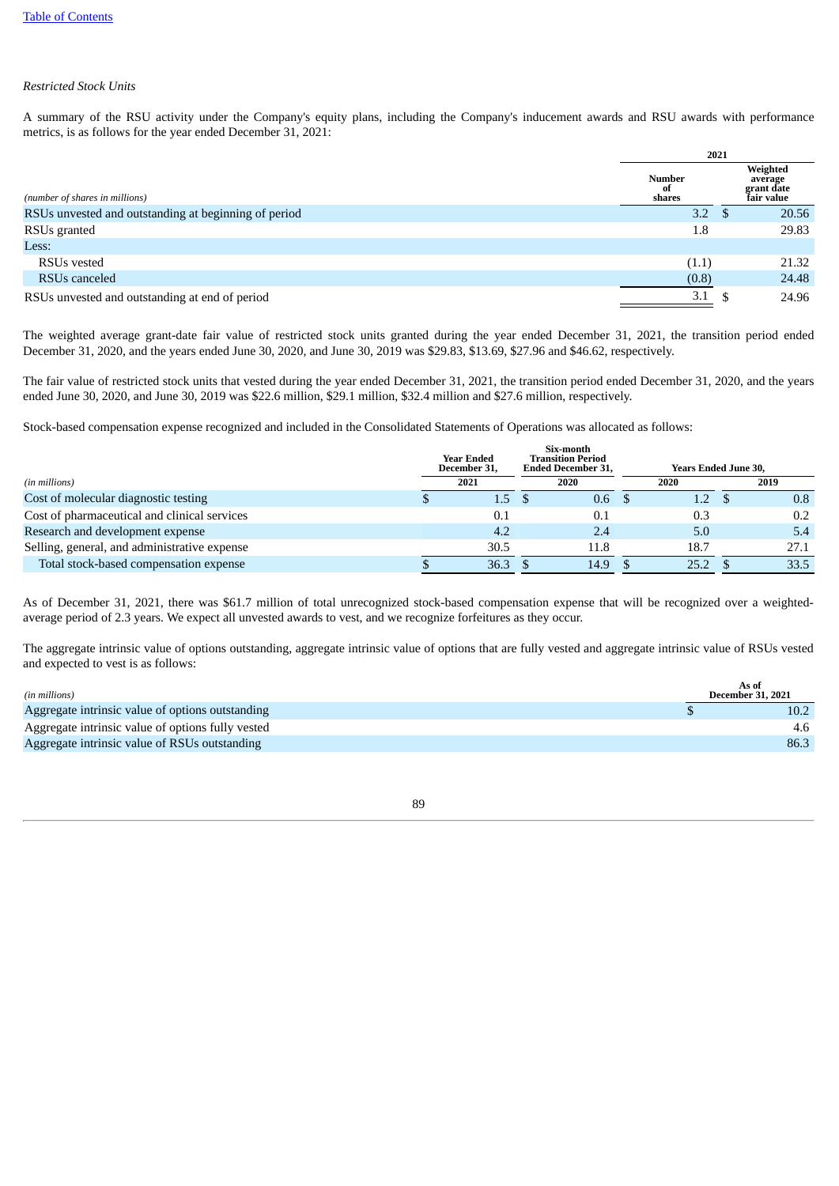## *Restricted Stock Units*

A summary of the RSU activity under the Company's equity plans, including the Company's inducement awards and RSU awards with performance metrics, is as follows for the year ended December 31, 2021:

|                                                      | 2021                           |    |                                                 |
|------------------------------------------------------|--------------------------------|----|-------------------------------------------------|
| (number of shares in millions)                       | <b>Number</b><br>-of<br>shares |    | Weighted<br>average<br>grant date<br>Ťair value |
| RSUs unvested and outstanding at beginning of period | 3.2                            | -S | 20.56                                           |
| RSUs granted                                         | 1.8                            |    | 29.83                                           |
| Less:                                                |                                |    |                                                 |
| <b>RSUs</b> vested                                   | (1.1)                          |    | 21.32                                           |
| RSUs canceled                                        | (0.8)                          |    | 24.48                                           |
| RSUs unvested and outstanding at end of period       | 3.1                            |    | 24.96                                           |

The weighted average grant-date fair value of restricted stock units granted during the year ended December 31, 2021, the transition period ended December 31, 2020, and the years ended June 30, 2020, and June 30, 2019 was \$29.83, \$13.69, \$27.96 and \$46.62, respectively.

The fair value of restricted stock units that vested during the year ended December 31, 2021, the transition period ended December 31, 2020, and the years ended June 30, 2020, and June 30, 2019 was \$22.6 million, \$29.1 million, \$32.4 million and \$27.6 million, respectively.

Stock-based compensation expense recognized and included in the Consolidated Statements of Operations was allocated as follows:

|                                              | Six-month<br><b>Year Ended</b><br><b>Transition Period</b><br><b>Ended December 31,</b><br>December 31, |      |             | <b>Years Ended June 30,</b> |
|----------------------------------------------|---------------------------------------------------------------------------------------------------------|------|-------------|-----------------------------|
| (in millions)                                | 2021                                                                                                    | 2020 | 2020        | 2019                        |
| Cost of molecular diagnostic testing         | 1.5                                                                                                     | 0.6  | $1.2^\circ$ | 0.8                         |
| Cost of pharmaceutical and clinical services | 0.1                                                                                                     | 0.1  | 0.3         | 0.2                         |
| Research and development expense             | 4.2                                                                                                     | 2.4  | 5.0         | 5.4                         |
| Selling, general, and administrative expense | 30.5                                                                                                    | 11.8 | 18.7        | 27.1                        |
| Total stock-based compensation expense       | 36.3                                                                                                    | 14.9 | 25.2        | 33.5                        |

As of December 31, 2021, there was \$61.7 million of total unrecognized stock-based compensation expense that will be recognized over a weightedaverage period of 2.3 years. We expect all unvested awards to vest, and we recognize forfeitures as they occur.

The aggregate intrinsic value of options outstanding, aggregate intrinsic value of options that are fully vested and aggregate intrinsic value of RSUs vested and expected to vest is as follows:

| (in millions)                                     | As of<br><b>December 31, 2021</b> |
|---------------------------------------------------|-----------------------------------|
| Aggregate intrinsic value of options outstanding  | 10.2                              |
| Aggregate intrinsic value of options fully vested | 4.6                               |
| Aggregate intrinsic value of RSUs outstanding     | 86.3                              |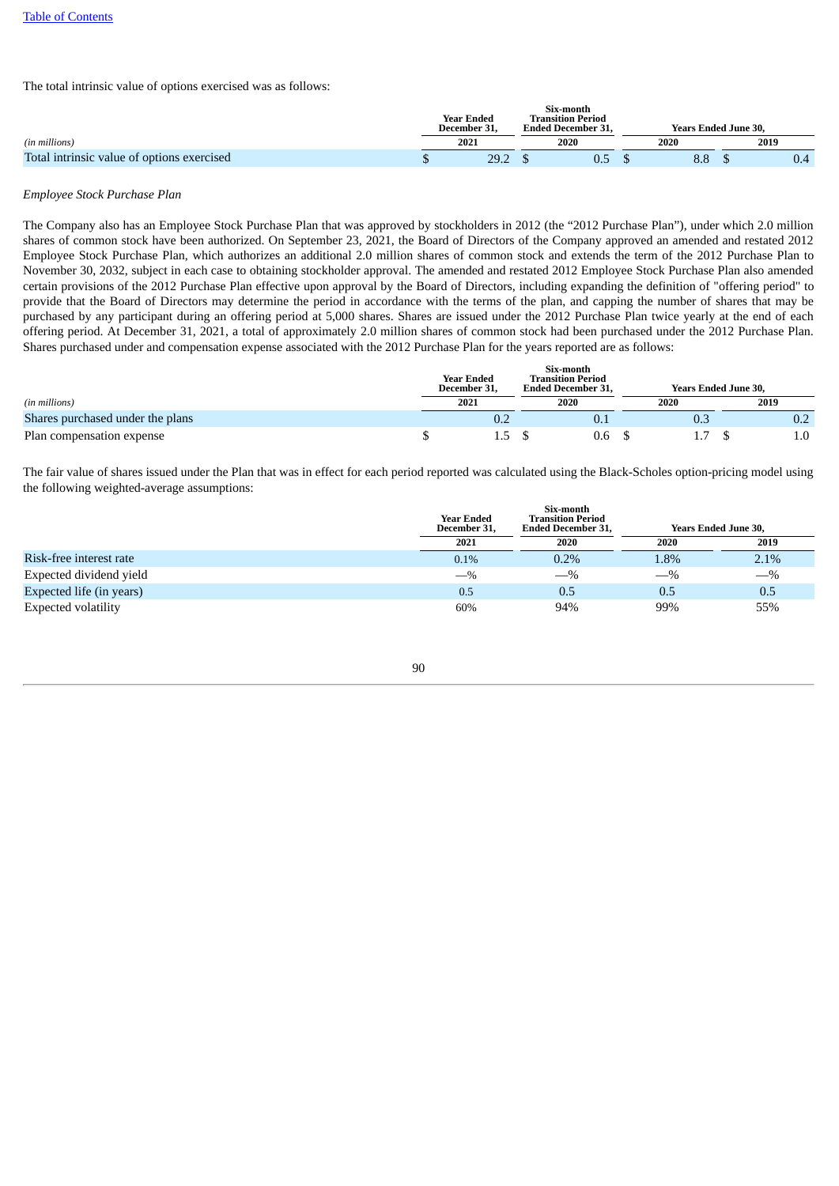The total intrinsic value of options exercised was as follows:

|                                            | <b>Year Ended</b><br>December 31. |      | Six-month<br><b>Transition Period</b><br><b>Ended December 31.</b> |     | <b>Years Ended June 30.</b> |      |  |      |
|--------------------------------------------|-----------------------------------|------|--------------------------------------------------------------------|-----|-----------------------------|------|--|------|
| (in millions)                              | 2021                              |      | 2020                                                               |     |                             | 2020 |  | 2019 |
| Total intrinsic value of options exercised |                                   | 29.2 |                                                                    | 0.5 |                             | 8.8  |  | 0.4  |

## *Employee Stock Purchase Plan*

The Company also has an Employee Stock Purchase Plan that was approved by stockholders in 2012 (the "2012 Purchase Plan"), under which 2.0 million shares of common stock have been authorized. On September 23, 2021, the Board of Directors of the Company approved an amended and restated 2012 Employee Stock Purchase Plan, which authorizes an additional 2.0 million shares of common stock and extends the term of the 2012 Purchase Plan to November 30, 2032, subject in each case to obtaining stockholder approval. The amended and restated 2012 Employee Stock Purchase Plan also amended certain provisions of the 2012 Purchase Plan effective upon approval by the Board of Directors, including expanding the definition of "offering period" to provide that the Board of Directors may determine the period in accordance with the terms of the plan, and capping the number of shares that may be purchased by any participant during an offering period at 5,000 shares. Shares are issued under the 2012 Purchase Plan twice yearly at the end of each offering period. At December 31, 2021, a total of approximately 2.0 million shares of common stock had been purchased under the 2012 Purchase Plan. Shares purchased under and compensation expense associated with the 2012 Purchase Plan for the years reported are as follows:

|                                  | <b>Year Ended</b><br>December 31, | Six-month<br><b>Transition Period</b><br><b>Ended December 31.</b> |          | <b>Years Ended June 30.</b> |
|----------------------------------|-----------------------------------|--------------------------------------------------------------------|----------|-----------------------------|
| (in millions)                    | 2021                              | 2020                                                               | 2020     | 2019                        |
| Shares purchased under the plans | 0.2                               | 0.1                                                                | 0.3      | 0.2                         |
| Plan compensation expense        | ב.1                               | 0.6                                                                | $\pm$ ./ | $1.0\,$                     |

The fair value of shares issued under the Plan that was in effect for each period reported was calculated using the Black-Scholes option-pricing model using the following weighted-average assumptions:

|                          | <b>Year Ended</b><br>December 31, | Six-month<br><b>Transition Period</b><br><b>Ended December 31,</b> |       | <b>Years Ended June 30.</b> |
|--------------------------|-----------------------------------|--------------------------------------------------------------------|-------|-----------------------------|
|                          | 2021                              | 2020                                                               | 2020  | 2019                        |
| Risk-free interest rate  | 0.1%                              | 0.2%                                                               | 1.8%  | 2.1%                        |
| Expected dividend yield  | $-$ %                             | $-$ %                                                              | $-$ % | $-$ %                       |
| Expected life (in years) | 0.5                               | 0.5                                                                | 0.5   | 0.5                         |
| Expected volatility      | 60%                               | 94%                                                                | 99%   | 55%                         |

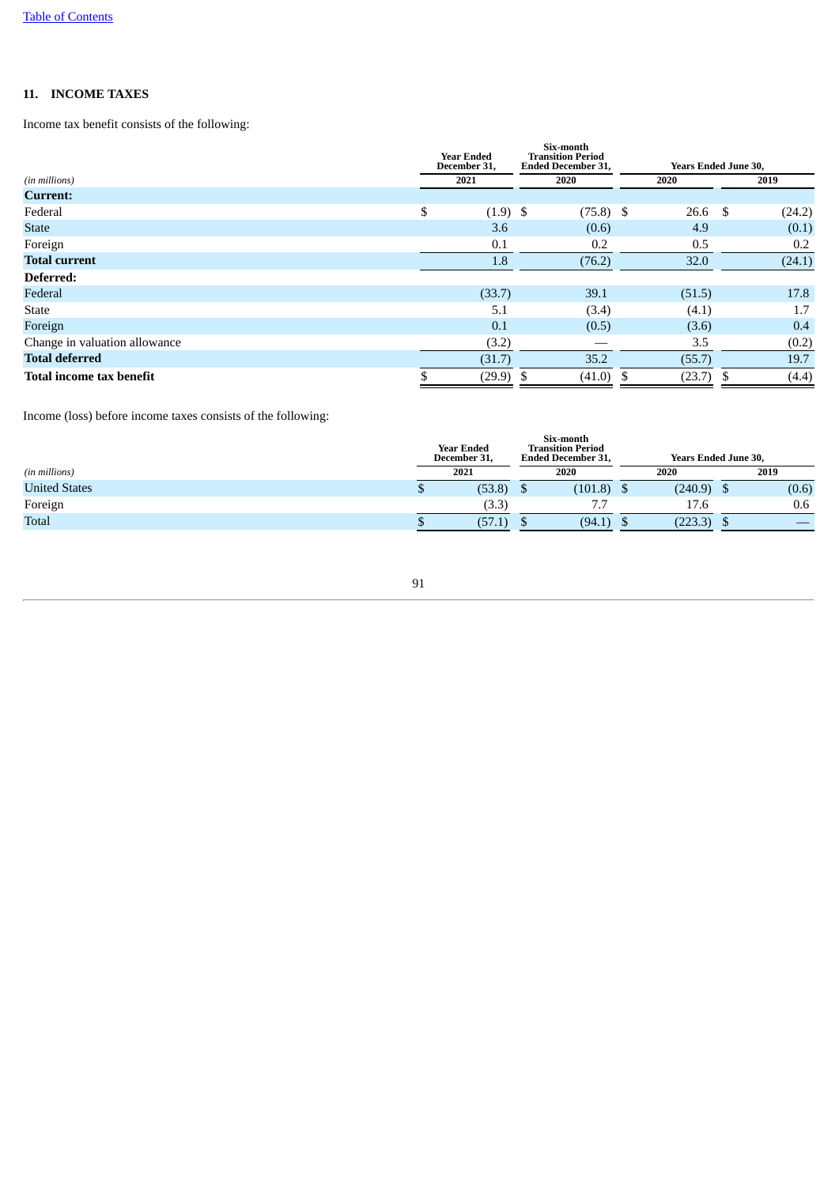# **11. INCOME TAXES**

Income tax benefit consists of the following:

|                                 |    | <b>Year Ended</b><br>December 31, | Six-month<br><b>Transition Period</b><br><b>Ended December 31,</b> |             | <b>Years Ended June 30,</b> |           |   |        |  |
|---------------------------------|----|-----------------------------------|--------------------------------------------------------------------|-------------|-----------------------------|-----------|---|--------|--|
| (in millions)                   |    | 2021                              |                                                                    | 2020        |                             | 2020      |   | 2019   |  |
| Current:                        |    |                                   |                                                                    |             |                             |           |   |        |  |
| Federal                         | \$ | $(1.9)$ \$                        |                                                                    | $(75.8)$ \$ |                             | $26.6$ \$ |   | (24.2) |  |
| <b>State</b>                    |    | 3.6                               |                                                                    | (0.6)       |                             | 4.9       |   | (0.1)  |  |
| Foreign                         |    | 0.1                               |                                                                    | 0.2         |                             | 0.5       |   | 0.2    |  |
| <b>Total current</b>            |    | 1.8                               |                                                                    | (76.2)      |                             | 32.0      |   | (24.1) |  |
| Deferred:                       |    |                                   |                                                                    |             |                             |           |   |        |  |
| Federal                         |    | (33.7)                            |                                                                    | 39.1        |                             | (51.5)    |   | 17.8   |  |
| <b>State</b>                    |    | 5.1                               |                                                                    | (3.4)       |                             | (4.1)     |   | 1.7    |  |
| Foreign                         |    | 0.1                               |                                                                    | (0.5)       |                             | (3.6)     |   | 0.4    |  |
| Change in valuation allowance   |    | (3.2)                             |                                                                    |             |                             | 3.5       |   | (0.2)  |  |
| <b>Total deferred</b>           |    | (31.7)                            |                                                                    | 35.2        |                             | (55.7)    |   | 19.7   |  |
| <b>Total income tax benefit</b> |    | (29.9)                            | \$                                                                 | (41.0)      | S                           | (23.7)    | S | (4.4)  |  |

Income (loss) before income taxes consists of the following:

|                      |    | <b>Year Ended</b><br>December 31, |  | Six-month<br><b>Transition Period</b><br><b>Ended December 31,</b> |  | <b>Years Ended June 30,</b> |  |       |  |
|----------------------|----|-----------------------------------|--|--------------------------------------------------------------------|--|-----------------------------|--|-------|--|
| (in millions)        |    | 2021                              |  | 2020                                                               |  | 2020                        |  | 2019  |  |
| <b>United States</b> | rU | (53.8)                            |  | (101.8)                                                            |  | (240.9)                     |  | (0.6) |  |
| Foreign              |    | (3.3)                             |  | 7.7                                                                |  | 17.6                        |  | 0.6   |  |
| <b>Total</b>         |    | (57.1)                            |  | (94.1)                                                             |  | (223.3)                     |  | __    |  |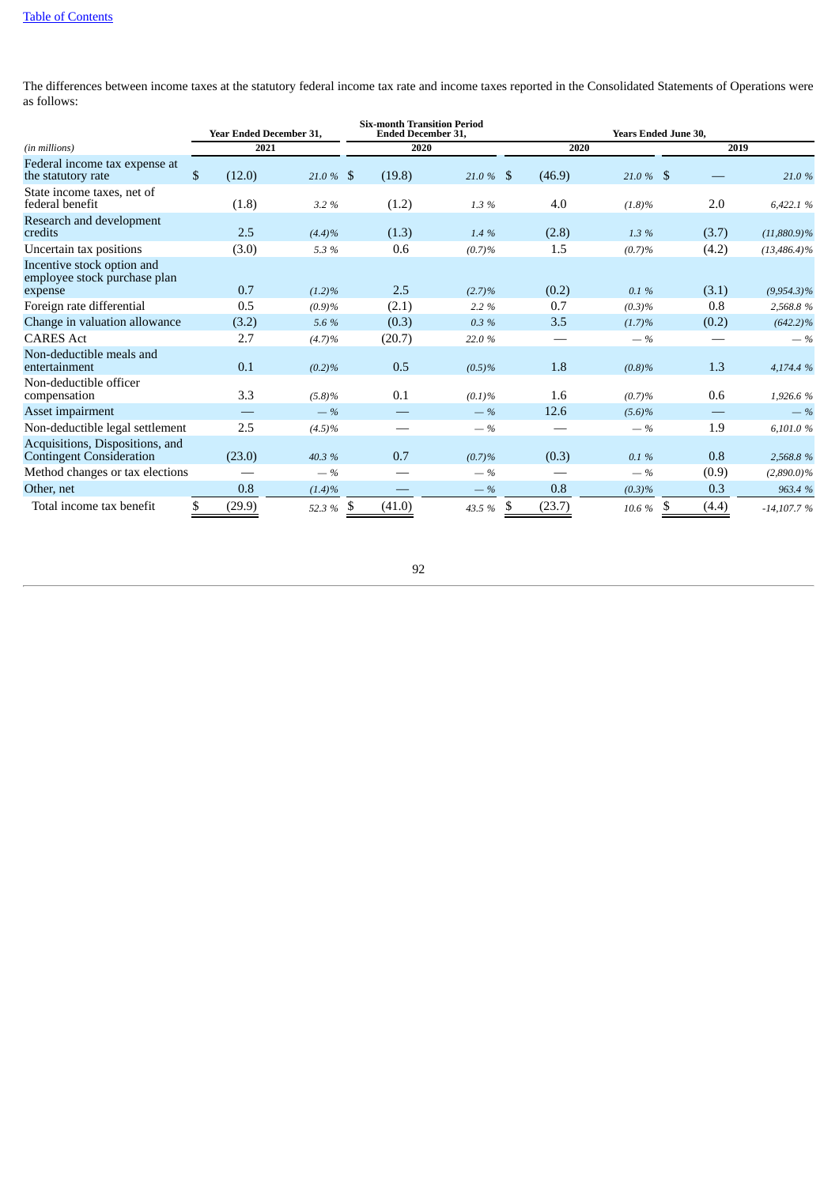The differences between income taxes at the statutory federal income tax rate and income taxes reported in the Consolidated Statements of Operations were as follows:

|                                                                       |                        | <b>Year Ended December 31,</b> |             | <b>Six-month Transition Period</b><br><b>Ended December 31,</b> | <b>Years Ended June 30,</b> |             |            |                 |
|-----------------------------------------------------------------------|------------------------|--------------------------------|-------------|-----------------------------------------------------------------|-----------------------------|-------------|------------|-----------------|
| (in millions)                                                         |                        | 2021                           |             | 2020                                                            |                             | 2020        |            | 2019            |
| Federal income tax expense at<br>the statutory rate                   | $\mathbb{S}$<br>(12.0) | $21.0\%$ \$                    | (19.8)      | $21.0\%$ \$                                                     | (46.9)                      | $21.0\%$ \$ |            | 21.0%           |
| State income taxes, net of<br>federal benefit                         | (1.8)                  | 3.2 %                          | (1.2)       | 1.3%                                                            | 4.0                         | $(1.8)\%$   | 2.0        | 6,422.1 %       |
| Research and development<br>credits                                   | 2.5                    | (4.4)%                         | (1.3)       | 1.4 %                                                           | (2.8)                       | 1.3%        | (3.7)      | $(11,880.9)\%$  |
| Uncertain tax positions                                               | (3.0)                  | 5.3%                           | 0.6         | (0.7)%                                                          | 1.5                         | (0.7)%      | (4.2)      | $(13, 486.4)\%$ |
| Incentive stock option and<br>employee stock purchase plan<br>expense | 0.7                    | $(1.2)\%$                      | 2.5         | (2.7)%                                                          | (0.2)                       | 0.1%        | (3.1)      | $(9,954.3)\%$   |
| Foreign rate differential                                             | 0.5                    | (0.9)%                         | (2.1)       | 2.2 %                                                           | 0.7                         | (0.3)%      | 0.8        | 2,568.8%        |
| Change in valuation allowance                                         | (3.2)                  | 5.6 %                          | (0.3)       | 0.3%                                                            | 3.5                         | (1.7)%      | (0.2)      | $(642.2)\%$     |
| <b>CARES Act</b>                                                      | 2.7                    | (4.7)%                         | (20.7)      | 22.0 %                                                          |                             | $-$ %       |            | $-$ %           |
| Non-deductible meals and<br>entertainment                             | 0.1                    | (0.2)%                         | 0.5         | (0.5)%                                                          | 1.8                         | (0.8)%      | 1.3        | 4,174.4 %       |
| Non-deductible officer<br>compensation                                | 3.3                    | (5.8)%                         | 0.1         | (0.1)%                                                          | 1.6                         | (0.7)%      | 0.6        | 1,926.6 %       |
| Asset impairment                                                      |                        | $-$ %                          |             | $-$ %                                                           | 12.6                        | (5.6)%      |            | $-$ %           |
| Non-deductible legal settlement                                       | 2.5                    | $(4.5)\%$                      |             | $-$ %                                                           |                             | $-$ %       | 1.9        | 6,101.0%        |
| Acquisitions, Dispositions, and<br><b>Contingent Consideration</b>    | (23.0)                 | 40.3 %                         | 0.7         | (0.7)%                                                          | (0.3)                       | 0.1%        | 0.8        | 2,568.8%        |
| Method changes or tax elections                                       |                        | $-$ %                          |             | $-$ %                                                           |                             | $-$ %       | (0.9)      | $(2,890.0)\%$   |
| Other, net                                                            | 0.8                    | $(1.4)\%$                      |             | $-$ %                                                           | 0.8                         | (0.3)%      | 0.3        | 963.4 %         |
| Total income tax benefit                                              | \$<br>(29.9)           | 52.3 %                         | (41.0)<br>S | 43.5 %                                                          | \$<br>(23.7)                | 10.6%       | (4.4)<br>S | $-14,107.7%$    |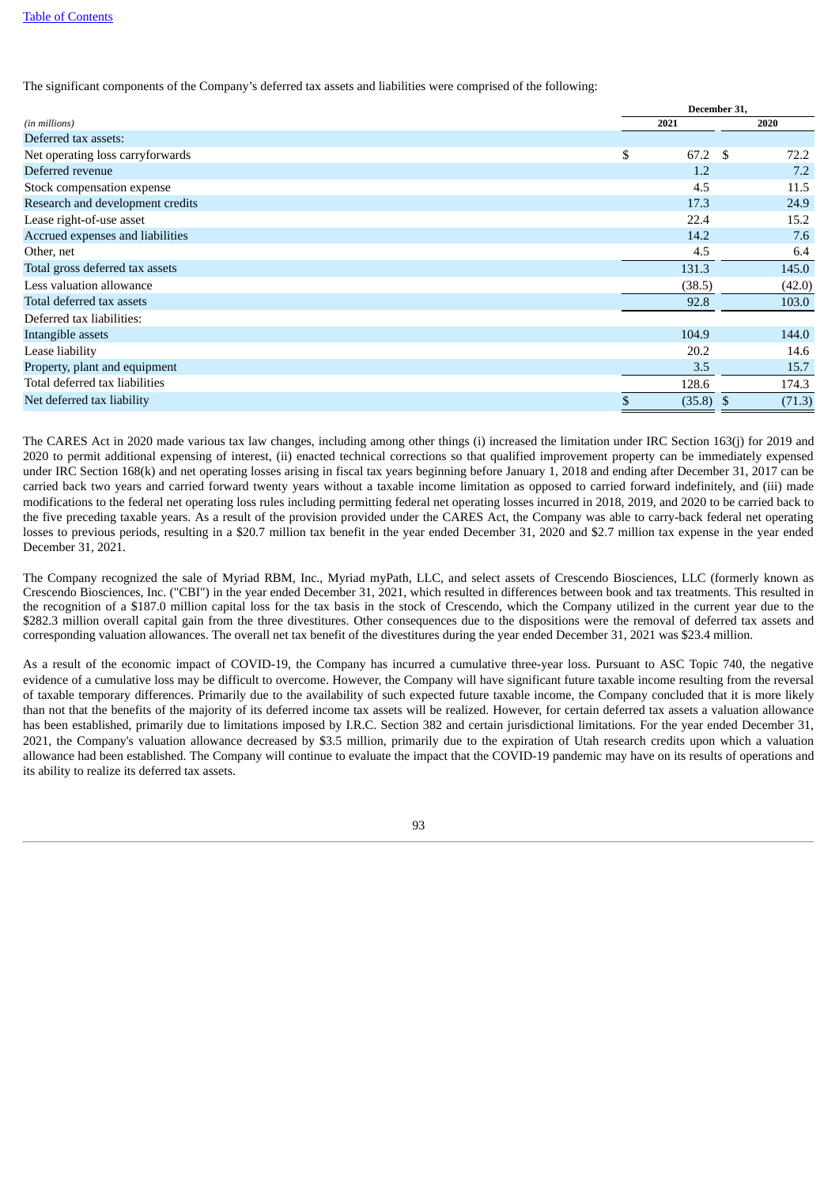The significant components of the Company's deferred tax assets and liabilities were comprised of the following:

|                                  |               | December 31, |        |
|----------------------------------|---------------|--------------|--------|
| (in millions)                    | 2021          |              | 2020   |
| Deferred tax assets:             |               |              |        |
| Net operating loss carryforwards | \$<br>67.2 \$ |              | 72.2   |
| Deferred revenue                 | 1.2           |              | 7.2    |
| Stock compensation expense       | 4.5           |              | 11.5   |
| Research and development credits | 17.3          |              | 24.9   |
| Lease right-of-use asset         | 22.4          |              | 15.2   |
| Accrued expenses and liabilities | 14.2          |              | 7.6    |
| Other, net                       | 4.5           |              | 6.4    |
| Total gross deferred tax assets  | 131.3         |              | 145.0  |
| Less valuation allowance         | (38.5)        |              | (42.0) |
| Total deferred tax assets        | 92.8          |              | 103.0  |
| Deferred tax liabilities:        |               |              |        |
| Intangible assets                | 104.9         |              | 144.0  |
| Lease liability                  | 20.2          |              | 14.6   |
| Property, plant and equipment    | 3.5           |              | 15.7   |
| Total deferred tax liabilities   | 128.6         |              | 174.3  |
| Net deferred tax liability       | (35.8)        | -S           | (71.3) |

The CARES Act in 2020 made various tax law changes, including among other things (i) increased the limitation under IRC Section 163(j) for 2019 and 2020 to permit additional expensing of interest, (ii) enacted technical corrections so that qualified improvement property can be immediately expensed under IRC Section 168(k) and net operating losses arising in fiscal tax years beginning before January 1, 2018 and ending after December 31, 2017 can be carried back two years and carried forward twenty years without a taxable income limitation as opposed to carried forward indefinitely, and (iii) made modifications to the federal net operating loss rules including permitting federal net operating losses incurred in 2018, 2019, and 2020 to be carried back to the five preceding taxable years. As a result of the provision provided under the CARES Act, the Company was able to carry-back federal net operating losses to previous periods, resulting in a \$20.7 million tax benefit in the year ended December 31, 2020 and \$2.7 million tax expense in the year ended December 31, 2021.

The Company recognized the sale of Myriad RBM, Inc., Myriad myPath, LLC, and select assets of Crescendo Biosciences, LLC (formerly known as Crescendo Biosciences, Inc. ("CBI") in the year ended December 31, 2021, which resulted in differences between book and tax treatments. This resulted in the recognition of a \$187.0 million capital loss for the tax basis in the stock of Crescendo, which the Company utilized in the current year due to the \$282.3 million overall capital gain from the three divestitures. Other consequences due to the dispositions were the removal of deferred tax assets and corresponding valuation allowances. The overall net tax benefit of the divestitures during the year ended December 31, 2021 was \$23.4 million.

As a result of the economic impact of COVID-19, the Company has incurred a cumulative three-year loss. Pursuant to ASC Topic 740, the negative evidence of a cumulative loss may be difficult to overcome. However, the Company will have significant future taxable income resulting from the reversal of taxable temporary differences. Primarily due to the availability of such expected future taxable income, the Company concluded that it is more likely than not that the benefits of the majority of its deferred income tax assets will be realized. However, for certain deferred tax assets a valuation allowance has been established, primarily due to limitations imposed by I.R.C. Section 382 and certain jurisdictional limitations. For the year ended December 31, 2021, the Company's valuation allowance decreased by \$3.5 million, primarily due to the expiration of Utah research credits upon which a valuation allowance had been established. The Company will continue to evaluate the impact that the COVID-19 pandemic may have on its results of operations and its ability to realize its deferred tax assets.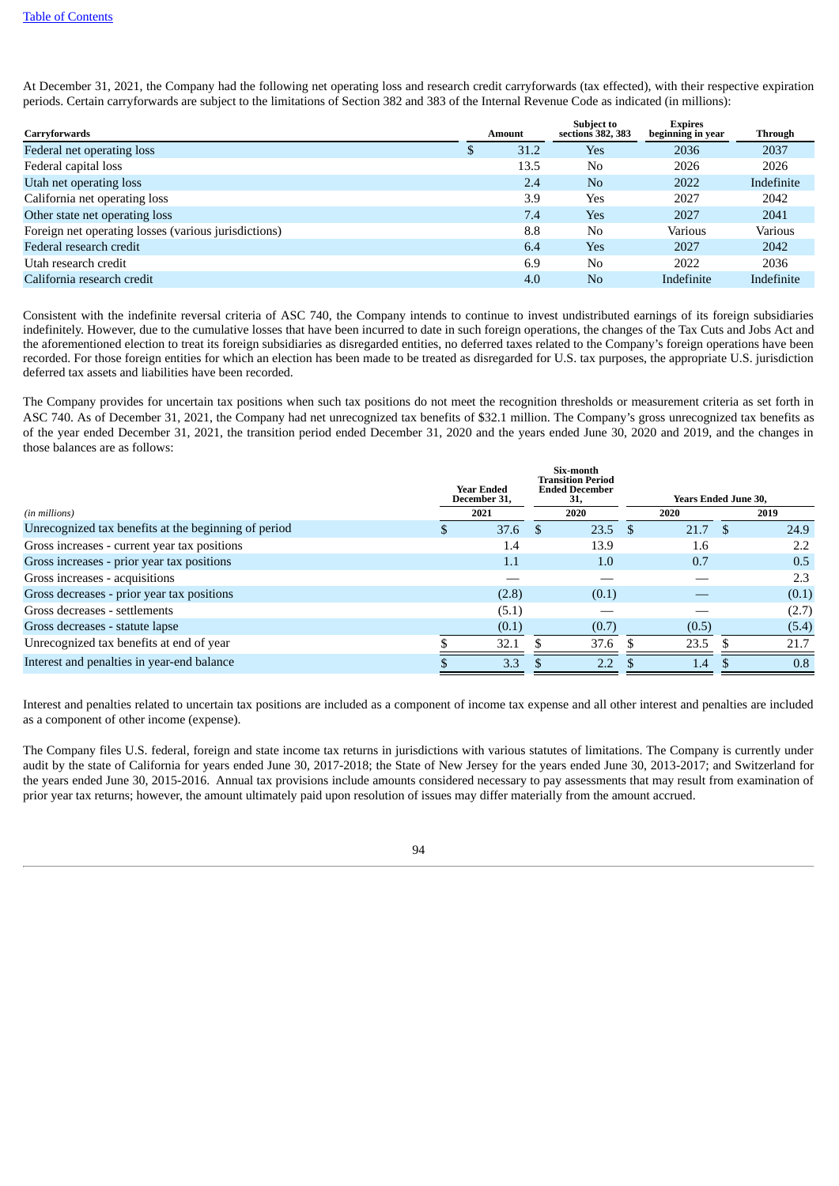At December 31, 2021, the Company had the following net operating loss and research credit carryforwards (tax effected), with their respective expiration periods. Certain carryforwards are subject to the limitations of Section 382 and 383 of the Internal Revenue Code as indicated (in millions):

| Carryforwards                                        |   | <b>Amount</b> | <b>Subject to</b><br>sections 382, 383 | <b>Expires</b><br>beginning in year | <b>Through</b> |
|------------------------------------------------------|---|---------------|----------------------------------------|-------------------------------------|----------------|
| Federal net operating loss                           | Ф | 31.2          | <b>Yes</b>                             | 2036                                | 2037           |
| Federal capital loss                                 |   | 13.5          | No                                     | 2026                                | 2026           |
| Utah net operating loss                              |   | 2.4           | N <sub>o</sub>                         | 2022                                | Indefinite     |
| California net operating loss                        |   | 3.9           | Yes                                    | 2027                                | 2042           |
| Other state net operating loss                       |   | 7.4           | <b>Yes</b>                             | 2027                                | 2041           |
| Foreign net operating losses (various jurisdictions) |   | 8.8           | N <sub>0</sub>                         | Various                             | <b>Various</b> |
| Federal research credit                              |   | 6.4           | <b>Yes</b>                             | 2027                                | 2042           |
| Utah research credit                                 |   | 6.9           | N <sub>0</sub>                         | 2022                                | 2036           |
| California research credit                           |   | 4.0           | N <sub>o</sub>                         | Indefinite                          | Indefinite     |

Consistent with the indefinite reversal criteria of ASC 740, the Company intends to continue to invest undistributed earnings of its foreign subsidiaries indefinitely. However, due to the cumulative losses that have been incurred to date in such foreign operations, the changes of the Tax Cuts and Jobs Act and the aforementioned election to treat its foreign subsidiaries as disregarded entities, no deferred taxes related to the Company's foreign operations have been recorded. For those foreign entities for which an election has been made to be treated as disregarded for U.S. tax purposes, the appropriate U.S. jurisdiction deferred tax assets and liabilities have been recorded.

The Company provides for uncertain tax positions when such tax positions do not meet the recognition thresholds or measurement criteria as set forth in ASC 740. As of December 31, 2021, the Company had net unrecognized tax benefits of \$32.1 million. The Company's gross unrecognized tax benefits as of the year ended December 31, 2021, the transition period ended December 31, 2020 and the years ended June 30, 2020 and 2019, and the changes in those balances are as follows:

| 2021  |                            |       |                                                                               |       |      | 2019                        |
|-------|----------------------------|-------|-------------------------------------------------------------------------------|-------|------|-----------------------------|
| 37.6  |                            | 23.5  |                                                                               | 21.7  | \$.  | 24.9                        |
| 1.4   |                            | 13.9  |                                                                               | 1.6   |      | 2.2                         |
| 1.1   |                            | 1.0   |                                                                               | 0.7   |      | 0.5                         |
|       |                            |       |                                                                               |       |      | 2.3                         |
| (2.8) |                            | (0.1) |                                                                               |       |      | (0.1)                       |
| (5.1) |                            |       |                                                                               |       |      | (2.7)                       |
| (0.1) |                            | (0.7) |                                                                               | (0.5) |      | (5.4)                       |
| 32.1  |                            | 37.6  |                                                                               | 23.5  |      | 21.7                        |
| 3.3   |                            | 2.2   |                                                                               | 1.4   |      | 0.8                         |
|       | Year Ended<br>December 31. |       | Six-month<br><b>Transition Period</b><br><b>Ended December</b><br>31,<br>2020 |       | 2020 | <b>Years Ended June 30.</b> |

Interest and penalties related to uncertain tax positions are included as a component of income tax expense and all other interest and penalties are included as a component of other income (expense).

The Company files U.S. federal, foreign and state income tax returns in jurisdictions with various statutes of limitations. The Company is currently under audit by the state of California for years ended June 30, 2017-2018; the State of New Jersey for the years ended June 30, 2013-2017; and Switzerland for the years ended June 30, 2015-2016. Annual tax provisions include amounts considered necessary to pay assessments that may result from examination of prior year tax returns; however, the amount ultimately paid upon resolution of issues may differ materially from the amount accrued.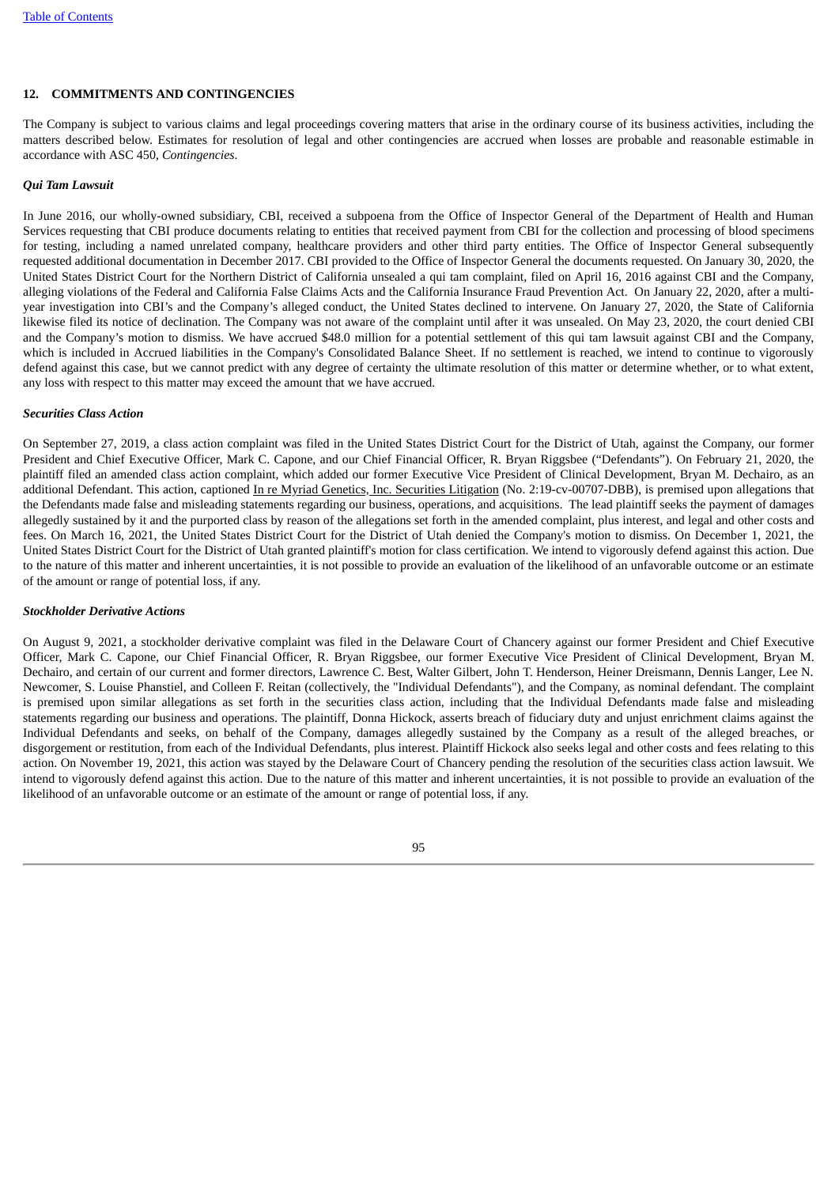# **12. COMMITMENTS AND CONTINGENCIES**

The Company is subject to various claims and legal proceedings covering matters that arise in the ordinary course of its business activities, including the matters described below. Estimates for resolution of legal and other contingencies are accrued when losses are probable and reasonable estimable in accordance with ASC 450, *Contingencies*.

# *Qui Tam Lawsuit*

In June 2016, our wholly-owned subsidiary, CBI, received a subpoena from the Office of Inspector General of the Department of Health and Human Services requesting that CBI produce documents relating to entities that received payment from CBI for the collection and processing of blood specimens for testing, including a named unrelated company, healthcare providers and other third party entities. The Office of Inspector General subsequently requested additional documentation in December 2017. CBI provided to the Office of Inspector General the documents requested. On January 30, 2020, the United States District Court for the Northern District of California unsealed a qui tam complaint, filed on April 16, 2016 against CBI and the Company, alleging violations of the Federal and California False Claims Acts and the California Insurance Fraud Prevention Act. On January 22, 2020, after a multiyear investigation into CBI's and the Company's alleged conduct, the United States declined to intervene. On January 27, 2020, the State of California likewise filed its notice of declination. The Company was not aware of the complaint until after it was unsealed. On May 23, 2020, the court denied CBI and the Company's motion to dismiss. We have accrued \$48.0 million for a potential settlement of this qui tam lawsuit against CBI and the Company, which is included in Accrued liabilities in the Company's Consolidated Balance Sheet. If no settlement is reached, we intend to continue to vigorously defend against this case, but we cannot predict with any degree of certainty the ultimate resolution of this matter or determine whether, or to what extent, any loss with respect to this matter may exceed the amount that we have accrued.

# *Securities Class Action*

On September 27, 2019, a class action complaint was filed in the United States District Court for the District of Utah, against the Company, our former President and Chief Executive Officer, Mark C. Capone, and our Chief Financial Officer, R. Bryan Riggsbee ("Defendants"). On February 21, 2020, the plaintiff filed an amended class action complaint, which added our former Executive Vice President of Clinical Development, Bryan M. Dechairo, as an additional Defendant. This action, captioned In re Myriad Genetics, Inc. Securities Litigation (No. 2:19-cv-00707-DBB), is premised upon allegations that the Defendants made false and misleading statements regarding our business, operations, and acquisitions. The lead plaintiff seeks the payment of damages allegedly sustained by it and the purported class by reason of the allegations set forth in the amended complaint, plus interest, and legal and other costs and fees. On March 16, 2021, the United States District Court for the District of Utah denied the Company's motion to dismiss. On December 1, 2021, the United States District Court for the District of Utah granted plaintiff's motion for class certification. We intend to vigorously defend against this action. Due to the nature of this matter and inherent uncertainties, it is not possible to provide an evaluation of the likelihood of an unfavorable outcome or an estimate of the amount or range of potential loss, if any.

## *Stockholder Derivative Actions*

On August 9, 2021, a stockholder derivative complaint was filed in the Delaware Court of Chancery against our former President and Chief Executive Officer, Mark C. Capone, our Chief Financial Officer, R. Bryan Riggsbee, our former Executive Vice President of Clinical Development, Bryan M. Dechairo, and certain of our current and former directors, Lawrence C. Best, Walter Gilbert, John T. Henderson, Heiner Dreismann, Dennis Langer, Lee N. Newcomer, S. Louise Phanstiel, and Colleen F. Reitan (collectively, the "Individual Defendants"), and the Company, as nominal defendant. The complaint is premised upon similar allegations as set forth in the securities class action, including that the Individual Defendants made false and misleading statements regarding our business and operations. The plaintiff, Donna Hickock, asserts breach of fiduciary duty and unjust enrichment claims against the Individual Defendants and seeks, on behalf of the Company, damages allegedly sustained by the Company as a result of the alleged breaches, or disgorgement or restitution, from each of the Individual Defendants, plus interest. Plaintiff Hickock also seeks legal and other costs and fees relating to this action. On November 19, 2021, this action was stayed by the Delaware Court of Chancery pending the resolution of the securities class action lawsuit. We intend to vigorously defend against this action. Due to the nature of this matter and inherent uncertainties, it is not possible to provide an evaluation of the likelihood of an unfavorable outcome or an estimate of the amount or range of potential loss, if any.

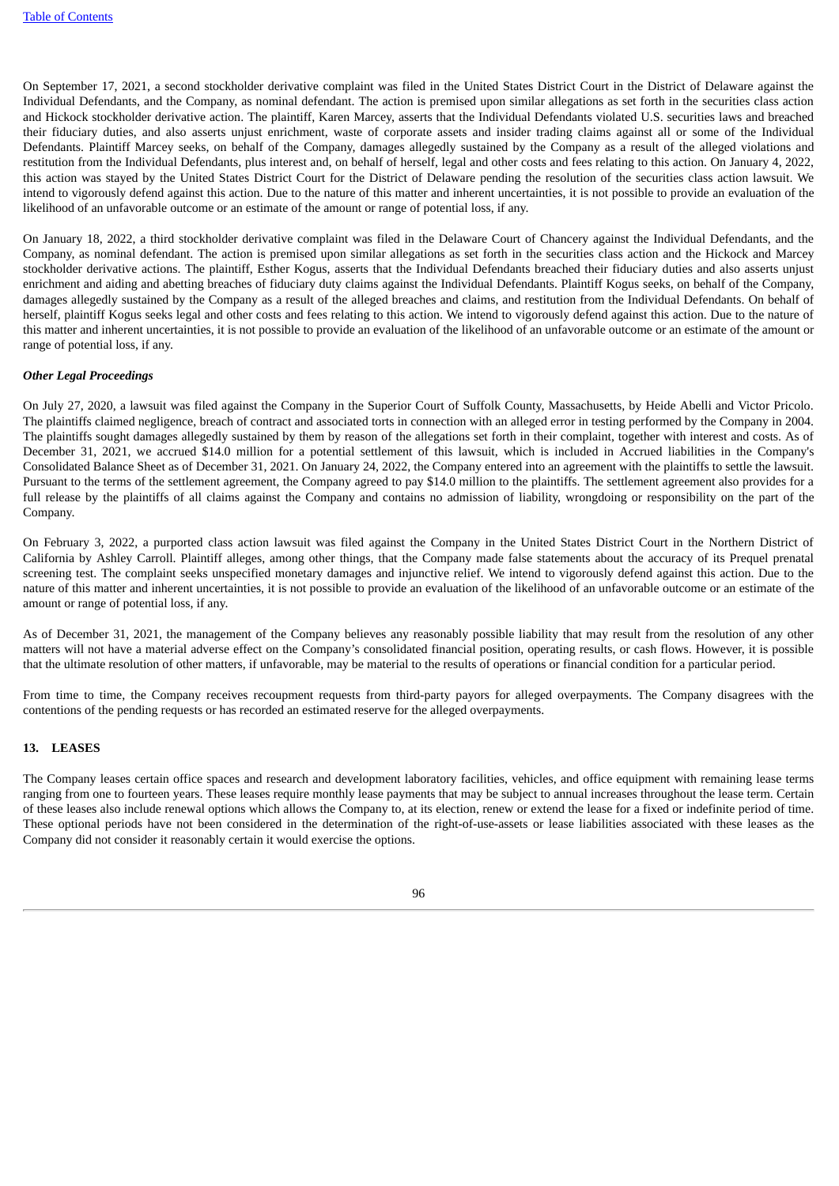On September 17, 2021, a second stockholder derivative complaint was filed in the United States District Court in the District of Delaware against the Individual Defendants, and the Company, as nominal defendant. The action is premised upon similar allegations as set forth in the securities class action and Hickock stockholder derivative action. The plaintiff, Karen Marcey, asserts that the Individual Defendants violated U.S. securities laws and breached their fiduciary duties, and also asserts unjust enrichment, waste of corporate assets and insider trading claims against all or some of the Individual Defendants. Plaintiff Marcey seeks, on behalf of the Company, damages allegedly sustained by the Company as a result of the alleged violations and restitution from the Individual Defendants, plus interest and, on behalf of herself, legal and other costs and fees relating to this action. On January 4, 2022, this action was stayed by the United States District Court for the District of Delaware pending the resolution of the securities class action lawsuit. We intend to vigorously defend against this action. Due to the nature of this matter and inherent uncertainties, it is not possible to provide an evaluation of the likelihood of an unfavorable outcome or an estimate of the amount or range of potential loss, if any.

On January 18, 2022, a third stockholder derivative complaint was filed in the Delaware Court of Chancery against the Individual Defendants, and the Company, as nominal defendant. The action is premised upon similar allegations as set forth in the securities class action and the Hickock and Marcey stockholder derivative actions. The plaintiff, Esther Kogus, asserts that the Individual Defendants breached their fiduciary duties and also asserts unjust enrichment and aiding and abetting breaches of fiduciary duty claims against the Individual Defendants. Plaintiff Kogus seeks, on behalf of the Company, damages allegedly sustained by the Company as a result of the alleged breaches and claims, and restitution from the Individual Defendants. On behalf of herself, plaintiff Kogus seeks legal and other costs and fees relating to this action. We intend to vigorously defend against this action. Due to the nature of this matter and inherent uncertainties, it is not possible to provide an evaluation of the likelihood of an unfavorable outcome or an estimate of the amount or range of potential loss, if any.

### *Other Legal Proceedings*

On July 27, 2020, a lawsuit was filed against the Company in the Superior Court of Suffolk County, Massachusetts, by Heide Abelli and Victor Pricolo. The plaintiffs claimed negligence, breach of contract and associated torts in connection with an alleged error in testing performed by the Company in 2004. The plaintiffs sought damages allegedly sustained by them by reason of the allegations set forth in their complaint, together with interest and costs. As of December 31, 2021, we accrued \$14.0 million for a potential settlement of this lawsuit, which is included in Accrued liabilities in the Company's Consolidated Balance Sheet as of December 31, 2021. On January 24, 2022, the Company entered into an agreement with the plaintiffs to settle the lawsuit. Pursuant to the terms of the settlement agreement, the Company agreed to pay \$14.0 million to the plaintiffs. The settlement agreement also provides for a full release by the plaintiffs of all claims against the Company and contains no admission of liability, wrongdoing or responsibility on the part of the Company.

On February 3, 2022, a purported class action lawsuit was filed against the Company in the United States District Court in the Northern District of California by Ashley Carroll. Plaintiff alleges, among other things, that the Company made false statements about the accuracy of its Prequel prenatal screening test. The complaint seeks unspecified monetary damages and injunctive relief. We intend to vigorously defend against this action. Due to the nature of this matter and inherent uncertainties, it is not possible to provide an evaluation of the likelihood of an unfavorable outcome or an estimate of the amount or range of potential loss, if any.

As of December 31, 2021, the management of the Company believes any reasonably possible liability that may result from the resolution of any other matters will not have a material adverse effect on the Company's consolidated financial position, operating results, or cash flows. However, it is possible that the ultimate resolution of other matters, if unfavorable, may be material to the results of operations or financial condition for a particular period.

From time to time, the Company receives recoupment requests from third-party payors for alleged overpayments. The Company disagrees with the contentions of the pending requests or has recorded an estimated reserve for the alleged overpayments.

# **13. LEASES**

The Company leases certain office spaces and research and development laboratory facilities, vehicles, and office equipment with remaining lease terms ranging from one to fourteen years. These leases require monthly lease payments that may be subject to annual increases throughout the lease term. Certain of these leases also include renewal options which allows the Company to, at its election, renew or extend the lease for a fixed or indefinite period of time. These optional periods have not been considered in the determination of the right-of-use-assets or lease liabilities associated with these leases as the Company did not consider it reasonably certain it would exercise the options.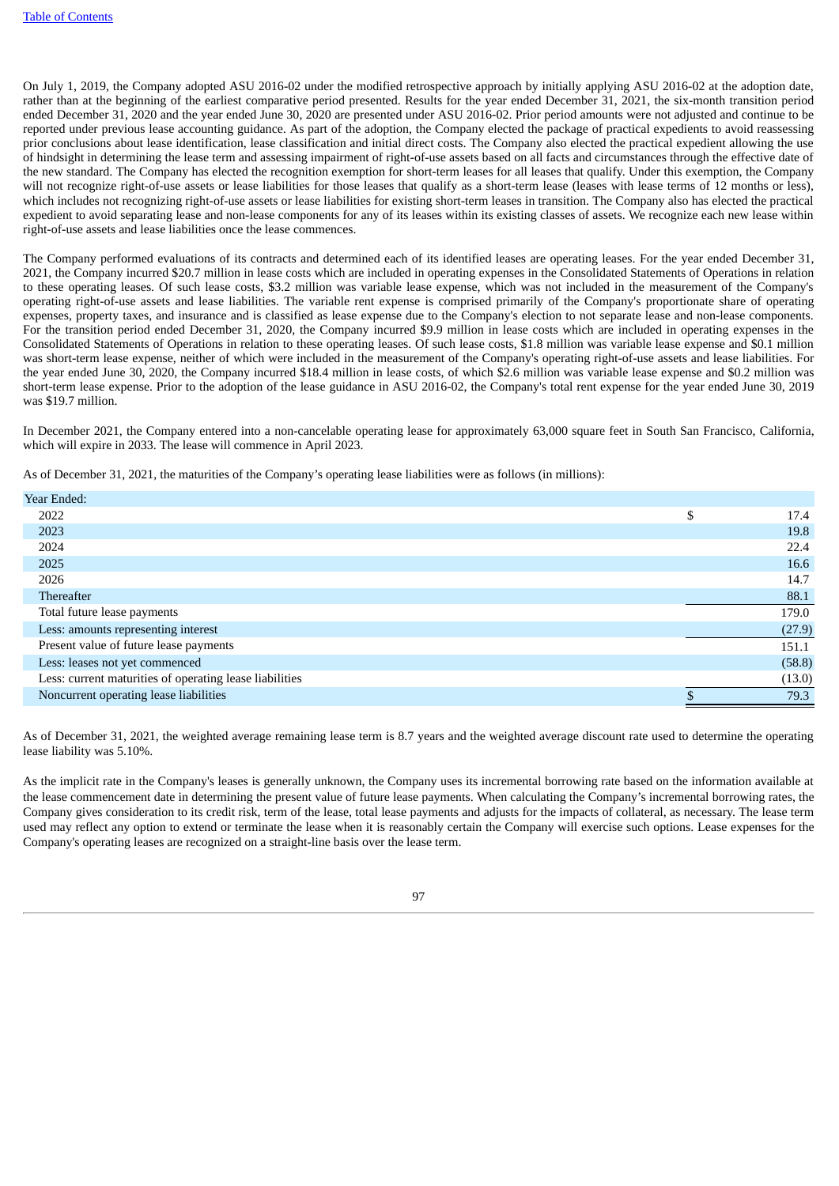On July 1, 2019, the Company adopted ASU 2016-02 under the modified retrospective approach by initially applying ASU 2016-02 at the adoption date, rather than at the beginning of the earliest comparative period presented. Results for the year ended December 31, 2021, the six-month transition period ended December 31, 2020 and the year ended June 30, 2020 are presented under ASU 2016-02. Prior period amounts were not adjusted and continue to be reported under previous lease accounting guidance. As part of the adoption, the Company elected the package of practical expedients to avoid reassessing prior conclusions about lease identification, lease classification and initial direct costs. The Company also elected the practical expedient allowing the use of hindsight in determining the lease term and assessing impairment of right-of-use assets based on all facts and circumstances through the effective date of the new standard. The Company has elected the recognition exemption for short-term leases for all leases that qualify. Under this exemption, the Company will not recognize right-of-use assets or lease liabilities for those leases that qualify as a short-term lease (leases with lease terms of 12 months or less), which includes not recognizing right-of-use assets or lease liabilities for existing short-term leases in transition. The Company also has elected the practical expedient to avoid separating lease and non-lease components for any of its leases within its existing classes of assets. We recognize each new lease within right-of-use assets and lease liabilities once the lease commences.

The Company performed evaluations of its contracts and determined each of its identified leases are operating leases. For the year ended December 31, 2021, the Company incurred \$20.7 million in lease costs which are included in operating expenses in the Consolidated Statements of Operations in relation to these operating leases. Of such lease costs, \$3.2 million was variable lease expense, which was not included in the measurement of the Company's operating right-of-use assets and lease liabilities. The variable rent expense is comprised primarily of the Company's proportionate share of operating expenses, property taxes, and insurance and is classified as lease expense due to the Company's election to not separate lease and non-lease components. For the transition period ended December 31, 2020, the Company incurred \$9.9 million in lease costs which are included in operating expenses in the Consolidated Statements of Operations in relation to these operating leases. Of such lease costs, \$1.8 million was variable lease expense and \$0.1 million was short-term lease expense, neither of which were included in the measurement of the Company's operating right-of-use assets and lease liabilities. For the year ended June 30, 2020, the Company incurred \$18.4 million in lease costs, of which \$2.6 million was variable lease expense and \$0.2 million was short-term lease expense. Prior to the adoption of the lease guidance in ASU 2016-02, the Company's total rent expense for the year ended June 30, 2019 was \$19.7 million.

In December 2021, the Company entered into a non-cancelable operating lease for approximately 63,000 square feet in South San Francisco, California, which will expire in 2033. The lease will commence in April 2023.

As of December 31, 2021, the maturities of the Company's operating lease liabilities were as follows (in millions):

| Year Ended:                                             |   |        |
|---------------------------------------------------------|---|--------|
| 2022                                                    | o | 17.4   |
| 2023                                                    |   | 19.8   |
| 2024                                                    |   | 22.4   |
| 2025                                                    |   | 16.6   |
| 2026                                                    |   | 14.7   |
| <b>Thereafter</b>                                       |   | 88.1   |
| Total future lease payments                             |   | 179.0  |
| Less: amounts representing interest                     |   | (27.9) |
| Present value of future lease payments                  |   | 151.1  |
| Less: leases not yet commenced                          |   | (58.8) |
| Less: current maturities of operating lease liabilities |   | (13.0) |
| Noncurrent operating lease liabilities                  |   | 79.3   |
|                                                         |   |        |

As of December 31, 2021, the weighted average remaining lease term is 8.7 years and the weighted average discount rate used to determine the operating lease liability was 5.10%.

As the implicit rate in the Company's leases is generally unknown, the Company uses its incremental borrowing rate based on the information available at the lease commencement date in determining the present value of future lease payments. When calculating the Company's incremental borrowing rates, the Company gives consideration to its credit risk, term of the lease, total lease payments and adjusts for the impacts of collateral, as necessary. The lease term used may reflect any option to extend or terminate the lease when it is reasonably certain the Company will exercise such options. Lease expenses for the Company's operating leases are recognized on a straight-line basis over the lease term.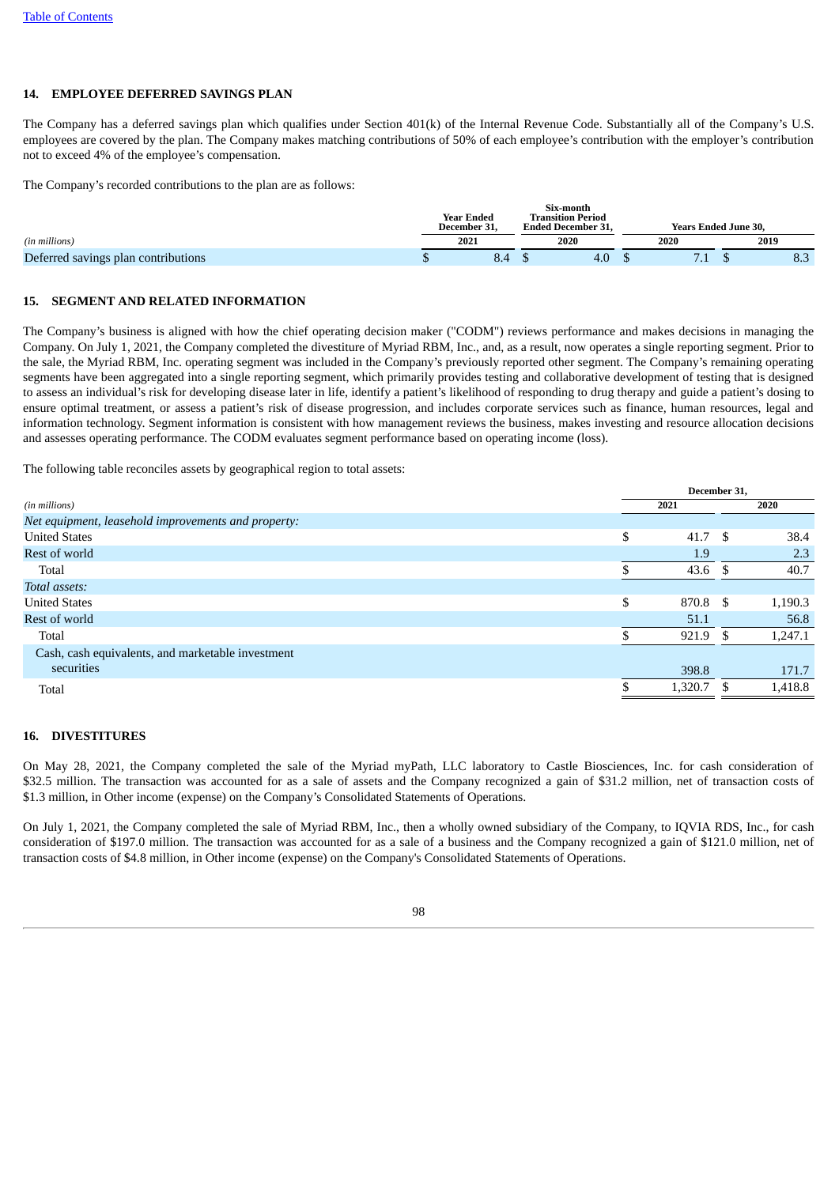# **14. EMPLOYEE DEFERRED SAVINGS PLAN**

The Company has a deferred savings plan which qualifies under Section 401(k) of the Internal Revenue Code. Substantially all of the Company's U.S. employees are covered by the plan. The Company makes matching contributions of 50% of each employee's contribution with the employer's contribution not to exceed 4% of the employee's compensation.

The Company's recorded contributions to the plan are as follows:

|                                     | Six-month<br><b>Year Ended</b><br><b>Transition Period</b><br><b>Ended December 31.</b><br>December 31. |     |  | <b>Years Ended June 30.</b> |  |      |  |      |
|-------------------------------------|---------------------------------------------------------------------------------------------------------|-----|--|-----------------------------|--|------|--|------|
| (in millions)                       | 2021                                                                                                    |     |  | 2020                        |  | 2020 |  | 2019 |
| Deferred savings plan contributions |                                                                                                         | 8.4 |  | 4.0                         |  |      |  | כ.ס  |

# **15. SEGMENT AND RELATED INFORMATION**

The Company's business is aligned with how the chief operating decision maker ("CODM") reviews performance and makes decisions in managing the Company. On July 1, 2021, the Company completed the divestiture of Myriad RBM, Inc., and, as a result, now operates a single reporting segment. Prior to the sale, the Myriad RBM, Inc. operating segment was included in the Company's previously reported other segment. The Company's remaining operating segments have been aggregated into a single reporting segment, which primarily provides testing and collaborative development of testing that is designed to assess an individual's risk for developing disease later in life, identify a patient's likelihood of responding to drug therapy and guide a patient's dosing to ensure optimal treatment, or assess a patient's risk of disease progression, and includes corporate services such as finance, human resources, legal and information technology. Segment information is consistent with how management reviews the business, makes investing and resource allocation decisions and assesses operating performance. The CODM evaluates segment performance based on operating income (loss).

The following table reconciles assets by geographical region to total assets:

|                                                     | December 31,   |      |         |
|-----------------------------------------------------|----------------|------|---------|
| (in millions)                                       | 2021           |      | 2020    |
| Net equipment, leasehold improvements and property: |                |      |         |
| <b>United States</b>                                | \$<br>41.7     | - \$ | 38.4    |
| Rest of world                                       | 1.9            |      | 2.3     |
| Total                                               | 43.6           |      | 40.7    |
| Total assets:                                       |                |      |         |
| <b>United States</b>                                | \$<br>870.8 \$ |      | 1,190.3 |
| Rest of world                                       | 51.1           |      | 56.8    |
| Total                                               | 921.9          | -SI  | 1,247.1 |
| Cash, cash equivalents, and marketable investment   |                |      |         |
| securities                                          | 398.8          |      | 171.7   |
| Total                                               | 1,320.7        |      | 1,418.8 |
|                                                     |                |      |         |

# **16. DIVESTITURES**

On May 28, 2021, the Company completed the sale of the Myriad myPath, LLC laboratory to Castle Biosciences, Inc. for cash consideration of \$32.5 million. The transaction was accounted for as a sale of assets and the Company recognized a gain of \$31.2 million, net of transaction costs of \$1.3 million, in Other income (expense) on the Company's Consolidated Statements of Operations.

On July 1, 2021, the Company completed the sale of Myriad RBM, Inc., then a wholly owned subsidiary of the Company, to IQVIA RDS, Inc., for cash consideration of \$197.0 million. The transaction was accounted for as a sale of a business and the Company recognized a gain of \$121.0 million, net of transaction costs of \$4.8 million, in Other income (expense) on the Company's Consolidated Statements of Operations.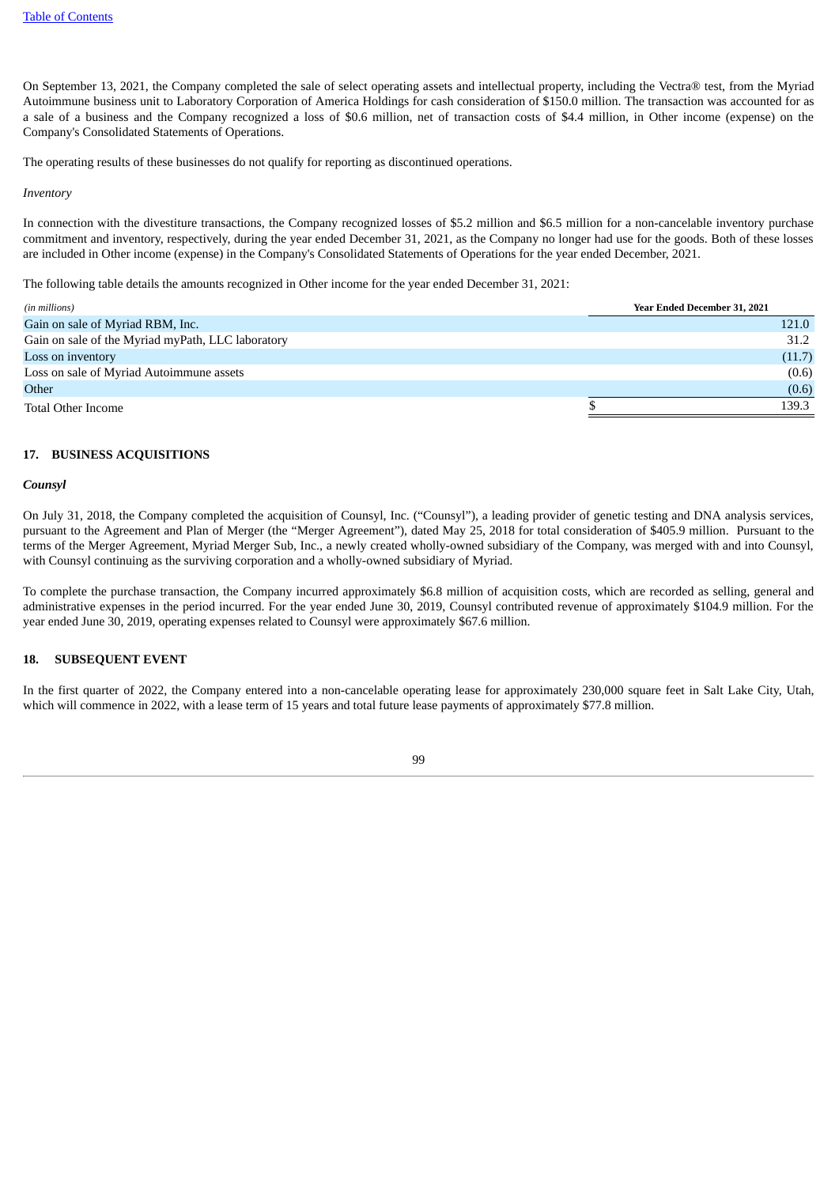On September 13, 2021, the Company completed the sale of select operating assets and intellectual property, including the Vectra® test, from the Myriad Autoimmune business unit to Laboratory Corporation of America Holdings for cash consideration of \$150.0 million. The transaction was accounted for as a sale of a business and the Company recognized a loss of \$0.6 million, net of transaction costs of \$4.4 million, in Other income (expense) on the Company's Consolidated Statements of Operations.

The operating results of these businesses do not qualify for reporting as discontinued operations.

*Inventory*

In connection with the divestiture transactions, the Company recognized losses of \$5.2 million and \$6.5 million for a non-cancelable inventory purchase commitment and inventory, respectively, during the year ended December 31, 2021, as the Company no longer had use for the goods. Both of these losses are included in Other income (expense) in the Company's Consolidated Statements of Operations for the year ended December, 2021.

The following table details the amounts recognized in Other income for the year ended December 31, 2021:

| (in millions)                                     | Year Ended December 31, 2021 |
|---------------------------------------------------|------------------------------|
| Gain on sale of Myriad RBM, Inc.                  | 121.0                        |
| Gain on sale of the Myriad myPath, LLC laboratory | 31.2                         |
| Loss on inventory                                 | (11.7)                       |
| Loss on sale of Myriad Autoimmune assets          | (0.6)                        |
| Other                                             | (0.6)                        |
| Total Other Income                                | 139.3                        |

# **17. BUSINESS ACQUISITIONS**

## *Counsyl*

On July 31, 2018, the Company completed the acquisition of Counsyl, Inc. ("Counsyl"), a leading provider of genetic testing and DNA analysis services, pursuant to the Agreement and Plan of Merger (the "Merger Agreement"), dated May 25, 2018 for total consideration of \$405.9 million. Pursuant to the terms of the Merger Agreement, Myriad Merger Sub, Inc., a newly created wholly-owned subsidiary of the Company, was merged with and into Counsyl, with Counsyl continuing as the surviving corporation and a wholly-owned subsidiary of Myriad.

To complete the purchase transaction, the Company incurred approximately \$6.8 million of acquisition costs, which are recorded as selling, general and administrative expenses in the period incurred. For the year ended June 30, 2019, Counsyl contributed revenue of approximately \$104.9 million. For the year ended June 30, 2019, operating expenses related to Counsyl were approximately \$67.6 million.

## **18. SUBSEQUENT EVENT**

In the first quarter of 2022, the Company entered into a non-cancelable operating lease for approximately 230,000 square feet in Salt Lake City, Utah, which will commence in 2022, with a lease term of 15 years and total future lease payments of approximately \$77.8 million.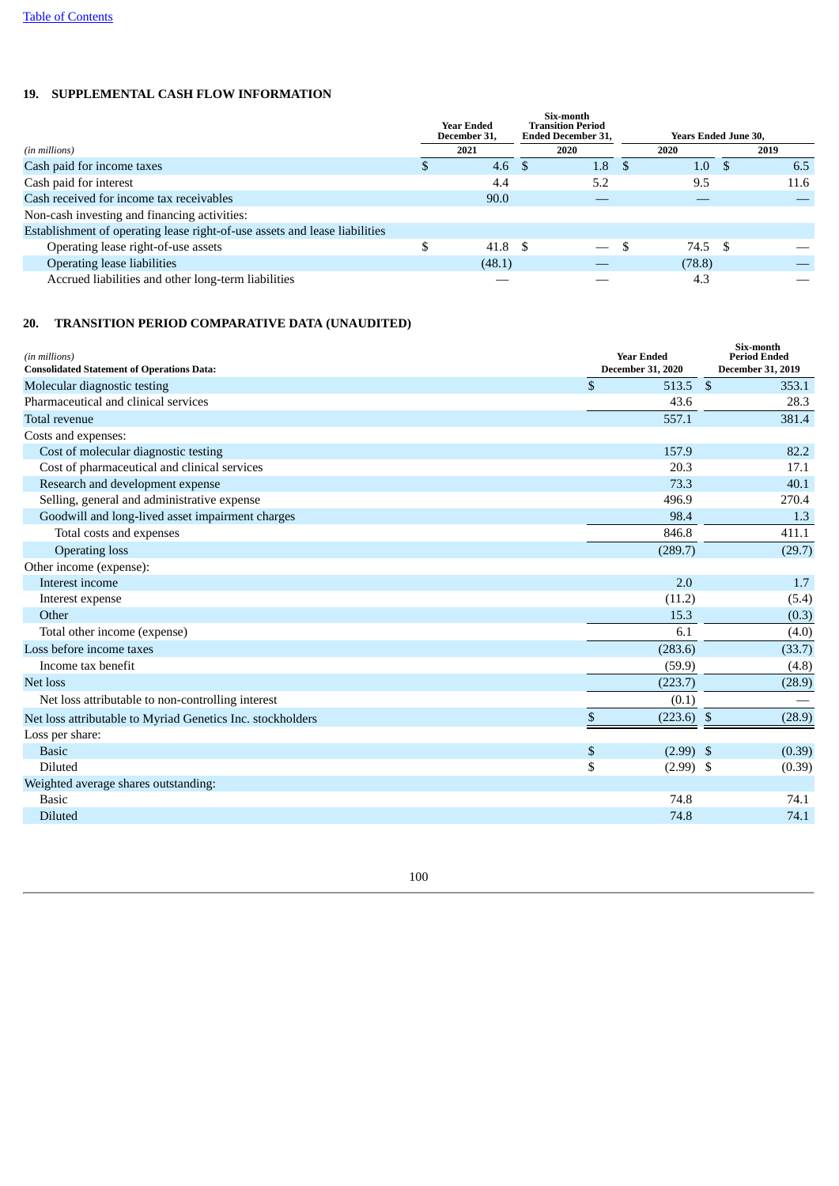# **19. SUPPLEMENTAL CASH FLOW INFORMATION**

|                                                                            | <b>Year Ended</b><br>December 31, |    | Six-month<br><b>Transition Period</b><br><b>Ended December 31,</b> |      | <b>Years Ended June 30.</b> |      |      |
|----------------------------------------------------------------------------|-----------------------------------|----|--------------------------------------------------------------------|------|-----------------------------|------|------|
| (in millions)                                                              | 2021                              |    | 2020                                                               |      | 2020                        |      | 2019 |
| Cash paid for income taxes                                                 | 4.6                               |    | 1.8                                                                | - \$ | 1.0                         | - \$ | 6.5  |
| Cash paid for interest                                                     | 4.4                               |    | 5.2                                                                |      | 9.5                         |      | 11.6 |
| Cash received for income tax receivables                                   | 90.0                              |    |                                                                    |      |                             |      |      |
| Non-cash investing and financing activities:                               |                                   |    |                                                                    |      |                             |      |      |
| Establishment of operating lease right-of-use assets and lease liabilities |                                   |    |                                                                    |      |                             |      |      |
| Operating lease right-of-use assets                                        | 41.8                              | -S | $\overline{\phantom{0}}$                                           |      | 74.5 \$                     |      |      |
| Operating lease liabilities                                                | (48.1)                            |    |                                                                    |      | (78.8)                      |      |      |
| Accrued liabilities and other long-term liabilities                        |                                   |    |                                                                    |      | 4.3                         |      |      |

# **20. TRANSITION PERIOD COMPARATIVE DATA (UNAUDITED)**

| (in millions)                                              |               | <b>Year Ended</b>        | Six-month<br><b>Period Ended</b> |
|------------------------------------------------------------|---------------|--------------------------|----------------------------------|
| <b>Consolidated Statement of Operations Data:</b>          |               | <b>December 31, 2020</b> | <b>December 31, 2019</b>         |
| Molecular diagnostic testing                               | $\mathbf{\$}$ | 513.5 \$                 | 353.1                            |
| Pharmaceutical and clinical services                       |               | 43.6                     | 28.3                             |
| Total revenue                                              |               | 557.1                    | 381.4                            |
| Costs and expenses:                                        |               |                          |                                  |
| Cost of molecular diagnostic testing                       |               | 157.9                    | 82.2                             |
| Cost of pharmaceutical and clinical services               |               | 20.3                     | 17.1                             |
| Research and development expense                           |               | 73.3                     | 40.1                             |
| Selling, general and administrative expense                |               | 496.9                    | 270.4                            |
| Goodwill and long-lived asset impairment charges           |               | 98.4                     | 1.3                              |
| Total costs and expenses                                   |               | 846.8                    | 411.1                            |
| <b>Operating loss</b>                                      |               | (289.7)                  | (29.7)                           |
| Other income (expense):                                    |               |                          |                                  |
| Interest income                                            |               | 2.0                      | 1.7                              |
| Interest expense                                           |               | (11.2)                   | (5.4)                            |
| Other                                                      |               | 15.3                     | (0.3)                            |
| Total other income (expense)                               |               | 6.1                      | (4.0)                            |
| Loss before income taxes                                   |               | (283.6)                  | (33.7)                           |
| Income tax benefit                                         |               | (59.9)                   | (4.8)                            |
| Net loss                                                   |               | (223.7)                  | (28.9)                           |
| Net loss attributable to non-controlling interest          |               | (0.1)                    |                                  |
| Net loss attributable to Myriad Genetics Inc. stockholders |               | $(223.6)$ \$             | (28.9)                           |
| Loss per share:                                            |               |                          |                                  |
| <b>Basic</b>                                               | \$            | $(2.99)$ \$              | (0.39)                           |
| <b>Diluted</b>                                             | \$            | $(2.99)$ \$              | (0.39)                           |
| Weighted average shares outstanding:                       |               |                          |                                  |
| <b>Basic</b>                                               |               | 74.8                     | 74.1                             |
| <b>Diluted</b>                                             |               | 74.8                     | 74.1                             |
|                                                            |               |                          |                                  |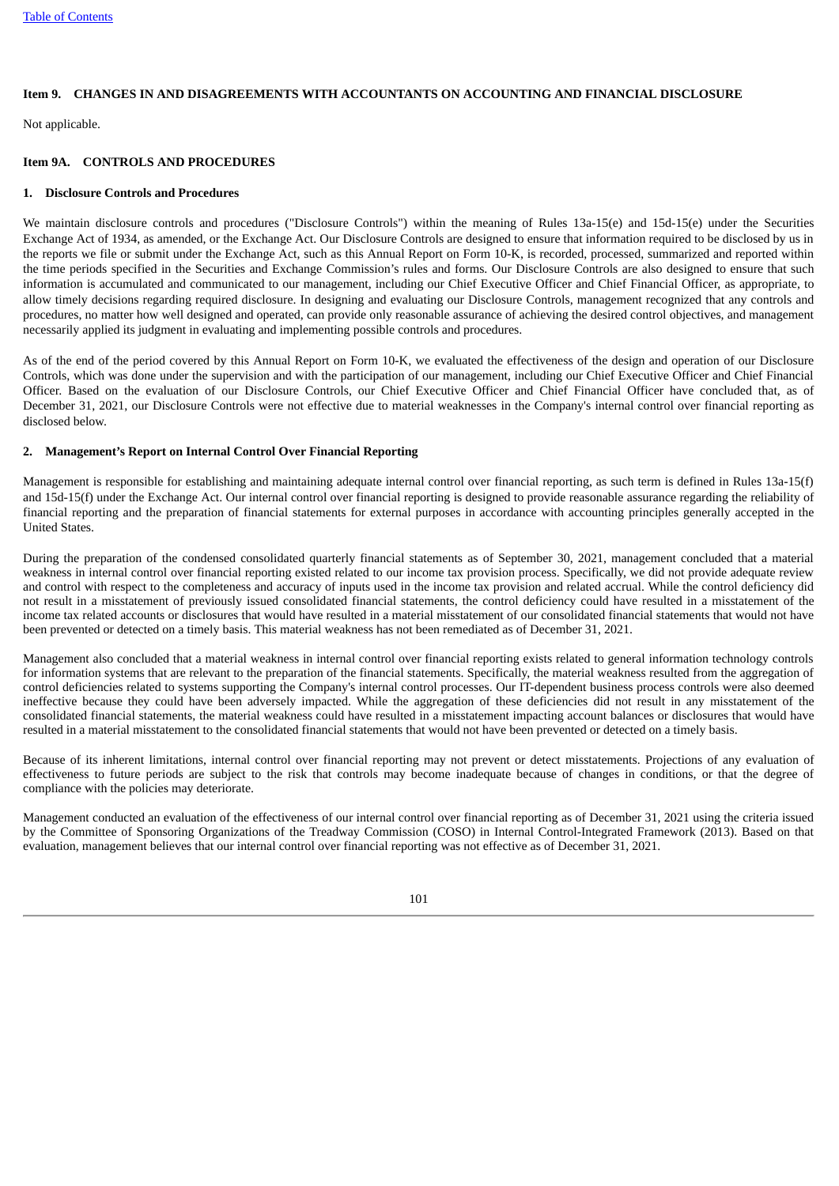# **Item 9. CHANGES IN AND DISAGREEMENTS WITH ACCOUNTANTS ON ACCOUNTING AND FINANCIAL DISCLOSURE**

Not applicable.

# **Item 9A. CONTROLS AND PROCEDURES**

### **1. Disclosure Controls and Procedures**

We maintain disclosure controls and procedures ("Disclosure Controls") within the meaning of Rules 13a-15(e) and 15d-15(e) under the Securities Exchange Act of 1934, as amended, or the Exchange Act. Our Disclosure Controls are designed to ensure that information required to be disclosed by us in the reports we file or submit under the Exchange Act, such as this Annual Report on Form 10-K, is recorded, processed, summarized and reported within the time periods specified in the Securities and Exchange Commission's rules and forms. Our Disclosure Controls are also designed to ensure that such information is accumulated and communicated to our management, including our Chief Executive Officer and Chief Financial Officer, as appropriate, to allow timely decisions regarding required disclosure. In designing and evaluating our Disclosure Controls, management recognized that any controls and procedures, no matter how well designed and operated, can provide only reasonable assurance of achieving the desired control objectives, and management necessarily applied its judgment in evaluating and implementing possible controls and procedures.

As of the end of the period covered by this Annual Report on Form 10-K, we evaluated the effectiveness of the design and operation of our Disclosure Controls, which was done under the supervision and with the participation of our management, including our Chief Executive Officer and Chief Financial Officer. Based on the evaluation of our Disclosure Controls, our Chief Executive Officer and Chief Financial Officer have concluded that, as of December 31, 2021, our Disclosure Controls were not effective due to material weaknesses in the Company's internal control over financial reporting as disclosed below.

## **2. Management's Report on Internal Control Over Financial Reporting**

Management is responsible for establishing and maintaining adequate internal control over financial reporting, as such term is defined in Rules 13a-15(f) and 15d-15(f) under the Exchange Act. Our internal control over financial reporting is designed to provide reasonable assurance regarding the reliability of financial reporting and the preparation of financial statements for external purposes in accordance with accounting principles generally accepted in the United States.

During the preparation of the condensed consolidated quarterly financial statements as of September 30, 2021, management concluded that a material weakness in internal control over financial reporting existed related to our income tax provision process. Specifically, we did not provide adequate review and control with respect to the completeness and accuracy of inputs used in the income tax provision and related accrual. While the control deficiency did not result in a misstatement of previously issued consolidated financial statements, the control deficiency could have resulted in a misstatement of the income tax related accounts or disclosures that would have resulted in a material misstatement of our consolidated financial statements that would not have been prevented or detected on a timely basis. This material weakness has not been remediated as of December 31, 2021.

Management also concluded that a material weakness in internal control over financial reporting exists related to general information technology controls for information systems that are relevant to the preparation of the financial statements. Specifically, the material weakness resulted from the aggregation of control deficiencies related to systems supporting the Company's internal control processes. Our IT-dependent business process controls were also deemed ineffective because they could have been adversely impacted. While the aggregation of these deficiencies did not result in any misstatement of the consolidated financial statements, the material weakness could have resulted in a misstatement impacting account balances or disclosures that would have resulted in a material misstatement to the consolidated financial statements that would not have been prevented or detected on a timely basis.

Because of its inherent limitations, internal control over financial reporting may not prevent or detect misstatements. Projections of any evaluation of effectiveness to future periods are subject to the risk that controls may become inadequate because of changes in conditions, or that the degree of compliance with the policies may deteriorate.

Management conducted an evaluation of the effectiveness of our internal control over financial reporting as of December 31, 2021 using the criteria issued by the Committee of Sponsoring Organizations of the Treadway Commission (COSO) in Internal Control-Integrated Framework (2013). Based on that evaluation, management believes that our internal control over financial reporting was not effective as of December 31, 2021.

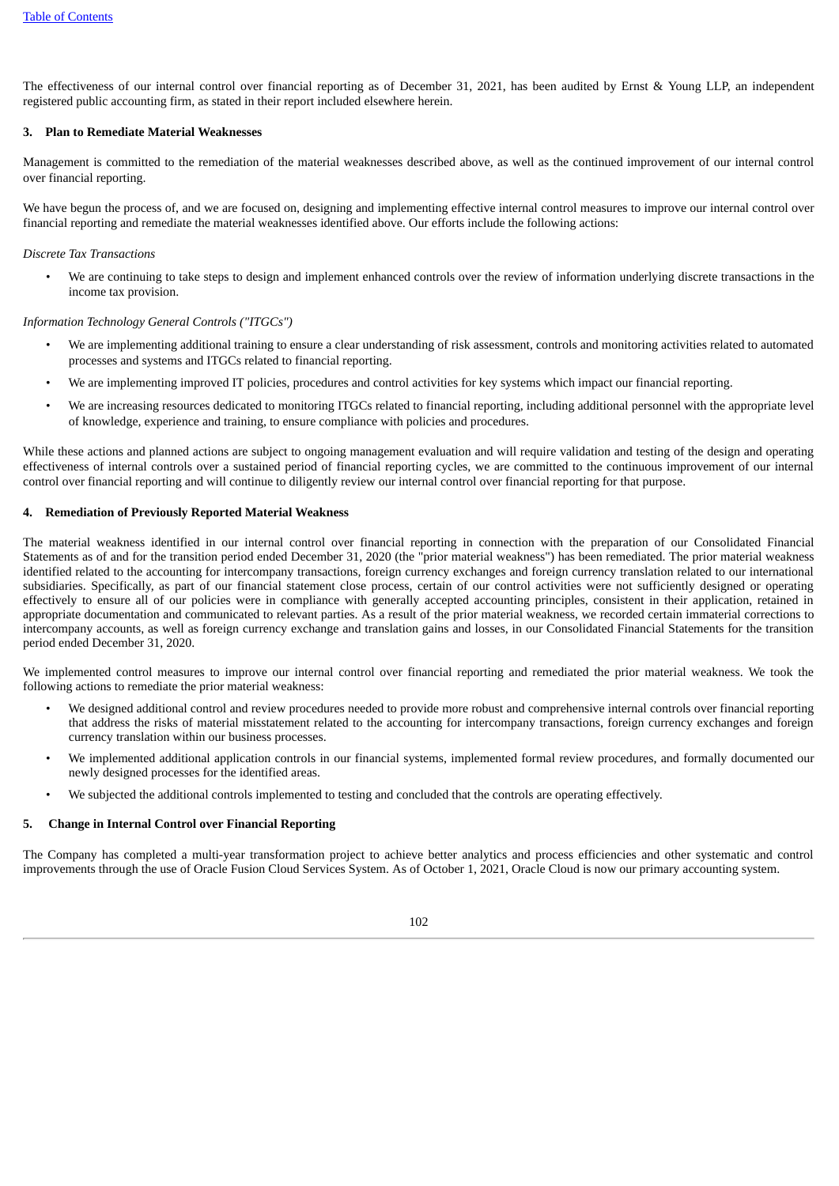The effectiveness of our internal control over financial reporting as of December 31, 2021, has been audited by Ernst & Young LLP, an independent registered public accounting firm, as stated in their report included elsewhere herein.

# **3. Plan to Remediate Material Weaknesses**

Management is committed to the remediation of the material weaknesses described above, as well as the continued improvement of our internal control over financial reporting.

We have begun the process of, and we are focused on, designing and implementing effective internal control measures to improve our internal control over financial reporting and remediate the material weaknesses identified above. Our efforts include the following actions:

### *Discrete Tax Transactions*

• We are continuing to take steps to design and implement enhanced controls over the review of information underlying discrete transactions in the income tax provision.

## *Information Technology General Controls ("ITGCs")*

- We are implementing additional training to ensure a clear understanding of risk assessment, controls and monitoring activities related to automated processes and systems and ITGCs related to financial reporting.
- We are implementing improved IT policies, procedures and control activities for key systems which impact our financial reporting.
- We are increasing resources dedicated to monitoring ITGCs related to financial reporting, including additional personnel with the appropriate level of knowledge, experience and training, to ensure compliance with policies and procedures.

While these actions and planned actions are subject to ongoing management evaluation and will require validation and testing of the design and operating effectiveness of internal controls over a sustained period of financial reporting cycles, we are committed to the continuous improvement of our internal control over financial reporting and will continue to diligently review our internal control over financial reporting for that purpose.

## **4. Remediation of Previously Reported Material Weakness**

The material weakness identified in our internal control over financial reporting in connection with the preparation of our Consolidated Financial Statements as of and for the transition period ended December 31, 2020 (the "prior material weakness") has been remediated. The prior material weakness identified related to the accounting for intercompany transactions, foreign currency exchanges and foreign currency translation related to our international subsidiaries. Specifically, as part of our financial statement close process, certain of our control activities were not sufficiently designed or operating effectively to ensure all of our policies were in compliance with generally accepted accounting principles, consistent in their application, retained in appropriate documentation and communicated to relevant parties. As a result of the prior material weakness, we recorded certain immaterial corrections to intercompany accounts, as well as foreign currency exchange and translation gains and losses, in our Consolidated Financial Statements for the transition period ended December 31, 2020.

We implemented control measures to improve our internal control over financial reporting and remediated the prior material weakness. We took the following actions to remediate the prior material weakness:

- We designed additional control and review procedures needed to provide more robust and comprehensive internal controls over financial reporting that address the risks of material misstatement related to the accounting for intercompany transactions, foreign currency exchanges and foreign currency translation within our business processes.
- We implemented additional application controls in our financial systems, implemented formal review procedures, and formally documented our newly designed processes for the identified areas.
- We subjected the additional controls implemented to testing and concluded that the controls are operating effectively.

## **5. Change in Internal Control over Financial Reporting**

The Company has completed a multi-year transformation project to achieve better analytics and process efficiencies and other systematic and control improvements through the use of Oracle Fusion Cloud Services System. As of October 1, 2021, Oracle Cloud is now our primary accounting system.

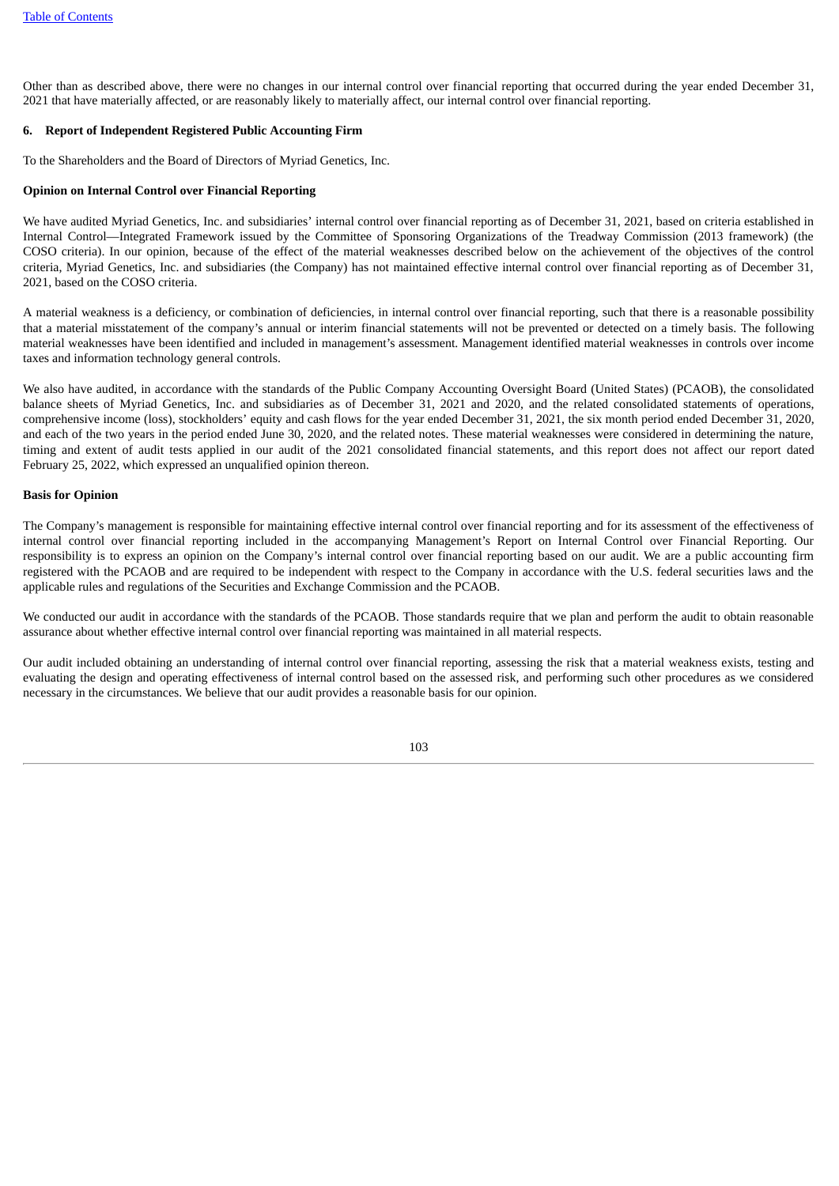Other than as described above, there were no changes in our internal control over financial reporting that occurred during the year ended December 31, 2021 that have materially affected, or are reasonably likely to materially affect, our internal control over financial reporting.

## **6. Report of Independent Registered Public Accounting Firm**

To the Shareholders and the Board of Directors of Myriad Genetics, Inc.

## **Opinion on Internal Control over Financial Reporting**

We have audited Myriad Genetics, Inc. and subsidiaries' internal control over financial reporting as of December 31, 2021, based on criteria established in Internal Control—Integrated Framework issued by the Committee of Sponsoring Organizations of the Treadway Commission (2013 framework) (the COSO criteria). In our opinion, because of the effect of the material weaknesses described below on the achievement of the objectives of the control criteria, Myriad Genetics, Inc. and subsidiaries (the Company) has not maintained effective internal control over financial reporting as of December 31, 2021, based on the COSO criteria.

A material weakness is a deficiency, or combination of deficiencies, in internal control over financial reporting, such that there is a reasonable possibility that a material misstatement of the company's annual or interim financial statements will not be prevented or detected on a timely basis. The following material weaknesses have been identified and included in management's assessment. Management identified material weaknesses in controls over income taxes and information technology general controls.

We also have audited, in accordance with the standards of the Public Company Accounting Oversight Board (United States) (PCAOB), the consolidated balance sheets of Myriad Genetics, Inc. and subsidiaries as of December 31, 2021 and 2020, and the related consolidated statements of operations, comprehensive income (loss), stockholders' equity and cash flows for the year ended December 31, 2021, the six month period ended December 31, 2020, and each of the two years in the period ended June 30, 2020, and the related notes. These material weaknesses were considered in determining the nature, timing and extent of audit tests applied in our audit of the 2021 consolidated financial statements, and this report does not affect our report dated February 25, 2022, which expressed an unqualified opinion thereon.

#### **Basis for Opinion**

The Company's management is responsible for maintaining effective internal control over financial reporting and for its assessment of the effectiveness of internal control over financial reporting included in the accompanying Management's Report on Internal Control over Financial Reporting. Our responsibility is to express an opinion on the Company's internal control over financial reporting based on our audit. We are a public accounting firm registered with the PCAOB and are required to be independent with respect to the Company in accordance with the U.S. federal securities laws and the applicable rules and regulations of the Securities and Exchange Commission and the PCAOB.

We conducted our audit in accordance with the standards of the PCAOB. Those standards require that we plan and perform the audit to obtain reasonable assurance about whether effective internal control over financial reporting was maintained in all material respects.

Our audit included obtaining an understanding of internal control over financial reporting, assessing the risk that a material weakness exists, testing and evaluating the design and operating effectiveness of internal control based on the assessed risk, and performing such other procedures as we considered necessary in the circumstances. We believe that our audit provides a reasonable basis for our opinion.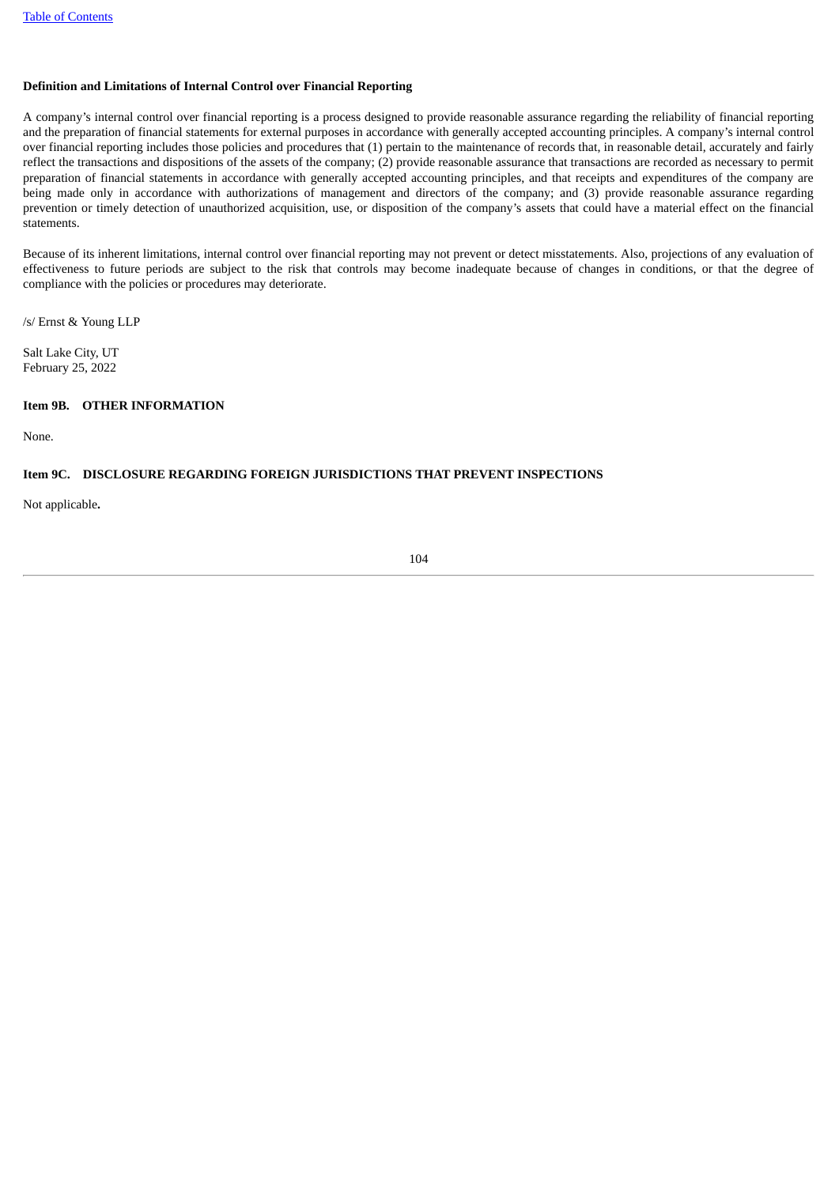# **Definition and Limitations of Internal Control over Financial Reporting**

A company's internal control over financial reporting is a process designed to provide reasonable assurance regarding the reliability of financial reporting and the preparation of financial statements for external purposes in accordance with generally accepted accounting principles. A company's internal control over financial reporting includes those policies and procedures that (1) pertain to the maintenance of records that, in reasonable detail, accurately and fairly reflect the transactions and dispositions of the assets of the company; (2) provide reasonable assurance that transactions are recorded as necessary to permit preparation of financial statements in accordance with generally accepted accounting principles, and that receipts and expenditures of the company are being made only in accordance with authorizations of management and directors of the company; and (3) provide reasonable assurance regarding prevention or timely detection of unauthorized acquisition, use, or disposition of the company's assets that could have a material effect on the financial statements.

Because of its inherent limitations, internal control over financial reporting may not prevent or detect misstatements. Also, projections of any evaluation of effectiveness to future periods are subject to the risk that controls may become inadequate because of changes in conditions, or that the degree of compliance with the policies or procedures may deteriorate.

/s/ Ernst & Young LLP

Salt Lake City, UT February 25, 2022

# **Item 9B. OTHER INFORMATION**

None.

# **Item 9C. DISCLOSURE REGARDING FOREIGN JURISDICTIONS THAT PREVENT INSPECTIONS**

Not applicable**.**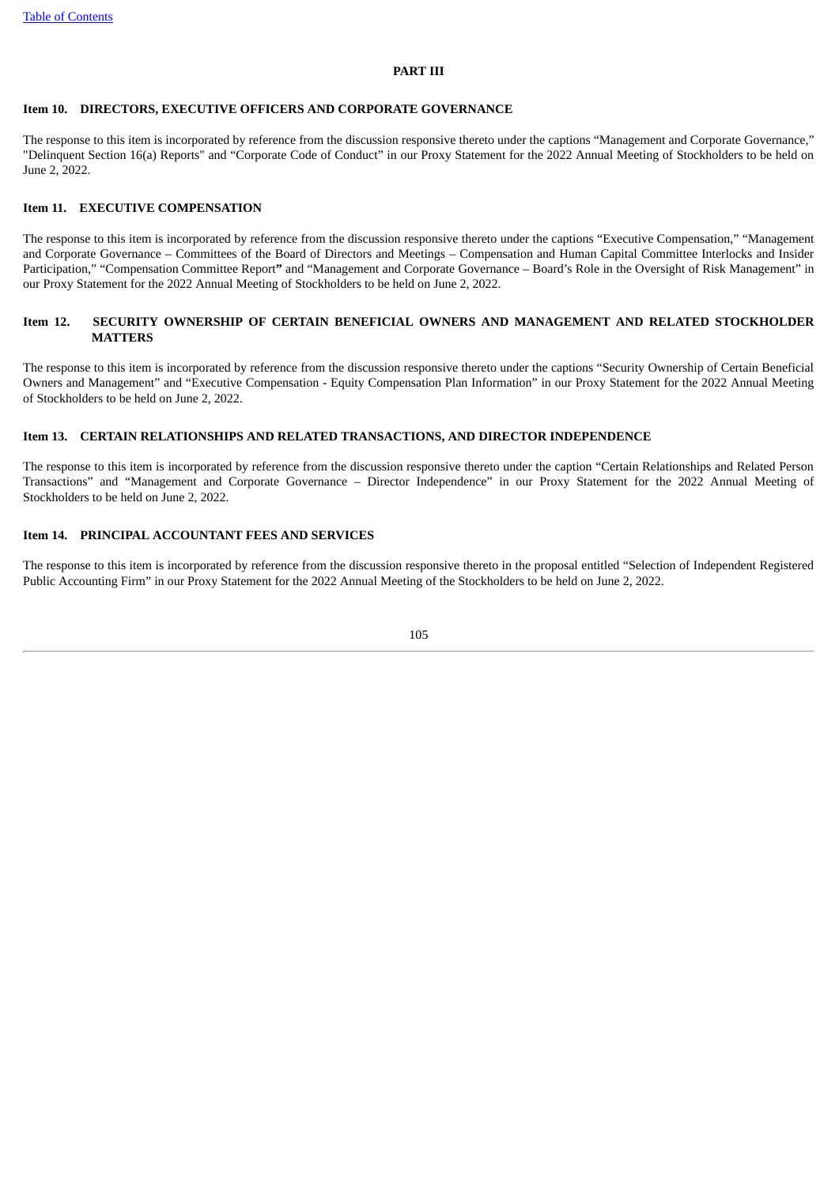### **PART III**

# **Item 10. DIRECTORS, EXECUTIVE OFFICERS AND CORPORATE GOVERNANCE**

The response to this item is incorporated by reference from the discussion responsive thereto under the captions "Management and Corporate Governance," "Delinquent Section 16(a) Reports" and "Corporate Code of Conduct" in our Proxy Statement for the 2022 Annual Meeting of Stockholders to be held on June 2, 2022.

## **Item 11. EXECUTIVE COMPENSATION**

The response to this item is incorporated by reference from the discussion responsive thereto under the captions "Executive Compensation," "Management and Corporate Governance – Committees of the Board of Directors and Meetings – Compensation and Human Capital Committee Interlocks and Insider Participation," "Compensation Committee Report**"** and "Management and Corporate Governance – Board's Role in the Oversight of Risk Management" in our Proxy Statement for the 2022 Annual Meeting of Stockholders to be held on June 2, 2022.

# **Item 12. SECURITY OWNERSHIP OF CERTAIN BENEFICIAL OWNERS AND MANAGEMENT AND RELATED STOCKHOLDER MATTERS**

The response to this item is incorporated by reference from the discussion responsive thereto under the captions "Security Ownership of Certain Beneficial Owners and Management" and "Executive Compensation - Equity Compensation Plan Information" in our Proxy Statement for the 2022 Annual Meeting of Stockholders to be held on June 2, 2022.

## **Item 13. CERTAIN RELATIONSHIPS AND RELATED TRANSACTIONS, AND DIRECTOR INDEPENDENCE**

The response to this item is incorporated by reference from the discussion responsive thereto under the caption "Certain Relationships and Related Person Transactions" and "Management and Corporate Governance – Director Independence" in our Proxy Statement for the 2022 Annual Meeting of Stockholders to be held on June 2, 2022.

# **Item 14. PRINCIPAL ACCOUNTANT FEES AND SERVICES**

The response to this item is incorporated by reference from the discussion responsive thereto in the proposal entitled "Selection of Independent Registered Public Accounting Firm" in our Proxy Statement for the 2022 Annual Meeting of the Stockholders to be held on June 2, 2022.

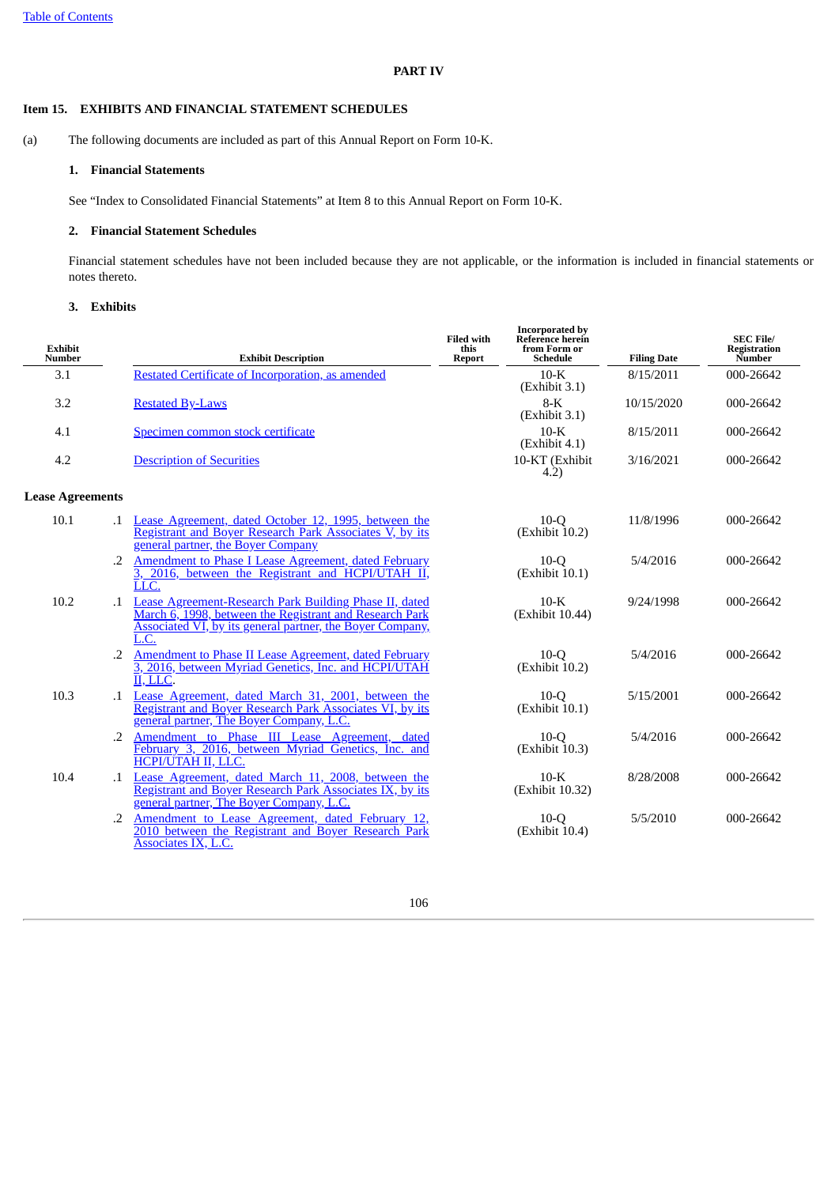# **PART IV**

# **Item 15. EXHIBITS AND FINANCIAL STATEMENT SCHEDULES**

(a) The following documents are included as part of this Annual Report on Form 10-K.

## **1. Financial Statements**

See "Index to Consolidated Financial Statements" at Item 8 to this Annual Report on Form 10-K.

# **2. Financial Statement Schedules**

Financial statement schedules have not been included because they are not applicable, or the information is included in financial statements or notes thereto.

# **3. Exhibits**

| Exhibit<br>Number       | <b>Exhibit Description</b>                                                                                                                                                                          | <b>Filed with</b><br>this<br><b>Report</b> | <b>Incorporated by</b><br>Reference herein<br>from Form or<br>Schedule | <b>Filing Date</b> | <b>SEC File/</b><br><b>Registration</b><br>Number |
|-------------------------|-----------------------------------------------------------------------------------------------------------------------------------------------------------------------------------------------------|--------------------------------------------|------------------------------------------------------------------------|--------------------|---------------------------------------------------|
| 3.1                     | Restated Certificate of Incorporation, as amended                                                                                                                                                   |                                            | $10-K$<br>(Exhibit 3.1)                                                | 8/15/2011          | 000-26642                                         |
| 3.2                     | <b>Restated By-Laws</b>                                                                                                                                                                             |                                            | $8-K$<br>(Exhibit 3.1)                                                 | 10/15/2020         | 000-26642                                         |
| 4.1                     | Specimen common stock certificate                                                                                                                                                                   |                                            | $10-K$<br>(Exhibit 4.1)                                                | 8/15/2011          | 000-26642                                         |
| 4.2                     | <b>Description of Securities</b>                                                                                                                                                                    |                                            | 10-KT (Exhibit<br>4.2)                                                 | 3/16/2021          | 000-26642                                         |
| <b>Lease Agreements</b> |                                                                                                                                                                                                     |                                            |                                                                        |                    |                                                   |
| 10.1                    | Lease Agreement, dated October 12, 1995, between the<br>$\cdot$ 1<br>Registrant and Boyer Research Park Associates V, by its<br>general partner, the Boyer Company                                  |                                            | $10-Q$<br>(Exhibit 10.2)                                               | 11/8/1996          | 000-26642                                         |
|                         | Amendment to Phase I Lease Agreement, dated February<br>$\cdot$ .2<br>3, 2016, between the Registrant and HCPI/UTAH II,<br>LLC.                                                                     |                                            | $10-Q$<br>(Exhibit 10.1)                                               | 5/4/2016           | 000-26642                                         |
| 10.2                    | Lease Agreement-Research Park Building Phase II, dated<br>$\cdot$ 1<br>March 6, 1998, between the Registrant and Research Park<br>Associated VI, by its general partner, the Boyer Company,<br>L.C. |                                            | $10-K$<br>(Exhibit 10.44)                                              | 9/24/1998          | 000-26642                                         |
| $\cdot$ .2              | Amendment to Phase II Lease Agreement, dated February<br>3, 2016, between Myriad Genetics, Inc. and HCPI/UTAH<br>II. LLC.                                                                           |                                            | $10-Q$<br>(Exhibit 10.2)                                               | 5/4/2016           | 000-26642                                         |
| 10.3                    | .1 Lease Agreement, dated March 31, 2001, between the<br>Registrant and Boyer Research Park Associates VI, by its<br>general partner, The Boyer Company, L.C.                                       |                                            | $10-Q$<br>(Exhibit 10.1)                                               | 5/15/2001          | 000-26642                                         |
|                         | Amendment to Phase III Lease Agreement, dated<br>$\cdot$ 2<br>February 3, 2016, between Myriad Genetics, Inc. and<br>HCPI/UTAH II, LLC.                                                             |                                            | $10-Q$<br>(Exhibit 10.3)                                               | 5/4/2016           | 000-26642                                         |
| 10.4                    | Lease Agreement, dated March 11, 2008, between the<br>$\cdot$ 1<br>Registrant and Boyer Research Park Associates IX, by its<br>general partner, The Boyer Company, L.C.                             |                                            | $10-K$<br>(Exhibit 10.32)                                              | 8/28/2008          | 000-26642                                         |
| $\cdot$ .2              | Amendment to Lease Agreement, dated February 12,<br>2010 between the Registrant and Boyer Research Park<br>Associates IX, L.C.                                                                      |                                            | $10-Q$<br>(Exhibit 10.4)                                               | 5/5/2010           | 000-26642                                         |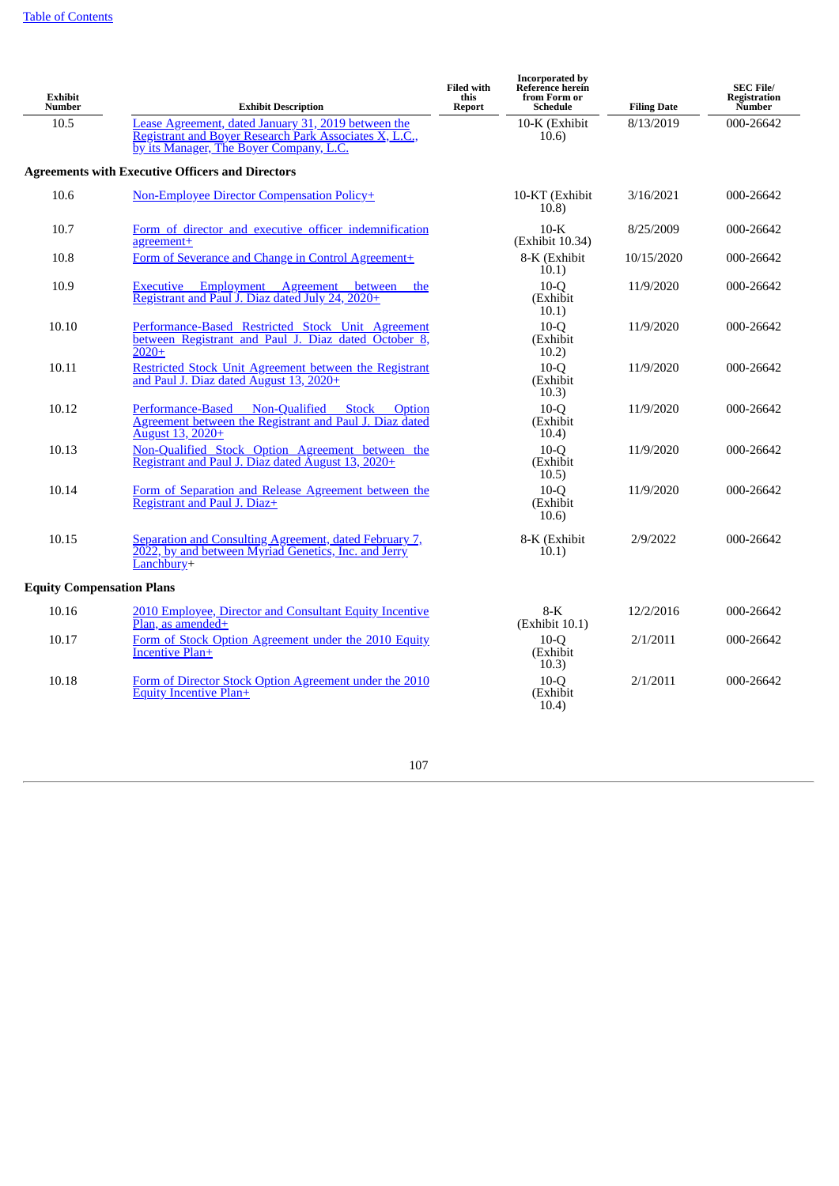| <b>Exhibit</b><br>Number         | <b>Exhibit Description</b>                                                                                                                               | <b>Filed with</b><br>this<br>Report | <b>Incorporated by</b><br>Reference herein<br>from Form or<br><b>Schedule</b> | <b>Filing Date</b> | <b>SEC File/</b><br>Registration<br>Number |
|----------------------------------|----------------------------------------------------------------------------------------------------------------------------------------------------------|-------------------------------------|-------------------------------------------------------------------------------|--------------------|--------------------------------------------|
| 10.5                             | Lease Agreement, dated January 31, 2019 between the<br>Registrant and Boyer Research Park Associates X, L.C.,<br>by its Manager, The Boyer Company, L.C. |                                     | 10-K (Exhibit<br>10.6)                                                        | 8/13/2019          | 000-26642                                  |
|                                  | <b>Agreements with Executive Officers and Directors</b>                                                                                                  |                                     |                                                                               |                    |                                            |
| 10.6                             | <b>Non-Employee Director Compensation Policy+</b>                                                                                                        |                                     | 10-KT (Exhibit<br>(10.8)                                                      | 3/16/2021          | 000-26642                                  |
| 10.7                             | Form of director and executive officer indemnification<br>agreement+                                                                                     |                                     | $10-K$<br>(Exhibit 10.34)                                                     | 8/25/2009          | 000-26642                                  |
| 10.8                             | Form of Severance and Change in Control Agreement+                                                                                                       |                                     | 8-K (Exhibit<br>10.1)                                                         | 10/15/2020         | 000-26642                                  |
| 10.9                             | Executive Employment Agreement<br>between<br>the<br>Registrant and Paul J. Diaz dated July 24, 2020+                                                     |                                     | $10-Q$<br>(Exhibit<br>10.1)                                                   | 11/9/2020          | 000-26642                                  |
| 10.10                            | Performance-Based Restricted Stock Unit Agreement<br>between Registrant and Paul J. Diaz dated October 8.<br>$2020+$                                     |                                     | $10-Q$<br>(Exhibit<br>10.2)                                                   | 11/9/2020          | 000-26642                                  |
| 10.11                            | Restricted Stock Unit Agreement between the Registrant<br>and Paul J. Diaz dated August 13, 2020+                                                        |                                     | $10-°$<br>(Exhibit<br>10.3)                                                   | 11/9/2020          | 000-26642                                  |
| 10.12                            | Performance-Based<br>Non-Oualified<br><b>Stock</b><br>Option<br>Agreement between the Registrant and Paul J. Diaz dated<br>August 13, 2020+              |                                     | $10-°$<br>(Exhibit<br>10.4)                                                   | 11/9/2020          | 000-26642                                  |
| 10.13                            | Non-Qualified Stock Option Agreement between the<br>Registrant and Paul J. Diaz dated August 13, 2020+                                                   |                                     | $10-°$<br>(Exhibit<br>10.5)                                                   | 11/9/2020          | 000-26642                                  |
| 10.14                            | Form of Separation and Release Agreement between the<br>Registrant and Paul J. Diaz+                                                                     |                                     | $10-Q$<br>(Exhibit<br>10.6)                                                   | 11/9/2020          | 000-26642                                  |
| 10.15                            | Separation and Consulting Agreement, dated February 7,<br>2022, by and between Myriad Genetics, Inc. and Jerry<br>Lanchbury+                             |                                     | 8-K (Exhibit<br>10.1)                                                         | 2/9/2022           | 000-26642                                  |
| <b>Equity Compensation Plans</b> |                                                                                                                                                          |                                     |                                                                               |                    |                                            |
| 10.16                            | 2010 Employee, Director and Consultant Equity Incentive<br>Plan. as amended+                                                                             |                                     | $8-K$<br>(Exhibit 10.1)                                                       | 12/2/2016          | 000-26642                                  |
| 10.17                            | Form of Stock Option Agreement under the 2010 Equity<br><b>Incentive Plan+</b>                                                                           |                                     | $10-°$<br>(Exhibit<br>10.3)                                                   | 2/1/2011           | 000-26642                                  |
| 10.18                            | Form of Director Stock Option Agreement under the 2010<br><b>Equity Incentive Plan+</b>                                                                  |                                     | $10-°$<br>(Exhibit<br>10.4)                                                   | 2/1/2011           | 000-26642                                  |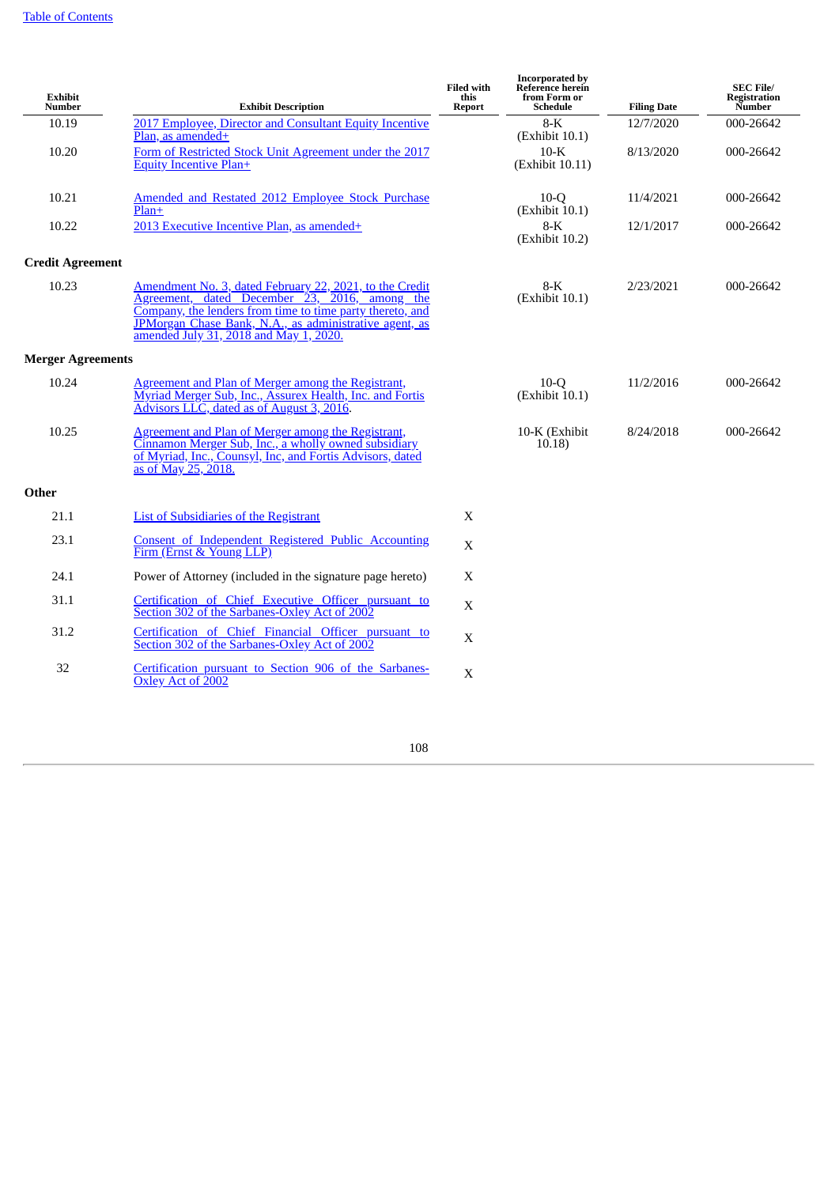| <b>Exhibit</b><br>Number | <b>Exhibit Description</b>                                                                                                                                                                                                                                                | <b>Filed with</b><br>this<br><b>Report</b> | <b>Incorporated by</b><br>Reference herein<br>from Form or<br><b>Schedule</b> | <b>Filing Date</b> | <b>SEC File/</b><br><b>Registration</b><br>Number |
|--------------------------|---------------------------------------------------------------------------------------------------------------------------------------------------------------------------------------------------------------------------------------------------------------------------|--------------------------------------------|-------------------------------------------------------------------------------|--------------------|---------------------------------------------------|
| 10.19                    | 2017 Employee, Director and Consultant Equity Incentive<br>Plan, as amended+                                                                                                                                                                                              |                                            | $8-K$<br>(Exhibit 10.1)                                                       | 12/7/2020          | 000-26642                                         |
| 10.20                    | Form of Restricted Stock Unit Agreement under the 2017<br>Equity Incentive Plan+                                                                                                                                                                                          |                                            | $10-K$<br>(Exhibit 10.11)                                                     | 8/13/2020          | 000-26642                                         |
| 10.21                    | Amended and Restated 2012 Employee Stock Purchase<br>Plan+                                                                                                                                                                                                                |                                            | $10-Q$<br>(Exhibit 10.1)                                                      | 11/4/2021          | 000-26642                                         |
| 10.22                    | 2013 Executive Incentive Plan, as amended+                                                                                                                                                                                                                                |                                            | $8-K$<br>(Exhibit 10.2)                                                       | 12/1/2017          | 000-26642                                         |
| <b>Credit Agreement</b>  |                                                                                                                                                                                                                                                                           |                                            |                                                                               |                    |                                                   |
| 10.23                    | Amendment No. 3, dated February 22, 2021, to the Credit<br>Agreement, dated December 23, 2016, among the<br>Company, the lenders from time to time party thereto, and<br>JPMorgan Chase Bank, N.A., as administrative agent, as<br>amended July 31, 2018 and May 1, 2020. |                                            | $8-K$<br>(Exhibit 10.1)                                                       | 2/23/2021          | 000-26642                                         |
| <b>Merger Agreements</b> |                                                                                                                                                                                                                                                                           |                                            |                                                                               |                    |                                                   |
| 10.24                    | <b>Agreement and Plan of Merger among the Registrant,</b><br>Myriad Merger Sub, Inc., Assurex Health, Inc. and Fortis<br>Advisors LLC, dated as of August 3, 2016.                                                                                                        |                                            | $10-o$<br>(Exhibit 10.1)                                                      | 11/2/2016          | 000-26642                                         |
| 10.25                    | <b>Agreement and Plan of Merger among the Registrant,</b><br>Cinnamon Merger Sub, Inc., a wholly owned subsidiary<br>of Myriad, Inc., Counsyl, Inc., and Fortis Advisors, dated<br>as of May 25, 2018.                                                                    |                                            | 10-K (Exhibit<br>10.18                                                        | 8/24/2018          | 000-26642                                         |
| Other                    |                                                                                                                                                                                                                                                                           |                                            |                                                                               |                    |                                                   |
| 21.1                     | List of Subsidiaries of the Registrant                                                                                                                                                                                                                                    | X                                          |                                                                               |                    |                                                   |
| 23.1                     | Consent of Independent Registered Public Accounting<br>Firm (Ernst & Young LLP)                                                                                                                                                                                           | X                                          |                                                                               |                    |                                                   |
| 24.1                     | Power of Attorney (included in the signature page hereto)                                                                                                                                                                                                                 | X                                          |                                                                               |                    |                                                   |
| 31.1                     | Certification of Chief Executive Officer pursuant to<br>Section 302 of the Sarbanes-Oxley Act of 2002                                                                                                                                                                     | X                                          |                                                                               |                    |                                                   |
| 31.2                     | Certification of Chief Financial Officer pursuant to<br>Section 302 of the Sarbanes-Oxley Act of 2002                                                                                                                                                                     | X                                          |                                                                               |                    |                                                   |
| 32                       | Certification pursuant to Section 906 of the Sarbanes-<br>Oxley Act of 2002                                                                                                                                                                                               | $\mathbf X$                                |                                                                               |                    |                                                   |
|                          |                                                                                                                                                                                                                                                                           |                                            |                                                                               |                    |                                                   |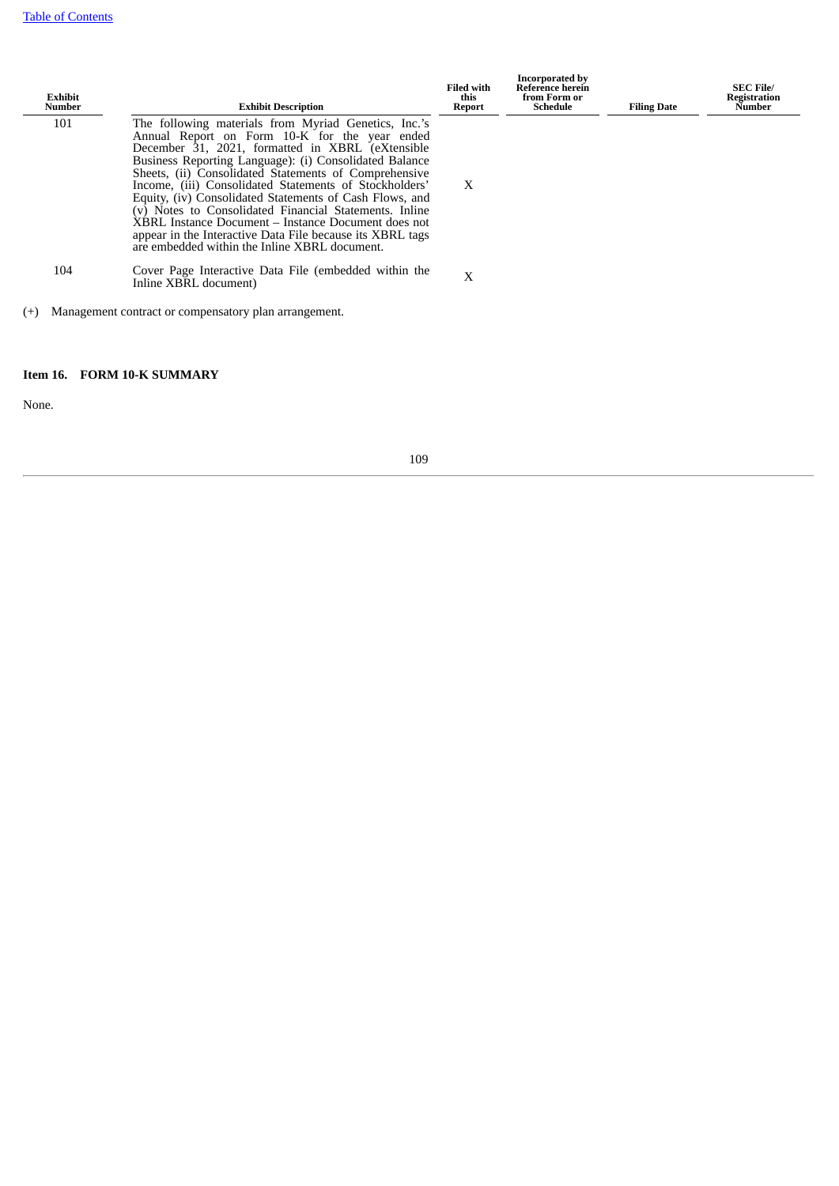| Exhibit<br>Number | <b>Exhibit Description</b>                                                                                                                                                                                                                                                                                                                                                                                                                                                                                                                                                                                                       | <b>Filed with</b><br>this<br>Report | <b>Incorporated by</b><br>Reference herein<br>from Form or<br><b>Schedule</b> | <b>Filing Date</b> | <b>SEC File/</b><br>Registration<br>Number |
|-------------------|----------------------------------------------------------------------------------------------------------------------------------------------------------------------------------------------------------------------------------------------------------------------------------------------------------------------------------------------------------------------------------------------------------------------------------------------------------------------------------------------------------------------------------------------------------------------------------------------------------------------------------|-------------------------------------|-------------------------------------------------------------------------------|--------------------|--------------------------------------------|
| 101               | The following materials from Myriad Genetics, Inc.'s<br>Annual Report on Form 10-K for the year ended<br>December 31, 2021, formatted in XBRL (eXtensible<br>Business Reporting Language): (i) Consolidated Balance<br>Sheets, (ii) Consolidated Statements of Comprehensive<br>Income, (iii) Consolidated Statements of Stockholders'<br>Equity, (iv) Consolidated Statements of Cash Flows, and<br>(v) Notes to Consolidated Financial Statements. Inline<br>XBRL Instance Document - Instance Document does not<br>appear in the Interactive Data File because its XBRL tags<br>are embedded within the Inline XBRL document. | X                                   |                                                                               |                    |                                            |
| 104               | Cover Page Interactive Data File (embedded within the<br>Inline XBRL document)                                                                                                                                                                                                                                                                                                                                                                                                                                                                                                                                                   | X                                   |                                                                               |                    |                                            |

(+) Management contract or compensatory plan arrangement.

# **Item 16. FORM 10-K SUMMARY**

None.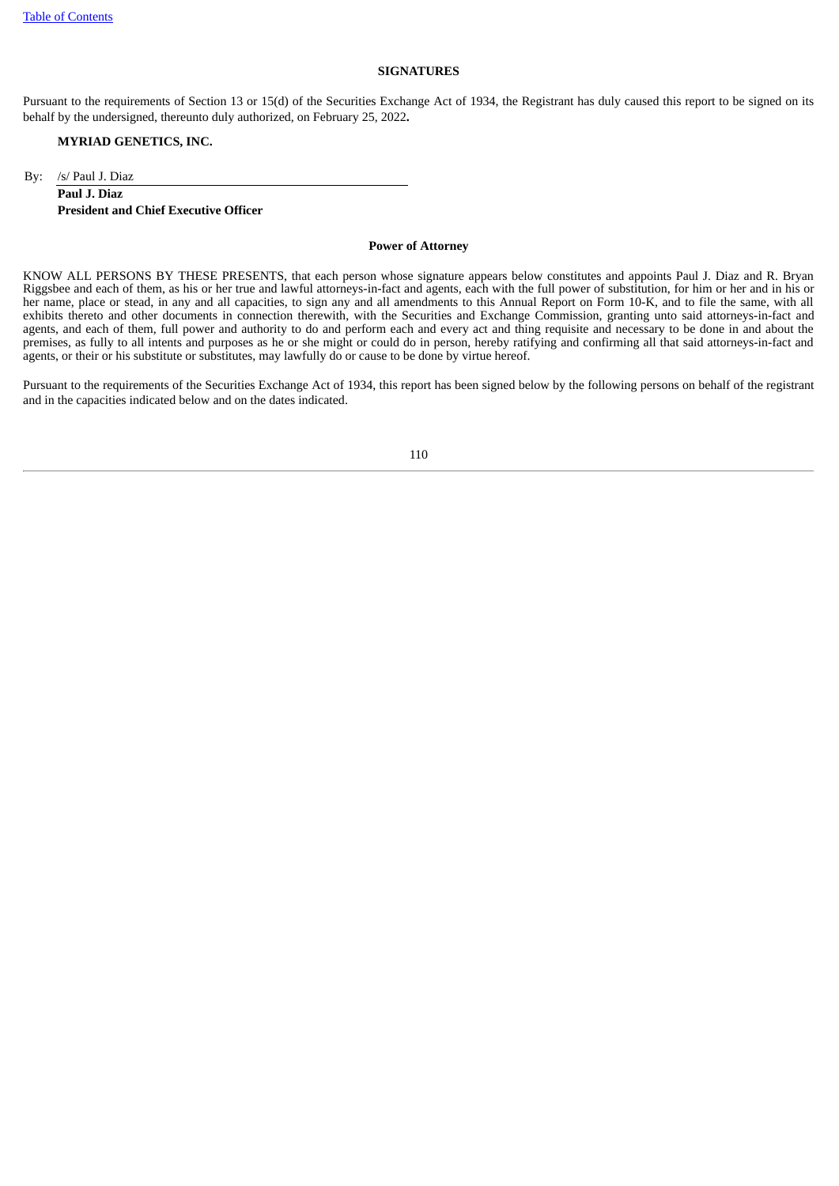### **SIGNATURES**

Pursuant to the requirements of Section 13 or 15(d) of the Securities Exchange Act of 1934, the Registrant has duly caused this report to be signed on its behalf by the undersigned, thereunto duly authorized, on February 25, 2022**.**

### **MYRIAD GENETICS, INC.**

By: /s/ Paul J. Diaz

**Paul J. Diaz President and Chief Executive Officer**

#### **Power of Attorney**

KNOW ALL PERSONS BY THESE PRESENTS, that each person whose signature appears below constitutes and appoints Paul J. Diaz and R. Bryan Riggsbee and each of them, as his or her true and lawful attorneys-in-fact and agents, each with the full power of substitution, for him or her and in his or her name, place or stead, in any and all capacities, to sign any and all amendments to this Annual Report on Form 10-K, and to file the same, with all exhibits thereto and other documents in connection therewith, with the Securities and Exchange Commission, granting unto said attorneys-in-fact and agents, and each of them, full power and authority to do and perform each and every act and thing requisite and necessary to be done in and about the premises, as fully to all intents and purposes as he or she might or could do in person, hereby ratifying and confirming all that said attorneys-in-fact and agents, or their or his substitute or substitutes, may lawfully do or cause to be done by virtue hereof.

Pursuant to the requirements of the Securities Exchange Act of 1934, this report has been signed below by the following persons on behalf of the registrant and in the capacities indicated below and on the dates indicated.

110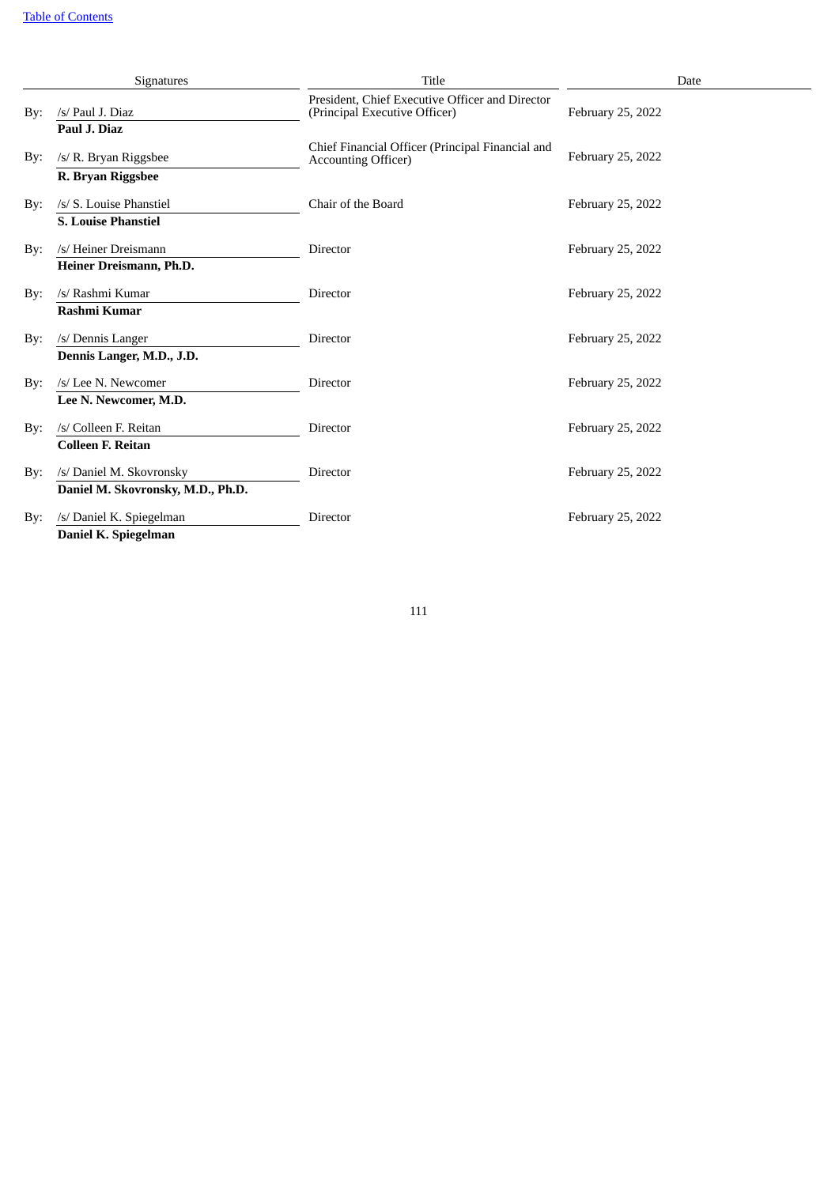| Signatures                |                                                               | <b>Title</b>                                                                     | Date              |  |
|---------------------------|---------------------------------------------------------------|----------------------------------------------------------------------------------|-------------------|--|
| Bv:                       | /s/ Paul J. Diaz                                              | President, Chief Executive Officer and Director<br>(Principal Executive Officer) | February 25, 2022 |  |
| $\rm\,By:$                | Paul J. Diaz<br>/s/ R. Bryan Riggsbee<br>R. Bryan Riggsbee    | Chief Financial Officer (Principal Financial and<br><b>Accounting Officer)</b>   | February 25, 2022 |  |
| By:                       | /s/ S. Louise Phanstiel<br><b>S. Louise Phanstiel</b>         | Chair of the Board                                                               | February 25, 2022 |  |
| By:                       | /s/ Heiner Dreismann<br>Heiner Dreismann, Ph.D.               | <b>Director</b>                                                                  | February 25, 2022 |  |
| By:                       | /s/ Rashmi Kumar<br>Rashmi Kumar                              | <b>Director</b>                                                                  | February 25, 2022 |  |
| By:                       | /s/ Dennis Langer<br>Dennis Langer, M.D., J.D.                | <b>Director</b>                                                                  | February 25, 2022 |  |
| By:                       | /s/ Lee N. Newcomer<br>Lee N. Newcomer, M.D.                  | <b>Director</b>                                                                  | February 25, 2022 |  |
| Bv:                       | /s/ Colleen F. Reitan<br><b>Colleen F. Reitan</b>             | <b>Director</b>                                                                  | February 25, 2022 |  |
| By:                       | /s/ Daniel M. Skovronsky<br>Daniel M. Skovronsky, M.D., Ph.D. | <b>Director</b>                                                                  | February 25, 2022 |  |
| $\mathbf{B} \mathbf{v}$ : | /s/ Daniel K. Spiegelman<br>Daniel K. Spiegelman              | <b>Director</b>                                                                  | February 25, 2022 |  |

111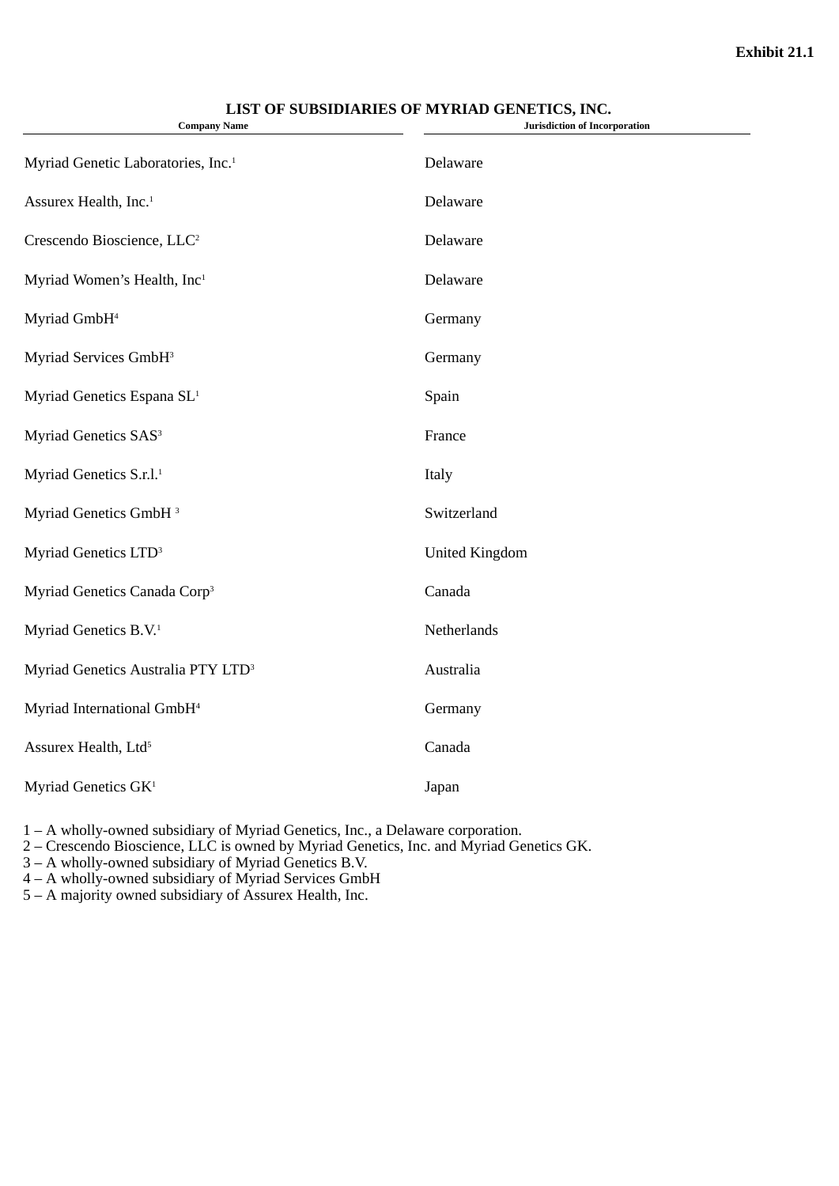| <b>Company Name</b>                            | IST OF SUBSIDIARIES OF MIRIAD OEI<br>Jurisdiction of Incorporation |
|------------------------------------------------|--------------------------------------------------------------------|
| Myriad Genetic Laboratories, Inc. <sup>1</sup> | Delaware                                                           |
| Assurex Health, Inc. <sup>1</sup>              | Delaware                                                           |
| Crescendo Bioscience, LLC <sup>2</sup>         | Delaware                                                           |
| Myriad Women's Health, Inc <sup>1</sup>        | Delaware                                                           |
| Myriad GmbH <sup>4</sup>                       | Germany                                                            |
| Myriad Services GmbH <sup>3</sup>              | Germany                                                            |
| Myriad Genetics Espana SL <sup>1</sup>         | Spain                                                              |
| Myriad Genetics SAS <sup>3</sup>               | France                                                             |
| Myriad Genetics S.r.l. <sup>1</sup>            | Italy                                                              |
| Myriad Genetics GmbH <sup>3</sup>              | Switzerland                                                        |
| Myriad Genetics LTD <sup>3</sup>               | <b>United Kingdom</b>                                              |
| Myriad Genetics Canada Corp <sup>3</sup>       | Canada                                                             |
| Myriad Genetics B.V. <sup>1</sup>              | Netherlands                                                        |
| Myriad Genetics Australia PTY LTD <sup>3</sup> | Australia                                                          |
| Myriad International GmbH <sup>4</sup>         | Germany                                                            |
| Assurex Health, Ltd <sup>5</sup>               | Canada                                                             |
| Myriad Genetics GK <sup>1</sup>                | Japan                                                              |
|                                                |                                                                    |

# **LIST OF SUBSIDIARIES OF MYRIAD GENETICS, INC.**

1 – A wholly-owned subsidiary of Myriad Genetics, Inc., a Delaware corporation.

2 – Crescendo Bioscience, LLC is owned by Myriad Genetics, Inc. and Myriad Genetics GK.

3 – A wholly-owned subsidiary of Myriad Genetics B.V.

4 – A wholly-owned subsidiary of Myriad Services GmbH

5 – A majority owned subsidiary of Assurex Health, Inc.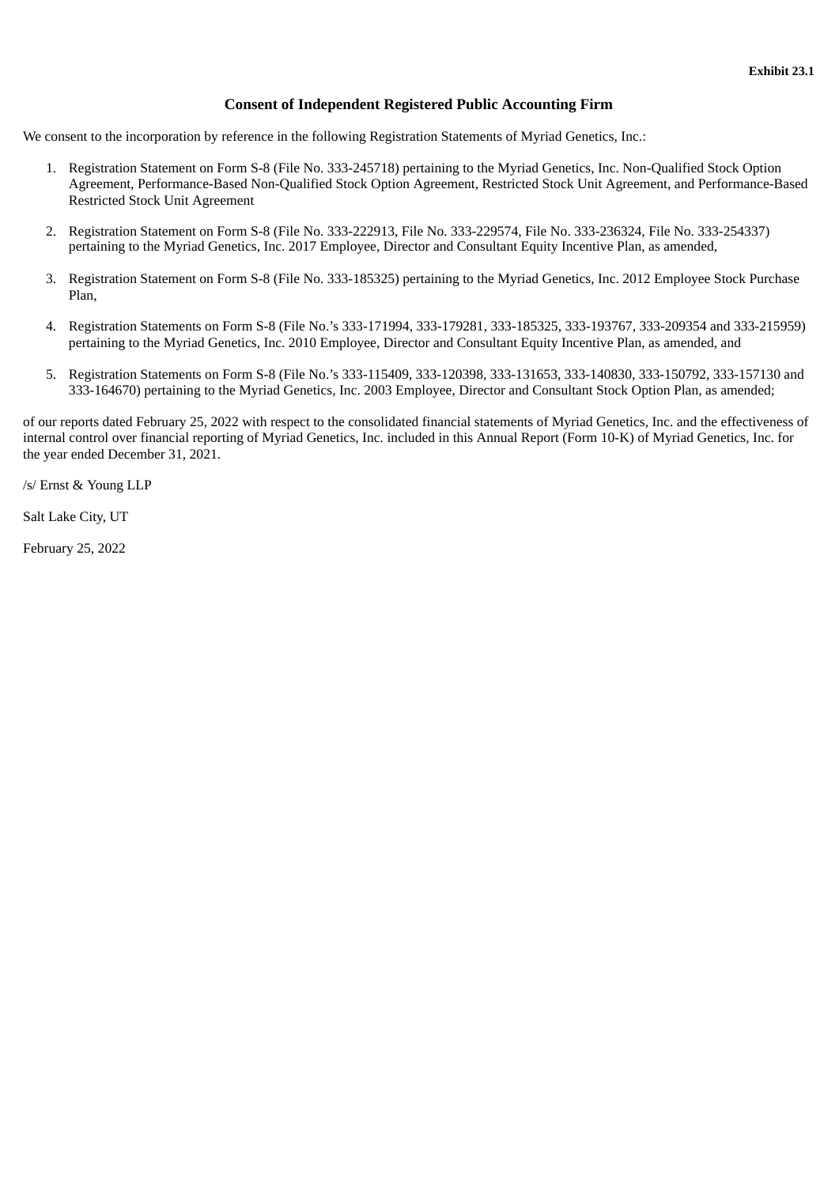# **Consent of Independent Registered Public Accounting Firm**

We consent to the incorporation by reference in the following Registration Statements of Myriad Genetics, Inc.:

- 1. Registration Statement on Form S-8 (File No. 333-245718) pertaining to the Myriad Genetics, Inc. Non-Qualified Stock Option Agreement, Performance-Based Non-Qualified Stock Option Agreement, Restricted Stock Unit Agreement, and Performance-Based Restricted Stock Unit Agreement
- 2. Registration Statement on Form S-8 (File No. 333-222913, File No. 333-229574, File No. 333-236324, File No. 333-254337) pertaining to the Myriad Genetics, Inc. 2017 Employee, Director and Consultant Equity Incentive Plan, as amended,
- 3. Registration Statement on Form S-8 (File No. 333-185325) pertaining to the Myriad Genetics, Inc. 2012 Employee Stock Purchase Plan,
- 4. Registration Statements on Form S-8 (File No.'s 333-171994, 333-179281, 333-185325, 333-193767, 333-209354 and 333-215959) pertaining to the Myriad Genetics, Inc. 2010 Employee, Director and Consultant Equity Incentive Plan, as amended, and
- 5. Registration Statements on Form S-8 (File No.'s 333-115409, 333-120398, 333-131653, 333-140830, 333-150792, 333-157130 and 333-164670) pertaining to the Myriad Genetics, Inc. 2003 Employee, Director and Consultant Stock Option Plan, as amended;

of our reports dated February 25, 2022 with respect to the consolidated financial statements of Myriad Genetics, Inc. and the effectiveness of internal control over financial reporting of Myriad Genetics, Inc. included in this Annual Report (Form 10-K) of Myriad Genetics, Inc. for the year ended December 31, 2021.

/s/ Ernst & Young LLP

Salt Lake City, UT

February 25, 2022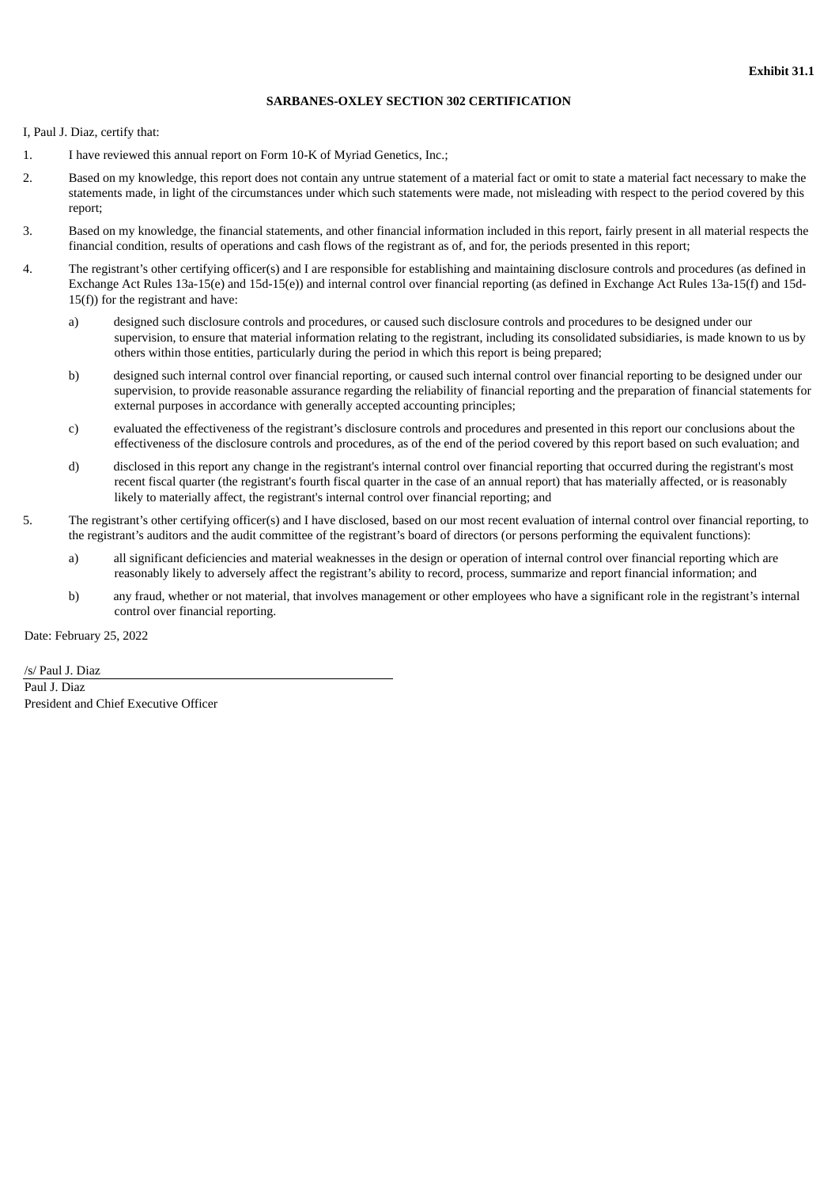## **SARBANES-OXLEY SECTION 302 CERTIFICATION**

I, Paul J. Diaz, certify that:

- 1. I have reviewed this annual report on Form 10-K of Myriad Genetics, Inc.;
- 2. Based on my knowledge, this report does not contain any untrue statement of a material fact or omit to state a material fact necessary to make the statements made, in light of the circumstances under which such statements were made, not misleading with respect to the period covered by this report;
- 3. Based on my knowledge, the financial statements, and other financial information included in this report, fairly present in all material respects the financial condition, results of operations and cash flows of the registrant as of, and for, the periods presented in this report;
- 4. The registrant's other certifying officer(s) and I are responsible for establishing and maintaining disclosure controls and procedures (as defined in Exchange Act Rules 13a-15(e) and 15d-15(e)) and internal control over financial reporting (as defined in Exchange Act Rules 13a-15(f) and 15d- $15(f)$ ) for the registrant and have:
	- a) designed such disclosure controls and procedures, or caused such disclosure controls and procedures to be designed under our supervision, to ensure that material information relating to the registrant, including its consolidated subsidiaries, is made known to us by others within those entities, particularly during the period in which this report is being prepared;
	- b) designed such internal control over financial reporting, or caused such internal control over financial reporting to be designed under our supervision, to provide reasonable assurance regarding the reliability of financial reporting and the preparation of financial statements for external purposes in accordance with generally accepted accounting principles;
	- c) evaluated the effectiveness of the registrant's disclosure controls and procedures and presented in this report our conclusions about the effectiveness of the disclosure controls and procedures, as of the end of the period covered by this report based on such evaluation; and
	- d) disclosed in this report any change in the registrant's internal control over financial reporting that occurred during the registrant's most recent fiscal quarter (the registrant's fourth fiscal quarter in the case of an annual report) that has materially affected, or is reasonably likely to materially affect, the registrant's internal control over financial reporting; and
- 5. The registrant's other certifying officer(s) and I have disclosed, based on our most recent evaluation of internal control over financial reporting, to the registrant's auditors and the audit committee of the registrant's board of directors (or persons performing the equivalent functions):
	- a) all significant deficiencies and material weaknesses in the design or operation of internal control over financial reporting which are reasonably likely to adversely affect the registrant's ability to record, process, summarize and report financial information; and
	- b) any fraud, whether or not material, that involves management or other employees who have a significant role in the registrant's internal control over financial reporting.

Date: February 25, 2022

/s/ Paul J. Diaz Paul J. Diaz President and Chief Executive Officer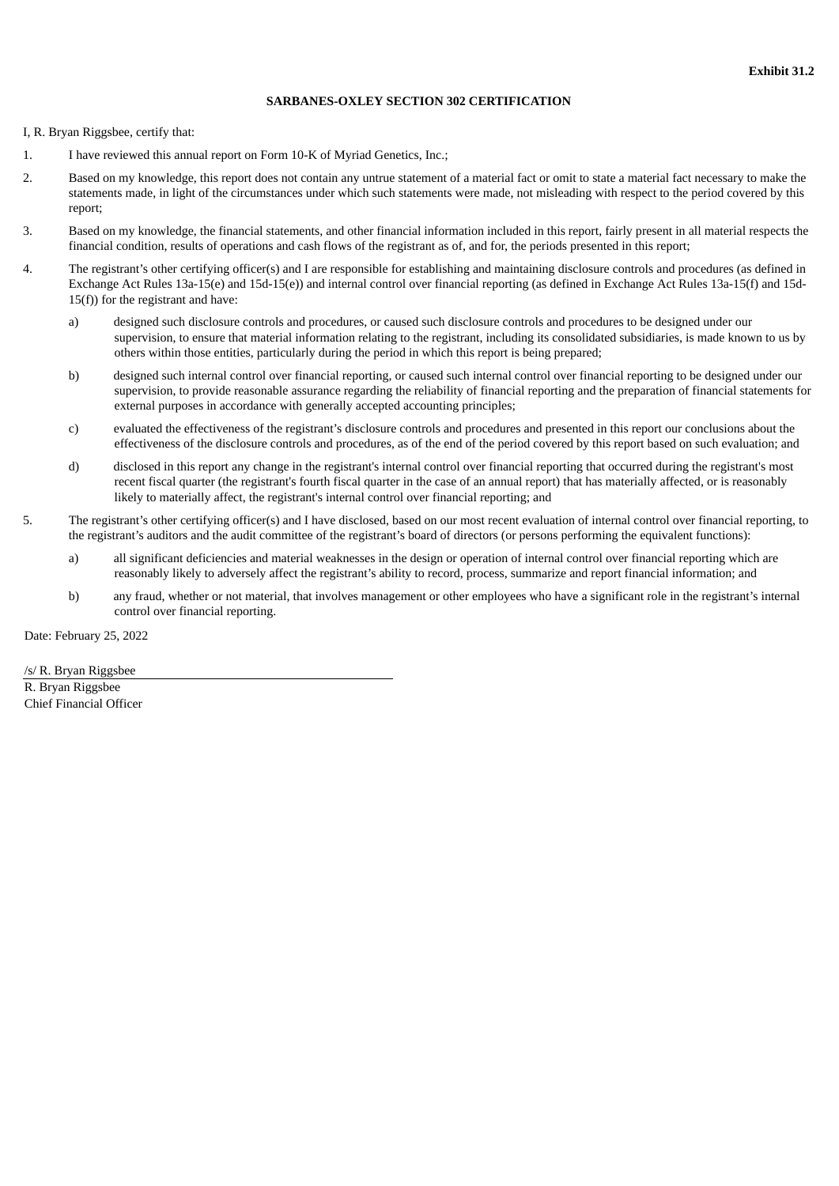## **SARBANES-OXLEY SECTION 302 CERTIFICATION**

I, R. Bryan Riggsbee, certify that:

- 1. I have reviewed this annual report on Form 10-K of Myriad Genetics, Inc.;
- 2. Based on my knowledge, this report does not contain any untrue statement of a material fact or omit to state a material fact necessary to make the statements made, in light of the circumstances under which such statements were made, not misleading with respect to the period covered by this report;
- 3. Based on my knowledge, the financial statements, and other financial information included in this report, fairly present in all material respects the financial condition, results of operations and cash flows of the registrant as of, and for, the periods presented in this report;
- 4. The registrant's other certifying officer(s) and I are responsible for establishing and maintaining disclosure controls and procedures (as defined in Exchange Act Rules 13a-15(e) and 15d-15(e)) and internal control over financial reporting (as defined in Exchange Act Rules 13a-15(f) and 15d- $15(f)$ ) for the registrant and have:
	- a) designed such disclosure controls and procedures, or caused such disclosure controls and procedures to be designed under our supervision, to ensure that material information relating to the registrant, including its consolidated subsidiaries, is made known to us by others within those entities, particularly during the period in which this report is being prepared;
	- b) designed such internal control over financial reporting, or caused such internal control over financial reporting to be designed under our supervision, to provide reasonable assurance regarding the reliability of financial reporting and the preparation of financial statements for external purposes in accordance with generally accepted accounting principles;
	- c) evaluated the effectiveness of the registrant's disclosure controls and procedures and presented in this report our conclusions about the effectiveness of the disclosure controls and procedures, as of the end of the period covered by this report based on such evaluation; and
	- d) disclosed in this report any change in the registrant's internal control over financial reporting that occurred during the registrant's most recent fiscal quarter (the registrant's fourth fiscal quarter in the case of an annual report) that has materially affected, or is reasonably likely to materially affect, the registrant's internal control over financial reporting; and
- 5. The registrant's other certifying officer(s) and I have disclosed, based on our most recent evaluation of internal control over financial reporting, to the registrant's auditors and the audit committee of the registrant's board of directors (or persons performing the equivalent functions):
	- a) all significant deficiencies and material weaknesses in the design or operation of internal control over financial reporting which are reasonably likely to adversely affect the registrant's ability to record, process, summarize and report financial information; and
	- b) any fraud, whether or not material, that involves management or other employees who have a significant role in the registrant's internal control over financial reporting.

Date: February 25, 2022

/s/ R. Bryan Riggsbee R. Bryan Riggsbee Chief Financial Officer